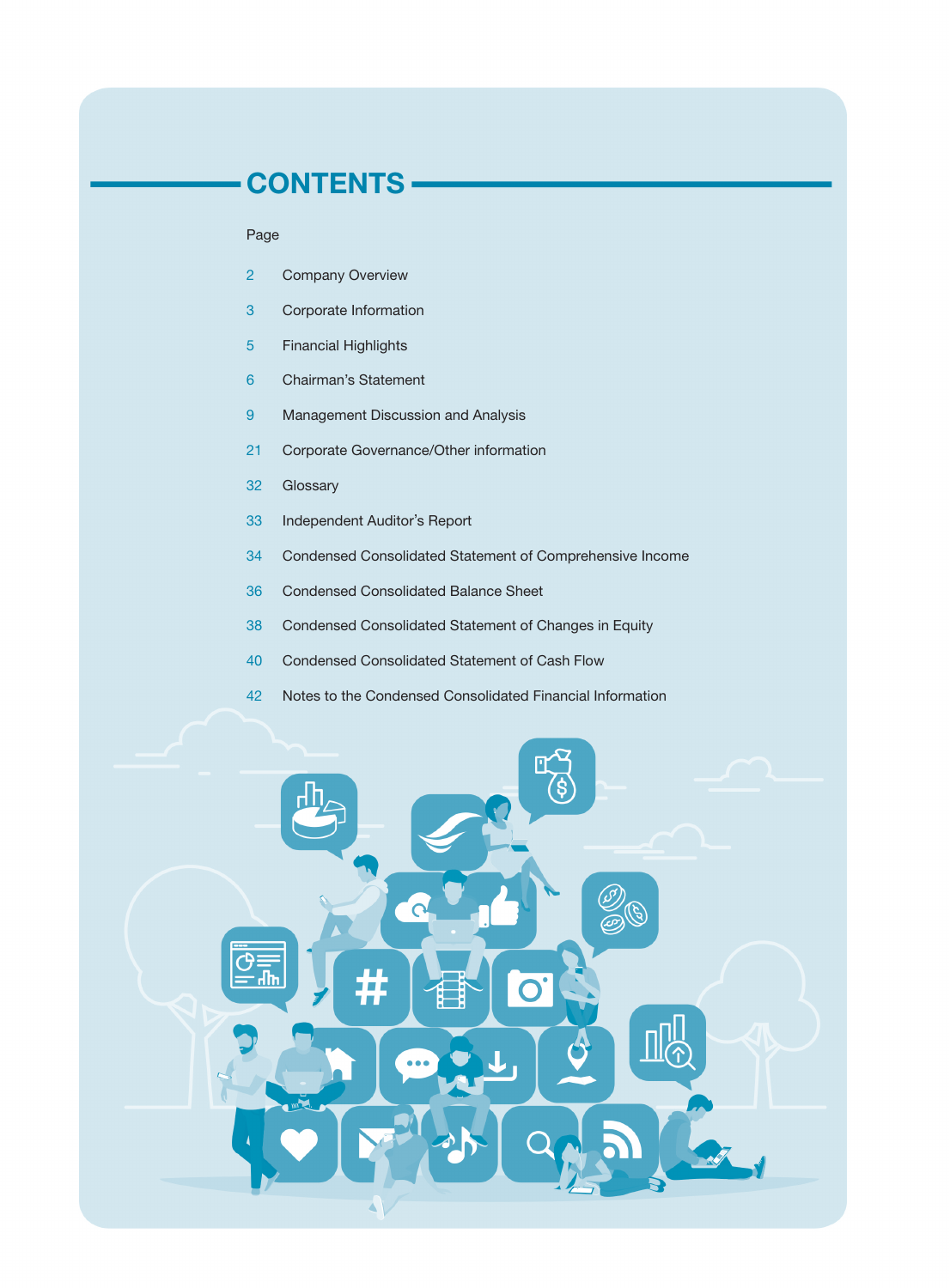# CONTENTS

### Page

- Company Overview
- Corporate Information
- Financial Highlights
- Chairman's Statement
- Management Discussion and Analysis
- Corporate Governance/Other information
- Glossary
- Independent Auditor's Report
- Condensed Consolidated Statement of Comprehensive Income
- Condensed Consolidated Balance Sheet
- Condensed Consolidated Statement of Changes in Equity
- Condensed Consolidated Statement of Cash Flow
- Notes to the Condensed Consolidated Financial Information

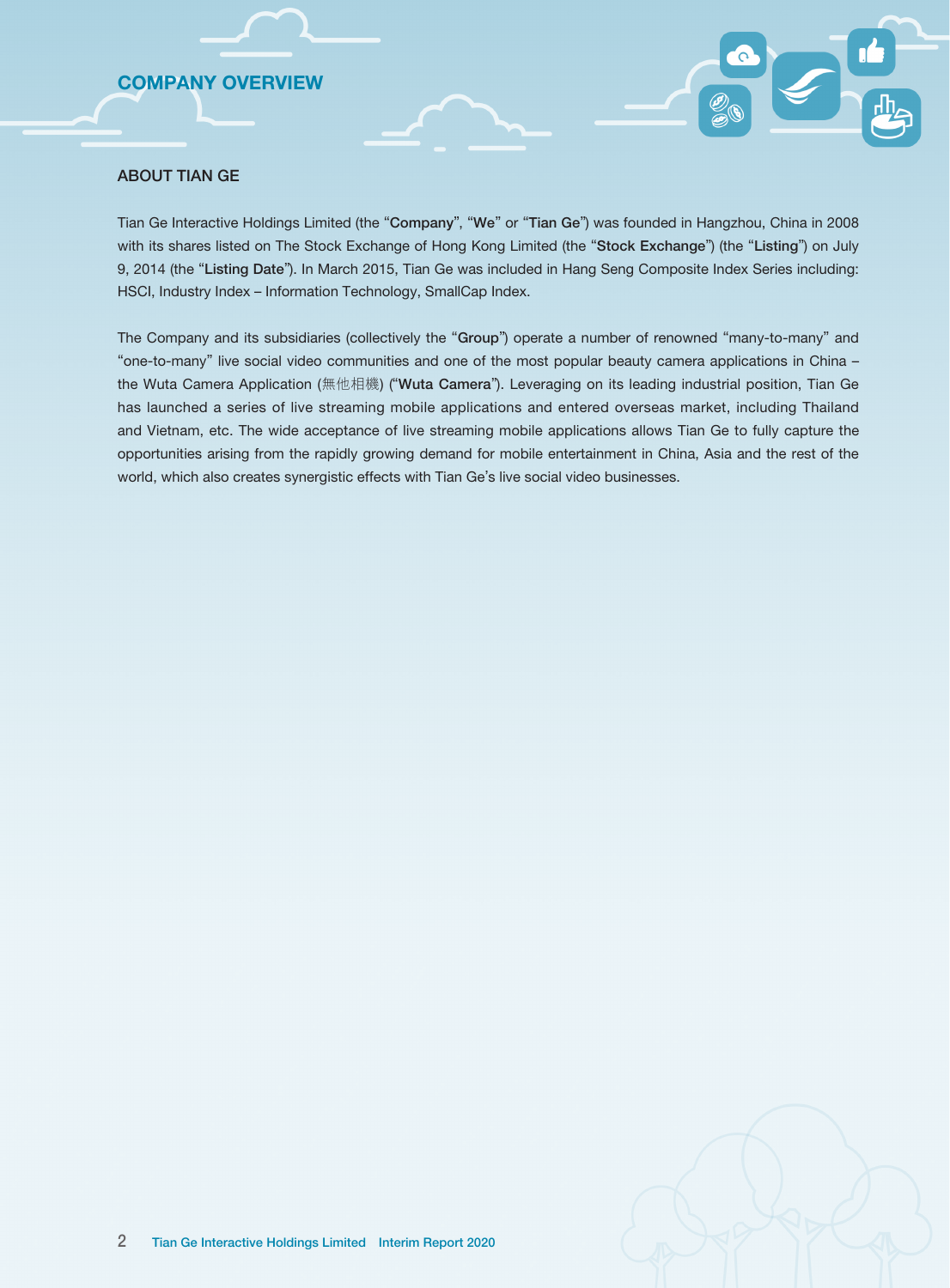# COMPANY OVERVIEW

### ABOUT TIAN GE

Tian Ge Interactive Holdings Limited (the "Company", "We" or "Tian Ge") was founded in Hangzhou, China in 2008 with its shares listed on The Stock Exchange of Hong Kong Limited (the "Stock Exchange") (the "Listing") on July 9, 2014 (the "Listing Date"). In March 2015, Tian Ge was included in Hang Seng Composite Index Series including: HSCI, Industry Index – Information Technology, SmallCap Index.

The Company and its subsidiaries (collectively the "Group") operate a number of renowned "many-to-many" and "one-to-many" live social video communities and one of the most popular beauty camera applications in China – the Wuta Camera Application (無他相機) ("Wuta Camera"). Leveraging on its leading industrial position, Tian Ge has launched a series of live streaming mobile applications and entered overseas market, including Thailand and Vietnam, etc. The wide acceptance of live streaming mobile applications allows Tian Ge to fully capture the opportunities arising from the rapidly growing demand for mobile entertainment in China, Asia and the rest of the world, which also creates synergistic effects with Tian Ge's live social video businesses.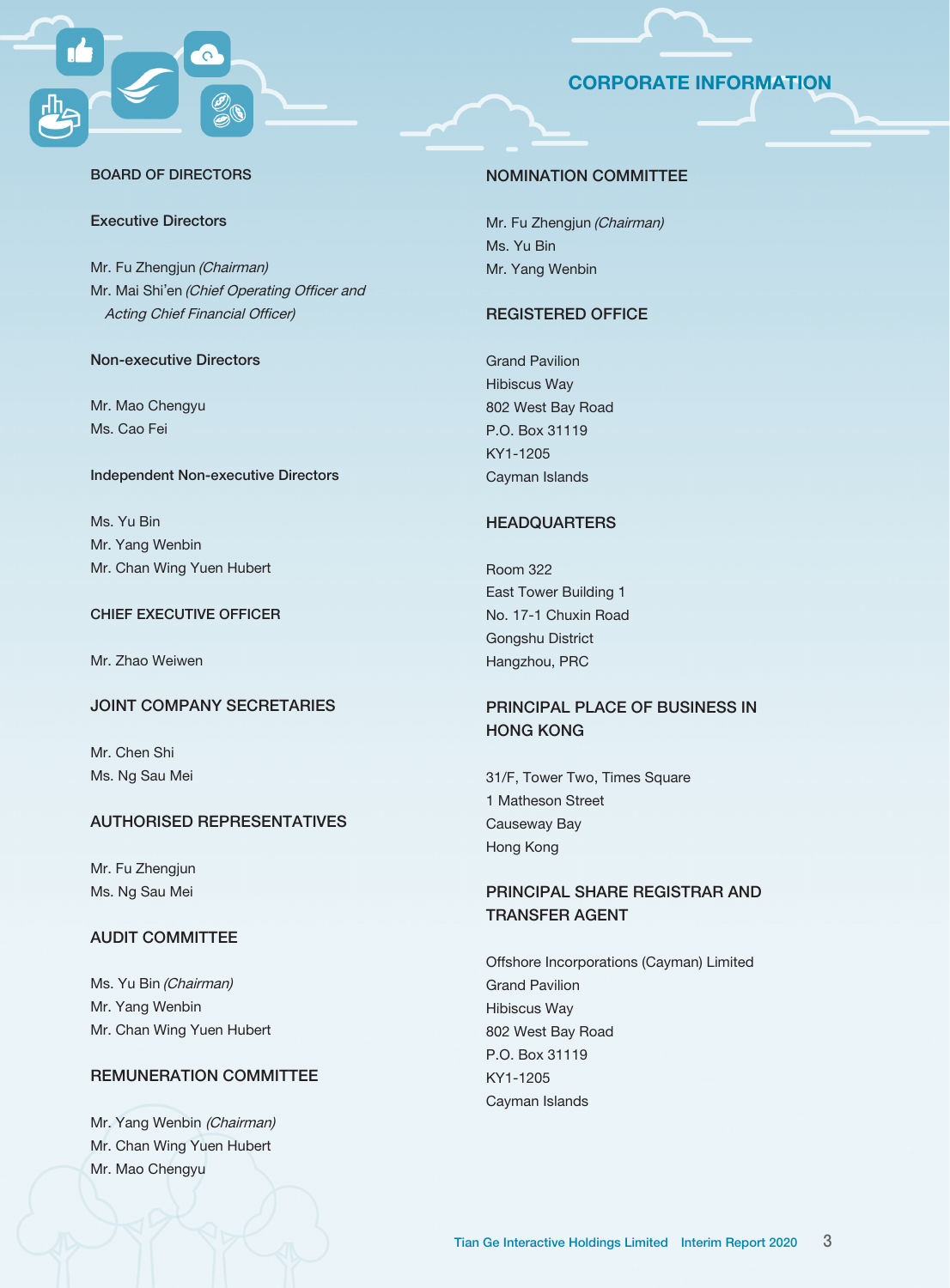# CORPORATE INFORMATION



#### BOARD OF DIRECTORS

### Executive Directors

Mr. Fu Zhengjun (Chairman) Mr. Mai Shi'en (Chief Operating Officer and Acting Chief Financial Officer)

### Non-executive Directors

Mr. Mao Chengyu Ms. Cao Fei

### Independent Non-executive Directors

Ms. Yu Bin Mr. Yang Wenbin Mr. Chan Wing Yuen Hubert

#### CHIEF EXECUTIVE OFFICER

Mr. Zhao Weiwen

### JOINT COMPANY SECRETARIES

Mr. Chen Shi Ms. Ng Sau Mei

### AUTHORISED REPRESENTATIVES

Mr. Fu Zhengjun Ms. Ng Sau Mei

## AUDIT COMMITTEE

Ms. Yu Bin (Chairman) Mr. Yang Wenbin Mr. Chan Wing Yuen Hubert

# REMUNERATION COMMITTEE

Mr. Yang Wenbin (Chairman) Mr. Chan Wing Yuen Hubert Mr. Mao Chengyu

#### NOMINATION COMMITTEE

Mr. Fu Zhengjun (Chairman) Ms. Yu Bin Mr. Yang Wenbin

### REGISTERED OFFICE

Grand Pavilion Hibiscus Way 802 West Bay Road P.O. Box 31119 KY1-1205 Cayman Islands

### **HEADQUARTERS**

Room 322 East Tower Building 1 No. 17-1 Chuxin Road Gongshu District Hangzhou, PRC

# PRINCIPAL PLACE OF BUSINESS IN HONG KONG

31/F, Tower Two, Times Square 1 Matheson Street Causeway Bay Hong Kong

# PRINCIPAL SHARE REGISTRAR AND TRANSFER AGENT

Offshore Incorporations (Cayman) Limited Grand Pavilion Hibiscus Way 802 West Bay Road P.O. Box 31119 KY1-1205 Cayman Islands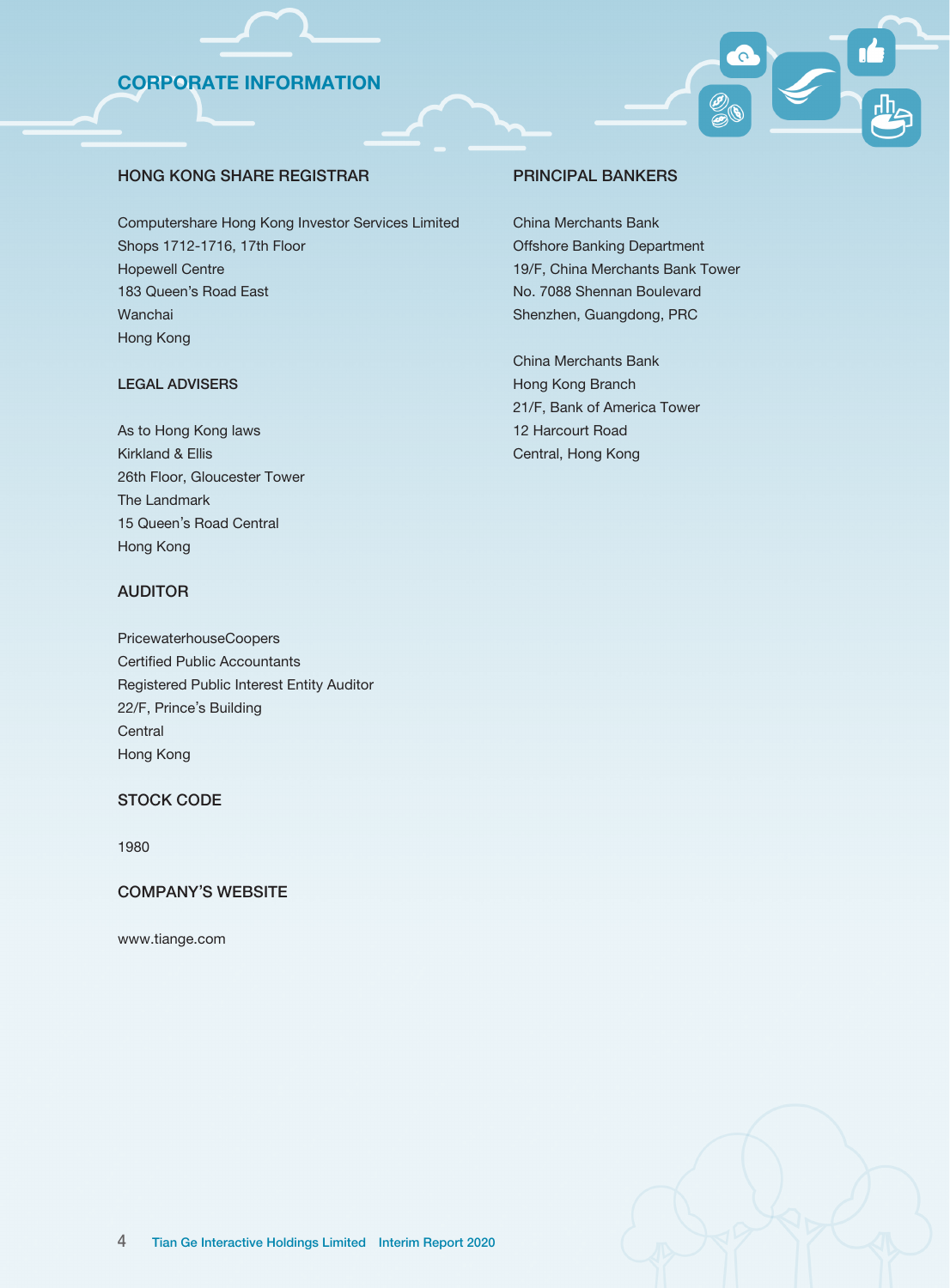# CORPORATE INFORMATION

### HONG KONG SHARE REGISTRAR

Computershare Hong Kong Investor Services Limited Shops 1712-1716, 17th Floor Hopewell Centre 183 Queen's Road East Wanchai Hong Kong

### LEGAL ADVISERS

As to Hong Kong laws Kirkland & Ellis 26th Floor, Gloucester Tower The Landmark 15 Queen's Road Central Hong Kong

### AUDITOR

PricewaterhouseCoopers Certified Public Accountants Registered Public Interest Entity Auditor 22/F, Prince's Building **Central** Hong Kong

### STOCK CODE

1980

#### COMPANY'S WEBSITE

www.tiange.com

#### PRINCIPAL BANKERS

China Merchants Bank Offshore Banking Department 19/F, China Merchants Bank Tower No. 7088 Shennan Boulevard Shenzhen, Guangdong, PRC

China Merchants Bank Hong Kong Branch 21/F, Bank of America Tower 12 Harcourt Road Central, Hong Kong

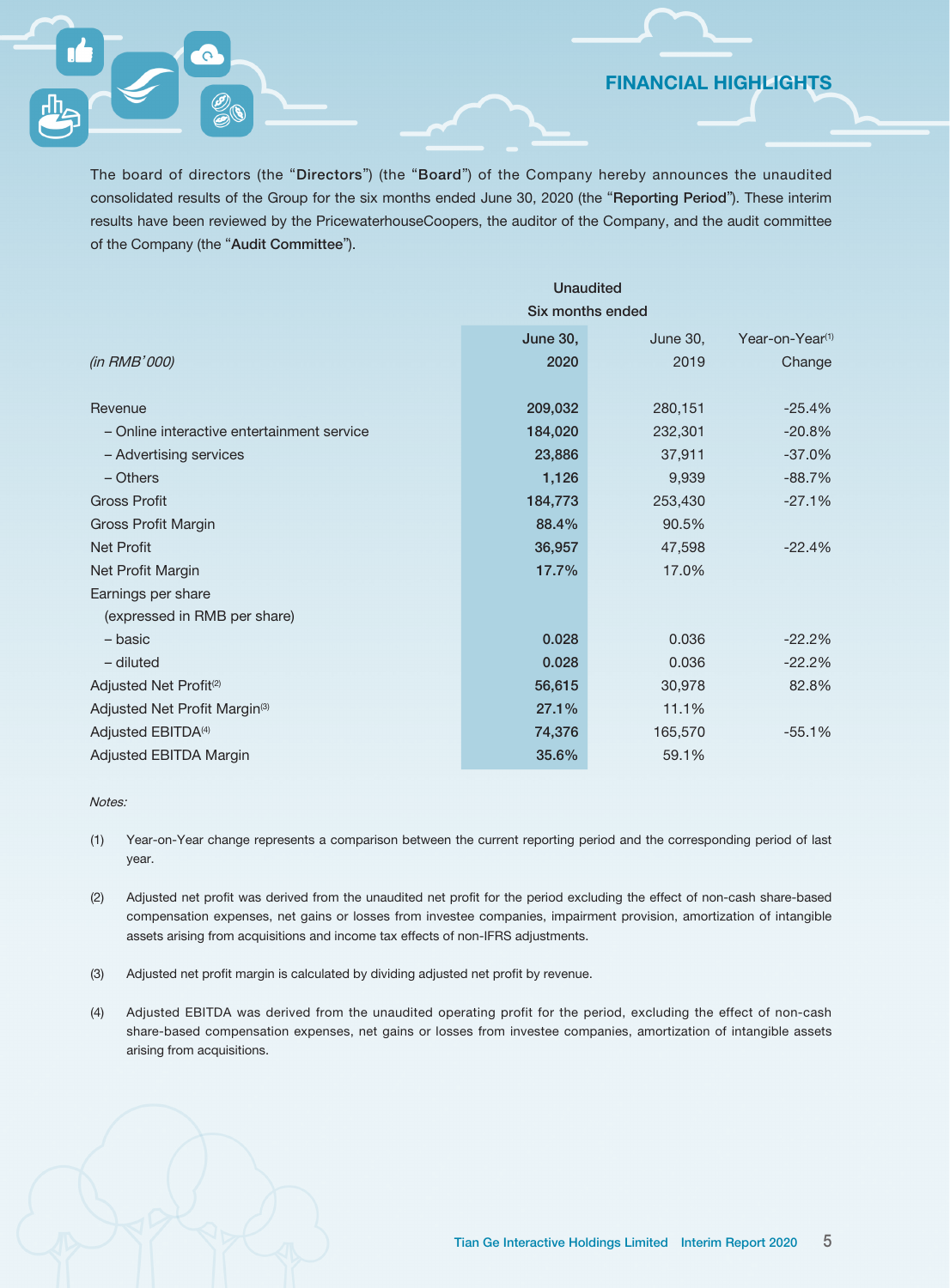FINANCIAL HIGHLIGHTS

The board of directors (the "Directors") (the "Board") of the Company hereby announces the unaudited consolidated results of the Group for the six months ended June 30, 2020 (the "Reporting Period"). These interim results have been reviewed by the PricewaterhouseCoopers, the auditor of the Company, and the audit committee of the Company (the "Audit Committee").

|                                            | <b>Unaudited</b> |          |                             |  |  |
|--------------------------------------------|------------------|----------|-----------------------------|--|--|
|                                            | Six months ended |          |                             |  |  |
|                                            | <b>June 30,</b>  | June 30, | Year-on-Year <sup>(1)</sup> |  |  |
| (in RMB'000)                               | 2020             | 2019     | Change                      |  |  |
| Revenue                                    | 209,032          | 280,151  | $-25.4%$                    |  |  |
| - Online interactive entertainment service | 184,020          | 232,301  | $-20.8%$                    |  |  |
| - Advertising services                     | 23,886           | 37,911   | $-37.0%$                    |  |  |
| $-$ Others                                 | 1,126            | 9,939    | $-88.7%$                    |  |  |
| <b>Gross Profit</b>                        | 184,773          | 253,430  | $-27.1%$                    |  |  |
| Gross Profit Margin                        | 88.4%            | 90.5%    |                             |  |  |
| <b>Net Profit</b>                          | 36,957           | 47,598   | $-22.4%$                    |  |  |
| Net Profit Margin                          | 17.7%            | 17.0%    |                             |  |  |
| Earnings per share                         |                  |          |                             |  |  |
| (expressed in RMB per share)               |                  |          |                             |  |  |
| - basic                                    | 0.028            | 0.036    | $-22.2%$                    |  |  |
| $-$ diluted                                | 0.028            | 0.036    | $-22.2%$                    |  |  |
| Adjusted Net Profit <sup>(2)</sup>         | 56,615           | 30,978   | 82.8%                       |  |  |
| Adjusted Net Profit Margin <sup>(3)</sup>  | 27.1%            | 11.1%    |                             |  |  |
| Adjusted EBITDA <sup>(4)</sup>             | 74,376           | 165,570  | $-55.1%$                    |  |  |
| Adjusted EBITDA Margin                     | 35.6%            | 59.1%    |                             |  |  |

#### Notes:

- (1) Year-on-Year change represents a comparison between the current reporting period and the corresponding period of last year.
- (2) Adjusted net profit was derived from the unaudited net profit for the period excluding the effect of non-cash share-based compensation expenses, net gains or losses from investee companies, impairment provision, amortization of intangible assets arising from acquisitions and income tax effects of non-IFRS adjustments.
- (3) Adjusted net profit margin is calculated by dividing adjusted net profit by revenue.
- (4) Adjusted EBITDA was derived from the unaudited operating profit for the period, excluding the effect of non-cash share-based compensation expenses, net gains or losses from investee companies, amortization of intangible assets arising from acquisitions.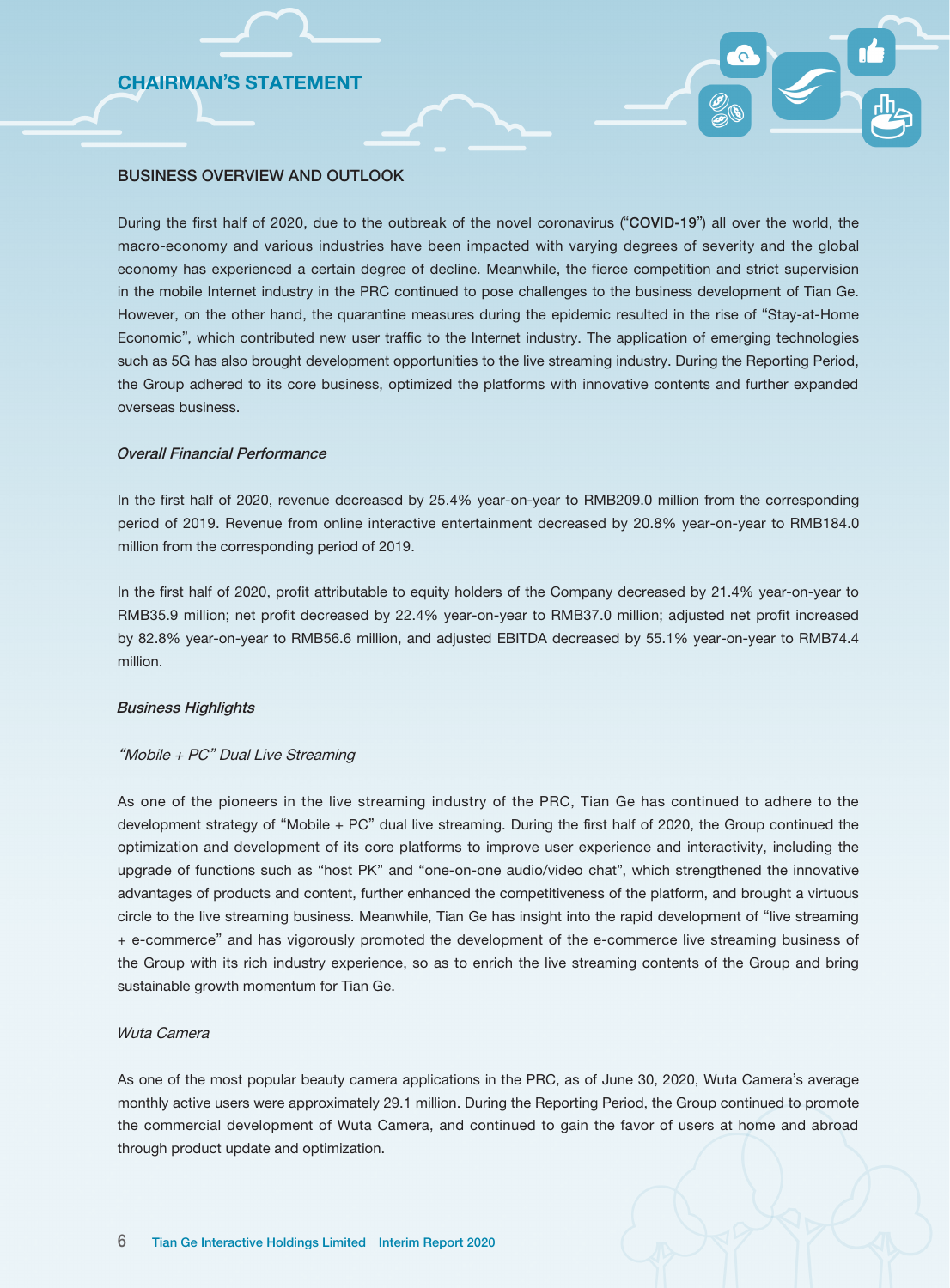# CHAIRMAN'S STATEMENT

### BUSINESS OVERVIEW AND OUTLOOK

During the first half of 2020, due to the outbreak of the novel coronavirus ("COVID-19") all over the world, the macro-economy and various industries have been impacted with varying degrees of severity and the global economy has experienced a certain degree of decline. Meanwhile, the fierce competition and strict supervision in the mobile Internet industry in the PRC continued to pose challenges to the business development of Tian Ge. However, on the other hand, the quarantine measures during the epidemic resulted in the rise of "Stay-at-Home Economic", which contributed new user traffic to the Internet industry. The application of emerging technologies such as 5G has also brought development opportunities to the live streaming industry. During the Reporting Period, the Group adhered to its core business, optimized the platforms with innovative contents and further expanded overseas business.

### Overall Financial Performance

In the first half of 2020, revenue decreased by 25.4% year-on-year to RMB209.0 million from the corresponding period of 2019. Revenue from online interactive entertainment decreased by 20.8% year-on-year to RMB184.0 million from the corresponding period of 2019.

In the first half of 2020, profit attributable to equity holders of the Company decreased by 21.4% year-on-year to RMB35.9 million; net profit decreased by 22.4% year-on-year to RMB37.0 million; adjusted net profit increased by 82.8% year-on-year to RMB56.6 million, and adjusted EBITDA decreased by 55.1% year-on-year to RMB74.4 million.

#### Business Highlights

#### "Mobile + PC" Dual Live Streaming

As one of the pioneers in the live streaming industry of the PRC, Tian Ge has continued to adhere to the development strategy of "Mobile + PC" dual live streaming. During the first half of 2020, the Group continued the optimization and development of its core platforms to improve user experience and interactivity, including the upgrade of functions such as "host PK" and "one-on-one audio/video chat", which strengthened the innovative advantages of products and content, further enhanced the competitiveness of the platform, and brought a virtuous circle to the live streaming business. Meanwhile, Tian Ge has insight into the rapid development of "live streaming + e-commerce" and has vigorously promoted the development of the e-commerce live streaming business of the Group with its rich industry experience, so as to enrich the live streaming contents of the Group and bring sustainable growth momentum for Tian Ge.

#### Wuta Camera

As one of the most popular beauty camera applications in the PRC, as of June 30, 2020, Wuta Camera's average monthly active users were approximately 29.1 million. During the Reporting Period, the Group continued to promote the commercial development of Wuta Camera, and continued to gain the favor of users at home and abroad through product update and optimization.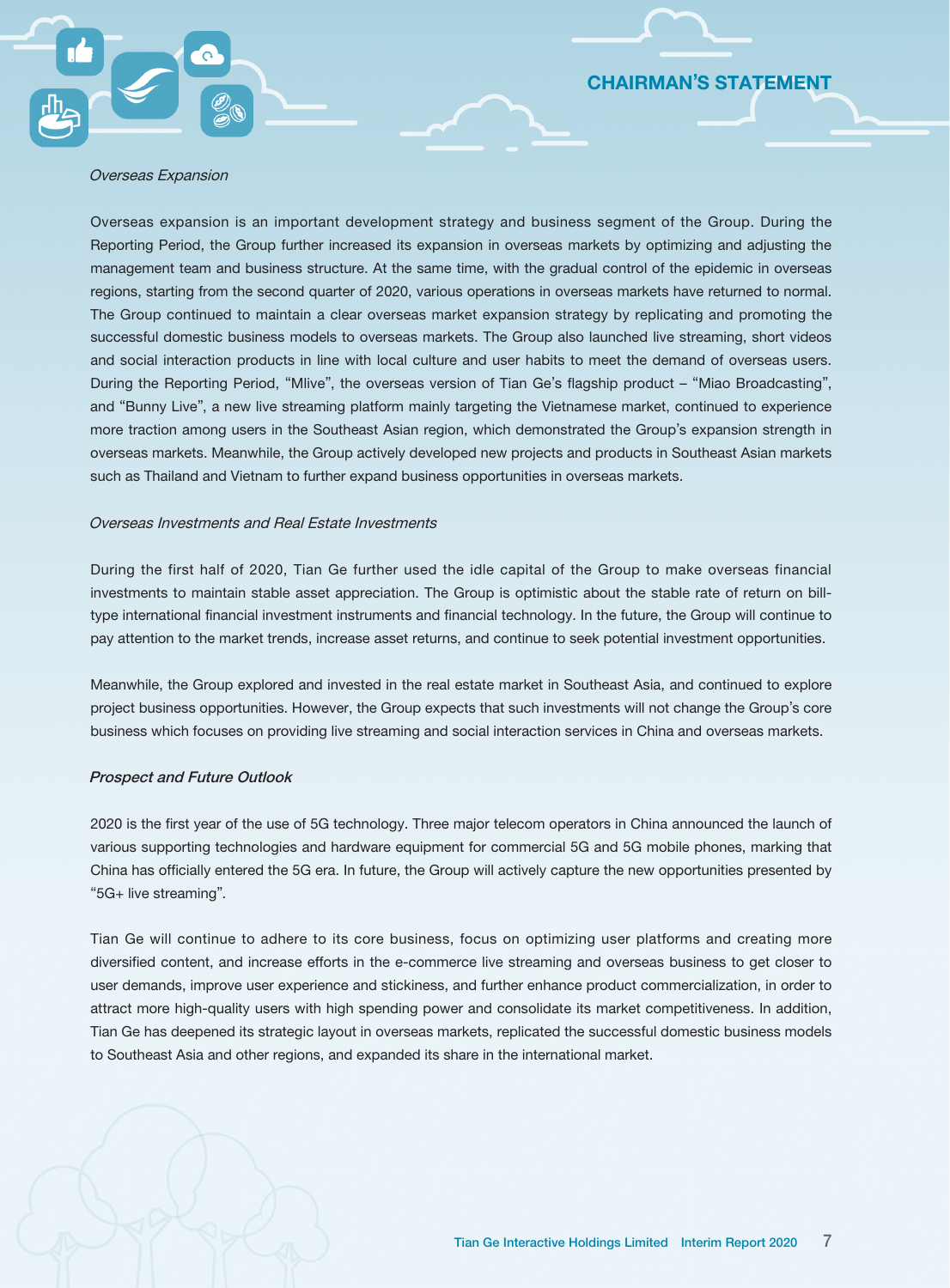# CHAIRMAN'S STATEMENT

#### Overseas Expansion

Overseas expansion is an important development strategy and business segment of the Group. During the Reporting Period, the Group further increased its expansion in overseas markets by optimizing and adjusting the management team and business structure. At the same time, with the gradual control of the epidemic in overseas regions, starting from the second quarter of 2020, various operations in overseas markets have returned to normal. The Group continued to maintain a clear overseas market expansion strategy by replicating and promoting the successful domestic business models to overseas markets. The Group also launched live streaming, short videos and social interaction products in line with local culture and user habits to meet the demand of overseas users. During the Reporting Period, "Mlive", the overseas version of Tian Ge's flagship product – "Miao Broadcasting", and "Bunny Live", a new live streaming platform mainly targeting the Vietnamese market, continued to experience more traction among users in the Southeast Asian region, which demonstrated the Group's expansion strength in overseas markets. Meanwhile, the Group actively developed new projects and products in Southeast Asian markets such as Thailand and Vietnam to further expand business opportunities in overseas markets.

#### Overseas Investments and Real Estate Investments

During the first half of 2020, Tian Ge further used the idle capital of the Group to make overseas financial investments to maintain stable asset appreciation. The Group is optimistic about the stable rate of return on billtype international financial investment instruments and financial technology. In the future, the Group will continue to pay attention to the market trends, increase asset returns, and continue to seek potential investment opportunities.

Meanwhile, the Group explored and invested in the real estate market in Southeast Asia, and continued to explore project business opportunities. However, the Group expects that such investments will not change the Group's core business which focuses on providing live streaming and social interaction services in China and overseas markets.

#### Prospect and Future Outlook

2020 is the first year of the use of 5G technology. Three major telecom operators in China announced the launch of various supporting technologies and hardware equipment for commercial 5G and 5G mobile phones, marking that China has officially entered the 5G era. In future, the Group will actively capture the new opportunities presented by "5G+ live streaming".

Tian Ge will continue to adhere to its core business, focus on optimizing user platforms and creating more diversified content, and increase efforts in the e-commerce live streaming and overseas business to get closer to user demands, improve user experience and stickiness, and further enhance product commercialization, in order to attract more high-quality users with high spending power and consolidate its market competitiveness. In addition, Tian Ge has deepened its strategic layout in overseas markets, replicated the successful domestic business models to Southeast Asia and other regions, and expanded its share in the international market.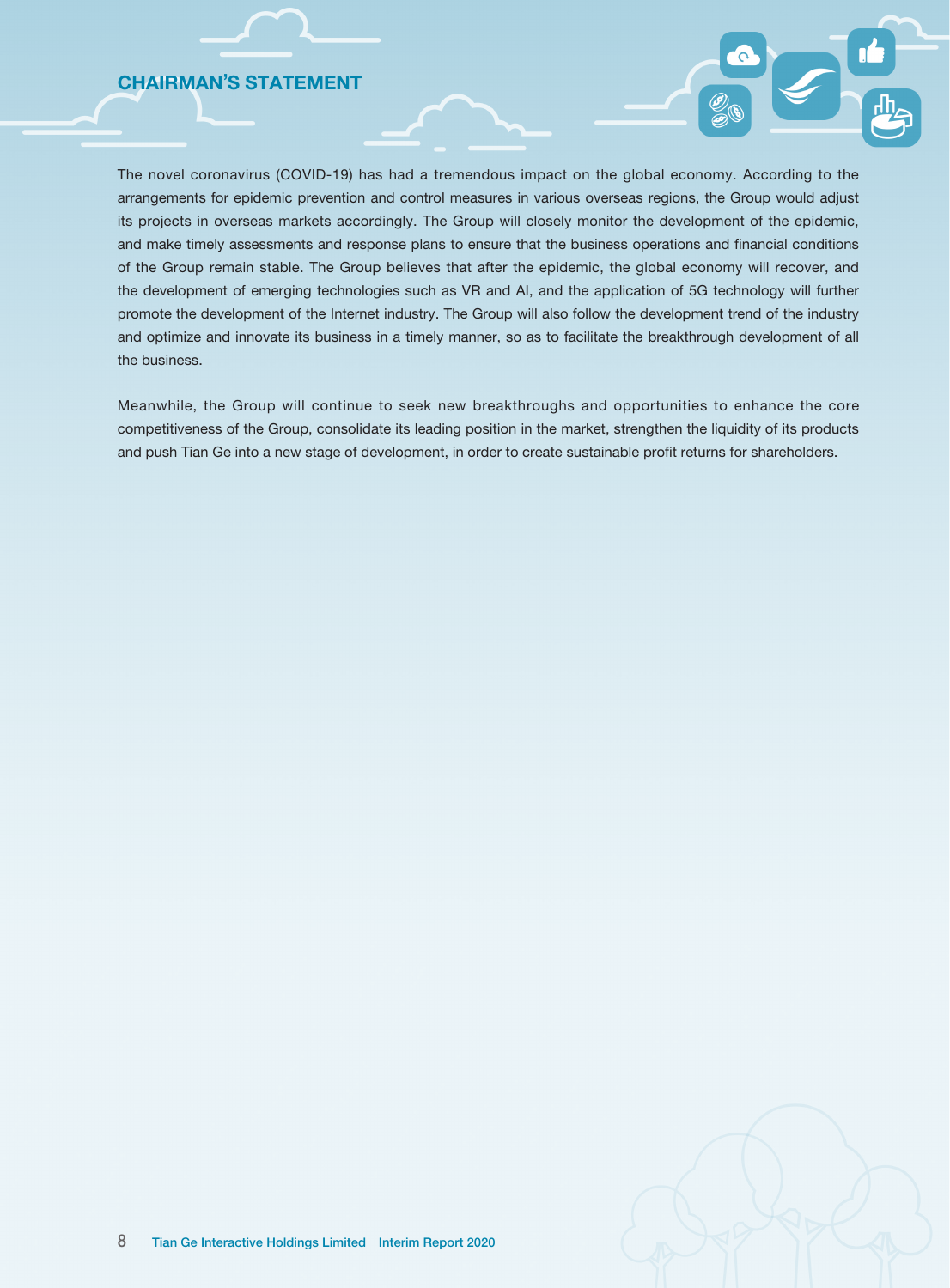# CHAIRMAN'S STATEMENT

The novel coronavirus (COVID-19) has had a tremendous impact on the global economy. According to the arrangements for epidemic prevention and control measures in various overseas regions, the Group would adjust its projects in overseas markets accordingly. The Group will closely monitor the development of the epidemic, and make timely assessments and response plans to ensure that the business operations and financial conditions of the Group remain stable. The Group believes that after the epidemic, the global economy will recover, and the development of emerging technologies such as VR and AI, and the application of 5G technology will further promote the development of the Internet industry. The Group will also follow the development trend of the industry and optimize and innovate its business in a timely manner, so as to facilitate the breakthrough development of all the business.

Meanwhile, the Group will continue to seek new breakthroughs and opportunities to enhance the core competitiveness of the Group, consolidate its leading position in the market, strengthen the liquidity of its products and push Tian Ge into a new stage of development, in order to create sustainable profit returns for shareholders.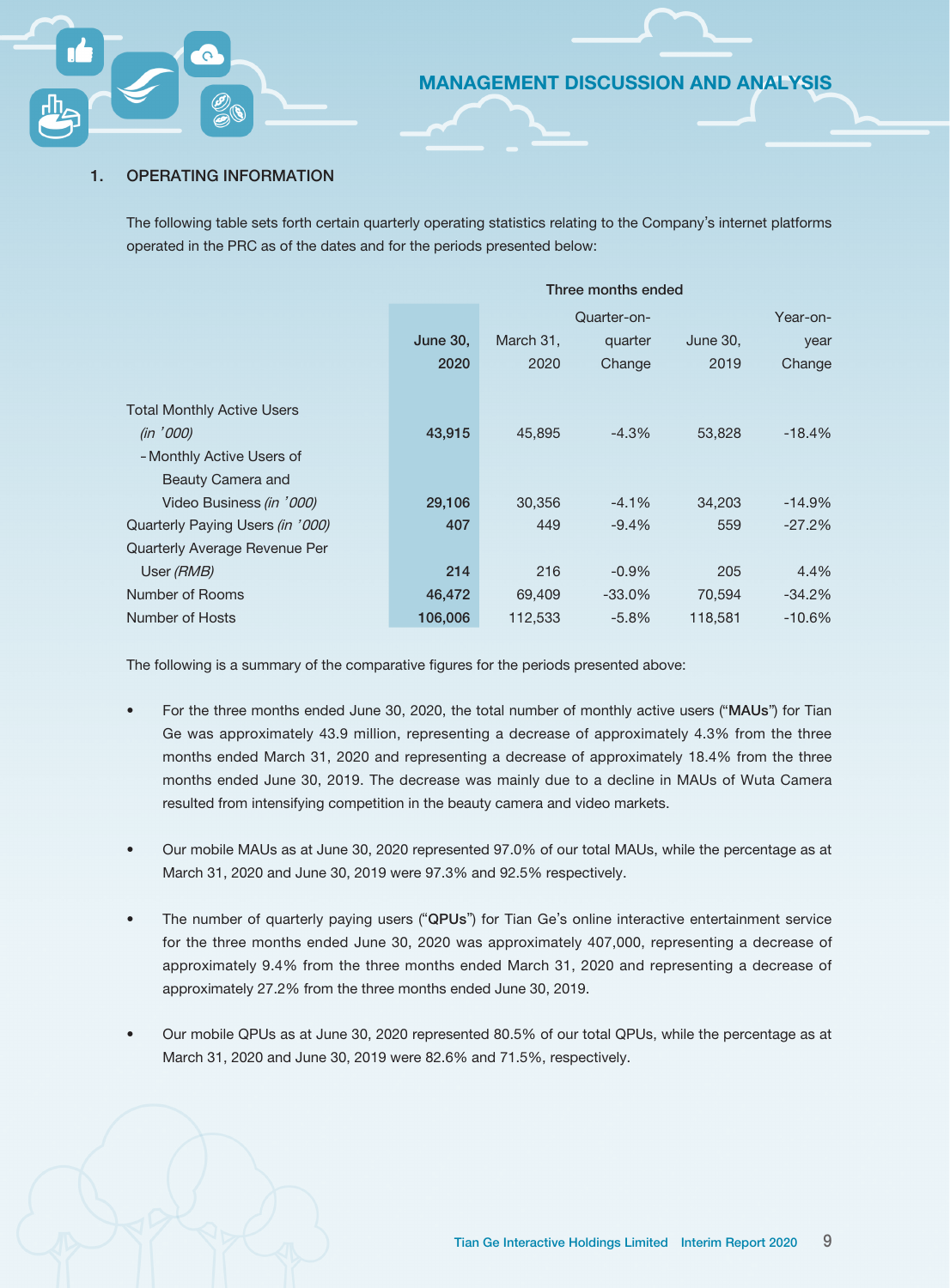### 1. OPERATING INFORMATION

The following table sets forth certain quarterly operating statistics relating to the Company's internet platforms operated in the PRC as of the dates and for the periods presented below:

|                                   | Three months ended |           |             |          |          |  |  |
|-----------------------------------|--------------------|-----------|-------------|----------|----------|--|--|
|                                   |                    |           | Quarter-on- |          | Year-on- |  |  |
|                                   | <b>June 30,</b>    | March 31, | quarter     | June 30, | year     |  |  |
|                                   | 2020               | 2020      | Change      | 2019     | Change   |  |  |
|                                   |                    |           |             |          |          |  |  |
| <b>Total Monthly Active Users</b> |                    |           |             |          |          |  |  |
| (in '000)                         | 43,915             | 45,895    | $-4.3%$     | 53,828   | $-18.4%$ |  |  |
| - Monthly Active Users of         |                    |           |             |          |          |  |  |
| Beauty Camera and                 |                    |           |             |          |          |  |  |
| Video Business (in '000)          | 29,106             | 30,356    | $-4.1\%$    | 34,203   | $-14.9%$ |  |  |
| Quarterly Paying Users (in '000)  | 407                | 449       | $-9.4\%$    | 559      | $-27.2%$ |  |  |
| Quarterly Average Revenue Per     |                    |           |             |          |          |  |  |
| User (RMB)                        | 214                | 216       | $-0.9\%$    | 205      | 4.4%     |  |  |
| Number of Rooms                   | 46,472             | 69.409    | $-33.0%$    | 70,594   | $-34.2%$ |  |  |
| Number of Hosts                   | 106,006            | 112,533   | $-5.8%$     | 118,581  | $-10.6%$ |  |  |

The following is a summary of the comparative figures for the periods presented above:

- For the three months ended June 30, 2020, the total number of monthly active users ("MAUs") for Tian Ge was approximately 43.9 million, representing a decrease of approximately 4.3% from the three months ended March 31, 2020 and representing a decrease of approximately 18.4% from the three months ended June 30, 2019. The decrease was mainly due to a decline in MAUs of Wuta Camera resulted from intensifying competition in the beauty camera and video markets.
- Our mobile MAUs as at June 30, 2020 represented 97.0% of our total MAUs, while the percentage as at March 31, 2020 and June 30, 2019 were 97.3% and 92.5% respectively.
- The number of quarterly paying users ("QPUs") for Tian Ge's online interactive entertainment service for the three months ended June 30, 2020 was approximately 407,000, representing a decrease of approximately 9.4% from the three months ended March 31, 2020 and representing a decrease of approximately 27.2% from the three months ended June 30, 2019.
- Our mobile QPUs as at June 30, 2020 represented 80.5% of our total QPUs, while the percentage as at March 31, 2020 and June 30, 2019 were 82.6% and 71.5%, respectively.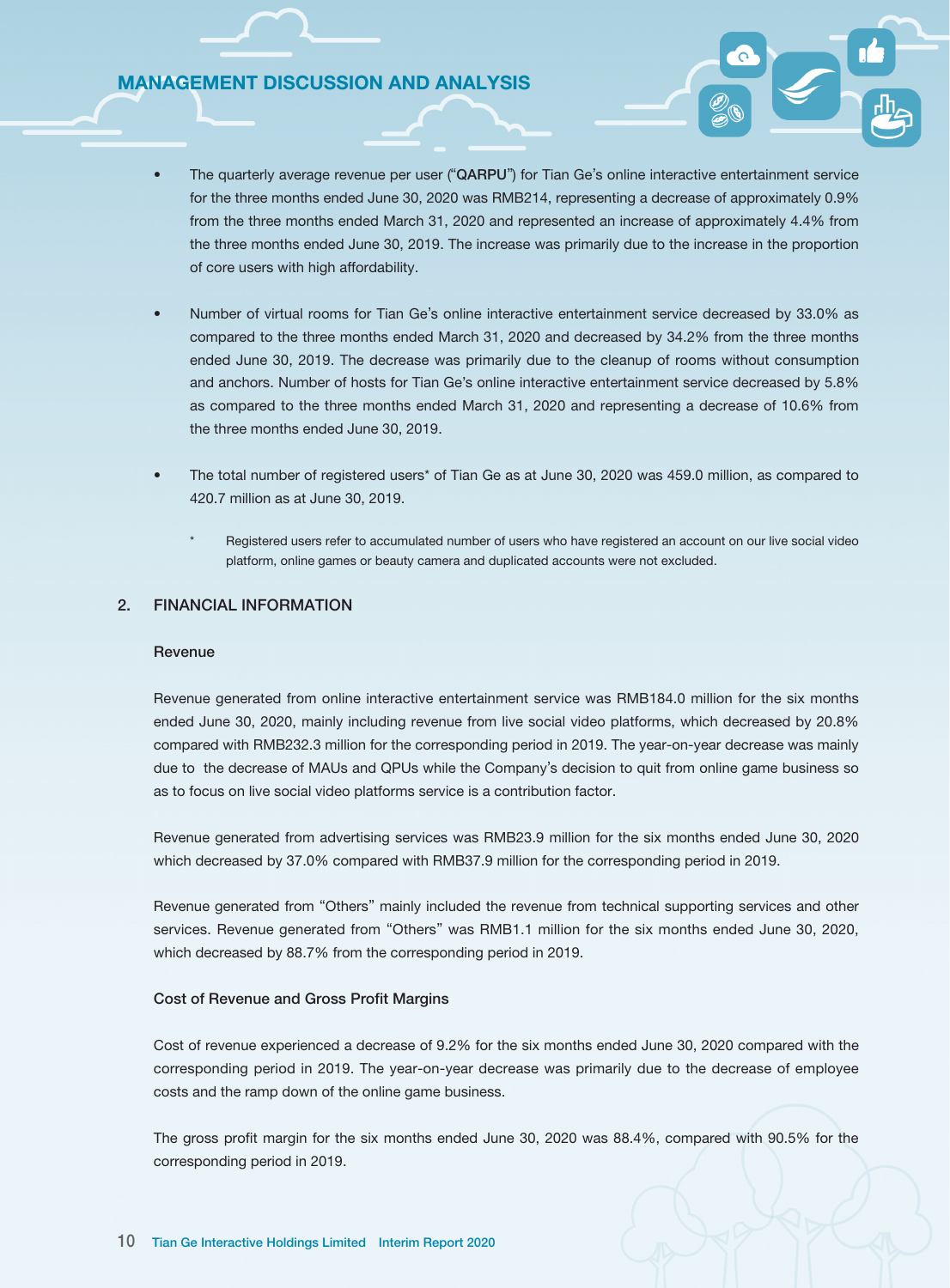- The quarterly average revenue per user ("QARPU") for Tian Ge's online interactive entertainment service for the three months ended June 30, 2020 was RMB214, representing a decrease of approximately 0.9% from the three months ended March 31, 2020 and represented an increase of approximately 4.4% from the three months ended June 30, 2019. The increase was primarily due to the increase in the proportion of core users with high affordability.
- Number of virtual rooms for Tian Ge's online interactive entertainment service decreased by 33.0% as compared to the three months ended March 31, 2020 and decreased by 34.2% from the three months ended June 30, 2019. The decrease was primarily due to the cleanup of rooms without consumption and anchors. Number of hosts for Tian Ge's online interactive entertainment service decreased by 5.8% as compared to the three months ended March 31, 2020 and representing a decrease of 10.6% from the three months ended June 30, 2019.
- The total number of registered users\* of Tian Ge as at June 30, 2020 was 459.0 million, as compared to 420.7 million as at June 30, 2019.
	- Registered users refer to accumulated number of users who have registered an account on our live social video platform, online games or beauty camera and duplicated accounts were not excluded.

### 2. FINANCIAL INFORMATION

#### Revenue

Revenue generated from online interactive entertainment service was RMB184.0 million for the six months ended June 30, 2020, mainly including revenue from live social video platforms, which decreased by 20.8% compared with RMB232.3 million for the corresponding period in 2019. The year-on-year decrease was mainly due to the decrease of MAUs and QPUs while the Company's decision to quit from online game business so as to focus on live social video platforms service is a contribution factor.

Revenue generated from advertising services was RMB23.9 million for the six months ended June 30, 2020 which decreased by 37.0% compared with RMB37.9 million for the corresponding period in 2019.

Revenue generated from "Others" mainly included the revenue from technical supporting services and other services. Revenue generated from "Others" was RMB1.1 million for the six months ended June 30, 2020, which decreased by 88.7% from the corresponding period in 2019.

#### Cost of Revenue and Gross Profit Margins

Cost of revenue experienced a decrease of 9.2% for the six months ended June 30, 2020 compared with the corresponding period in 2019. The year-on-year decrease was primarily due to the decrease of employee costs and the ramp down of the online game business.

The gross profit margin for the six months ended June 30, 2020 was 88.4%, compared with 90.5% for the corresponding period in 2019.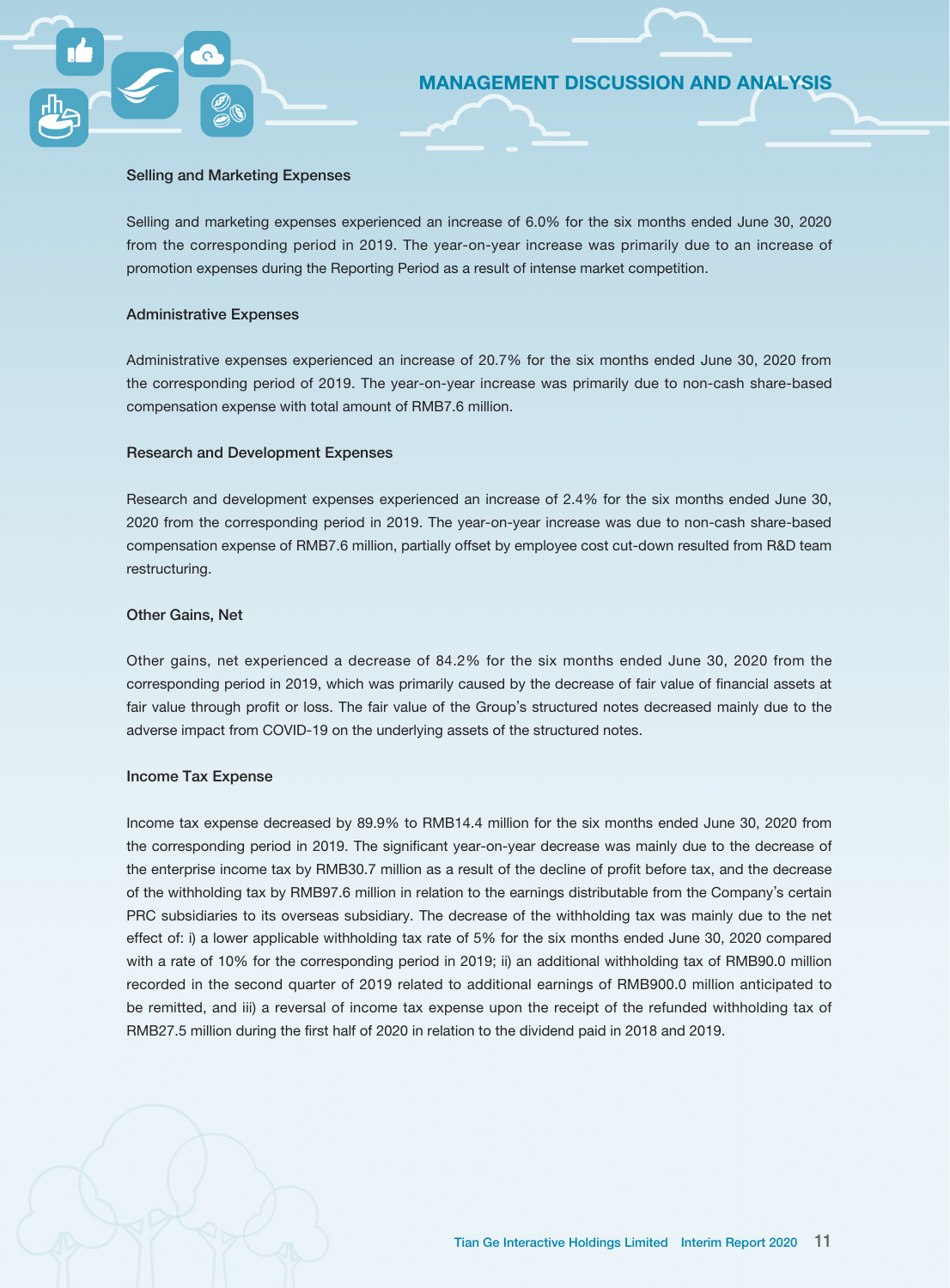#### Selling and Marketing Expenses

Selling and marketing expenses experienced an increase of 6.0% for the six months ended June 30, 2020 from the corresponding period in 2019. The year-on-year increase was primarily due to an increase of promotion expenses during the Reporting Period as a result of intense market competition.

MANAGEMENT DISCUSSION AND ANALYSIS

#### Administrative Expenses

Administrative expenses experienced an increase of 20.7% for the six months ended June 30, 2020 from the corresponding period of 2019. The year-on-year increase was primarily due to non-cash share-based compensation expense with total amount of RMB7.6 million.

#### Research and Development Expenses

Research and development expenses experienced an increase of 2.4% for the six months ended June 30, 2020 from the corresponding period in 2019. The year-on-year increase was due to non-cash share-based compensation expense of RMB7.6 million, partially offset by employee cost cut-down resulted from R&D team restructuring.

#### Other Gains, Net

Other gains, net experienced a decrease of 84.2% for the six months ended June 30, 2020 from the corresponding period in 2019, which was primarily caused by the decrease of fair value of financial assets at fair value through profit or loss. The fair value of the Group's structured notes decreased mainly due to the adverse impact from COVID-19 on the underlying assets of the structured notes.

#### Income Tax Expense

Income tax expense decreased by 89.9% to RMB14.4 million for the six months ended June 30, 2020 from the corresponding period in 2019. The significant year-on-year decrease was mainly due to the decrease of the enterprise income tax by RMB30.7 million as a result of the decline of profit before tax, and the decrease of the withholding tax by RMB97.6 million in relation to the earnings distributable from the Company's certain PRC subsidiaries to its overseas subsidiary. The decrease of the withholding tax was mainly due to the net effect of: i) a lower applicable withholding tax rate of 5% for the six months ended June 30, 2020 compared with a rate of 10% for the corresponding period in 2019; ii) an additional withholding tax of RMB90.0 million recorded in the second quarter of 2019 related to additional earnings of RMB900.0 million anticipated to be remitted, and iii) a reversal of income tax expense upon the receipt of the refunded withholding tax of RMB27.5 million during the first half of 2020 in relation to the dividend paid in 2018 and 2019.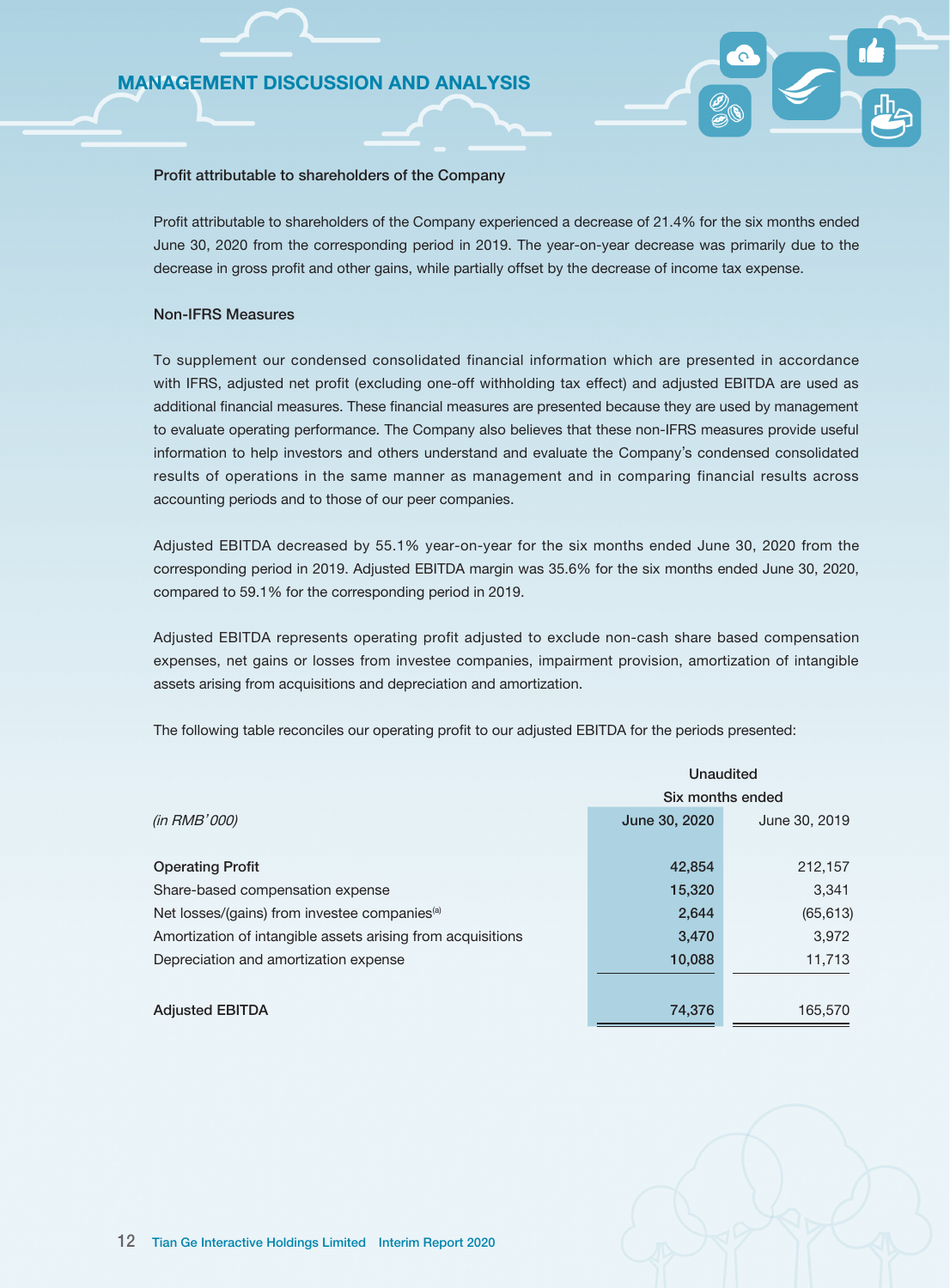#### Profit attributable to shareholders of the Company

Profit attributable to shareholders of the Company experienced a decrease of 21.4% for the six months ended June 30, 2020 from the corresponding period in 2019. The year-on-year decrease was primarily due to the decrease in gross profit and other gains, while partially offset by the decrease of income tax expense.

### Non-IFRS Measures

To supplement our condensed consolidated financial information which are presented in accordance with IFRS, adjusted net profit (excluding one-off withholding tax effect) and adjusted EBITDA are used as additional financial measures. These financial measures are presented because they are used by management to evaluate operating performance. The Company also believes that these non-IFRS measures provide useful information to help investors and others understand and evaluate the Company's condensed consolidated results of operations in the same manner as management and in comparing financial results across accounting periods and to those of our peer companies.

Adjusted EBITDA decreased by 55.1% year-on-year for the six months ended June 30, 2020 from the corresponding period in 2019. Adjusted EBITDA margin was 35.6% for the six months ended June 30, 2020, compared to 59.1% for the corresponding period in 2019.

Adjusted EBITDA represents operating profit adjusted to exclude non-cash share based compensation expenses, net gains or losses from investee companies, impairment provision, amortization of intangible assets arising from acquisitions and depreciation and amortization.

The following table reconciles our operating profit to our adjusted EBITDA for the periods presented:

|                                                             | Unaudited        |               |  |  |  |  |
|-------------------------------------------------------------|------------------|---------------|--|--|--|--|
|                                                             | Six months ended |               |  |  |  |  |
| (in RMB'000)                                                | June 30, 2020    | June 30, 2019 |  |  |  |  |
|                                                             |                  |               |  |  |  |  |
| <b>Operating Profit</b>                                     | 42,854           | 212,157       |  |  |  |  |
| Share-based compensation expense                            | 15,320           | 3,341         |  |  |  |  |
| Net losses/(gains) from investee companies <sup>(a)</sup>   | 2,644            | (65, 613)     |  |  |  |  |
| Amortization of intangible assets arising from acquisitions | 3,470            | 3,972         |  |  |  |  |
| Depreciation and amortization expense                       | 10,088           | 11,713        |  |  |  |  |
|                                                             |                  |               |  |  |  |  |
| <b>Adjusted EBITDA</b>                                      | 74,376           | 165,570       |  |  |  |  |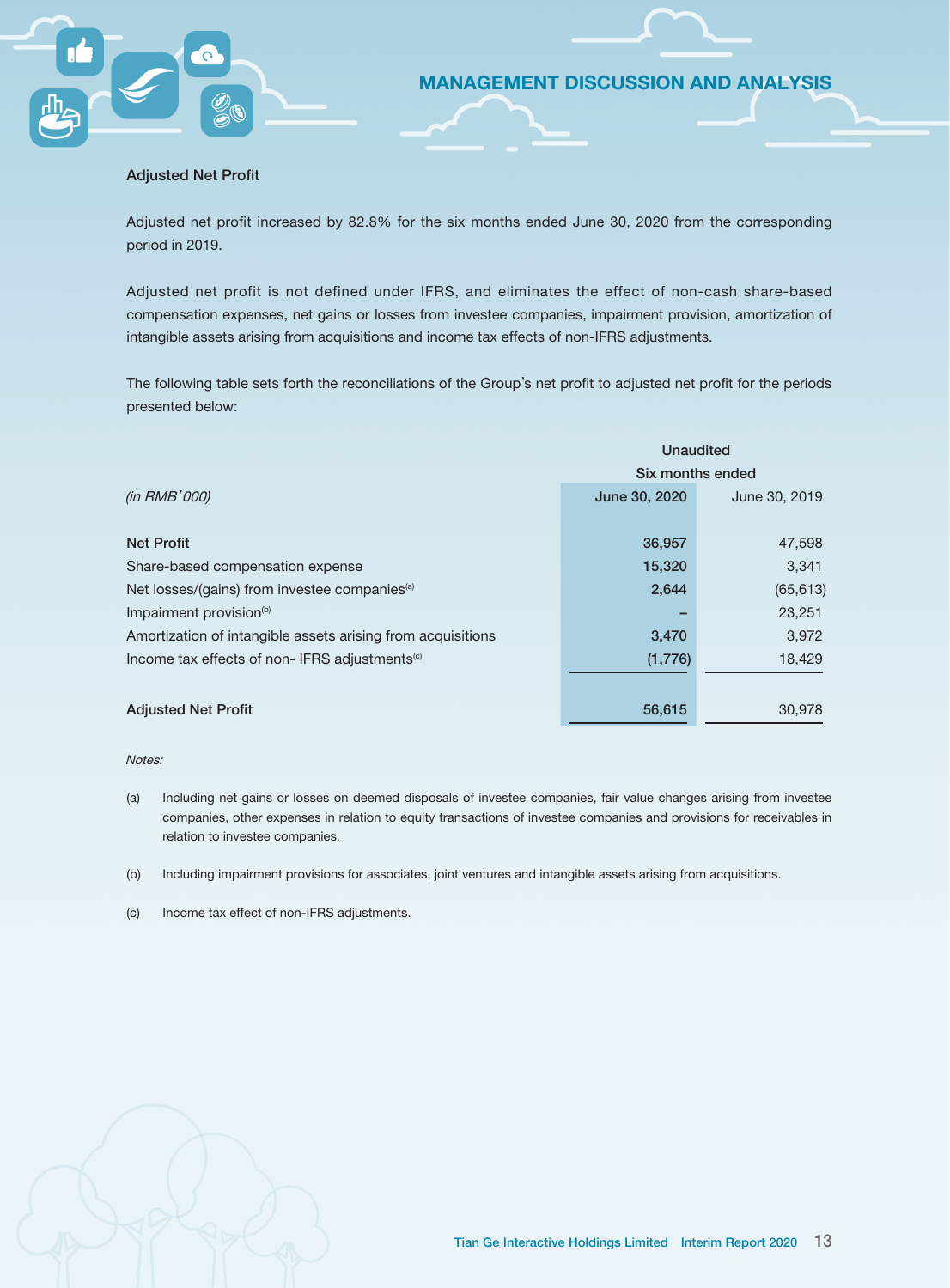#### Adjusted Net Profit

Adjusted net profit increased by 82.8% for the six months ended June 30, 2020 from the corresponding period in 2019.

MANAGEMENT DISCUSSION AND ANALYSIS

Adjusted net profit is not defined under IFRS, and eliminates the effect of non-cash share-based compensation expenses, net gains or losses from investee companies, impairment provision, amortization of intangible assets arising from acquisitions and income tax effects of non-IFRS adjustments.

The following table sets forth the reconciliations of the Group's net profit to adjusted net profit for the periods presented below:

|                                                             | <b>Unaudited</b> |               |  |  |  |
|-------------------------------------------------------------|------------------|---------------|--|--|--|
|                                                             | Six months ended |               |  |  |  |
| (in RMB'000)                                                | June 30, 2020    | June 30, 2019 |  |  |  |
|                                                             |                  |               |  |  |  |
| <b>Net Profit</b>                                           | 36,957           | 47,598        |  |  |  |
| Share-based compensation expense                            | 15,320           | 3,341         |  |  |  |
| Net losses/(gains) from investee companies <sup>(a)</sup>   | 2,644            | (65, 613)     |  |  |  |
| Impairment provision <sup>(b)</sup>                         |                  | 23,251        |  |  |  |
| Amortization of intangible assets arising from acquisitions | 3,470            | 3,972         |  |  |  |
| Income tax effects of non-IFRS adjustments <sup>(c)</sup>   | (1,776)          | 18,429        |  |  |  |
|                                                             |                  |               |  |  |  |
| <b>Adjusted Net Profit</b>                                  | 56,615           | 30.978        |  |  |  |

#### Notes:

- (a) Including net gains or losses on deemed disposals of investee companies, fair value changes arising from investee companies, other expenses in relation to equity transactions of investee companies and provisions for receivables in relation to investee companies.
- (b) Including impairment provisions for associates, joint ventures and intangible assets arising from acquisitions.
- (c) Income tax effect of non-IFRS adjustments.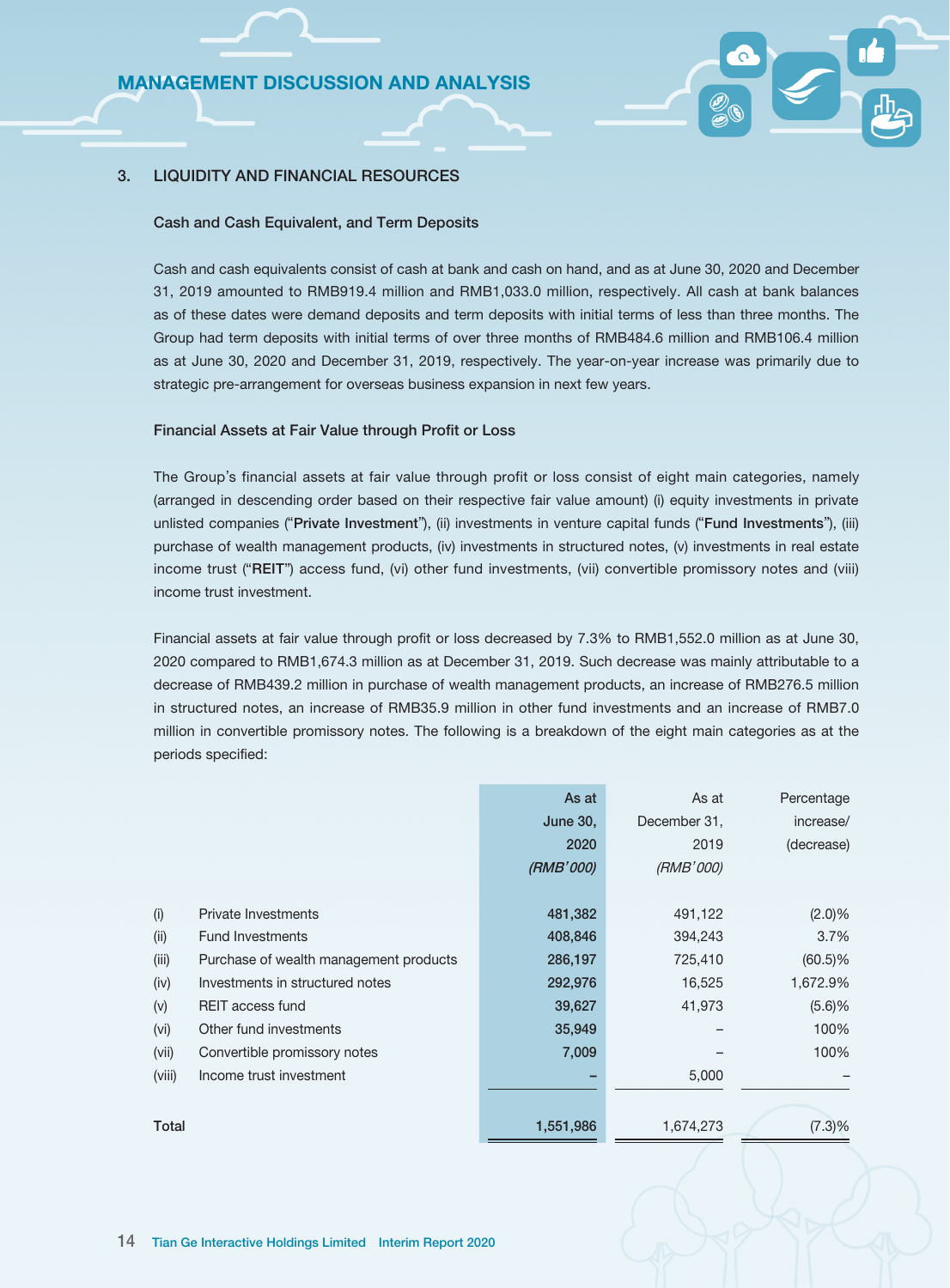### 3. LIQUIDITY AND FINANCIAL RESOURCES

#### Cash and Cash Equivalent, and Term Deposits

Cash and cash equivalents consist of cash at bank and cash on hand, and as at June 30, 2020 and December 31, 2019 amounted to RMB919.4 million and RMB1,033.0 million, respectively. All cash at bank balances as of these dates were demand deposits and term deposits with initial terms of less than three months. The Group had term deposits with initial terms of over three months of RMB484.6 million and RMB106.4 million as at June 30, 2020 and December 31, 2019, respectively. The year-on-year increase was primarily due to strategic pre-arrangement for overseas business expansion in next few years.

### Financial Assets at Fair Value through Profit or Loss

The Group's financial assets at fair value through profit or loss consist of eight main categories, namely (arranged in descending order based on their respective fair value amount) (i) equity investments in private unlisted companies ("Private Investment"), (ii) investments in venture capital funds ("Fund Investments"), (iii) purchase of wealth management products, (iv) investments in structured notes, (v) investments in real estate income trust ("REIT") access fund, (vi) other fund investments, (vii) convertible promissory notes and (viii) income trust investment.

Financial assets at fair value through profit or loss decreased by 7.3% to RMB1,552.0 million as at June 30, 2020 compared to RMB1,674.3 million as at December 31, 2019. Such decrease was mainly attributable to a decrease of RMB439.2 million in purchase of wealth management products, an increase of RMB276.5 million in structured notes, an increase of RMB35.9 million in other fund investments and an increase of RMB7.0 million in convertible promissory notes. The following is a breakdown of the eight main categories as at the periods specified:

|        |                                        | As at           | As at        | Percentage |
|--------|----------------------------------------|-----------------|--------------|------------|
|        |                                        | <b>June 30,</b> | December 31, | increase/  |
|        |                                        | 2020            | 2019         | (decrease) |
|        |                                        | (RMB'000)       | (RMB'000)    |            |
|        |                                        |                 |              |            |
| (i)    | <b>Private Investments</b>             | 481,382         | 491,122      | (2.0)%     |
| (ii)   | <b>Fund Investments</b>                | 408,846         | 394,243      | 3.7%       |
| (iii)  | Purchase of wealth management products | 286,197         | 725,410      | $(60.5)\%$ |
| (iv)   | Investments in structured notes        | 292,976         | 16,525       | 1,672.9%   |
| (v)    | <b>REIT access fund</b>                | 39,627          | 41,973       | (5.6)%     |
| (vi)   | Other fund investments                 | 35,949          |              | 100%       |
| (vii)  | Convertible promissory notes           | 7,009           |              | 100%       |
| (viii) | Income trust investment                |                 | 5,000        |            |
|        |                                        |                 |              |            |
| Total  |                                        | 1,551,986       | 1,674,273    | $(7.3)\%$  |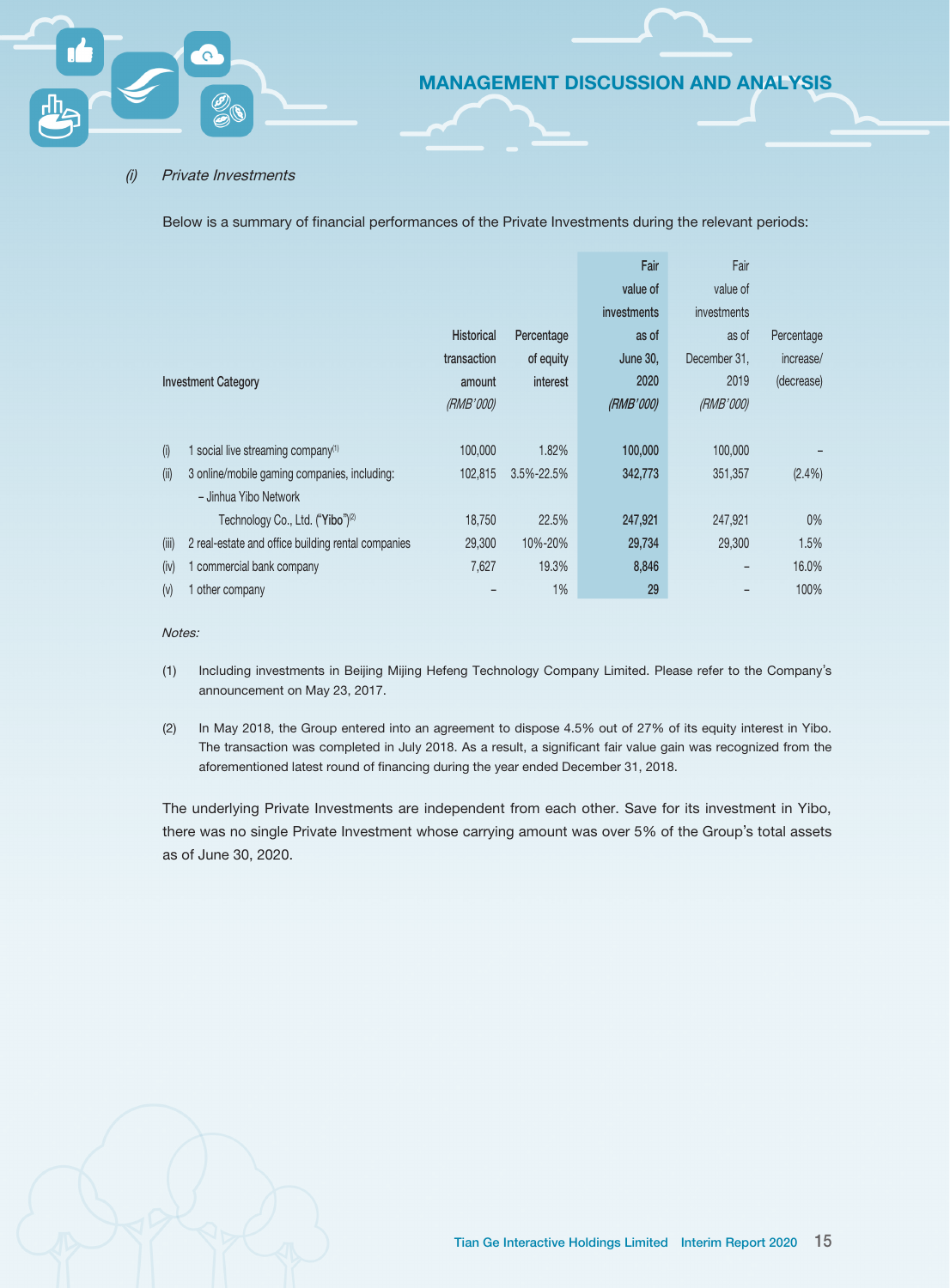#### (i) Private Investments

Below is a summary of financial performances of the Private Investments during the relevant periods:

|       |                                                    |                   |            | Fair        | Fair         |            |
|-------|----------------------------------------------------|-------------------|------------|-------------|--------------|------------|
|       |                                                    |                   |            | value of    | value of     |            |
|       |                                                    |                   |            | investments | investments  |            |
|       |                                                    | <b>Historical</b> | Percentage | as of       | as of        | Percentage |
|       |                                                    | transaction       | of equity  | June 30,    | December 31, | increase/  |
|       | <b>Investment Category</b>                         | amount            | interest   | 2020        | 2019         | (decrease) |
|       |                                                    | (RMB'000)         |            | (RMB'000)   | (RMB'000)    |            |
|       |                                                    |                   |            |             |              |            |
| (i)   | 1 social live streaming company <sup>(1)</sup>     | 100,000           | 1.82%      | 100,000     | 100,000      |            |
| (ii)  | 3 online/mobile gaming companies, including:       | 102.815           | 3.5%-22.5% | 342,773     | 351,357      | $(2.4\%)$  |
|       | - Jinhua Yibo Network                              |                   |            |             |              |            |
|       | Technology Co., Ltd. ("Yibo") <sup>(2)</sup>       | 18,750            | 22.5%      | 247,921     | 247,921      | $0\%$      |
| (iii) | 2 real-estate and office building rental companies | 29,300            | 10%-20%    | 29,734      | 29,300       | 1.5%       |
| (iv)  | 1 commercial bank company                          | 7,627             | 19.3%      | 8,846       |              | 16.0%      |
| (v)   | other company                                      |                   | 1%         | 29          |              | 100%       |

### Notes:

- (1) Including investments in Beijing Mijing Hefeng Technology Company Limited. Please refer to the Company's announcement on May 23, 2017.
- (2) In May 2018, the Group entered into an agreement to dispose 4.5% out of 27% of its equity interest in Yibo. The transaction was completed in July 2018. As a result, a significant fair value gain was recognized from the aforementioned latest round of financing during the year ended December 31, 2018.

The underlying Private Investments are independent from each other. Save for its investment in Yibo, there was no single Private Investment whose carrying amount was over 5% of the Group's total assets as of June 30, 2020.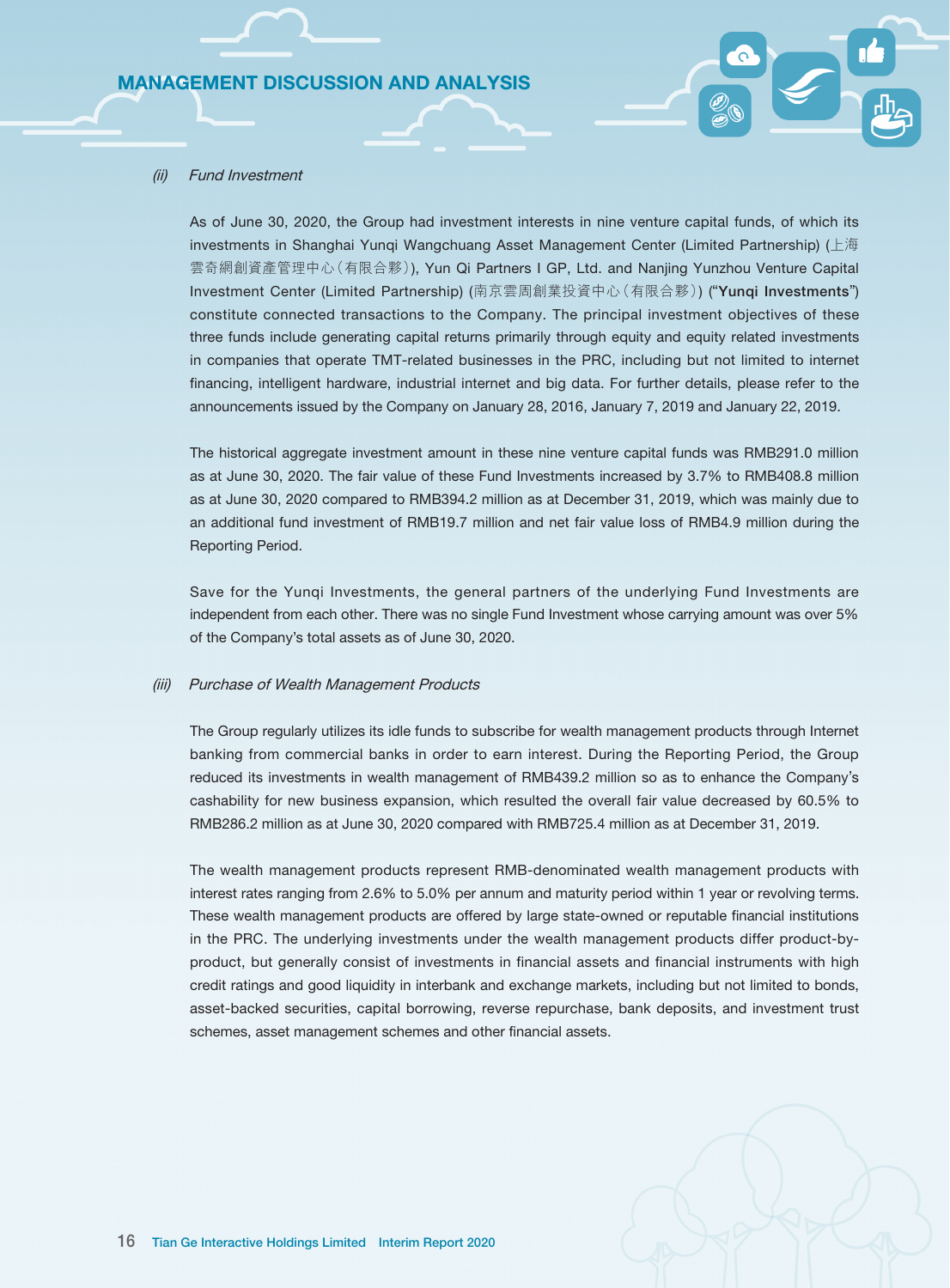#### (ii) Fund Investment

As of June 30, 2020, the Group had investment interests in nine venture capital funds, of which its investments in Shanghai Yunqi Wangchuang Asset Management Center (Limited Partnership) (上海 雲奇網創資產管理中心(有限合夥)), Yun Qi Partners I GP, Ltd. and Nanjing Yunzhou Venture Capital Investment Center (Limited Partnership) (南京雲周創業投資中心(有限合夥)) ("Yunqi Investments") constitute connected transactions to the Company. The principal investment objectives of these three funds include generating capital returns primarily through equity and equity related investments in companies that operate TMT-related businesses in the PRC, including but not limited to internet financing, intelligent hardware, industrial internet and big data. For further details, please refer to the announcements issued by the Company on January 28, 2016, January 7, 2019 and January 22, 2019.

The historical aggregate investment amount in these nine venture capital funds was RMB291.0 million as at June 30, 2020. The fair value of these Fund Investments increased by 3.7% to RMB408.8 million as at June 30, 2020 compared to RMB394.2 million as at December 31, 2019, which was mainly due to an additional fund investment of RMB19.7 million and net fair value loss of RMB4.9 million during the Reporting Period.

Save for the Yunqi Investments, the general partners of the underlying Fund Investments are independent from each other. There was no single Fund Investment whose carrying amount was over 5% of the Company's total assets as of June 30, 2020.

#### (iii) Purchase of Wealth Management Products

The Group regularly utilizes its idle funds to subscribe for wealth management products through Internet banking from commercial banks in order to earn interest. During the Reporting Period, the Group reduced its investments in wealth management of RMB439.2 million so as to enhance the Company's cashability for new business expansion, which resulted the overall fair value decreased by 60.5% to RMB286.2 million as at June 30, 2020 compared with RMB725.4 million as at December 31, 2019.

The wealth management products represent RMB-denominated wealth management products with interest rates ranging from 2.6% to 5.0% per annum and maturity period within 1 year or revolving terms. These wealth management products are offered by large state-owned or reputable financial institutions in the PRC. The underlying investments under the wealth management products differ product-byproduct, but generally consist of investments in financial assets and financial instruments with high credit ratings and good liquidity in interbank and exchange markets, including but not limited to bonds, asset-backed securities, capital borrowing, reverse repurchase, bank deposits, and investment trust schemes, asset management schemes and other financial assets.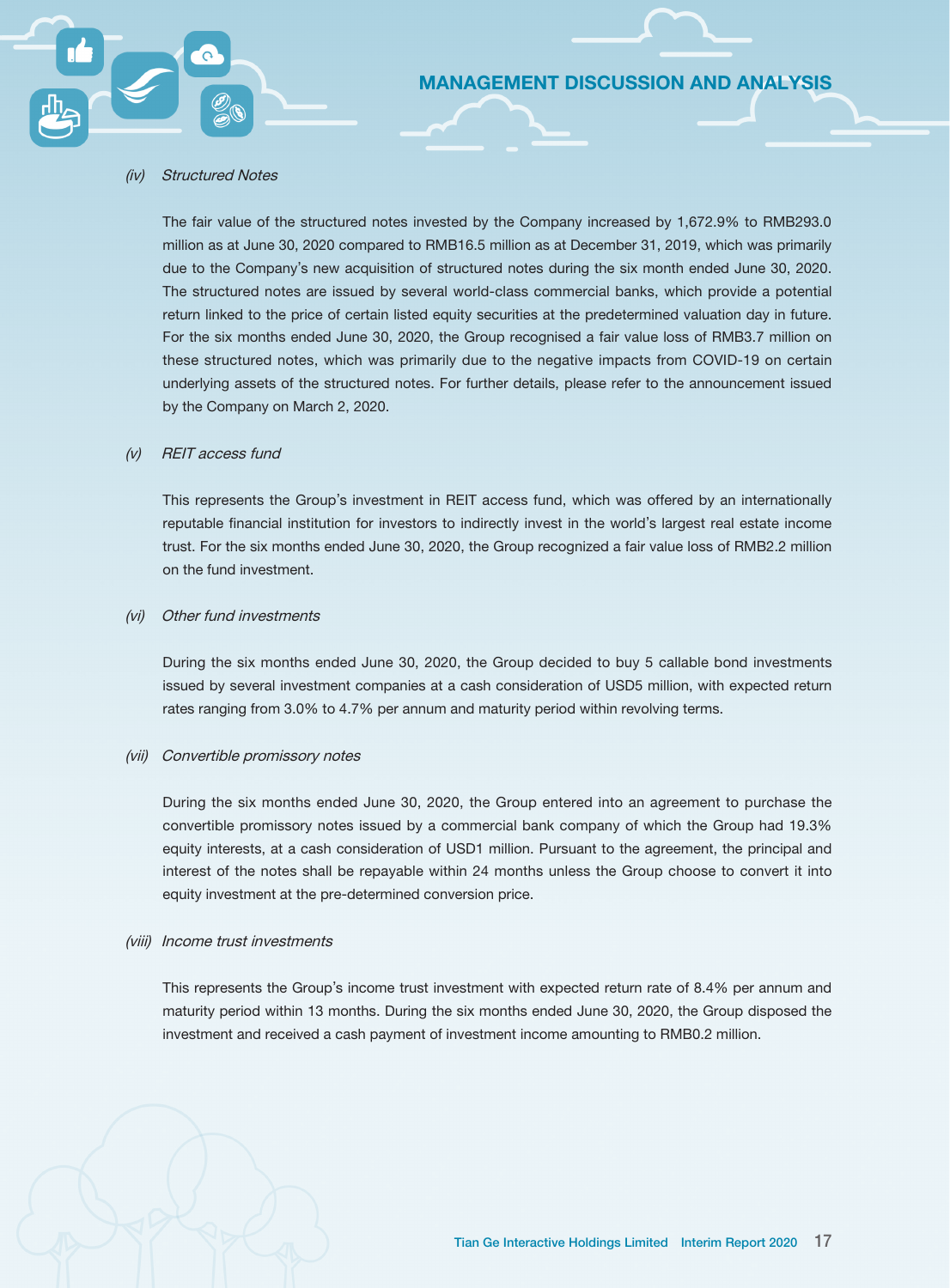#### (iv) Structured Notes

The fair value of the structured notes invested by the Company increased by 1,672.9% to RMB293.0 million as at June 30, 2020 compared to RMB16.5 million as at December 31, 2019, which was primarily due to the Company's new acquisition of structured notes during the six month ended June 30, 2020. The structured notes are issued by several world-class commercial banks, which provide a potential return linked to the price of certain listed equity securities at the predetermined valuation day in future. For the six months ended June 30, 2020, the Group recognised a fair value loss of RMB3.7 million on these structured notes, which was primarily due to the negative impacts from COVID-19 on certain underlying assets of the structured notes. For further details, please refer to the announcement issued by the Company on March 2, 2020.

MANAGEMENT DISCUSSION AND ANALYSIS

#### (v) REIT access fund

This represents the Group's investment in REIT access fund, which was offered by an internationally reputable financial institution for investors to indirectly invest in the world's largest real estate income trust. For the six months ended June 30, 2020, the Group recognized a fair value loss of RMB2.2 million on the fund investment.

### (vi) Other fund investments

During the six months ended June 30, 2020, the Group decided to buy 5 callable bond investments issued by several investment companies at a cash consideration of USD5 million, with expected return rates ranging from 3.0% to 4.7% per annum and maturity period within revolving terms.

#### (vii) Convertible promissory notes

During the six months ended June 30, 2020, the Group entered into an agreement to purchase the convertible promissory notes issued by a commercial bank company of which the Group had 19.3% equity interests, at a cash consideration of USD1 million. Pursuant to the agreement, the principal and interest of the notes shall be repayable within 24 months unless the Group choose to convert it into equity investment at the pre-determined conversion price.

#### (viii) Income trust investments

This represents the Group's income trust investment with expected return rate of 8.4% per annum and maturity period within 13 months. During the six months ended June 30, 2020, the Group disposed the investment and received a cash payment of investment income amounting to RMB0.2 million.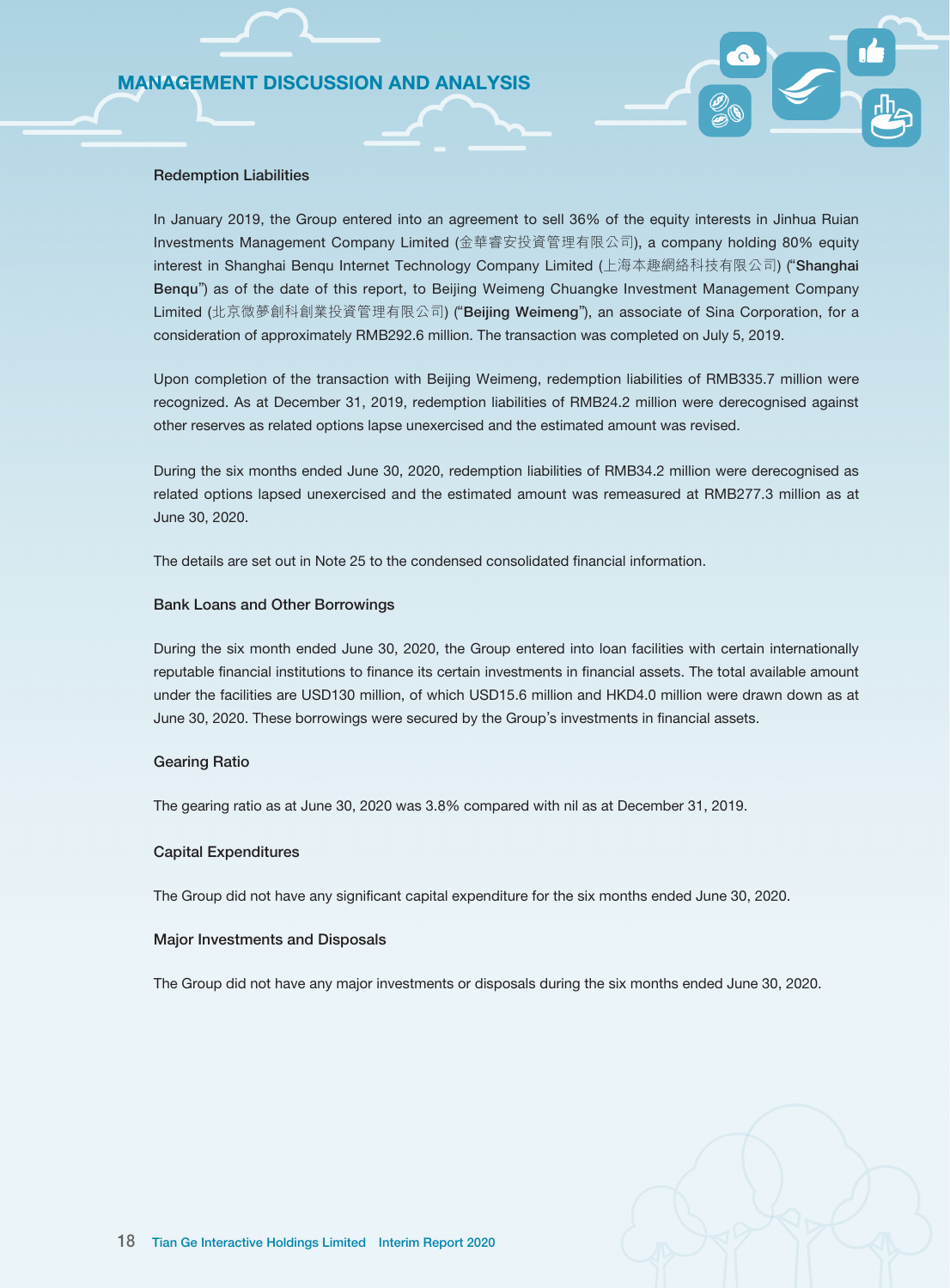#### Redemption Liabilities

In January 2019, the Group entered into an agreement to sell 36% of the equity interests in Jinhua Ruian Investments Management Company Limited (金華睿安投資管理有限公司), a company holding 80% equity interest in Shanghai Benqu Internet Technology Company Limited (上海本趣網絡科技有限公司) ("Shanghai Benqu") as of the date of this report, to Beijing Weimeng Chuangke Investment Management Company Limited (北京微夢創科創業投資管理有限公司) ("Beijing Weimeng"), an associate of Sina Corporation, for a consideration of approximately RMB292.6 million. The transaction was completed on July 5, 2019.

Upon completion of the transaction with Beijing Weimeng, redemption liabilities of RMB335.7 million were recognized. As at December 31, 2019, redemption liabilities of RMB24.2 million were derecognised against other reserves as related options lapse unexercised and the estimated amount was revised.

During the six months ended June 30, 2020, redemption liabilities of RMB34.2 million were derecognised as related options lapsed unexercised and the estimated amount was remeasured at RMB277.3 million as at June 30, 2020.

The details are set out in Note 25 to the condensed consolidated financial information.

#### Bank Loans and Other Borrowings

During the six month ended June 30, 2020, the Group entered into loan facilities with certain internationally reputable financial institutions to finance its certain investments in financial assets. The total available amount under the facilities are USD130 million, of which USD15.6 million and HKD4.0 million were drawn down as at June 30, 2020. These borrowings were secured by the Group's investments in financial assets.

#### Gearing Ratio

The gearing ratio as at June 30, 2020 was 3.8% compared with nil as at December 31, 2019.

#### Capital Expenditures

The Group did not have any significant capital expenditure for the six months ended June 30, 2020.

#### Major Investments and Disposals

The Group did not have any major investments or disposals during the six months ended June 30, 2020.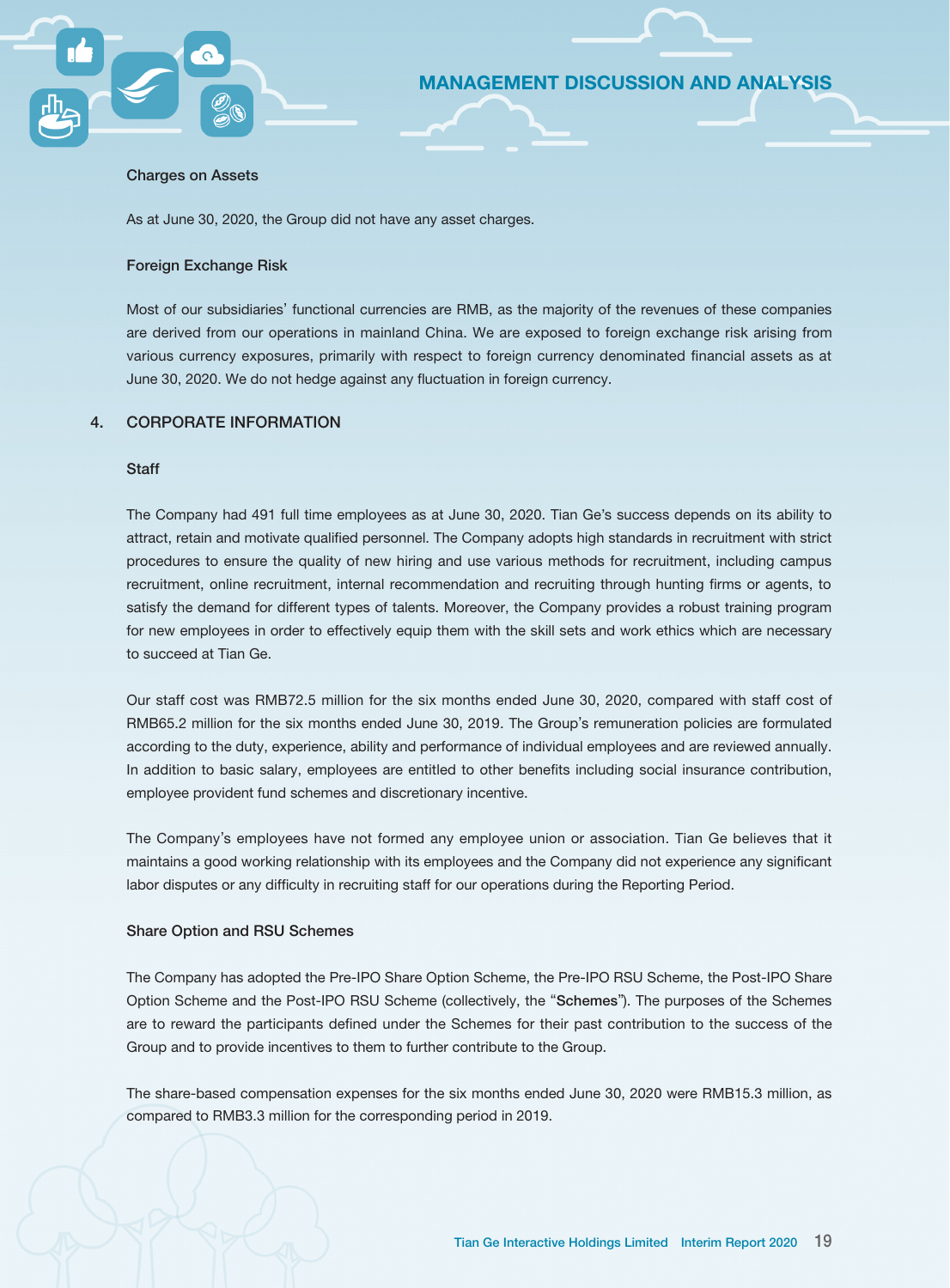#### Charges on Assets

As at June 30, 2020, the Group did not have any asset charges.

#### Foreign Exchange Risk

Most of our subsidiaries' functional currencies are RMB, as the majority of the revenues of these companies are derived from our operations in mainland China. We are exposed to foreign exchange risk arising from various currency exposures, primarily with respect to foreign currency denominated financial assets as at June 30, 2020. We do not hedge against any fluctuation in foreign currency.

MANAGEMENT DISCUSSION AND ANALYSIS

### 4. CORPORATE INFORMATION

#### **Staff**

The Company had 491 full time employees as at June 30, 2020. Tian Ge's success depends on its ability to attract, retain and motivate qualified personnel. The Company adopts high standards in recruitment with strict procedures to ensure the quality of new hiring and use various methods for recruitment, including campus recruitment, online recruitment, internal recommendation and recruiting through hunting firms or agents, to satisfy the demand for different types of talents. Moreover, the Company provides a robust training program for new employees in order to effectively equip them with the skill sets and work ethics which are necessary to succeed at Tian Ge.

Our staff cost was RMB72.5 million for the six months ended June 30, 2020, compared with staff cost of RMB65.2 million for the six months ended June 30, 2019. The Group's remuneration policies are formulated according to the duty, experience, ability and performance of individual employees and are reviewed annually. In addition to basic salary, employees are entitled to other benefits including social insurance contribution, employee provident fund schemes and discretionary incentive.

The Company's employees have not formed any employee union or association. Tian Ge believes that it maintains a good working relationship with its employees and the Company did not experience any significant labor disputes or any difficulty in recruiting staff for our operations during the Reporting Period.

#### Share Option and RSU Schemes

The Company has adopted the Pre-IPO Share Option Scheme, the Pre-IPO RSU Scheme, the Post-IPO Share Option Scheme and the Post-IPO RSU Scheme (collectively, the "Schemes"). The purposes of the Schemes are to reward the participants defined under the Schemes for their past contribution to the success of the Group and to provide incentives to them to further contribute to the Group.

The share-based compensation expenses for the six months ended June 30, 2020 were RMB15.3 million, as compared to RMB3.3 million for the corresponding period in 2019.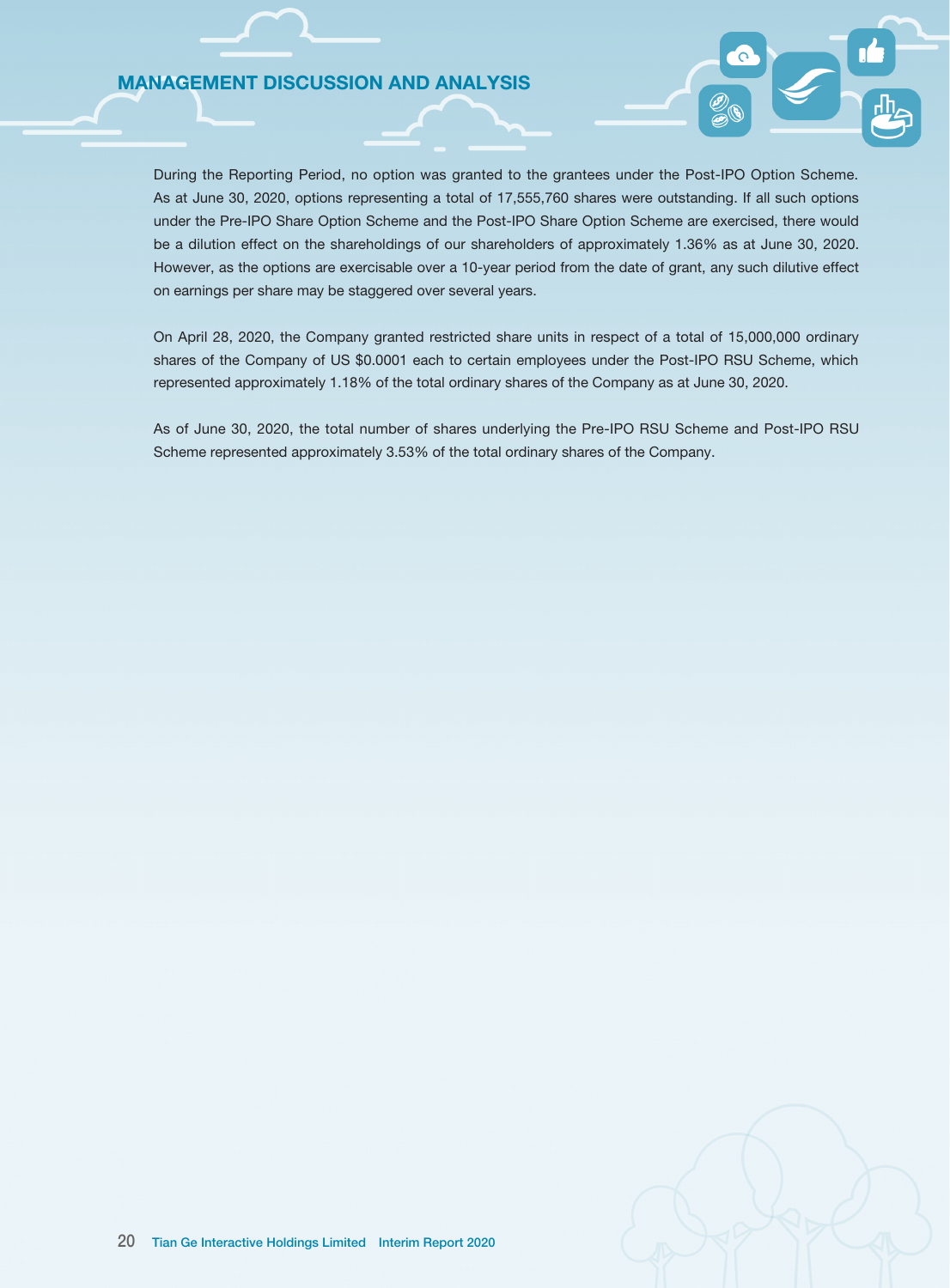During the Reporting Period, no option was granted to the grantees under the Post-IPO Option Scheme. As at June 30, 2020, options representing a total of 17,555,760 shares were outstanding. If all such options under the Pre-IPO Share Option Scheme and the Post-IPO Share Option Scheme are exercised, there would be a dilution effect on the shareholdings of our shareholders of approximately 1.36% as at June 30, 2020. However, as the options are exercisable over a 10-year period from the date of grant, any such dilutive effect on earnings per share may be staggered over several years.

On April 28, 2020, the Company granted restricted share units in respect of a total of 15,000,000 ordinary shares of the Company of US \$0.0001 each to certain employees under the Post-IPO RSU Scheme, which represented approximately 1.18% of the total ordinary shares of the Company as at June 30, 2020.

As of June 30, 2020, the total number of shares underlying the Pre-IPO RSU Scheme and Post-IPO RSU Scheme represented approximately 3.53% of the total ordinary shares of the Company.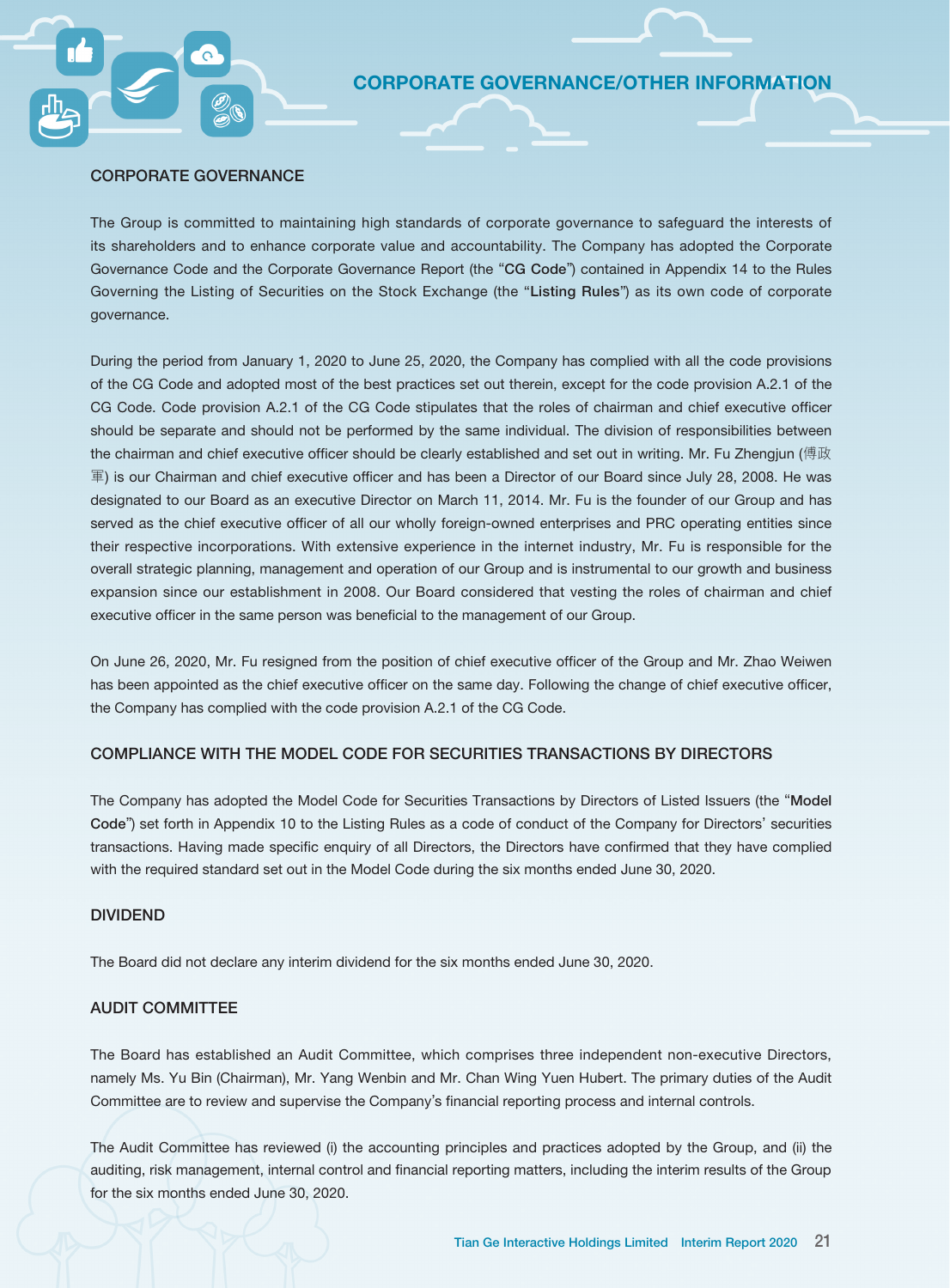#### CORPORATE GOVERNANCE

The Group is committed to maintaining high standards of corporate governance to safeguard the interests of its shareholders and to enhance corporate value and accountability. The Company has adopted the Corporate Governance Code and the Corporate Governance Report (the "CG Code") contained in Appendix 14 to the Rules Governing the Listing of Securities on the Stock Exchange (the "Listing Rules") as its own code of corporate governance.

During the period from January 1, 2020 to June 25, 2020, the Company has complied with all the code provisions of the CG Code and adopted most of the best practices set out therein, except for the code provision A.2.1 of the CG Code. Code provision A.2.1 of the CG Code stipulates that the roles of chairman and chief executive officer should be separate and should not be performed by the same individual. The division of responsibilities between the chairman and chief executive officer should be clearly established and set out in writing. Mr. Fu Zhengjun (傅政 軍) is our Chairman and chief executive officer and has been a Director of our Board since July 28, 2008. He was designated to our Board as an executive Director on March 11, 2014. Mr. Fu is the founder of our Group and has served as the chief executive officer of all our wholly foreign-owned enterprises and PRC operating entities since their respective incorporations. With extensive experience in the internet industry, Mr. Fu is responsible for the overall strategic planning, management and operation of our Group and is instrumental to our growth and business expansion since our establishment in 2008. Our Board considered that vesting the roles of chairman and chief executive officer in the same person was beneficial to the management of our Group.

On June 26, 2020, Mr. Fu resigned from the position of chief executive officer of the Group and Mr. Zhao Weiwen has been appointed as the chief executive officer on the same day. Following the change of chief executive officer, the Company has complied with the code provision A.2.1 of the CG Code.

#### COMPLIANCE WITH THE MODEL CODE FOR SECURITIES TRANSACTIONS BY DIRECTORS

The Company has adopted the Model Code for Securities Transactions by Directors of Listed Issuers (the "Model Code") set forth in Appendix 10 to the Listing Rules as a code of conduct of the Company for Directors' securities transactions. Having made specific enquiry of all Directors, the Directors have confirmed that they have complied with the required standard set out in the Model Code during the six months ended June 30, 2020.

#### DIVIDEND

The Board did not declare any interim dividend for the six months ended June 30, 2020.

#### AUDIT COMMITTEE

The Board has established an Audit Committee, which comprises three independent non-executive Directors, namely Ms. Yu Bin (Chairman), Mr. Yang Wenbin and Mr. Chan Wing Yuen Hubert. The primary duties of the Audit Committee are to review and supervise the Company's financial reporting process and internal controls.

The Audit Committee has reviewed (i) the accounting principles and practices adopted by the Group, and (ii) the auditing, risk management, internal control and financial reporting matters, including the interim results of the Group for the six months ended June 30, 2020.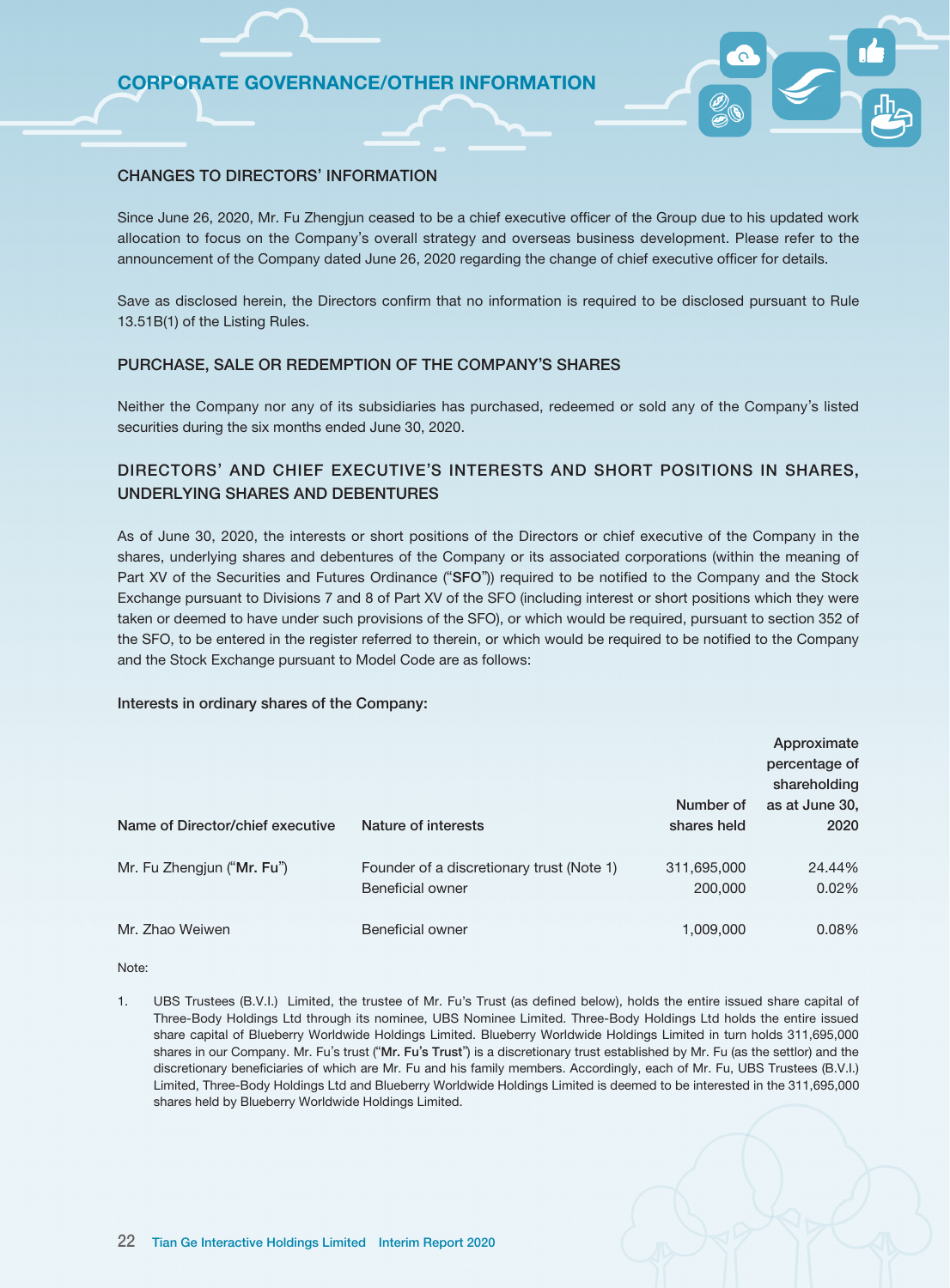### CHANGES TO DIRECTORS' INFORMATION

Since June 26, 2020, Mr. Fu Zhengjun ceased to be a chief executive officer of the Group due to his updated work allocation to focus on the Company's overall strategy and overseas business development. Please refer to the announcement of the Company dated June 26, 2020 regarding the change of chief executive officer for details.

Save as disclosed herein, the Directors confirm that no information is required to be disclosed pursuant to Rule 13.51B(1) of the Listing Rules.

#### PURCHASE, SALE OR REDEMPTION OF THE COMPANY'S SHARES

Neither the Company nor any of its subsidiaries has purchased, redeemed or sold any of the Company's listed securities during the six months ended June 30, 2020.

# DIRECTORS' AND CHIEF EXECUTIVE'S INTERESTS AND SHORT POSITIONS IN SHARES, UNDERLYING SHARES AND DEBENTURES

As of June 30, 2020, the interests or short positions of the Directors or chief executive of the Company in the shares, underlying shares and debentures of the Company or its associated corporations (within the meaning of Part XV of the Securities and Futures Ordinance ("SFO")) required to be notified to the Company and the Stock Exchange pursuant to Divisions 7 and 8 of Part XV of the SFO (including interest or short positions which they were taken or deemed to have under such provisions of the SFO), or which would be required, pursuant to section 352 of the SFO, to be entered in the register referred to therein, or which would be required to be notified to the Company and the Stock Exchange pursuant to Model Code are as follows:

#### Interests in ordinary shares of the Company:

| Name of Director/chief executive | Nature of interests                                           | Number of<br>shares held | Approximate<br>percentage of<br>shareholding<br>as at June 30,<br>2020 |
|----------------------------------|---------------------------------------------------------------|--------------------------|------------------------------------------------------------------------|
| Mr. Fu Zhengjun ("Mr. Fu")       | Founder of a discretionary trust (Note 1)<br>Beneficial owner | 311,695,000<br>200,000   | 24.44%<br>0.02%                                                        |
| Mr. Zhao Weiwen                  | Beneficial owner                                              | 1,009,000                | 0.08%                                                                  |

Note:

1. UBS Trustees (B.V.I.) Limited, the trustee of Mr. Fu's Trust (as defined below), holds the entire issued share capital of Three-Body Holdings Ltd through its nominee, UBS Nominee Limited. Three-Body Holdings Ltd holds the entire issued share capital of Blueberry Worldwide Holdings Limited. Blueberry Worldwide Holdings Limited in turn holds 311,695,000 shares in our Company. Mr. Fu's trust ("Mr. Fu's Trust") is a discretionary trust established by Mr. Fu (as the settlor) and the discretionary beneficiaries of which are Mr. Fu and his family members. Accordingly, each of Mr. Fu, UBS Trustees (B.V.I.) Limited, Three-Body Holdings Ltd and Blueberry Worldwide Holdings Limited is deemed to be interested in the 311,695,000 shares held by Blueberry Worldwide Holdings Limited.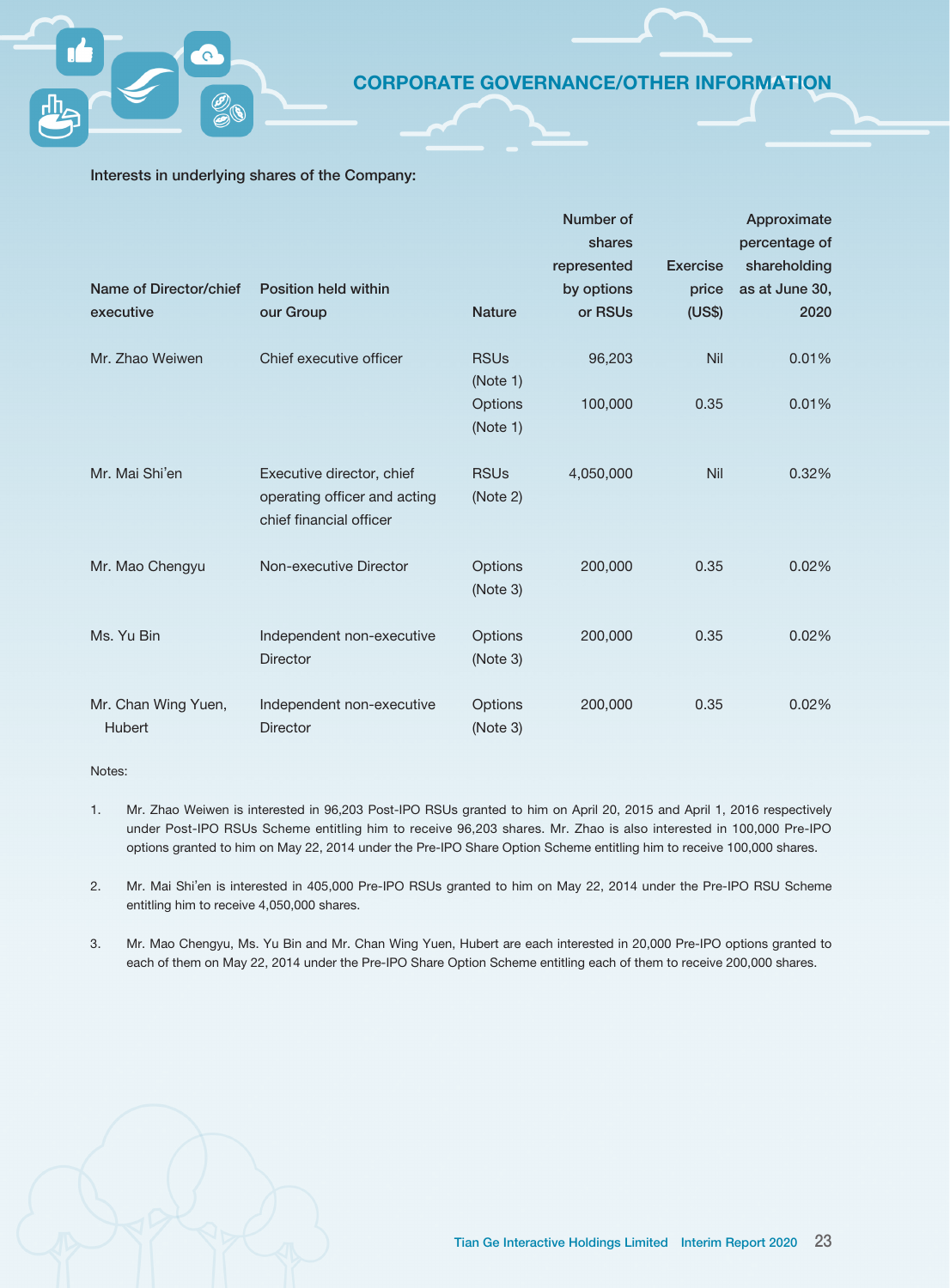### Interests in underlying shares of the Company:

| Name of Director/chief               | <b>Position held within</b>                                                          |                         | Number of<br>shares<br>represented<br>by options | <b>Exercise</b><br>price | Approximate<br>percentage of<br>shareholding<br>as at June 30, |
|--------------------------------------|--------------------------------------------------------------------------------------|-------------------------|--------------------------------------------------|--------------------------|----------------------------------------------------------------|
| executive                            | our Group                                                                            | <b>Nature</b>           | or RSUs                                          | (US\$)                   | 2020                                                           |
| Mr. Zhao Weiwen                      | Chief executive officer                                                              | <b>RSUs</b><br>(Note 1) | 96,203                                           | Nil                      | 0.01%                                                          |
|                                      |                                                                                      | Options<br>(Note 1)     | 100,000                                          | 0.35                     | 0.01%                                                          |
| Mr. Mai Shi'en                       | Executive director, chief<br>operating officer and acting<br>chief financial officer | <b>RSUs</b><br>(Note 2) | 4,050,000                                        | Nil                      | 0.32%                                                          |
| Mr. Mao Chengyu                      | Non-executive Director                                                               | Options<br>(Note 3)     | 200,000                                          | 0.35                     | 0.02%                                                          |
| Ms. Yu Bin                           | Independent non-executive<br><b>Director</b>                                         | Options<br>(Note 3)     | 200,000                                          | 0.35                     | 0.02%                                                          |
| Mr. Chan Wing Yuen,<br><b>Hubert</b> | Independent non-executive<br><b>Director</b>                                         | Options<br>(Note 3)     | 200,000                                          | 0.35                     | 0.02%                                                          |

Notes:

- 1. Mr. Zhao Weiwen is interested in 96,203 Post-IPO RSUs granted to him on April 20, 2015 and April 1, 2016 respectively under Post-IPO RSUs Scheme entitling him to receive 96,203 shares. Mr. Zhao is also interested in 100,000 Pre-IPO options granted to him on May 22, 2014 under the Pre-IPO Share Option Scheme entitling him to receive 100,000 shares.
- 2. Mr. Mai Shi'en is interested in 405,000 Pre-IPO RSUs granted to him on May 22, 2014 under the Pre-IPO RSU Scheme entitling him to receive 4,050,000 shares.
- 3. Mr. Mao Chengyu, Ms. Yu Bin and Mr. Chan Wing Yuen, Hubert are each interested in 20,000 Pre-IPO options granted to each of them on May 22, 2014 under the Pre-IPO Share Option Scheme entitling each of them to receive 200,000 shares.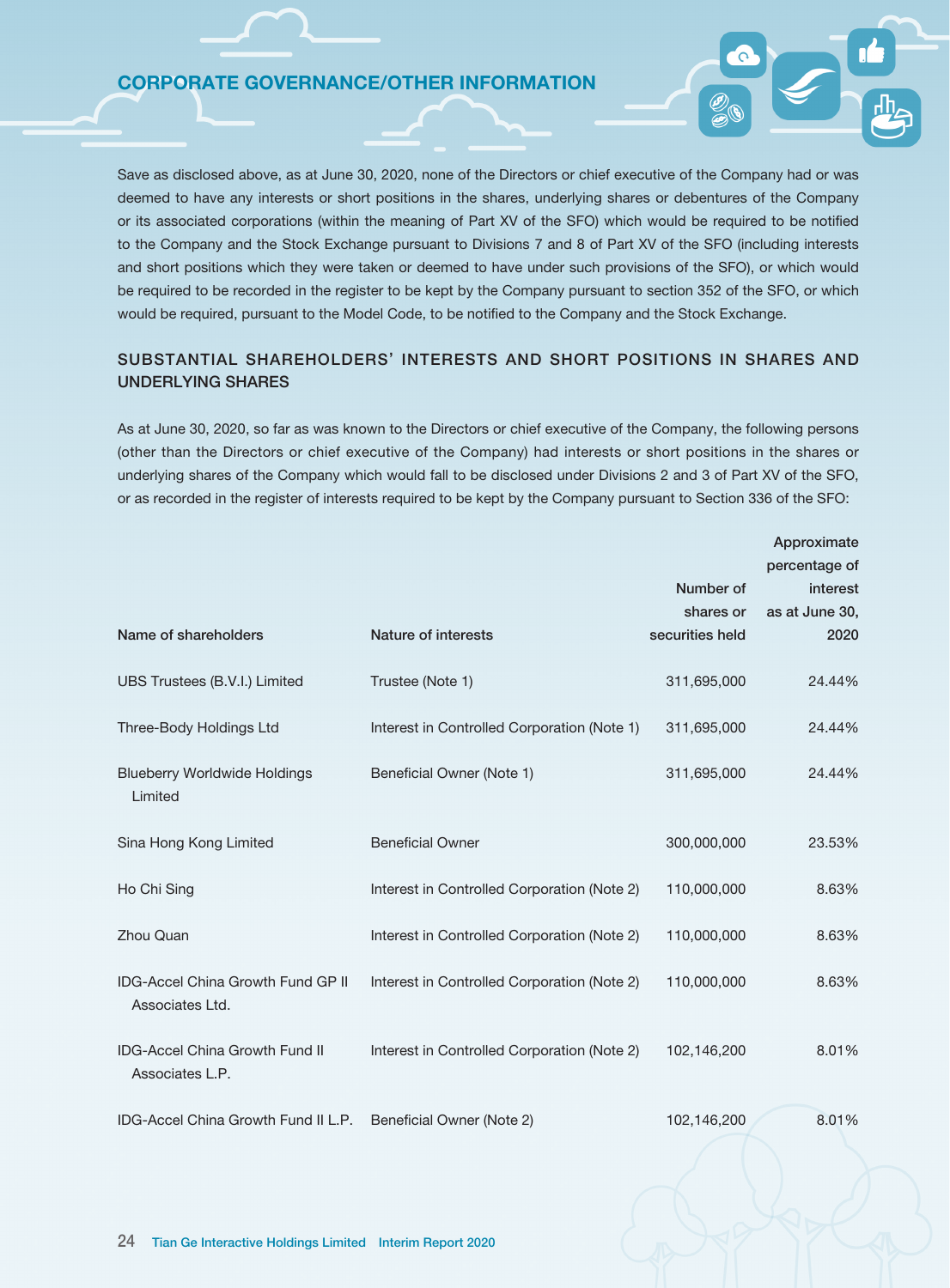Save as disclosed above, as at June 30, 2020, none of the Directors or chief executive of the Company had or was deemed to have any interests or short positions in the shares, underlying shares or debentures of the Company or its associated corporations (within the meaning of Part XV of the SFO) which would be required to be notified to the Company and the Stock Exchange pursuant to Divisions 7 and 8 of Part XV of the SFO (including interests and short positions which they were taken or deemed to have under such provisions of the SFO), or which would be required to be recorded in the register to be kept by the Company pursuant to section 352 of the SFO, or which would be required, pursuant to the Model Code, to be notified to the Company and the Stock Exchange.

# SUBSTANTIAL SHAREHOLDERS' INTERESTS AND SHORT POSITIONS IN SHARES AND UNDERLYING SHARES

As at June 30, 2020, so far as was known to the Directors or chief executive of the Company, the following persons (other than the Directors or chief executive of the Company) had interests or short positions in the shares or underlying shares of the Company which would fall to be disclosed under Divisions 2 and 3 of Part XV of the SFO, or as recorded in the register of interests required to be kept by the Company pursuant to Section 336 of the SFO:

|                                                               |                                             |                              | Approximate               |
|---------------------------------------------------------------|---------------------------------------------|------------------------------|---------------------------|
|                                                               |                                             | Number of                    | percentage of<br>interest |
| Name of shareholders                                          | Nature of interests                         | shares or<br>securities held | as at June 30,<br>2020    |
| UBS Trustees (B.V.I.) Limited                                 | Trustee (Note 1)                            | 311,695,000                  | 24.44%                    |
| Three-Body Holdings Ltd                                       | Interest in Controlled Corporation (Note 1) | 311,695,000                  | 24.44%                    |
| <b>Blueberry Worldwide Holdings</b><br>Limited                | Beneficial Owner (Note 1)                   | 311,695,000                  | 24.44%                    |
| Sina Hong Kong Limited                                        | <b>Beneficial Owner</b>                     | 300,000,000                  | 23.53%                    |
| Ho Chi Sing                                                   | Interest in Controlled Corporation (Note 2) | 110,000,000                  | 8.63%                     |
| Zhou Quan                                                     | Interest in Controlled Corporation (Note 2) | 110,000,000                  | 8.63%                     |
| <b>IDG-Accel China Growth Fund GP II</b><br>Associates Ltd.   | Interest in Controlled Corporation (Note 2) | 110,000,000                  | 8.63%                     |
| <b>IDG-Accel China Growth Fund II</b><br>Associates L.P.      | Interest in Controlled Corporation (Note 2) | 102,146,200                  | 8.01%                     |
| IDG-Accel China Growth Fund II L.P. Beneficial Owner (Note 2) |                                             | 102,146,200                  | 8.01%                     |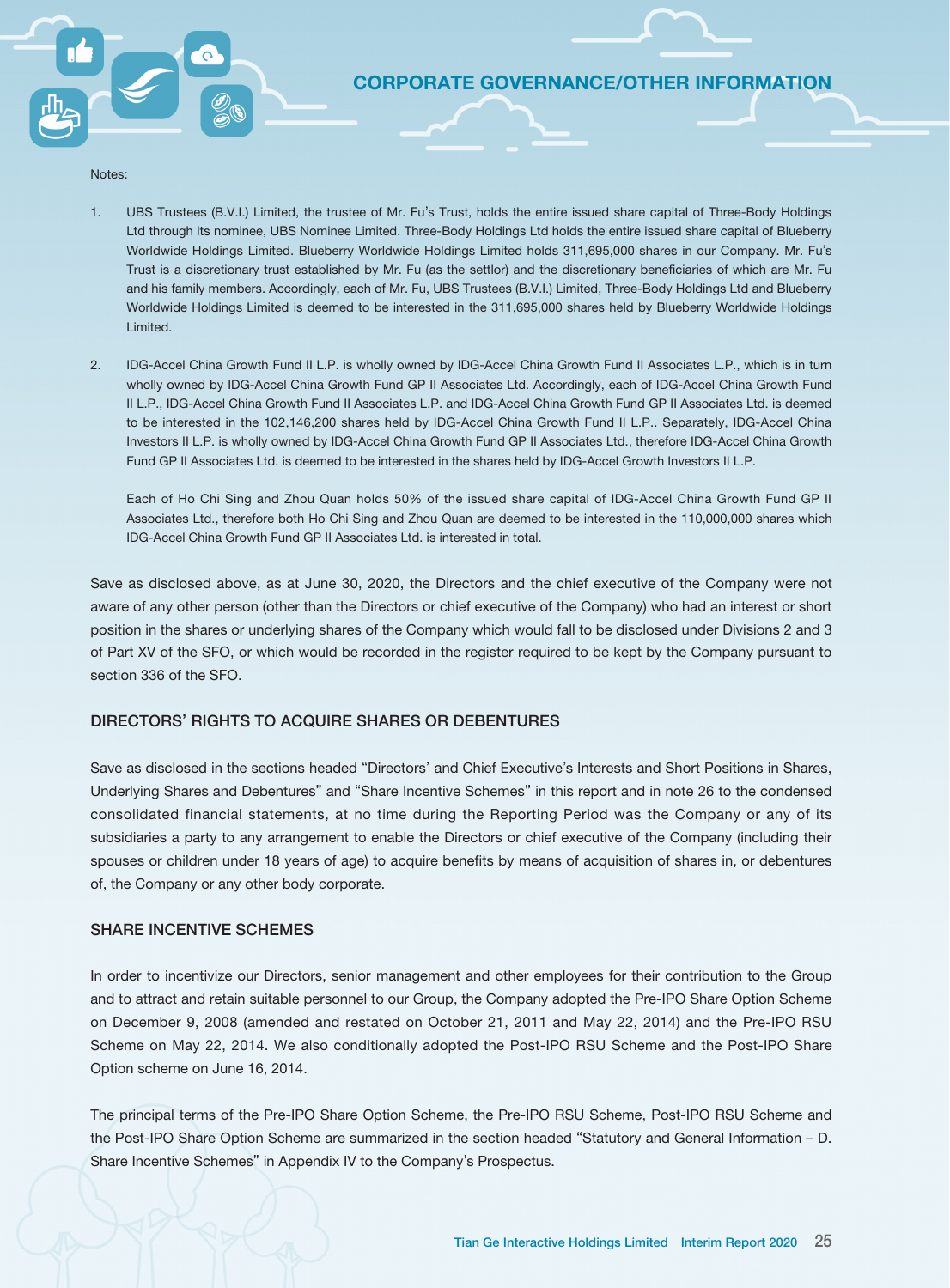Notes:

- 1. UBS Trustees (B.V.I.) Limited, the trustee of Mr. Fu's Trust, holds the entire issued share capital of Three-Body Holdings Ltd through its nominee, UBS Nominee Limited. Three-Body Holdings Ltd holds the entire issued share capital of Blueberry Worldwide Holdings Limited. Blueberry Worldwide Holdings Limited holds 311,695,000 shares in our Company. Mr. Fu's Trust is a discretionary trust established by Mr. Fu (as the settlor) and the discretionary beneficiaries of which are Mr. Fu and his family members. Accordingly, each of Mr. Fu, UBS Trustees (B.V.I.) Limited, Three-Body Holdings Ltd and Blueberry Worldwide Holdings Limited is deemed to be interested in the 311,695,000 shares held by Blueberry Worldwide Holdings Limited.
- 2. IDG-Accel China Growth Fund II L.P. is wholly owned by IDG-Accel China Growth Fund II Associates L.P., which is in turn wholly owned by IDG-Accel China Growth Fund GP II Associates Ltd. Accordingly, each of IDG-Accel China Growth Fund II L.P., IDG-Accel China Growth Fund II Associates L.P. and IDG-Accel China Growth Fund GP II Associates Ltd. is deemed to be interested in the 102,146,200 shares held by IDG-Accel China Growth Fund II L.P.. Separately, IDG-Accel China Investors II L.P. is wholly owned by IDG-Accel China Growth Fund GP II Associates Ltd., therefore IDG-Accel China Growth Fund GP II Associates Ltd. is deemed to be interested in the shares held by IDG-Accel Growth Investors II L.P.

Each of Ho Chi Sing and Zhou Quan holds 50% of the issued share capital of IDG-Accel China Growth Fund GP II Associates Ltd., therefore both Ho Chi Sing and Zhou Quan are deemed to be interested in the 110,000,000 shares which IDG-Accel China Growth Fund GP II Associates Ltd. is interested in total.

Save as disclosed above, as at June 30, 2020, the Directors and the chief executive of the Company were not aware of any other person (other than the Directors or chief executive of the Company) who had an interest or short position in the shares or underlying shares of the Company which would fall to be disclosed under Divisions 2 and 3 of Part XV of the SFO, or which would be recorded in the register required to be kept by the Company pursuant to section 336 of the SFO.

# DIRECTORS' RIGHTS TO ACQUIRE SHARES OR DEBENTURES

Save as disclosed in the sections headed "Directors' and Chief Executive's Interests and Short Positions in Shares, Underlying Shares and Debentures" and "Share Incentive Schemes" in this report and in note 26 to the condensed consolidated financial statements, at no time during the Reporting Period was the Company or any of its subsidiaries a party to any arrangement to enable the Directors or chief executive of the Company (including their spouses or children under 18 years of age) to acquire benefits by means of acquisition of shares in, or debentures of, the Company or any other body corporate.

### SHARE INCENTIVE SCHEMES

In order to incentivize our Directors, senior management and other employees for their contribution to the Group and to attract and retain suitable personnel to our Group, the Company adopted the Pre-IPO Share Option Scheme on December 9, 2008 (amended and restated on October 21, 2011 and May 22, 2014) and the Pre-IPO RSU Scheme on May 22, 2014. We also conditionally adopted the Post-IPO RSU Scheme and the Post-IPO Share Option scheme on June 16, 2014.

The principal terms of the Pre-IPO Share Option Scheme, the Pre-IPO RSU Scheme, Post-IPO RSU Scheme and the Post-IPO Share Option Scheme are summarized in the section headed "Statutory and General Information – D. Share Incentive Schemes" in Appendix IV to the Company's Prospectus.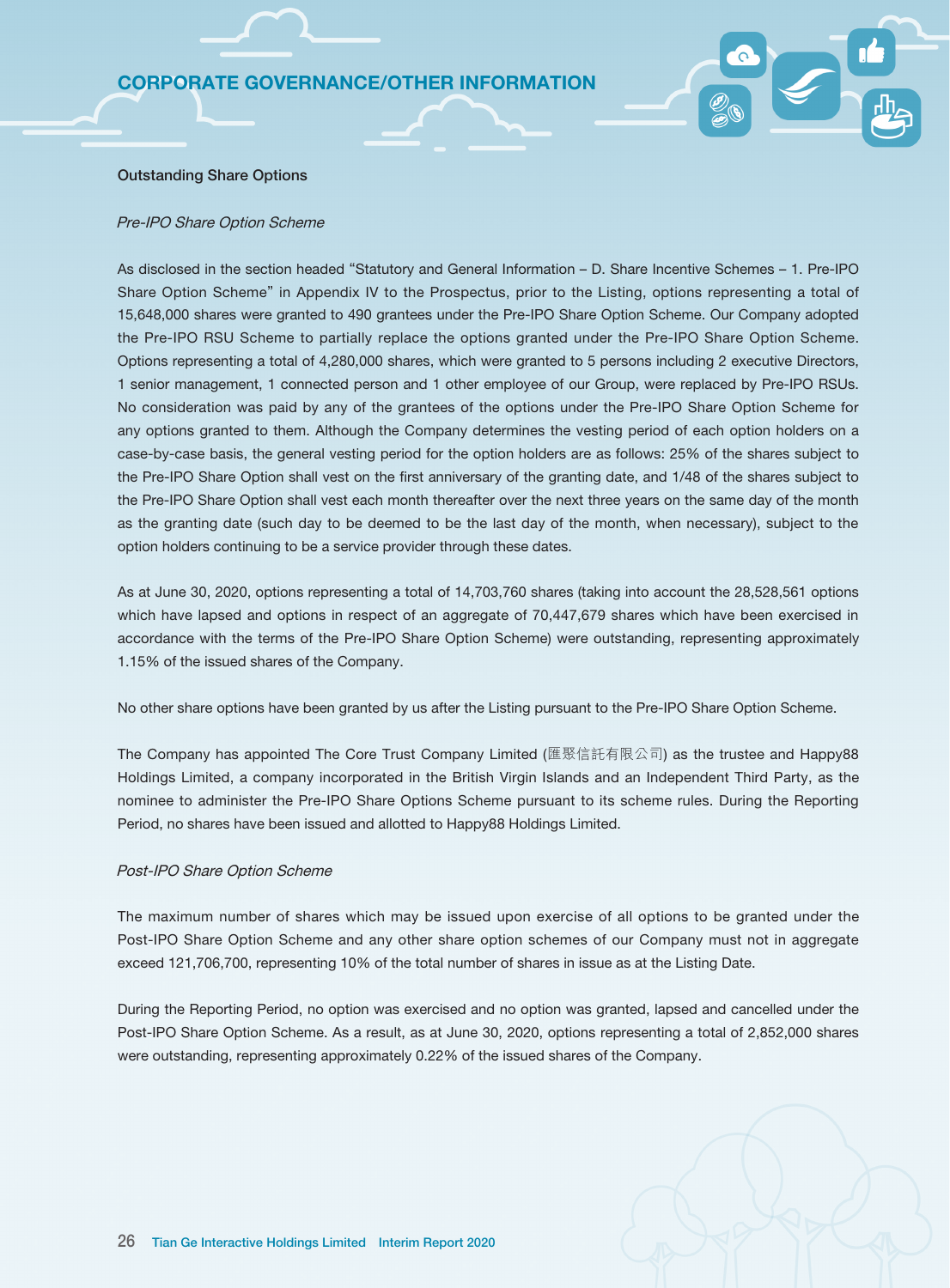#### Outstanding Share Options

#### Pre-IPO Share Option Scheme

As disclosed in the section headed "Statutory and General Information – D. Share Incentive Schemes – 1. Pre-IPO Share Option Scheme" in Appendix IV to the Prospectus, prior to the Listing, options representing a total of 15,648,000 shares were granted to 490 grantees under the Pre-IPO Share Option Scheme. Our Company adopted the Pre-IPO RSU Scheme to partially replace the options granted under the Pre-IPO Share Option Scheme. Options representing a total of 4,280,000 shares, which were granted to 5 persons including 2 executive Directors, 1 senior management, 1 connected person and 1 other employee of our Group, were replaced by Pre-IPO RSUs. No consideration was paid by any of the grantees of the options under the Pre-IPO Share Option Scheme for any options granted to them. Although the Company determines the vesting period of each option holders on a case-by-case basis, the general vesting period for the option holders are as follows: 25% of the shares subject to the Pre-IPO Share Option shall vest on the first anniversary of the granting date, and 1/48 of the shares subject to the Pre-IPO Share Option shall vest each month thereafter over the next three years on the same day of the month as the granting date (such day to be deemed to be the last day of the month, when necessary), subject to the option holders continuing to be a service provider through these dates.

As at June 30, 2020, options representing a total of 14,703,760 shares (taking into account the 28,528,561 options which have lapsed and options in respect of an aggregate of 70,447,679 shares which have been exercised in accordance with the terms of the Pre-IPO Share Option Scheme) were outstanding, representing approximately 1.15% of the issued shares of the Company.

No other share options have been granted by us after the Listing pursuant to the Pre-IPO Share Option Scheme.

The Company has appointed The Core Trust Company Limited (匯聚信託有限公司) as the trustee and Happy88 Holdings Limited, a company incorporated in the British Virgin Islands and an Independent Third Party, as the nominee to administer the Pre-IPO Share Options Scheme pursuant to its scheme rules. During the Reporting Period, no shares have been issued and allotted to Happy88 Holdings Limited.

#### Post-IPO Share Option Scheme

The maximum number of shares which may be issued upon exercise of all options to be granted under the Post-IPO Share Option Scheme and any other share option schemes of our Company must not in aggregate exceed 121,706,700, representing 10% of the total number of shares in issue as at the Listing Date.

During the Reporting Period, no option was exercised and no option was granted, lapsed and cancelled under the Post-IPO Share Option Scheme. As a result, as at June 30, 2020, options representing a total of 2,852,000 shares were outstanding, representing approximately 0.22% of the issued shares of the Company.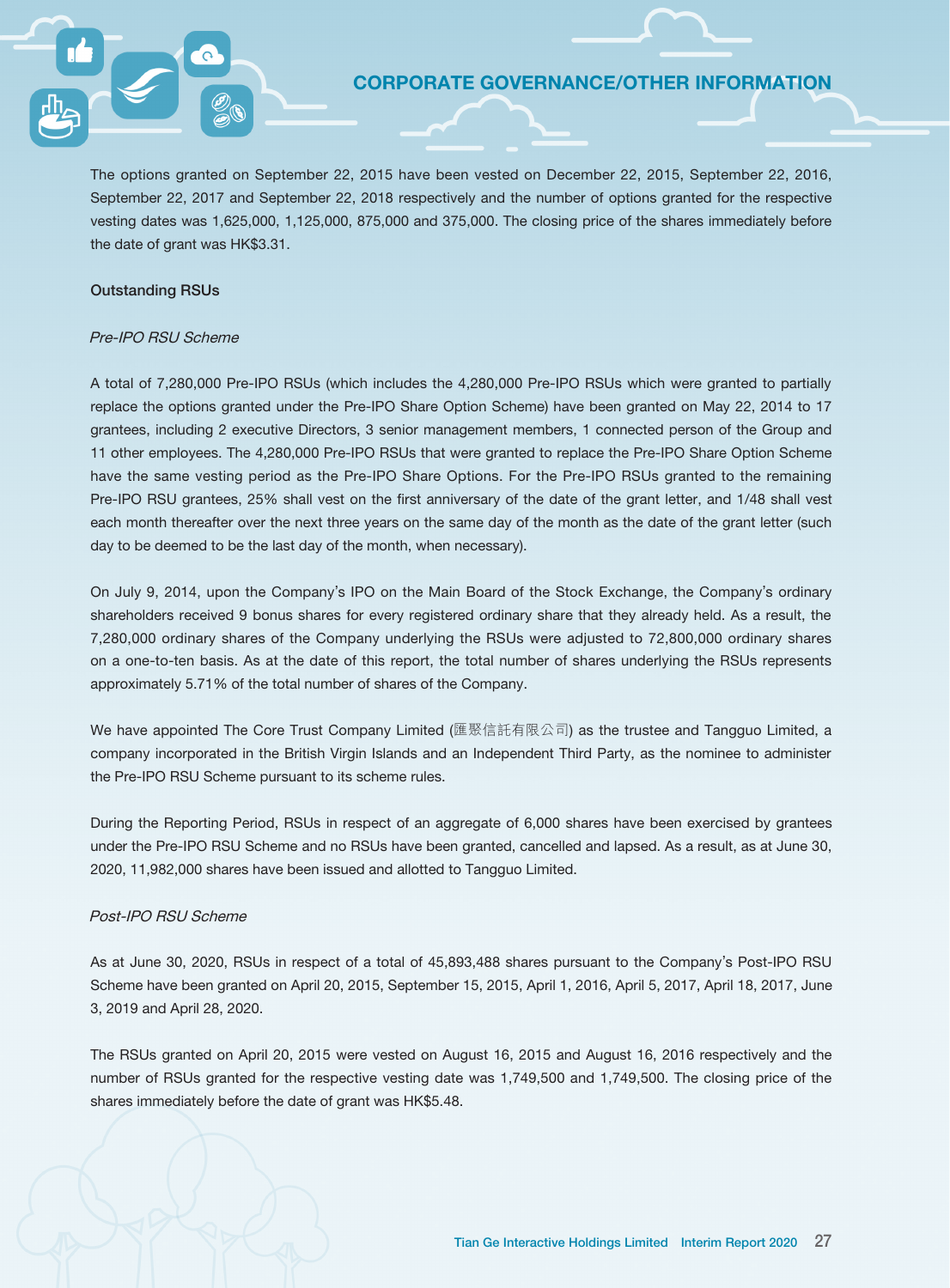The options granted on September 22, 2015 have been vested on December 22, 2015, September 22, 2016, September 22, 2017 and September 22, 2018 respectively and the number of options granted for the respective vesting dates was 1,625,000, 1,125,000, 875,000 and 375,000. The closing price of the shares immediately before the date of grant was HK\$3.31.

### Outstanding RSUs

### Pre-IPO RSU Scheme

A total of 7,280,000 Pre-IPO RSUs (which includes the 4,280,000 Pre-IPO RSUs which were granted to partially replace the options granted under the Pre-IPO Share Option Scheme) have been granted on May 22, 2014 to 17 grantees, including 2 executive Directors, 3 senior management members, 1 connected person of the Group and 11 other employees. The 4,280,000 Pre-IPO RSUs that were granted to replace the Pre-IPO Share Option Scheme have the same vesting period as the Pre-IPO Share Options. For the Pre-IPO RSUs granted to the remaining Pre-IPO RSU grantees, 25% shall vest on the first anniversary of the date of the grant letter, and 1/48 shall vest each month thereafter over the next three years on the same day of the month as the date of the grant letter (such day to be deemed to be the last day of the month, when necessary).

On July 9, 2014, upon the Company's IPO on the Main Board of the Stock Exchange, the Company's ordinary shareholders received 9 bonus shares for every registered ordinary share that they already held. As a result, the 7,280,000 ordinary shares of the Company underlying the RSUs were adjusted to 72,800,000 ordinary shares on a one-to-ten basis. As at the date of this report, the total number of shares underlying the RSUs represents approximately 5.71% of the total number of shares of the Company.

We have appointed The Core Trust Company Limited (匯聚信託有限公司) as the trustee and Tangguo Limited, a company incorporated in the British Virgin Islands and an Independent Third Party, as the nominee to administer the Pre-IPO RSU Scheme pursuant to its scheme rules.

During the Reporting Period, RSUs in respect of an aggregate of 6,000 shares have been exercised by grantees under the Pre-IPO RSU Scheme and no RSUs have been granted, cancelled and lapsed. As a result, as at June 30, 2020, 11,982,000 shares have been issued and allotted to Tangguo Limited.

### Post-IPO RSU Scheme

As at June 30, 2020, RSUs in respect of a total of 45,893,488 shares pursuant to the Company's Post-IPO RSU Scheme have been granted on April 20, 2015, September 15, 2015, April 1, 2016, April 5, 2017, April 18, 2017, June 3, 2019 and April 28, 2020.

The RSUs granted on April 20, 2015 were vested on August 16, 2015 and August 16, 2016 respectively and the number of RSUs granted for the respective vesting date was 1,749,500 and 1,749,500. The closing price of the shares immediately before the date of grant was HK\$5.48.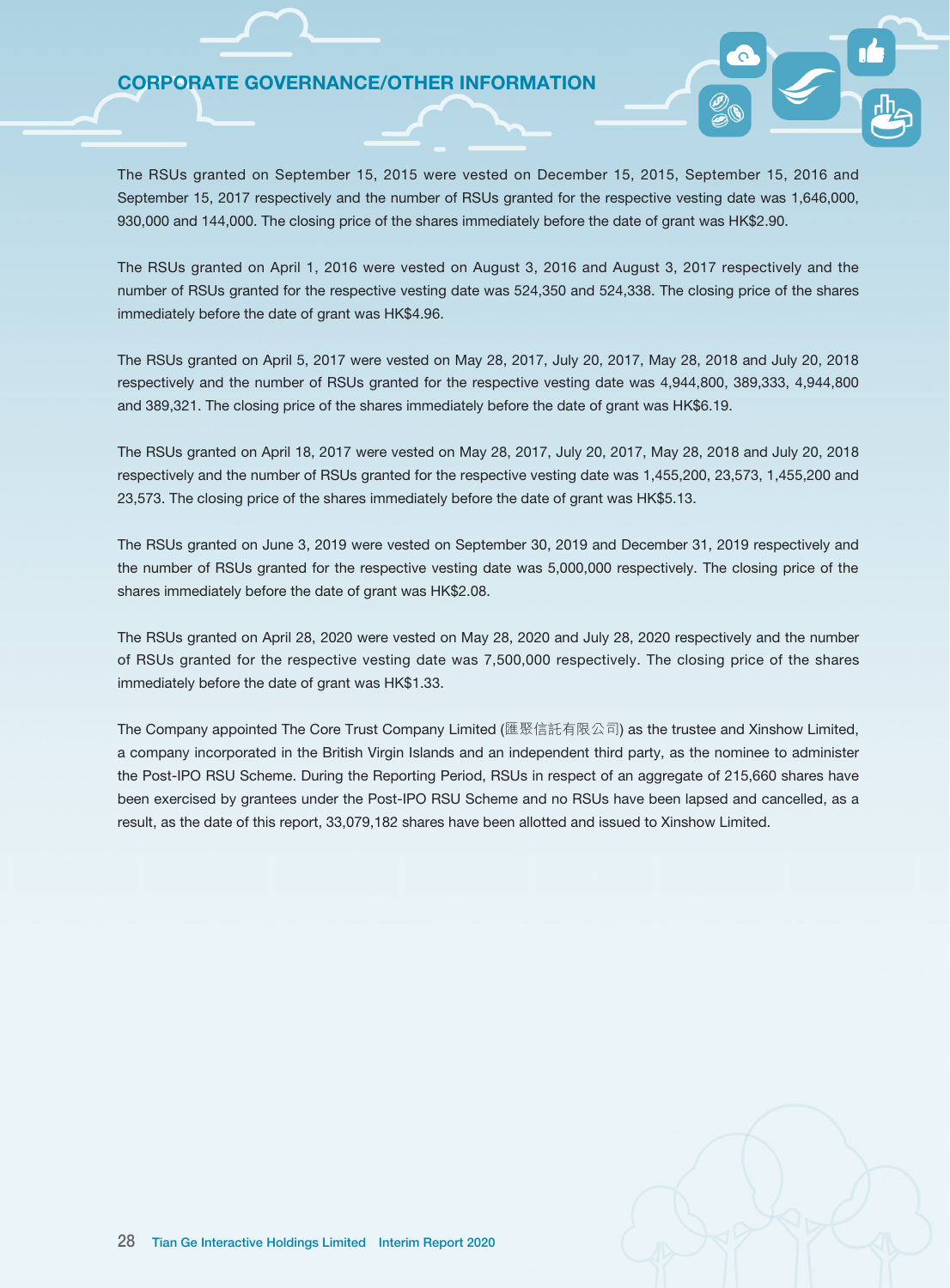The RSUs granted on September 15, 2015 were vested on December 15, 2015, September 15, 2016 and September 15, 2017 respectively and the number of RSUs granted for the respective vesting date was 1,646,000, 930,000 and 144,000. The closing price of the shares immediately before the date of grant was HK\$2.90.

The RSUs granted on April 1, 2016 were vested on August 3, 2016 and August 3, 2017 respectively and the number of RSUs granted for the respective vesting date was 524,350 and 524,338. The closing price of the shares immediately before the date of grant was HK\$4.96.

The RSUs granted on April 5, 2017 were vested on May 28, 2017, July 20, 2017, May 28, 2018 and July 20, 2018 respectively and the number of RSUs granted for the respective vesting date was 4,944,800, 389,333, 4,944,800 and 389,321. The closing price of the shares immediately before the date of grant was HK\$6.19.

The RSUs granted on April 18, 2017 were vested on May 28, 2017, July 20, 2017, May 28, 2018 and July 20, 2018 respectively and the number of RSUs granted for the respective vesting date was 1,455,200, 23,573, 1,455,200 and 23,573. The closing price of the shares immediately before the date of grant was HK\$5.13.

The RSUs granted on June 3, 2019 were vested on September 30, 2019 and December 31, 2019 respectively and the number of RSUs granted for the respective vesting date was 5,000,000 respectively. The closing price of the shares immediately before the date of grant was HK\$2.08.

The RSUs granted on April 28, 2020 were vested on May 28, 2020 and July 28, 2020 respectively and the number of RSUs granted for the respective vesting date was 7,500,000 respectively. The closing price of the shares immediately before the date of grant was HK\$1.33.

The Company appointed The Core Trust Company Limited (匯聚信託有限公司) as the trustee and Xinshow Limited, a company incorporated in the British Virgin Islands and an independent third party, as the nominee to administer the Post-IPO RSU Scheme. During the Reporting Period, RSUs in respect of an aggregate of 215,660 shares have been exercised by grantees under the Post-IPO RSU Scheme and no RSUs have been lapsed and cancelled, as a result, as the date of this report, 33,079,182 shares have been allotted and issued to Xinshow Limited.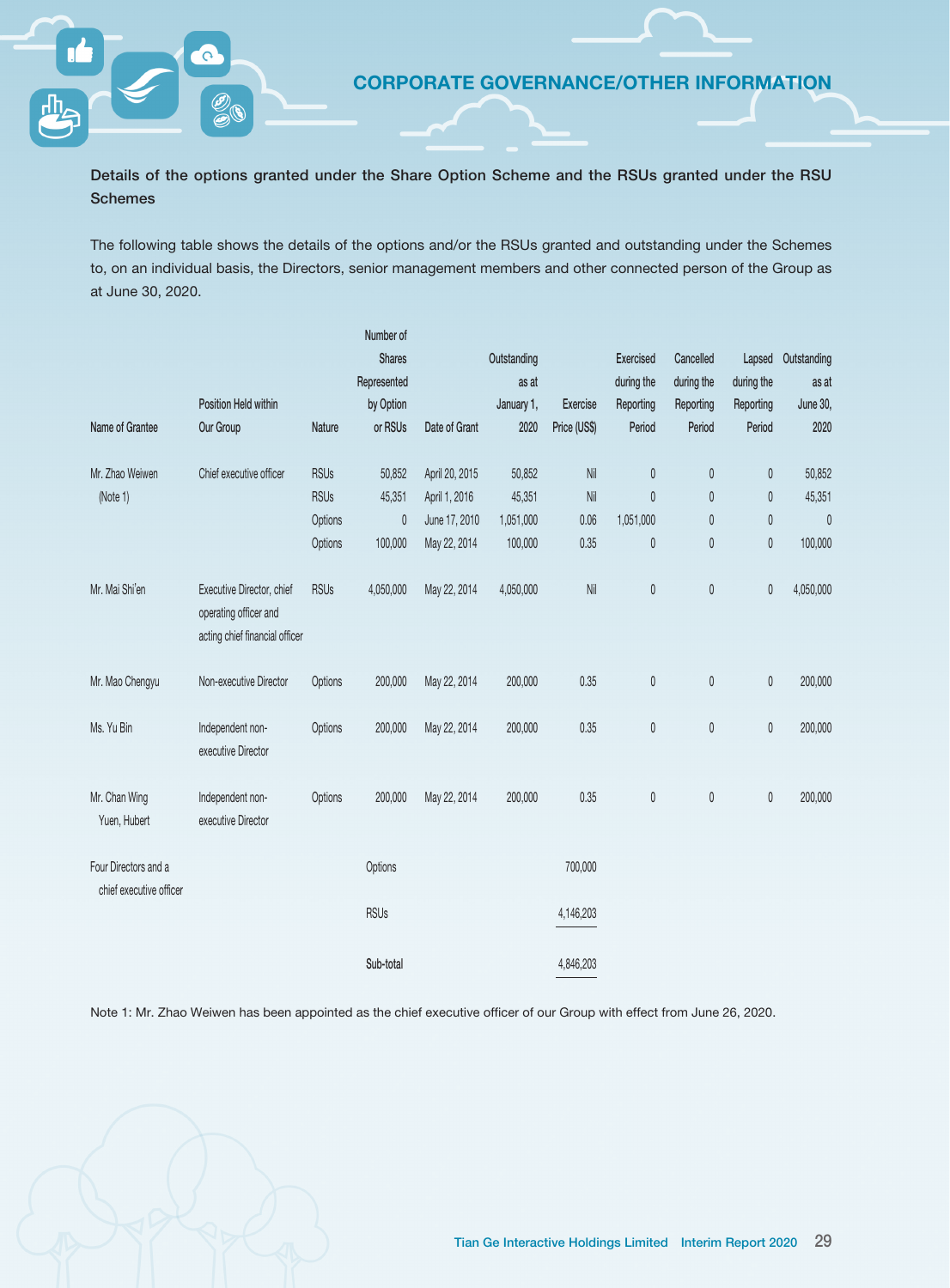Details of the options granted under the Share Option Scheme and the RSUs granted under the RSU **Schemes** 

The following table shows the details of the options and/or the RSUs granted and outstanding under the Schemes to, on an individual basis, the Directors, senior management members and other connected person of the Group as at June 30, 2020.

|                               |                                                    |                        | Number of     |                |             |                |              |              |              |             |
|-------------------------------|----------------------------------------------------|------------------------|---------------|----------------|-------------|----------------|--------------|--------------|--------------|-------------|
|                               |                                                    |                        | <b>Shares</b> |                | Outstanding |                | Exercised    | Cancelled    | Lapsed       | Outstanding |
|                               |                                                    |                        | Represented   |                | as at       |                | during the   | during the   | during the   | as at       |
|                               | Position Held within                               |                        | by Option     |                | January 1,  | Exercise       | Reporting    | Reporting    | Reporting    | June 30,    |
| Name of Grantee               | Our Group                                          | Nature                 | or RSUs       | Date of Grant  | 2020        | Price (US\$)   | Period       | Period       | Period       | 2020        |
| Mr. Zhao Weiwen               | Chief executive officer                            | <b>RSUs</b>            | 50,852        | April 20, 2015 | 50,852      | $\mathsf{Nil}$ | $\pmb{0}$    | $\mathbb O$  | $\mathbb O$  | 50,852      |
|                               |                                                    | <b>RSUs</b>            | 45,351        | April 1, 2016  | 45,351      | Nil            | $\mathbf{0}$ | $\mathbf{0}$ | $\pmb{0}$    | 45,351      |
| (Note 1)                      |                                                    |                        |               |                |             |                |              |              |              |             |
|                               |                                                    | Options                | $\theta$      | June 17, 2010  | 1,051,000   | 0.06           | 1,051,000    | $\pmb{0}$    | $\pmb{0}$    | 0           |
|                               |                                                    | Options                | 100,000       | May 22, 2014   | 100,000     | 0.35           | $\pmb{0}$    | $\mathbf{0}$ | $\mathbb{0}$ | 100,000     |
| Mr. Mai Shi'en                | Executive Director, chief<br>operating officer and | <b>RSU<sub>s</sub></b> | 4,050,000     | May 22, 2014   | 4,050,000   | Nil            | 0            | $\pmb{0}$    | $\pmb{0}$    | 4,050,000   |
|                               | acting chief financial officer                     |                        |               |                |             |                |              |              |              |             |
| Mr. Mao Chengyu               | Non-executive Director                             | Options                | 200,000       | May 22, 2014   | 200,000     | 0.35           | $\pmb{0}$    | $\mathbb O$  | $\mathbb O$  | 200,000     |
| Ms. Yu Bin                    | Independent non-<br>executive Director             | Options                | 200,000       | May 22, 2014   | 200,000     | 0.35           | 0            | $\pmb{0}$    | $\mathbb O$  | 200,000     |
| Mr. Chan Wing<br>Yuen, Hubert | Independent non-<br>executive Director             | Options                | 200,000       | May 22, 2014   | 200,000     | 0.35           | $\pmb{0}$    | $\pmb{0}$    | $\pmb{0}$    | 200,000     |
| Four Directors and a          |                                                    |                        | Options       |                |             | 700,000        |              |              |              |             |
| chief executive officer       |                                                    |                        | <b>RSUs</b>   |                |             | 4,146,203      |              |              |              |             |
|                               |                                                    |                        | Sub-total     |                |             | 4,846,203      |              |              |              |             |

Note 1: Mr. Zhao Weiwen has been appointed as the chief executive officer of our Group with effect from June 26, 2020.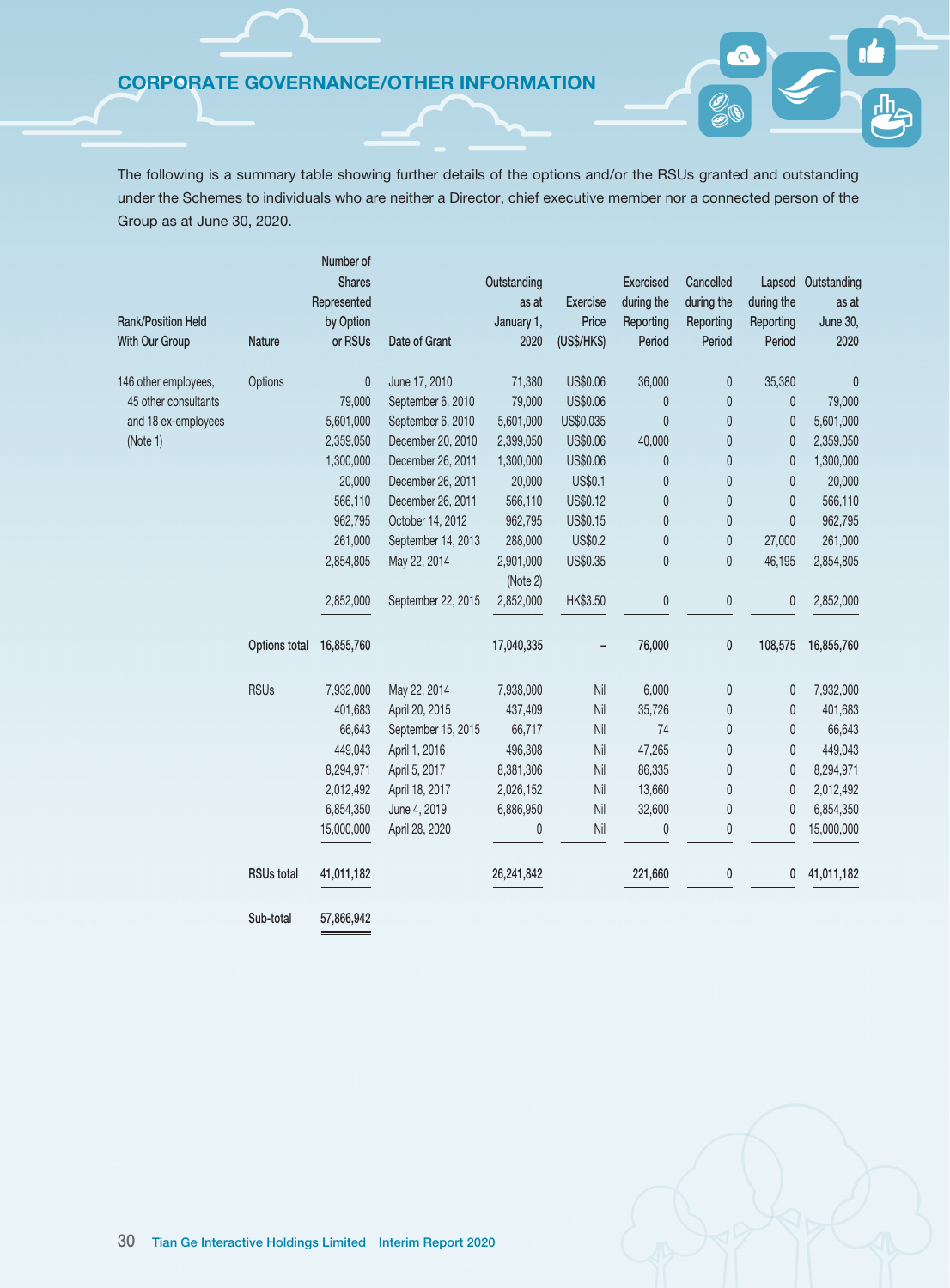The following is a summary table showing further details of the options and/or the RSUs granted and outstanding under the Schemes to individuals who are neither a Director, chief executive member nor a connected person of the Group as at June 30, 2020.

|                           |                   | Number of<br><b>Shares</b> |                    | Outstanding |                 | <b>Exercised</b> | Cancelled    | Lapsed       | Outstanding |
|---------------------------|-------------------|----------------------------|--------------------|-------------|-----------------|------------------|--------------|--------------|-------------|
|                           |                   | Represented                |                    | as at       | <b>Exercise</b> | during the       | during the   | during the   | as at       |
| <b>Rank/Position Held</b> |                   | by Option                  |                    | January 1,  | Price           | Reporting        | Reporting    | Reporting    | June 30,    |
| With Our Group            | <b>Nature</b>     | or RSUs                    | Date of Grant      | 2020        | (US\$/HK\$)     | Period           | Period       | Period       | 2020        |
| 146 other employees,      | Options           | 0                          | June 17, 2010      | 71,380      | US\$0.06        | 36,000           | $\pmb{0}$    | 35,380       | $\pmb{0}$   |
| 45 other consultants      |                   | 79,000                     | September 6, 2010  | 79,000      | US\$0.06        | 0                | $\mathbf{0}$ | 0            | 79,000      |
| and 18 ex-employees       |                   | 5,601,000                  | September 6, 2010  | 5,601,000   | US\$0.035       | $\mathbf{0}$     | $\theta$     | 0            | 5,601,000   |
| (Note 1)                  |                   | 2,359,050                  | December 20, 2010  | 2,399,050   | US\$0.06        | 40,000           | $\mathbf{0}$ | 0            | 2,359,050   |
|                           |                   | 1,300,000                  | December 26, 2011  | 1,300,000   | US\$0.06        | 0                | $\pmb{0}$    | 0            | 1,300,000   |
|                           |                   | 20,000                     | December 26, 2011  | 20,000      | US\$0.1         | 0                | $\mathbf 0$  | 0            | 20,000      |
|                           |                   | 566,110                    | December 26, 2011  | 566,110     | US\$0.12        | 0                | $\theta$     | $\mathbf{0}$ | 566,110     |
|                           |                   | 962,795                    | October 14, 2012   | 962,795     | US\$0.15        | 0                | $\theta$     | 0            | 962,795     |
|                           |                   | 261,000                    | September 14, 2013 | 288,000     | <b>US\$0.2</b>  | 0                | $\theta$     | 27,000       | 261,000     |
|                           |                   | 2,854,805                  | May 22, 2014       | 2,901,000   | US\$0.35        | 0                | $\pmb{0}$    | 46,195       | 2,854,805   |
|                           |                   |                            |                    | (Note 2)    |                 |                  |              |              |             |
|                           |                   | 2,852,000                  | September 22, 2015 | 2,852,000   | HK\$3.50        | 0                | 0            | 0            | 2,852,000   |
|                           | Options total     | 16,855,760                 |                    | 17,040,335  | ۰               | 76,000           | 0            | 108,575      | 16,855,760  |
|                           | <b>RSUs</b>       | 7,932,000                  | May 22, 2014       | 7,938,000   | Nil             | 6,000            | 0            | 0            | 7,932,000   |
|                           |                   | 401,683                    | April 20, 2015     | 437,409     | Nil             | 35,726           | 0            | 0            | 401,683     |
|                           |                   | 66,643                     | September 15, 2015 | 66,717      | Nil             | 74               | 0            | 0            | 66,643      |
|                           |                   | 449,043                    | April 1, 2016      | 496,308     | Nil             | 47,265           | 0            | 0            | 449,043     |
|                           |                   | 8,294,971                  | April 5, 2017      | 8,381,306   | Nil             | 86,335           | 0            | 0            | 8,294,971   |
|                           |                   | 2,012,492                  | April 18, 2017     | 2,026,152   | Nil             | 13,660           | 0            | 0            | 2,012,492   |
|                           |                   | 6,854,350                  | June 4, 2019       | 6,886,950   | Nil             | 32,600           | 0            | 0            | 6,854,350   |
|                           |                   | 15,000,000                 | April 28, 2020     | 0           | Nil             | 0                | 0            | 0            | 15,000,000  |
|                           | <b>RSUs total</b> | 41,011,182                 |                    | 26,241,842  |                 | 221,660          | 0            | 0            | 41,011,182  |
|                           | Sub-total         | 57,866,942                 |                    |             |                 |                  |              |              |             |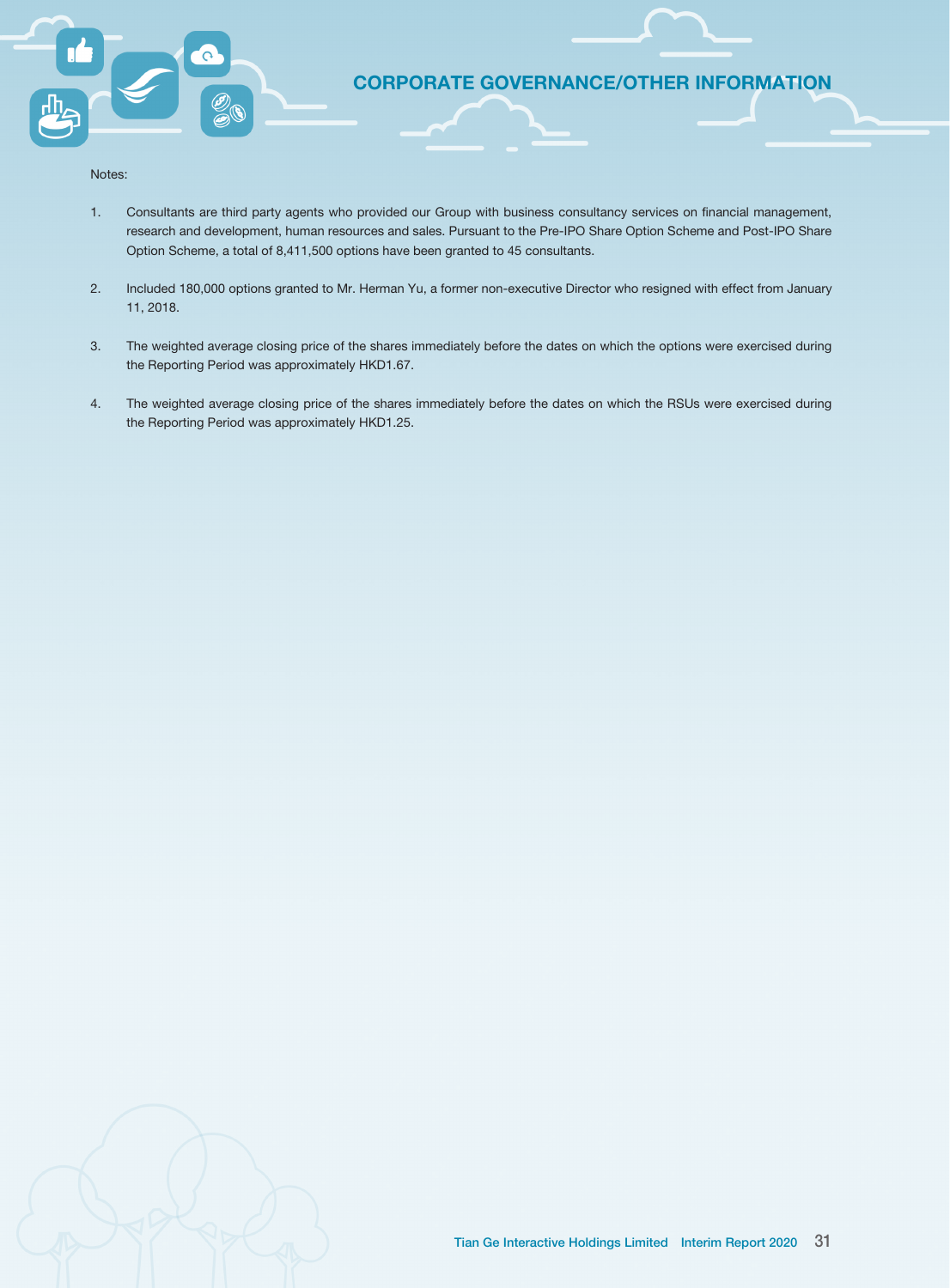

Notes:

- 1. Consultants are third party agents who provided our Group with business consultancy services on financial management, research and development, human resources and sales. Pursuant to the Pre-IPO Share Option Scheme and Post-IPO Share Option Scheme, a total of 8,411,500 options have been granted to 45 consultants.
- 2. Included 180,000 options granted to Mr. Herman Yu, a former non-executive Director who resigned with effect from January 11, 2018.
- 3. The weighted average closing price of the shares immediately before the dates on which the options were exercised during the Reporting Period was approximately HKD1.67.
- 4. The weighted average closing price of the shares immediately before the dates on which the RSUs were exercised during the Reporting Period was approximately HKD1.25.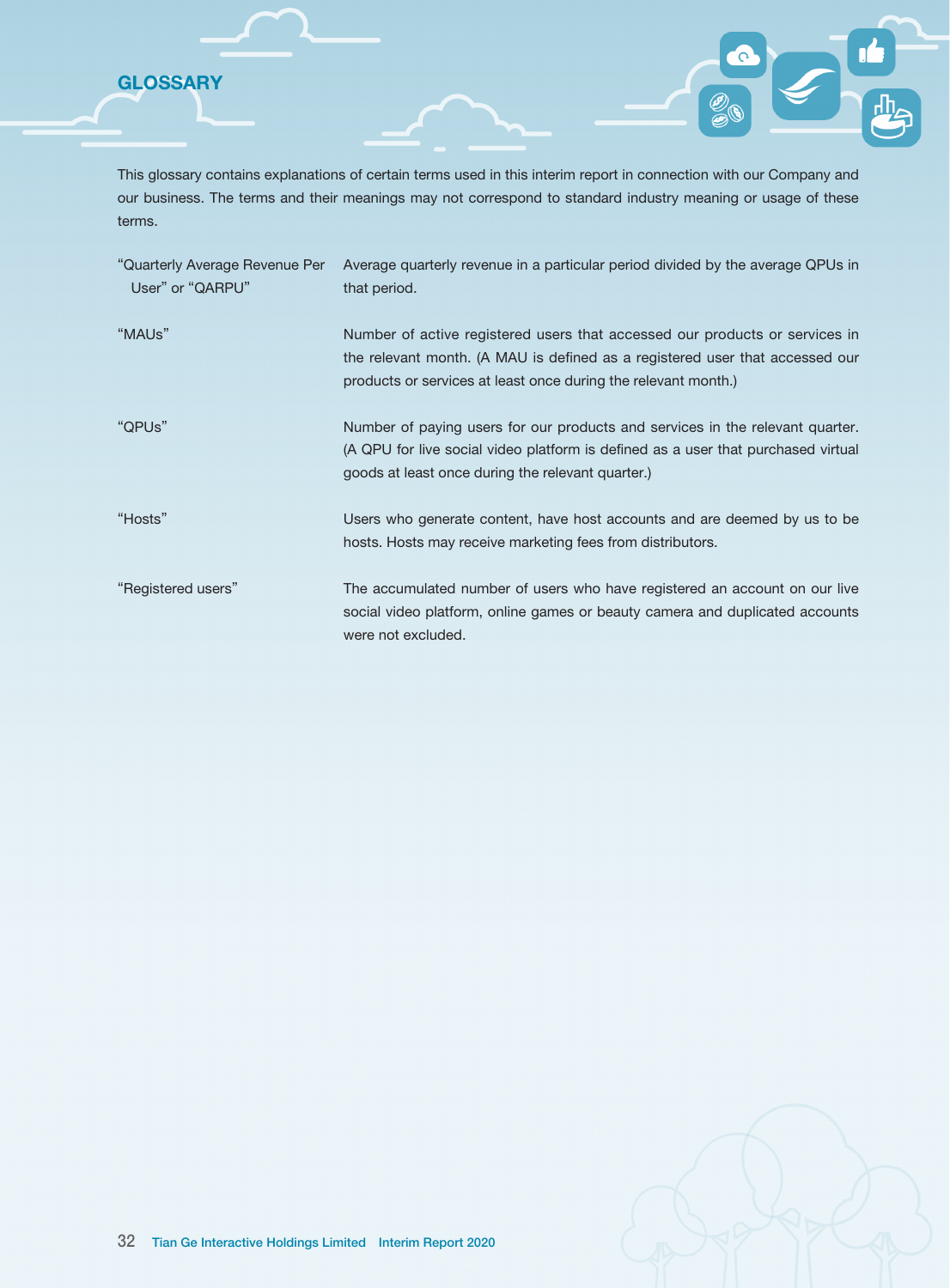**GLOSSARY** 

This glossary contains explanations of certain terms used in this interim report in connection with our Company and our business. The terms and their meanings may not correspond to standard industry meaning or usage of these terms.

| "Quarterly Average Revenue Per<br>User" or "QARPU" | Average quarterly revenue in a particular period divided by the average QPUs in<br>that period.                                                                                                                               |
|----------------------------------------------------|-------------------------------------------------------------------------------------------------------------------------------------------------------------------------------------------------------------------------------|
| "MAUs"                                             | Number of active registered users that accessed our products or services in<br>the relevant month. (A MAU is defined as a registered user that accessed our<br>products or services at least once during the relevant month.) |
| "QPUs"                                             | Number of paying users for our products and services in the relevant quarter.<br>(A QPU for live social video platform is defined as a user that purchased virtual<br>goods at least once during the relevant quarter.)       |
| "Hosts"                                            | Users who generate content, have host accounts and are deemed by us to be<br>hosts. Hosts may receive marketing fees from distributors.                                                                                       |
| "Registered users"                                 | The accumulated number of users who have registered an account on our live<br>social video platform, online games or beauty camera and duplicated accounts<br>were not excluded.                                              |

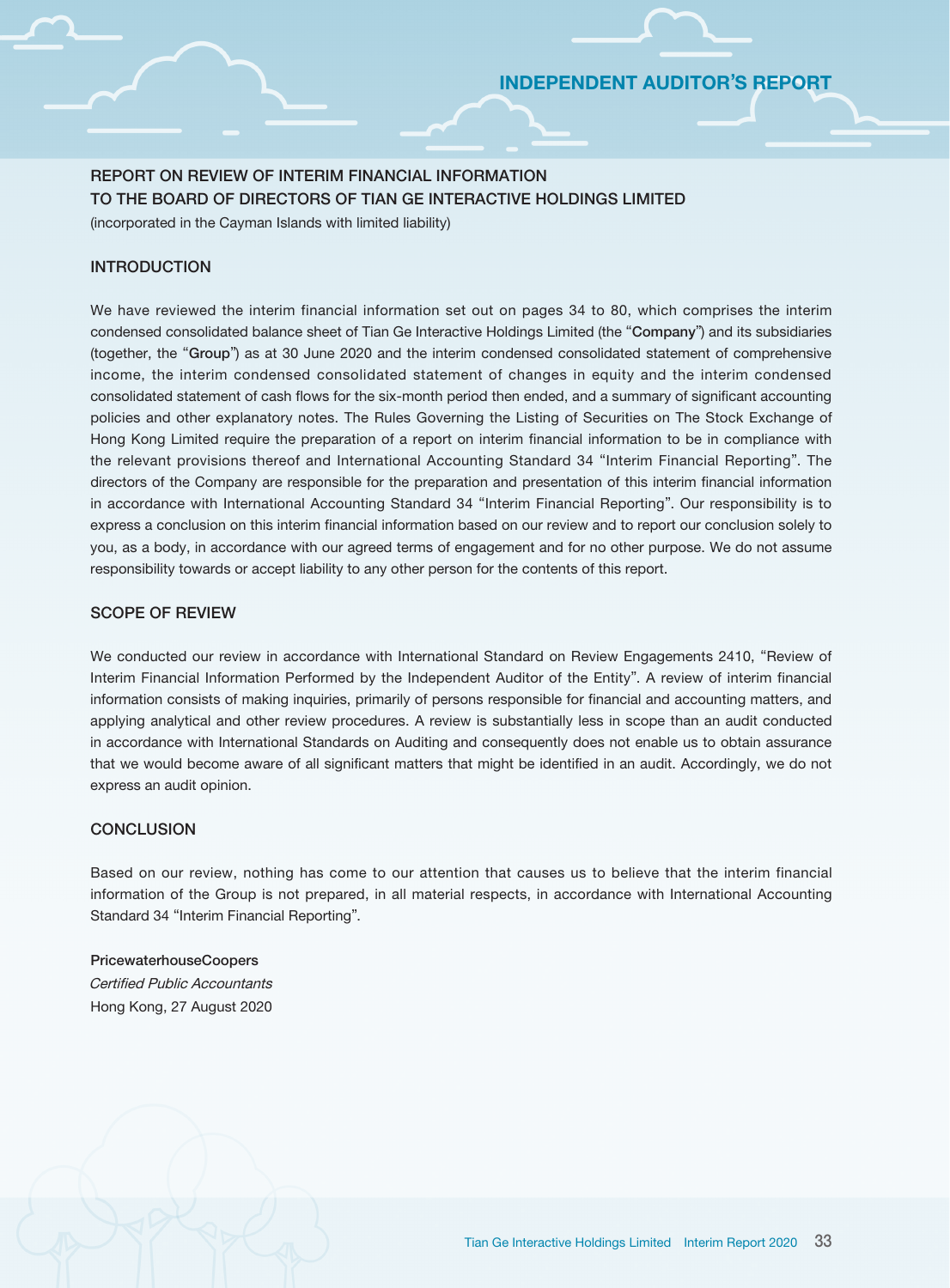# INDEPENDENT AUDITOR'S REPORT

# REPORT ON REVIEW OF INTERIM FINANCIAL INFORMATION TO THE BOARD OF DIRECTORS OF TIAN GE INTERACTIVE HOLDINGS LIMITED

(incorporated in the Cayman Islands with limited liability)

### INTRODUCTION

We have reviewed the interim financial information set out on pages 34 to 80, which comprises the interim condensed consolidated balance sheet of Tian Ge Interactive Holdings Limited (the "Company") and its subsidiaries (together, the "Group") as at 30 June 2020 and the interim condensed consolidated statement of comprehensive income, the interim condensed consolidated statement of changes in equity and the interim condensed consolidated statement of cash flows for the six-month period then ended, and a summary of significant accounting policies and other explanatory notes. The Rules Governing the Listing of Securities on The Stock Exchange of Hong Kong Limited require the preparation of a report on interim financial information to be in compliance with the relevant provisions thereof and International Accounting Standard 34 "Interim Financial Reporting". The directors of the Company are responsible for the preparation and presentation of this interim financial information in accordance with International Accounting Standard 34 "Interim Financial Reporting". Our responsibility is to express a conclusion on this interim financial information based on our review and to report our conclusion solely to you, as a body, in accordance with our agreed terms of engagement and for no other purpose. We do not assume responsibility towards or accept liability to any other person for the contents of this report.

### SCOPE OF REVIEW

We conducted our review in accordance with International Standard on Review Engagements 2410, "Review of Interim Financial Information Performed by the Independent Auditor of the Entity". A review of interim financial information consists of making inquiries, primarily of persons responsible for financial and accounting matters, and applying analytical and other review procedures. A review is substantially less in scope than an audit conducted in accordance with International Standards on Auditing and consequently does not enable us to obtain assurance that we would become aware of all significant matters that might be identified in an audit. Accordingly, we do not express an audit opinion.

### **CONCLUSION**

Based on our review, nothing has come to our attention that causes us to believe that the interim financial information of the Group is not prepared, in all material respects, in accordance with International Accounting Standard 34 "Interim Financial Reporting".

PricewaterhouseCoopers Certified Public Accountants Hong Kong, 27 August 2020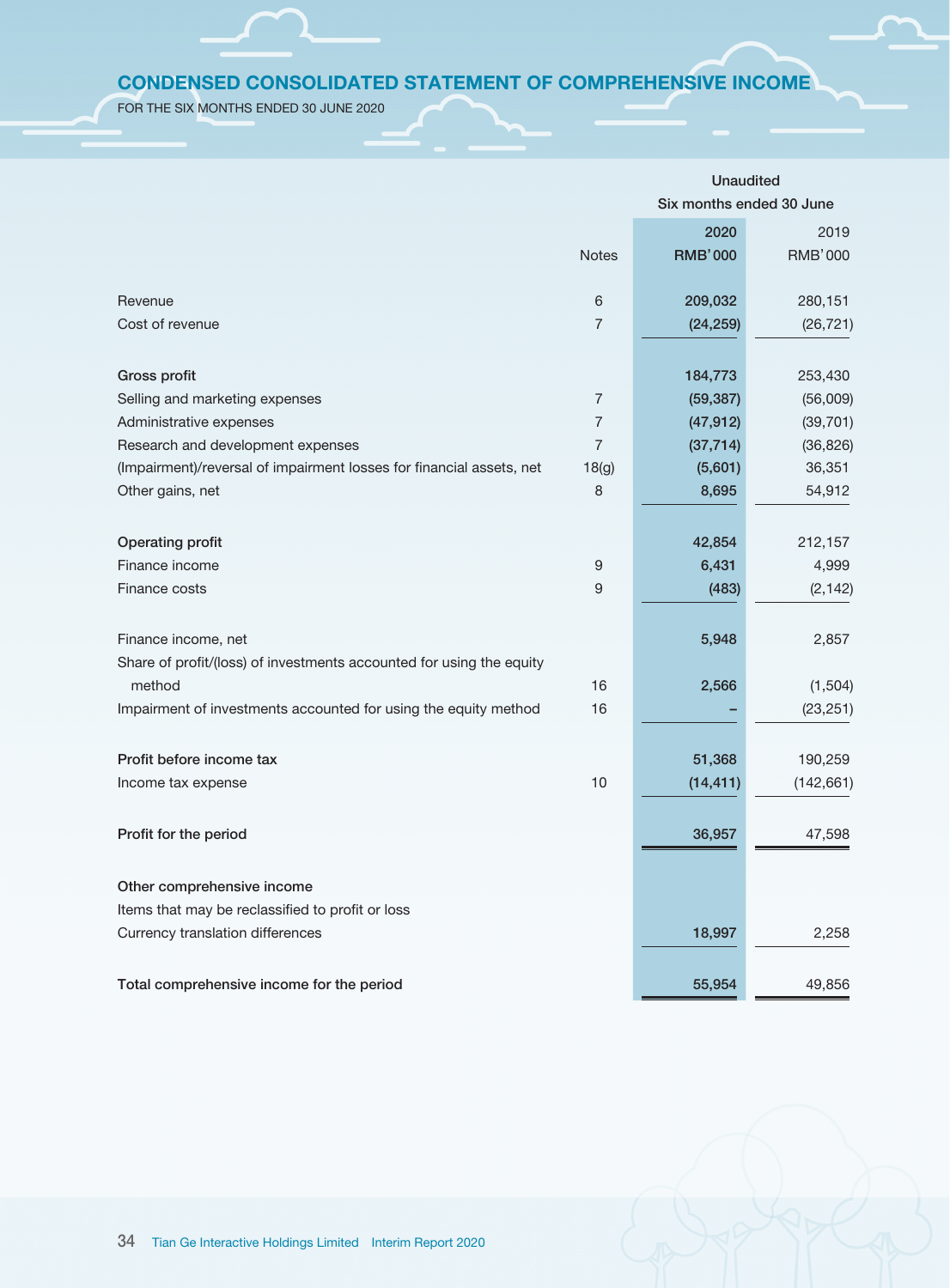# CONDENSED CONSOLIDATED STATEMENT OF COMPREHENSIVE INCOME

FOR THE SIX MONTHS ENDED 30 JUNE 2020

|                                                                      |                  | <b>Unaudited</b>         |                |  |
|----------------------------------------------------------------------|------------------|--------------------------|----------------|--|
|                                                                      |                  | Six months ended 30 June |                |  |
|                                                                      |                  | 2020                     | 2019           |  |
|                                                                      | <b>Notes</b>     | <b>RMB'000</b>           | <b>RMB'000</b> |  |
| Revenue                                                              | 6                | 209,032                  | 280,151        |  |
| Cost of revenue                                                      | $\overline{7}$   |                          |                |  |
|                                                                      |                  | (24, 259)                | (26, 721)      |  |
| Gross profit                                                         |                  | 184,773                  | 253,430        |  |
| Selling and marketing expenses                                       | $\overline{7}$   | (59, 387)                | (56,009)       |  |
| Administrative expenses                                              | $\overline{7}$   | (47, 912)                | (39, 701)      |  |
| Research and development expenses                                    | $\overline{7}$   | (37, 714)                | (36, 826)      |  |
| (Impairment)/reversal of impairment losses for financial assets, net | 18(g)            | (5,601)                  | 36,351         |  |
| Other gains, net                                                     | 8                | 8,695                    | 54,912         |  |
|                                                                      |                  |                          |                |  |
| Operating profit                                                     |                  | 42,854                   | 212,157        |  |
| Finance income                                                       | $\boldsymbol{9}$ | 6,431                    | 4,999          |  |
| Finance costs                                                        | 9                | (483)                    | (2, 142)       |  |
|                                                                      |                  |                          |                |  |
| Finance income, net                                                  |                  | 5,948                    | 2,857          |  |
| Share of profit/(loss) of investments accounted for using the equity |                  |                          |                |  |
| method                                                               | 16               | 2,566                    | (1,504)        |  |
| Impairment of investments accounted for using the equity method      | 16               |                          | (23, 251)      |  |
|                                                                      |                  |                          |                |  |
| Profit before income tax                                             |                  | 51,368                   | 190,259        |  |
| Income tax expense                                                   | 10               | (14, 411)                | (142, 661)     |  |
|                                                                      |                  |                          |                |  |
| Profit for the period                                                |                  | 36,957                   | 47,598         |  |
|                                                                      |                  |                          |                |  |
| Other comprehensive income                                           |                  |                          |                |  |
| Items that may be reclassified to profit or loss                     |                  |                          |                |  |
| Currency translation differences                                     |                  | 18,997                   | 2,258          |  |
| Total comprehensive income for the period                            |                  | 55,954                   | 49,856         |  |
|                                                                      |                  |                          |                |  |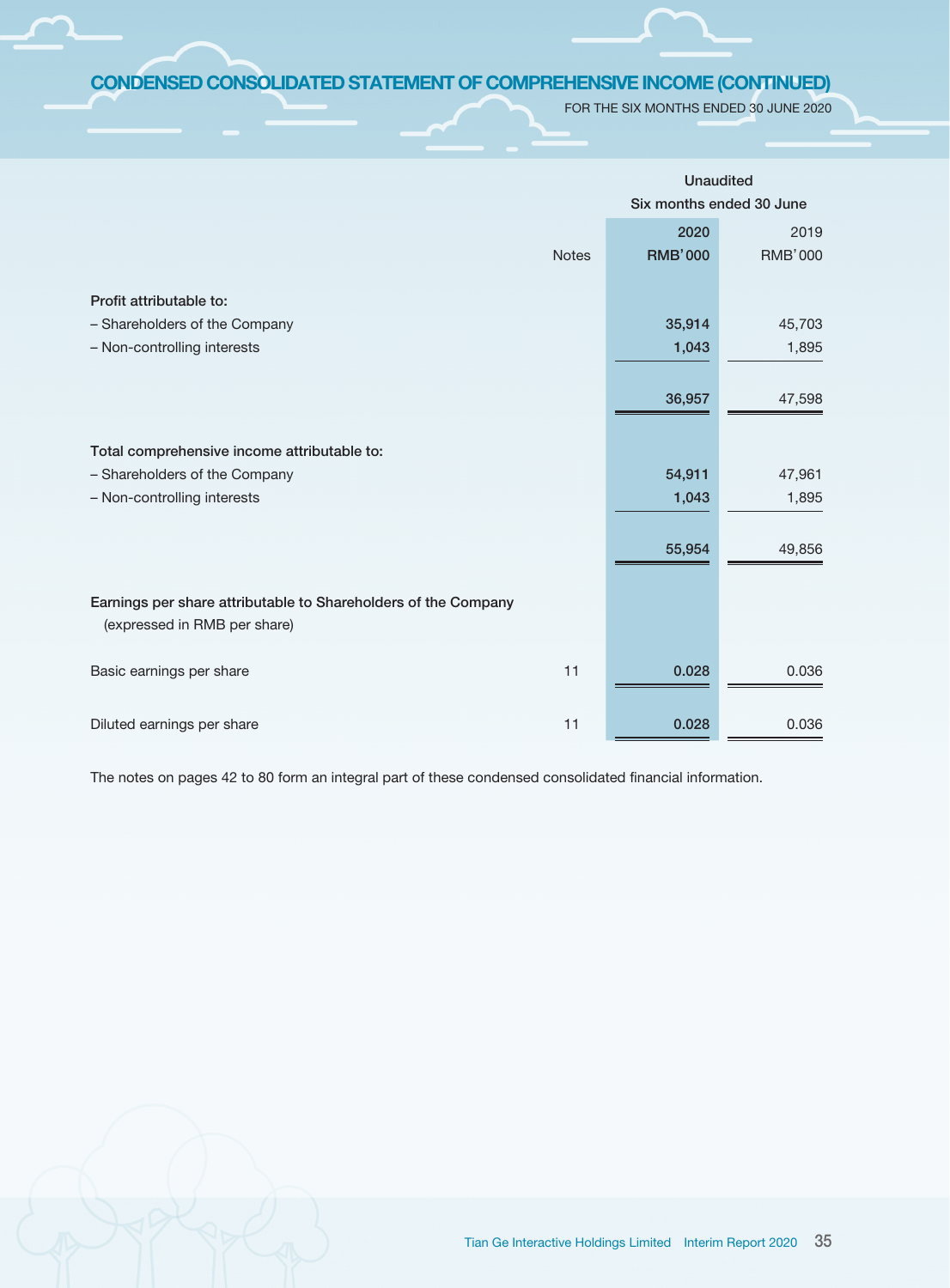# CONDENSED CONSOLIDATED STATEMENT OF COMPREHENSIVE INCOME (CONTINUED)

FOR THE SIX MONTHS ENDED 30 JUNE 2020

|                                                                |              | <b>Unaudited</b>         |                |  |
|----------------------------------------------------------------|--------------|--------------------------|----------------|--|
|                                                                |              | Six months ended 30 June |                |  |
|                                                                |              | 2020                     | 2019           |  |
|                                                                | <b>Notes</b> | <b>RMB'000</b>           | <b>RMB'000</b> |  |
|                                                                |              |                          |                |  |
| Profit attributable to:                                        |              |                          |                |  |
| - Shareholders of the Company                                  |              | 35,914                   | 45,703         |  |
| - Non-controlling interests                                    |              | 1,043                    | 1,895          |  |
|                                                                |              |                          |                |  |
|                                                                |              | 36,957                   | 47,598         |  |
|                                                                |              |                          |                |  |
| Total comprehensive income attributable to:                    |              |                          |                |  |
| - Shareholders of the Company                                  |              | 54,911                   | 47,961         |  |
| - Non-controlling interests                                    |              | 1,043                    | 1,895          |  |
|                                                                |              |                          |                |  |
|                                                                |              | 55,954                   | 49,856         |  |
|                                                                |              |                          |                |  |
|                                                                |              |                          |                |  |
| Earnings per share attributable to Shareholders of the Company |              |                          |                |  |
| (expressed in RMB per share)                                   |              |                          |                |  |
| Basic earnings per share                                       | 11           | 0.028                    | 0.036          |  |
|                                                                |              |                          |                |  |
|                                                                |              |                          |                |  |
| Diluted earnings per share                                     | 11           | 0.028                    | 0.036          |  |

The notes on pages 42 to 80 form an integral part of these condensed consolidated financial information.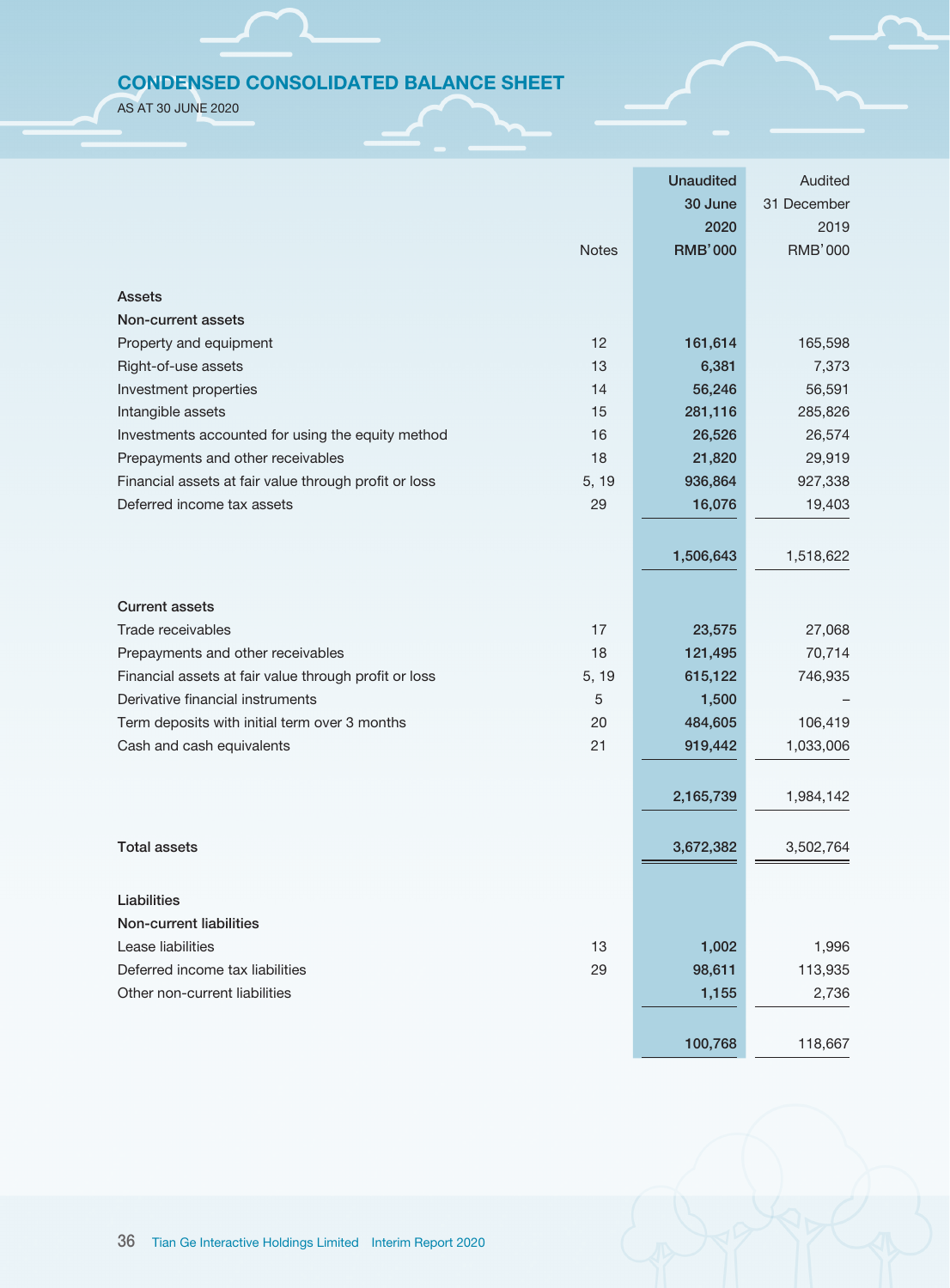# CONDENSED CONSOLIDATED BALANCE SHEET

AS AT 30 JUNE 2020

|                                                                | <b>Unaudited</b> | Audited        |
|----------------------------------------------------------------|------------------|----------------|
|                                                                | 30 June          | 31 December    |
|                                                                | 2020             | 2019           |
| <b>Notes</b>                                                   | <b>RMB'000</b>   | <b>RMB'000</b> |
|                                                                |                  |                |
| <b>Assets</b>                                                  |                  |                |
| Non-current assets                                             |                  |                |
| 12<br>Property and equipment                                   | 161,614          | 165,598        |
| Right-of-use assets<br>13                                      | 6,381            | 7,373          |
| Investment properties<br>14                                    | 56,246           | 56,591         |
| Intangible assets<br>15                                        | 281,116          | 285,826        |
| 16<br>Investments accounted for using the equity method        | 26,526           | 26,574         |
| Prepayments and other receivables<br>18                        | 21,820           | 29,919         |
| Financial assets at fair value through profit or loss<br>5, 19 | 936,864          | 927,338        |
| Deferred income tax assets<br>29                               | 16,076           | 19,403         |
|                                                                |                  |                |
|                                                                | 1,506,643        | 1,518,622      |
|                                                                |                  |                |
| <b>Current assets</b>                                          |                  |                |
| 17<br>Trade receivables                                        | 23,575           | 27,068         |
| 18<br>Prepayments and other receivables                        | 121,495          | 70,714         |
| Financial assets at fair value through profit or loss<br>5, 19 | 615,122          | 746,935        |
| Derivative financial instruments<br>5                          | 1,500            |                |
| Term deposits with initial term over 3 months<br>20            | 484,605          | 106,419        |
| Cash and cash equivalents<br>21                                | 919,442          | 1,033,006      |
|                                                                |                  |                |
|                                                                | 2,165,739        | 1,984,142      |
|                                                                |                  |                |
| <b>Total assets</b>                                            | 3,672,382        | 3,502,764      |
|                                                                |                  |                |
| Liabilities                                                    |                  |                |
| Non-current liabilities                                        |                  |                |
| Lease liabilities<br>13                                        | 1,002            | 1,996          |
| 29<br>Deferred income tax liabilities                          | 98,611           | 113,935        |
| Other non-current liabilities                                  | 1,155            | 2,736          |
|                                                                |                  |                |
|                                                                | 100,768          | 118,667        |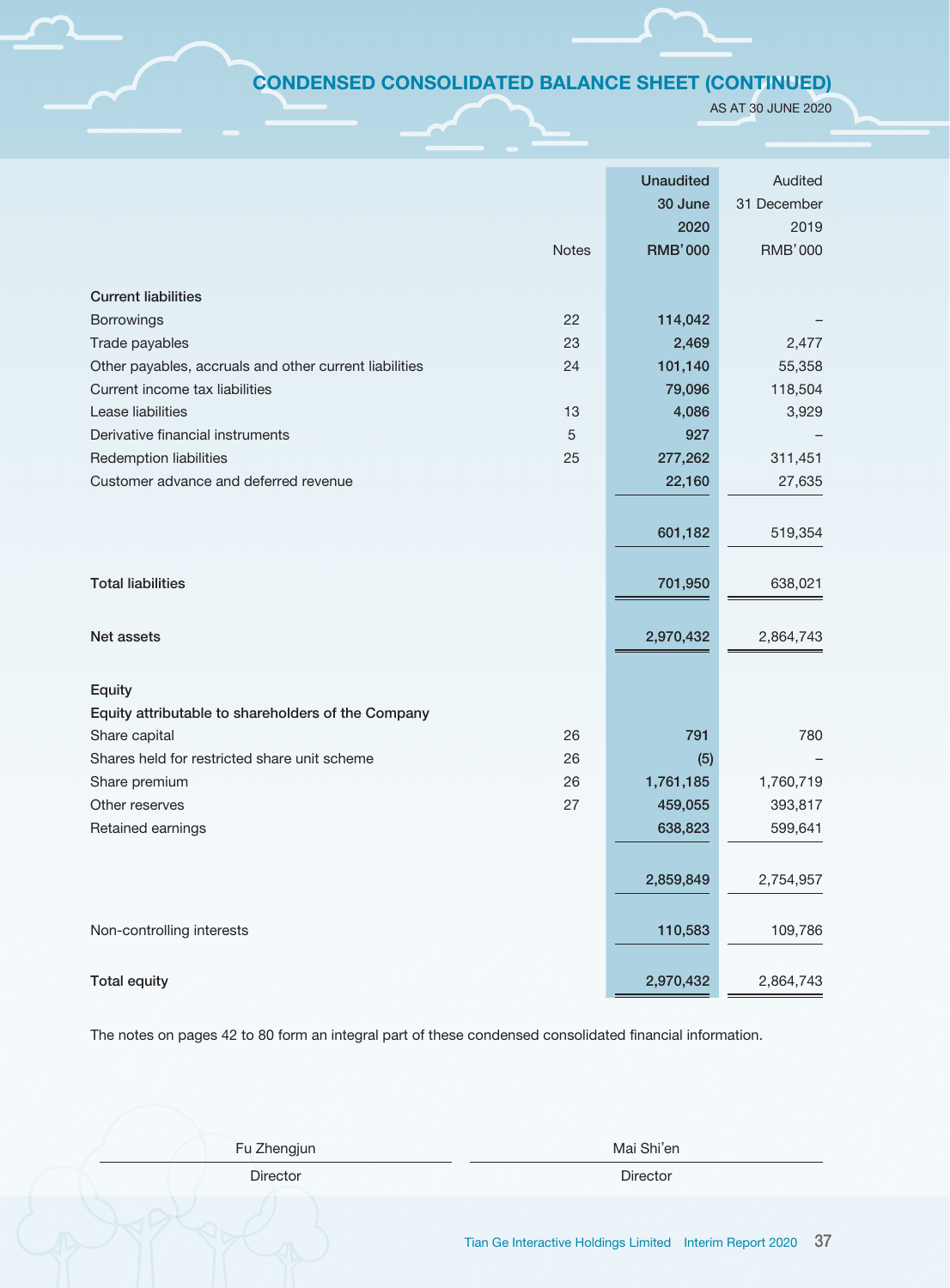# CONDENSED CONSOLIDATED BALANCE SHEET (CONTINUED)

AS AT 30 JUNE 2020

|                                                        |              | <b>Unaudited</b> | Audited        |
|--------------------------------------------------------|--------------|------------------|----------------|
|                                                        |              | 30 June          | 31 December    |
|                                                        |              | 2020             | 2019           |
|                                                        | <b>Notes</b> | <b>RMB'000</b>   | <b>RMB'000</b> |
|                                                        |              |                  |                |
| <b>Current liabilities</b>                             |              |                  |                |
| Borrowings                                             | 22           | 114,042          |                |
| Trade payables                                         | 23           | 2,469            | 2,477          |
| Other payables, accruals and other current liabilities | 24           | 101,140          | 55,358         |
| Current income tax liabilities                         |              | 79,096           | 118,504        |
| Lease liabilities                                      | 13           | 4,086            | 3,929          |
| Derivative financial instruments                       | 5            | 927              |                |
| Redemption liabilities                                 | 25           | 277,262          | 311,451        |
| Customer advance and deferred revenue                  |              | 22,160           | 27,635         |
|                                                        |              |                  |                |
|                                                        |              | 601,182          | 519,354        |
|                                                        |              |                  |                |
| <b>Total liabilities</b>                               |              | 701,950          | 638,021        |
|                                                        |              |                  |                |
|                                                        |              |                  |                |
| Net assets                                             |              | 2,970,432        | 2,864,743      |
|                                                        |              |                  |                |
| Equity                                                 |              |                  |                |
| Equity attributable to shareholders of the Company     |              |                  |                |
| Share capital                                          | 26           | 791              | 780            |
| Shares held for restricted share unit scheme           | 26           | (5)              |                |
| Share premium                                          | 26           | 1,761,185        | 1,760,719      |
| Other reserves                                         | 27           | 459,055          | 393,817        |
| Retained earnings                                      |              | 638,823          | 599,641        |
|                                                        |              |                  |                |
|                                                        |              | 2,859,849        | 2,754,957      |
|                                                        |              |                  |                |
| Non-controlling interests                              |              | 110,583          | 109,786        |
|                                                        |              |                  |                |
|                                                        |              |                  |                |
| <b>Total equity</b>                                    |              | 2,970,432        | 2,864,743      |

The notes on pages 42 to 80 form an integral part of these condensed consolidated financial information.

| Fu Zhengjun     | Mai Shi'en      |
|-----------------|-----------------|
| <b>Director</b> | <b>Director</b> |
|                 |                 |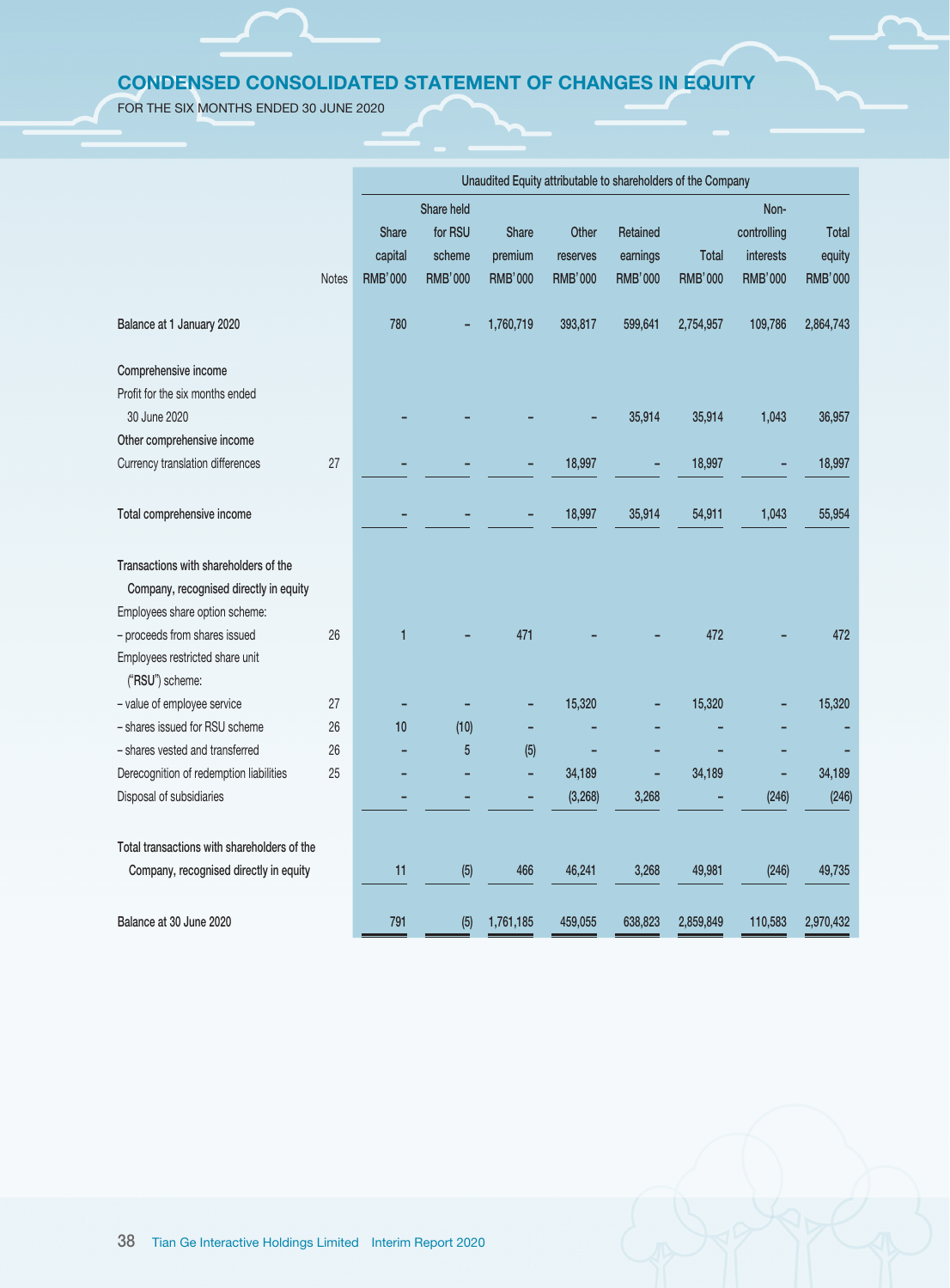# CONDENSED CONSOLIDATED STATEMENT OF CHANGES IN EQUITY

FOR THE SIX MONTHS ENDED 30 JUNE 2020

|                                             |              | Unaudited Equity attributable to shareholders of the Company |                |                |                |                |                |                |                |
|---------------------------------------------|--------------|--------------------------------------------------------------|----------------|----------------|----------------|----------------|----------------|----------------|----------------|
|                                             |              |                                                              | Share held     |                |                |                |                | Non-           |                |
|                                             |              | Share                                                        | for RSU        | Share          | Other          | Retained       |                | controlling    | <b>Total</b>   |
|                                             |              | capital                                                      | scheme         | premium        | reserves       | earnings       | <b>Total</b>   | interests      | equity         |
|                                             | <b>Notes</b> | <b>RMB'000</b>                                               | <b>RMB'000</b> | <b>RMB'000</b> | <b>RMB'000</b> | <b>RMB'000</b> | <b>RMB'000</b> | <b>RMB'000</b> | <b>RMB'000</b> |
| Balance at 1 January 2020                   |              | 780                                                          |                | 1,760,719      | 393,817        | 599,641        | 2,754,957      | 109,786        | 2,864,743      |
| Comprehensive income                        |              |                                                              |                |                |                |                |                |                |                |
| Profit for the six months ended             |              |                                                              |                |                |                |                |                |                |                |
| 30 June 2020                                |              |                                                              |                |                |                | 35,914         | 35,914         | 1,043          | 36,957         |
| Other comprehensive income                  |              |                                                              |                |                |                |                |                |                |                |
| Currency translation differences            | 27           |                                                              |                |                | 18,997         | ٠              | 18,997         |                | 18,997         |
|                                             |              |                                                              |                |                |                |                |                |                |                |
| Total comprehensive income                  |              |                                                              |                |                | 18,997         | 35,914         | 54,911         | 1,043          | 55,954         |
| Transactions with shareholders of the       |              |                                                              |                |                |                |                |                |                |                |
| Company, recognised directly in equity      |              |                                                              |                |                |                |                |                |                |                |
| Employees share option scheme:              |              |                                                              |                |                |                |                |                |                |                |
| - proceeds from shares issued               | 26           | $\mathbf{1}$                                                 |                | 471            |                |                | 472            |                | 472            |
| Employees restricted share unit             |              |                                                              |                |                |                |                |                |                |                |
| ("RSU") scheme:                             |              |                                                              |                |                |                |                |                |                |                |
| - value of employee service                 | 27           |                                                              |                |                | 15,320         |                | 15,320         |                | 15,320         |
| - shares issued for RSU scheme              | 26           | 10                                                           | (10)           |                |                |                |                |                |                |
| - shares vested and transferred             | 26           |                                                              | $\overline{5}$ | (5)            |                |                |                |                |                |
| Derecognition of redemption liabilities     | 25           |                                                              |                | L,             | 34,189         |                | 34,189         |                | 34,189         |
| Disposal of subsidiaries                    |              |                                                              |                |                | (3, 268)       | 3,268          |                | (246)          | (246)          |
|                                             |              |                                                              |                |                |                |                |                |                |                |
| Total transactions with shareholders of the |              |                                                              |                |                |                |                |                |                |                |
| Company, recognised directly in equity      |              | 11                                                           | (5)            | 466            | 46,241         | 3,268          | 49,981         | (246)          | 49,735         |
|                                             |              |                                                              |                |                |                |                |                |                |                |
| Balance at 30 June 2020                     |              | 791                                                          | (5)            | 1,761,185      | 459,055        | 638,823        | 2,859,849      | 110,583        | 2,970,432      |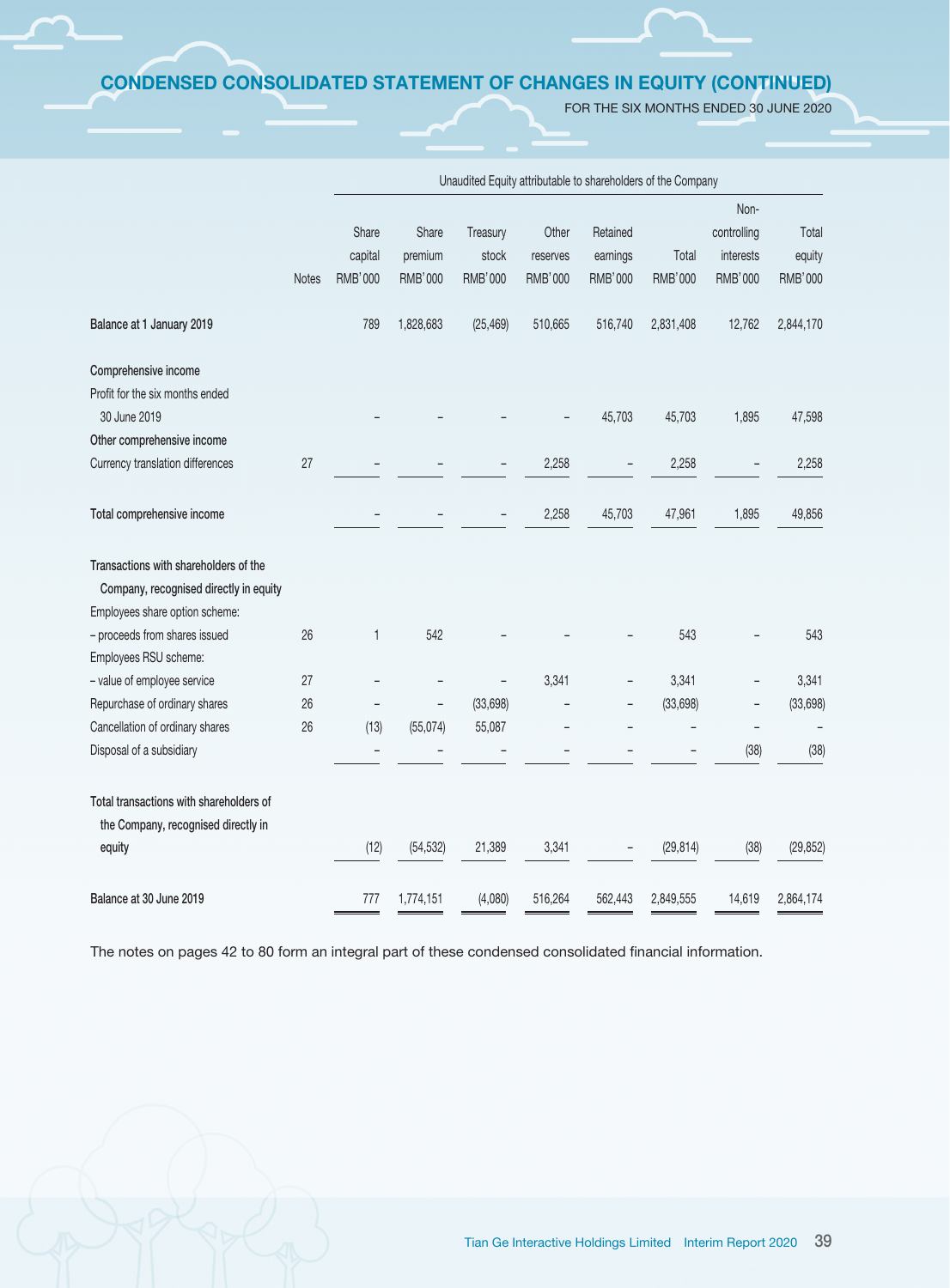# CONDENSED CONSOLIDATED STATEMENT OF CHANGES IN EQUITY (CONTINUED)

FOR THE SIX MONTHS ENDED 30 JUNE 2020

|                                         |              |                          |                |           |                |          |                | Non-                     |                |
|-----------------------------------------|--------------|--------------------------|----------------|-----------|----------------|----------|----------------|--------------------------|----------------|
|                                         |              | Share                    | Share          | Treasury  | Other          | Retained |                | controlling              | Total          |
|                                         |              | capital                  | premium        | stock     | reserves       | earnings | Total          | interests                | equity         |
|                                         | <b>Notes</b> | RMB'000                  | <b>RMB'000</b> | RMB'000   | <b>RMB'000</b> | RMB'000  | <b>RMB'000</b> | <b>RMB'000</b>           | <b>RMB'000</b> |
| Balance at 1 January 2019               |              | 789                      | 1,828,683      | (25, 469) | 510,665        | 516,740  | 2,831,408      | 12,762                   | 2,844,170      |
| Comprehensive income                    |              |                          |                |           |                |          |                |                          |                |
| Profit for the six months ended         |              |                          |                |           |                |          |                |                          |                |
| 30 June 2019                            |              |                          |                |           |                | 45,703   | 45,703         | 1,895                    | 47,598         |
| Other comprehensive income              |              |                          |                |           |                |          |                |                          |                |
| Currency translation differences        | 27           |                          |                |           | 2,258          |          | 2,258          |                          | 2,258          |
| Total comprehensive income              |              |                          |                |           | 2,258          | 45,703   | 47,961         | 1,895                    | 49,856         |
| Transactions with shareholders of the   |              |                          |                |           |                |          |                |                          |                |
| Company, recognised directly in equity  |              |                          |                |           |                |          |                |                          |                |
| Employees share option scheme:          |              |                          |                |           |                |          |                |                          |                |
| - proceeds from shares issued           | 26           | 1                        | 542            |           |                |          | 543            |                          | 543            |
| Employees RSU scheme:                   |              |                          |                |           |                |          |                |                          |                |
| - value of employee service             | 27           | $\overline{\phantom{0}}$ |                |           | 3,341          |          | 3,341          |                          | 3,341          |
| Repurchase of ordinary shares           | 26           |                          |                | (33, 698) |                |          | (33, 698)      | $\overline{\phantom{a}}$ | (33, 698)      |
| Cancellation of ordinary shares         | 26           | (13)                     | (55,074)       | 55,087    |                |          |                | $\overline{a}$           |                |
| Disposal of a subsidiary                |              |                          |                |           |                |          |                | (38)                     | (38)           |
| Total transactions with shareholders of |              |                          |                |           |                |          |                |                          |                |
| the Company, recognised directly in     |              |                          |                |           |                |          |                |                          |                |
| equity                                  |              | (12)                     | (54, 532)      | 21,389    | 3,341          |          | (29, 814)      | (38)                     | (29, 852)      |
| Balance at 30 June 2019                 |              | 777                      | 1,774,151      | (4,080)   | 516,264        | 562,443  | 2,849,555      | 14,619                   | 2,864,174      |

Unaudited Equity attributable to shareholders of the Company

The notes on pages 42 to 80 form an integral part of these condensed consolidated financial information.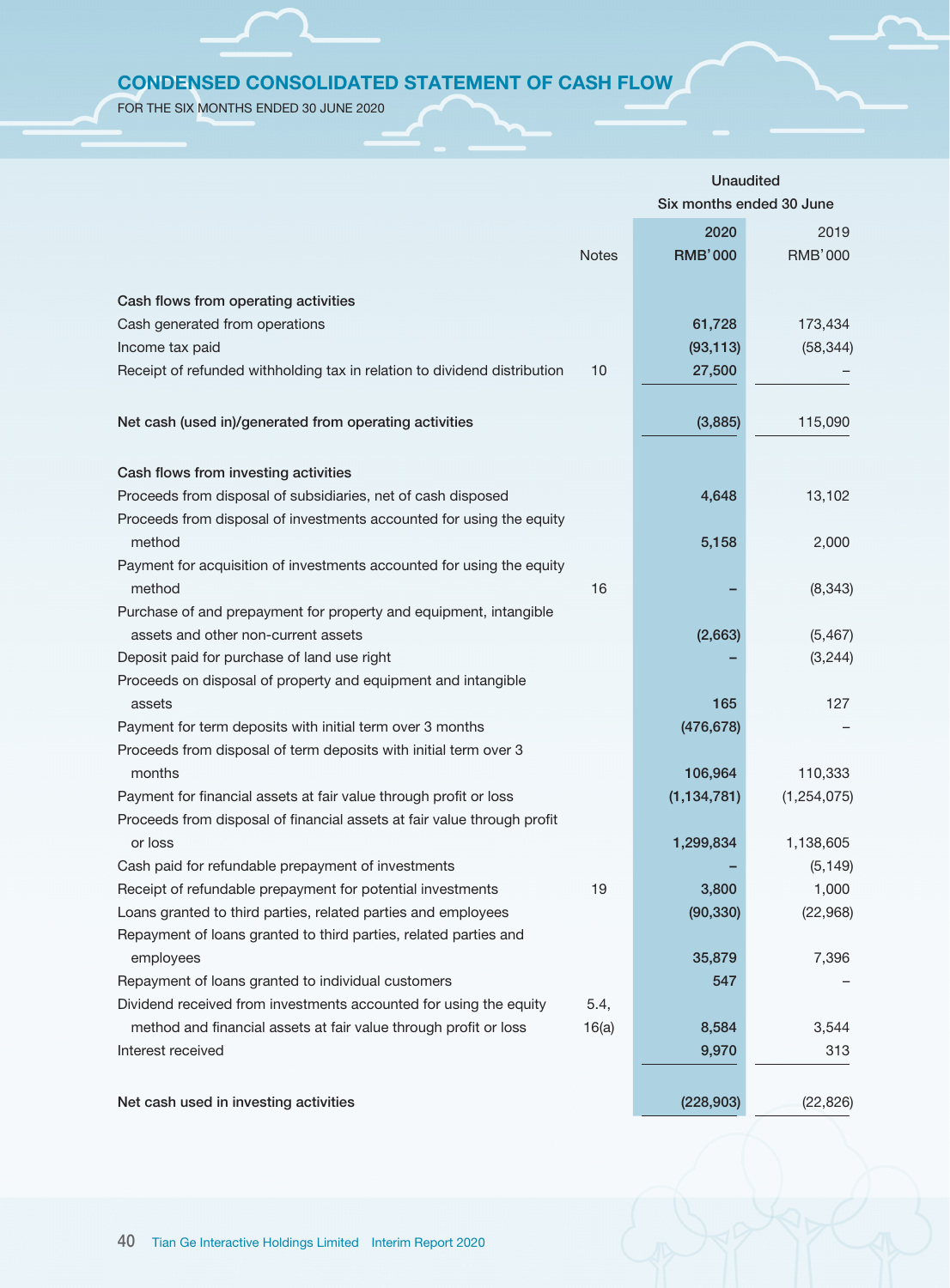# CONDENSED CONSOLIDATED STATEMENT OF CASH FLOW

FOR THE SIX MONTHS ENDED 30 JUNE 2020

|                                                                          |              | <b>Unaudited</b>         |                |  |  |
|--------------------------------------------------------------------------|--------------|--------------------------|----------------|--|--|
|                                                                          |              | Six months ended 30 June |                |  |  |
|                                                                          |              | 2020                     | 2019           |  |  |
|                                                                          | <b>Notes</b> | <b>RMB'000</b>           | <b>RMB'000</b> |  |  |
|                                                                          |              |                          |                |  |  |
| Cash flows from operating activities                                     |              |                          |                |  |  |
| Cash generated from operations                                           |              | 61,728                   | 173,434        |  |  |
| Income tax paid                                                          |              | (93, 113)                | (58, 344)      |  |  |
| Receipt of refunded withholding tax in relation to dividend distribution | 10           | 27,500                   |                |  |  |
|                                                                          |              |                          |                |  |  |
|                                                                          |              |                          |                |  |  |
| Net cash (used in)/generated from operating activities                   |              | (3,885)                  | 115,090        |  |  |
| Cash flows from investing activities                                     |              |                          |                |  |  |
| Proceeds from disposal of subsidiaries, net of cash disposed             |              | 4,648                    | 13,102         |  |  |
| Proceeds from disposal of investments accounted for using the equity     |              |                          |                |  |  |
| method                                                                   |              | 5,158                    | 2,000          |  |  |
| Payment for acquisition of investments accounted for using the equity    |              |                          |                |  |  |
| method                                                                   | 16           |                          | (8, 343)       |  |  |
| Purchase of and prepayment for property and equipment, intangible        |              |                          |                |  |  |
| assets and other non-current assets                                      |              | (2,663)                  | (5, 467)       |  |  |
| Deposit paid for purchase of land use right                              |              |                          | (3, 244)       |  |  |
| Proceeds on disposal of property and equipment and intangible            |              |                          |                |  |  |
| assets                                                                   |              | 165                      | 127            |  |  |
| Payment for term deposits with initial term over 3 months                |              | (476, 678)               |                |  |  |
| Proceeds from disposal of term deposits with initial term over 3         |              |                          |                |  |  |
| months                                                                   |              | 106,964                  | 110,333        |  |  |
| Payment for financial assets at fair value through profit or loss        |              | (1, 134, 781)            | (1, 254, 075)  |  |  |
| Proceeds from disposal of financial assets at fair value through profit  |              |                          |                |  |  |
| or loss                                                                  |              | 1,299,834                | 1,138,605      |  |  |
| Cash paid for refundable prepayment of investments                       |              |                          | (5, 149)       |  |  |
| Receipt of refundable prepayment for potential investments               | 19           | 3,800                    | 1,000          |  |  |
| Loans granted to third parties, related parties and employees            |              | (90, 330)                | (22, 968)      |  |  |
| Repayment of loans granted to third parties, related parties and         |              |                          |                |  |  |
| employees                                                                |              | 35,879                   | 7,396          |  |  |
| Repayment of loans granted to individual customers                       |              | 547                      |                |  |  |
| Dividend received from investments accounted for using the equity        | 5.4,         |                          |                |  |  |
| method and financial assets at fair value through profit or loss         | 16(a)        | 8,584                    | 3,544          |  |  |
| Interest received                                                        |              | 9,970                    | 313            |  |  |
|                                                                          |              |                          |                |  |  |
| Net cash used in investing activities                                    |              | (228, 903)               | (22, 826)      |  |  |
|                                                                          |              |                          |                |  |  |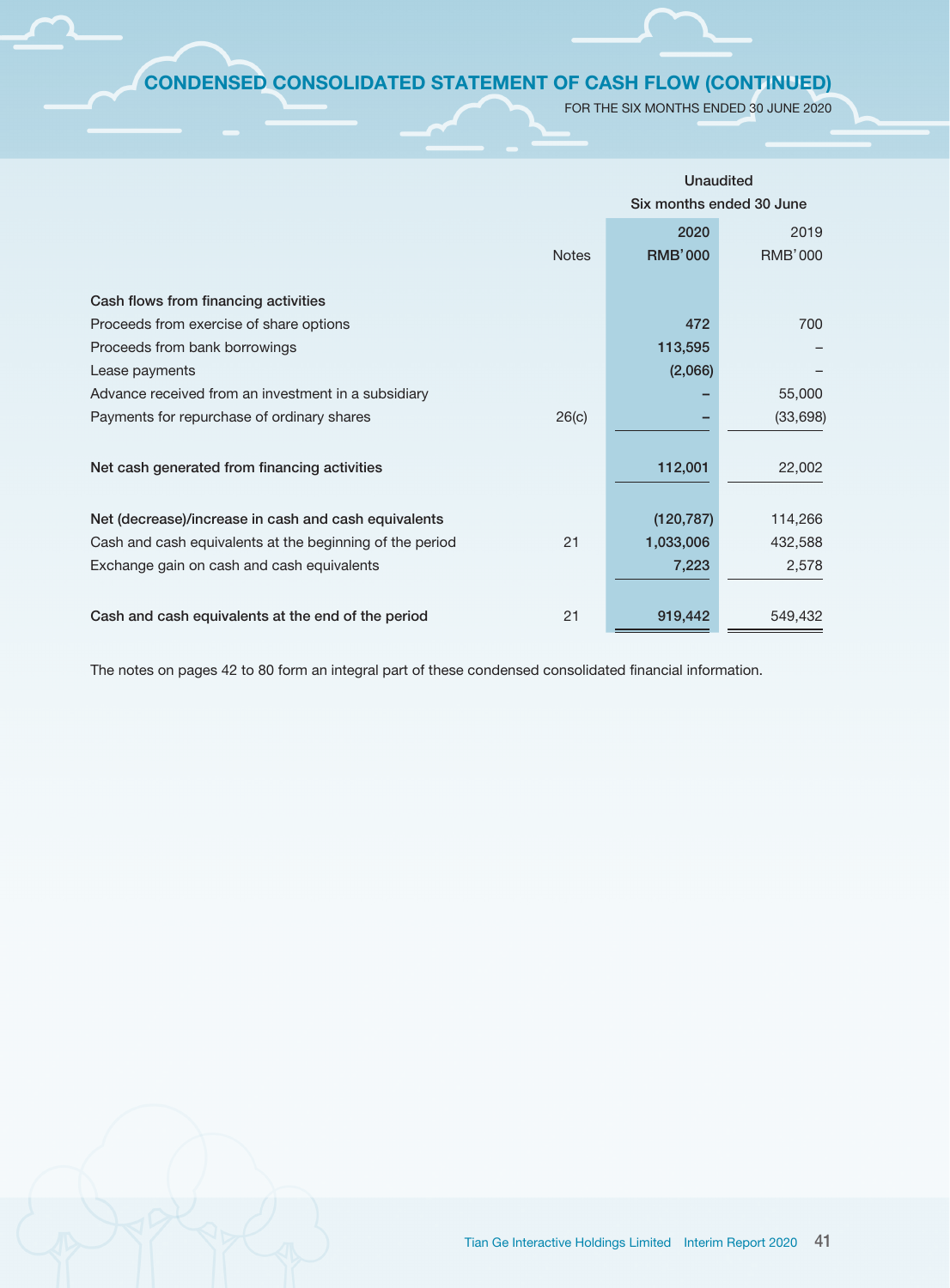# CONDENSED CONSOLIDATED STATEMENT OF CASH FLOW (CONTINUED)

FOR THE SIX MONTHS ENDED 30 JUNE 2020

|                                                                |                | <b>Unaudited</b>         |  |  |  |
|----------------------------------------------------------------|----------------|--------------------------|--|--|--|
|                                                                |                | Six months ended 30 June |  |  |  |
|                                                                | 2020           | 2019                     |  |  |  |
| <b>Notes</b>                                                   | <b>RMB'000</b> | <b>RMB'000</b>           |  |  |  |
|                                                                |                |                          |  |  |  |
| Cash flows from financing activities                           |                |                          |  |  |  |
| Proceeds from exercise of share options                        | 472            | 700                      |  |  |  |
| Proceeds from bank borrowings                                  | 113,595        |                          |  |  |  |
| Lease payments                                                 | (2,066)        |                          |  |  |  |
| Advance received from an investment in a subsidiary            |                | 55,000                   |  |  |  |
| Payments for repurchase of ordinary shares<br>26(c)            |                | (33, 698)                |  |  |  |
|                                                                |                |                          |  |  |  |
| Net cash generated from financing activities                   | 112,001        | 22,002                   |  |  |  |
|                                                                |                |                          |  |  |  |
| Net (decrease)/increase in cash and cash equivalents           | (120, 787)     | 114,266                  |  |  |  |
| Cash and cash equivalents at the beginning of the period<br>21 | 1,033,006      | 432,588                  |  |  |  |
| Exchange gain on cash and cash equivalents                     | 7,223          | 2,578                    |  |  |  |
|                                                                |                |                          |  |  |  |
| 21<br>Cash and cash equivalents at the end of the period       | 919,442        | 549,432                  |  |  |  |

The notes on pages 42 to 80 form an integral part of these condensed consolidated financial information.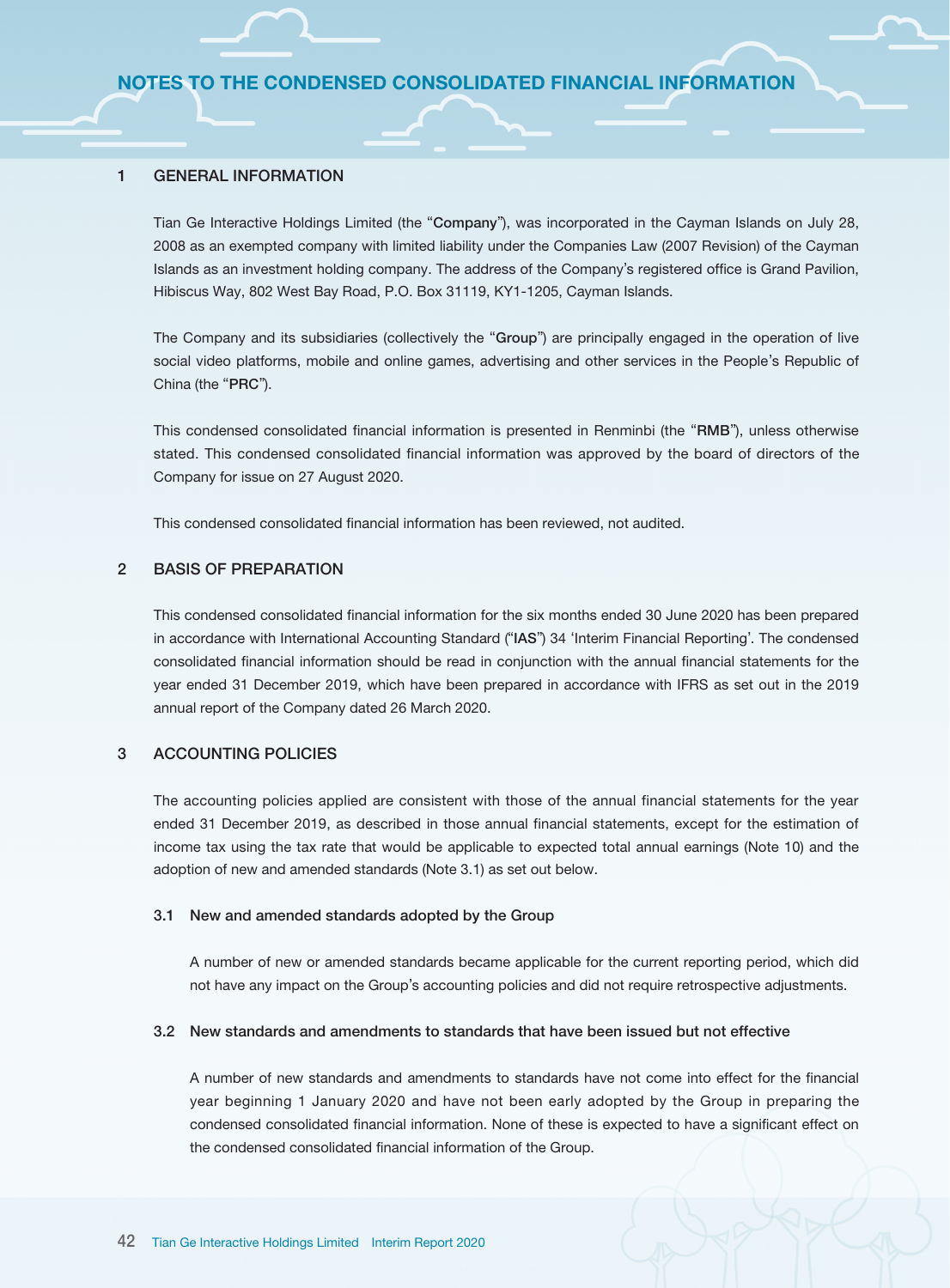#### 1 GENERAL INFORMATION

Tian Ge Interactive Holdings Limited (the "Company"), was incorporated in the Cayman Islands on July 28, 2008 as an exempted company with limited liability under the Companies Law (2007 Revision) of the Cayman Islands as an investment holding company. The address of the Company's registered office is Grand Pavilion, Hibiscus Way, 802 West Bay Road, P.O. Box 31119, KY1-1205, Cayman Islands.

The Company and its subsidiaries (collectively the "Group") are principally engaged in the operation of live social video platforms, mobile and online games, advertising and other services in the People's Republic of China (the "PRC").

This condensed consolidated financial information is presented in Renminbi (the "RMB"), unless otherwise stated. This condensed consolidated financial information was approved by the board of directors of the Company for issue on 27 August 2020.

This condensed consolidated financial information has been reviewed, not audited.

## 2 BASIS OF PREPARATION

This condensed consolidated financial information for the six months ended 30 June 2020 has been prepared in accordance with International Accounting Standard ("IAS") 34 'Interim Financial Reporting'. The condensed consolidated financial information should be read in conjunction with the annual financial statements for the year ended 31 December 2019, which have been prepared in accordance with IFRS as set out in the 2019 annual report of the Company dated 26 March 2020.

#### 3 ACCOUNTING POLICIES

The accounting policies applied are consistent with those of the annual financial statements for the year ended 31 December 2019, as described in those annual financial statements, except for the estimation of income tax using the tax rate that would be applicable to expected total annual earnings (Note 10) and the adoption of new and amended standards (Note 3.1) as set out below.

#### 3.1 New and amended standards adopted by the Group

A number of new or amended standards became applicable for the current reporting period, which did not have any impact on the Group's accounting policies and did not require retrospective adjustments.

#### 3.2 New standards and amendments to standards that have been issued but not effective

A number of new standards and amendments to standards have not come into effect for the financial year beginning 1 January 2020 and have not been early adopted by the Group in preparing the condensed consolidated financial information. None of these is expected to have a significant effect on the condensed consolidated financial information of the Group.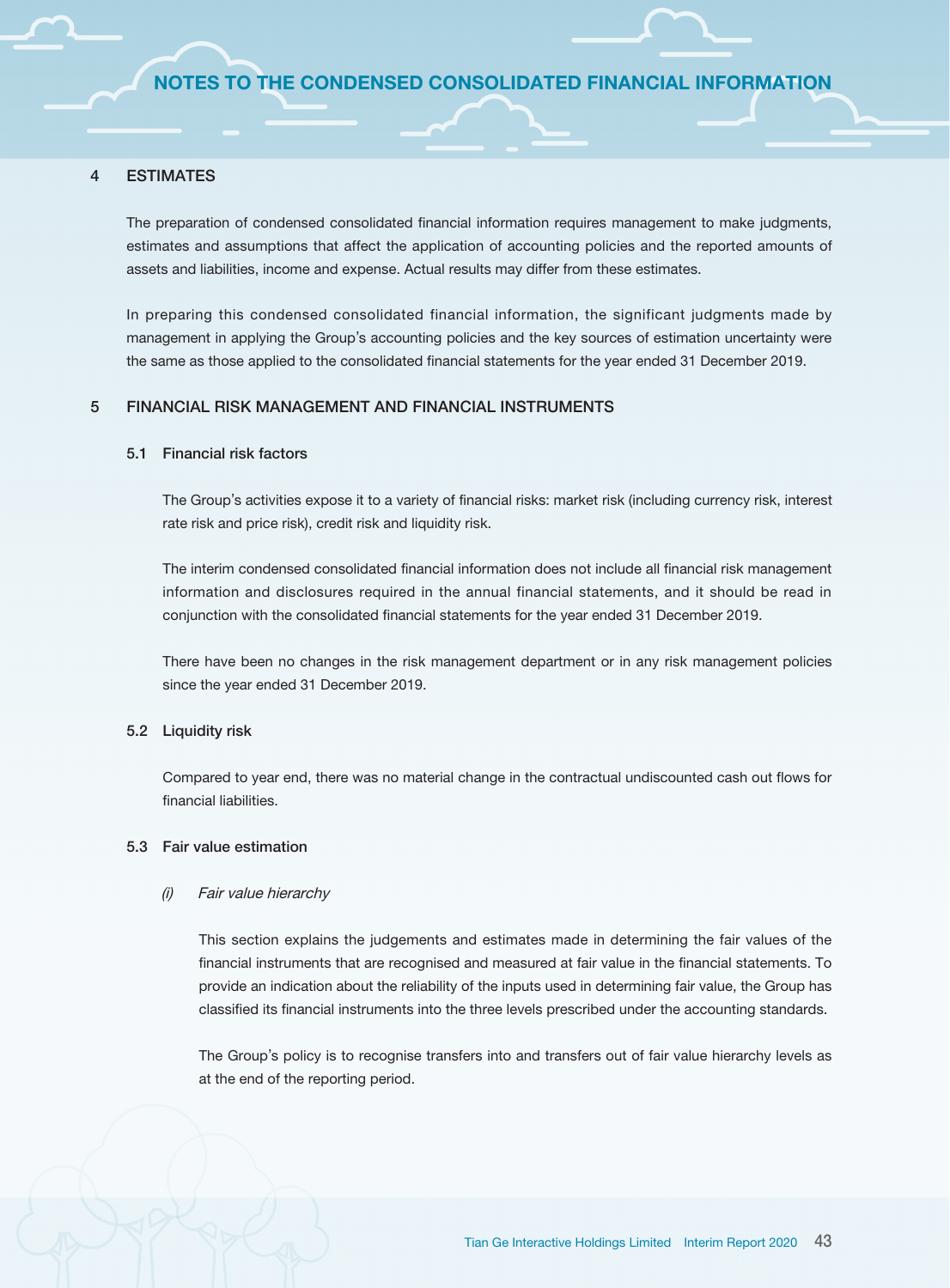#### 4 ESTIMATES

The preparation of condensed consolidated financial information requires management to make judgments, estimates and assumptions that affect the application of accounting policies and the reported amounts of assets and liabilities, income and expense. Actual results may differ from these estimates.

In preparing this condensed consolidated financial information, the significant judgments made by management in applying the Group's accounting policies and the key sources of estimation uncertainty were the same as those applied to the consolidated financial statements for the year ended 31 December 2019.

#### 5 FINANCIAL RISK MANAGEMENT AND FINANCIAL INSTRUMENTS

#### 5.1 Financial risk factors

The Group's activities expose it to a variety of financial risks: market risk (including currency risk, interest rate risk and price risk), credit risk and liquidity risk.

The interim condensed consolidated financial information does not include all financial risk management information and disclosures required in the annual financial statements, and it should be read in conjunction with the consolidated financial statements for the year ended 31 December 2019.

There have been no changes in the risk management department or in any risk management policies since the year ended 31 December 2019.

#### 5.2 Liquidity risk

Compared to year end, there was no material change in the contractual undiscounted cash out flows for financial liabilities.

#### 5.3 Fair value estimation

#### (i) Fair value hierarchy

This section explains the judgements and estimates made in determining the fair values of the financial instruments that are recognised and measured at fair value in the financial statements. To provide an indication about the reliability of the inputs used in determining fair value, the Group has classified its financial instruments into the three levels prescribed under the accounting standards.

The Group's policy is to recognise transfers into and transfers out of fair value hierarchy levels as at the end of the reporting period.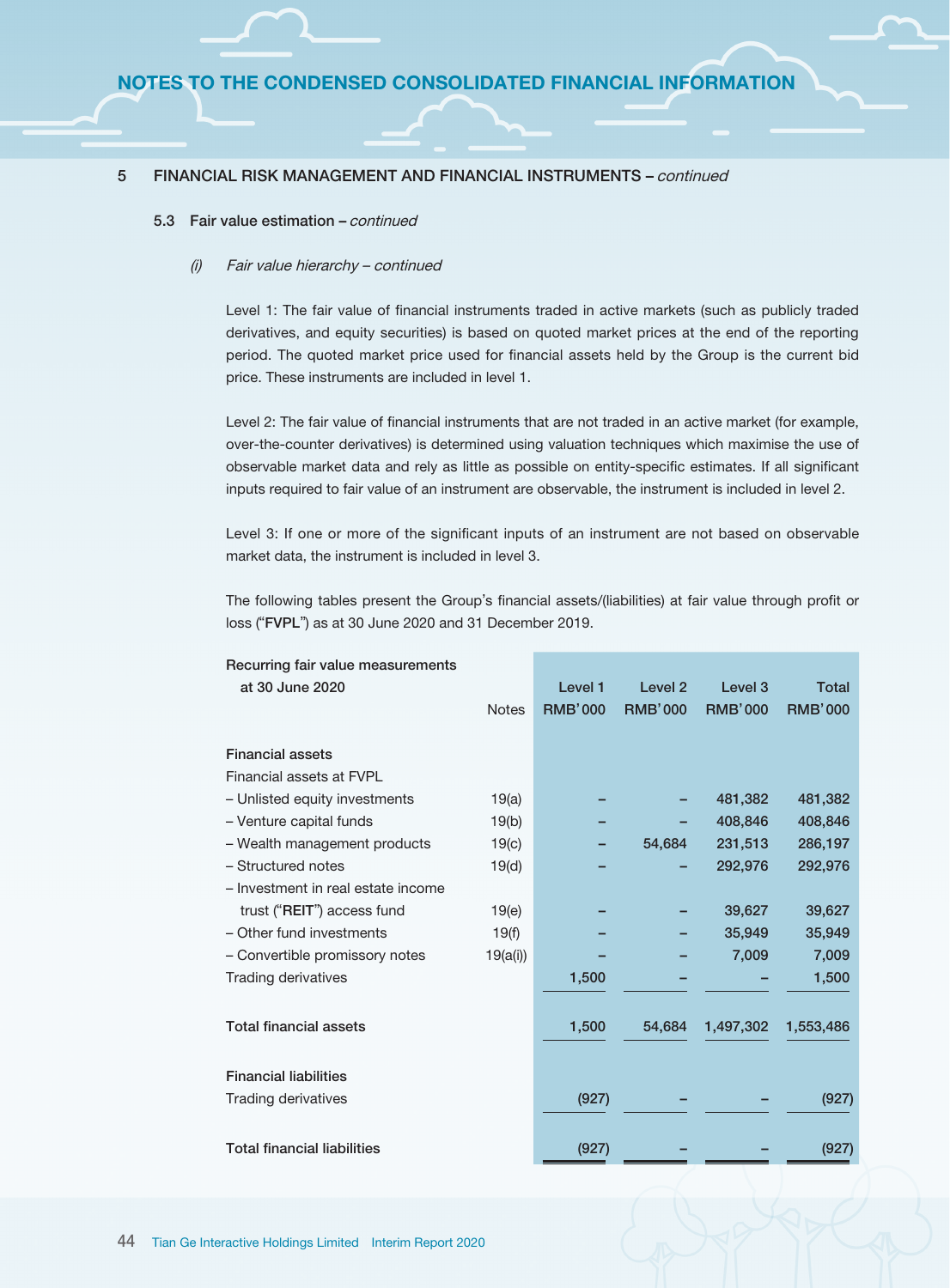#### 5.3 Fair value estimation - continued

#### (i) Fair value hierarchy – continued

Level 1: The fair value of financial instruments traded in active markets (such as publicly traded derivatives, and equity securities) is based on quoted market prices at the end of the reporting period. The quoted market price used for financial assets held by the Group is the current bid price. These instruments are included in level 1.

Level 2: The fair value of financial instruments that are not traded in an active market (for example, over-the-counter derivatives) is determined using valuation techniques which maximise the use of observable market data and rely as little as possible on entity-specific estimates. If all significant inputs required to fair value of an instrument are observable, the instrument is included in level 2.

Level 3: If one or more of the significant inputs of an instrument are not based on observable market data, the instrument is included in level 3.

The following tables present the Group's financial assets/(liabilities) at fair value through profit or loss ("FVPL") as at 30 June 2020 and 31 December 2019.

| Recurring fair value measurements  |              |                |                    |                    |                |
|------------------------------------|--------------|----------------|--------------------|--------------------|----------------|
| at 30 June 2020                    |              | Level 1        | Level <sub>2</sub> | Level <sub>3</sub> | <b>Total</b>   |
|                                    | <b>Notes</b> | <b>RMB'000</b> | <b>RMB'000</b>     | <b>RMB'000</b>     | <b>RMB'000</b> |
|                                    |              |                |                    |                    |                |
| <b>Financial assets</b>            |              |                |                    |                    |                |
| Financial assets at FVPL           |              |                |                    |                    |                |
| - Unlisted equity investments      | 19(a)        |                |                    | 481,382            | 481,382        |
| - Venture capital funds            | 19(b)        |                |                    | 408,846            | 408,846        |
| - Wealth management products       | 19(c)        |                | 54,684             | 231,513            | 286,197        |
| - Structured notes                 | 19(d)        |                |                    | 292,976            | 292,976        |
| - Investment in real estate income |              |                |                    |                    |                |
| trust ("REIT") access fund         | 19(e)        |                |                    | 39,627             | 39,627         |
| - Other fund investments           | 19(f)        |                |                    | 35,949             | 35,949         |
| - Convertible promissory notes     | 19(a(i))     |                |                    | 7,009              | 7,009          |
| <b>Trading derivatives</b>         |              | 1,500          |                    |                    | 1,500          |
|                                    |              |                |                    |                    |                |
| <b>Total financial assets</b>      |              | 1,500          | 54,684             | 1,497,302          | 1,553,486      |
|                                    |              |                |                    |                    |                |
| <b>Financial liabilities</b>       |              |                |                    |                    |                |
|                                    |              |                |                    |                    |                |
| <b>Trading derivatives</b>         |              | (927)          |                    |                    | (927)          |
|                                    |              |                |                    |                    |                |
| <b>Total financial liabilities</b> |              | (927)          |                    |                    | (927)          |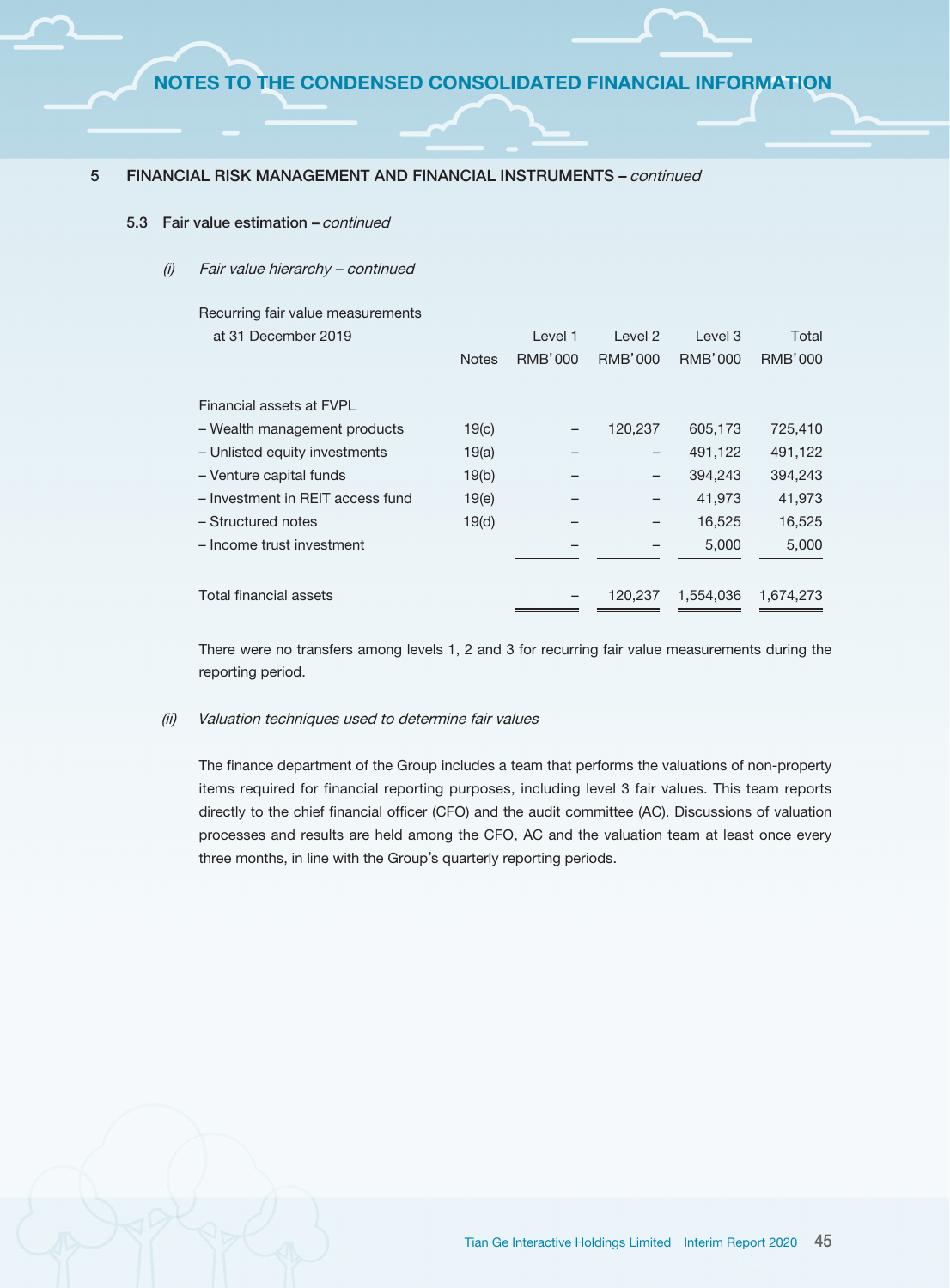#### 5.3 Fair value estimation – continued

#### (i) Fair value hierarchy – continued

| Recurring fair value measurements |              |         |                |                |           |
|-----------------------------------|--------------|---------|----------------|----------------|-----------|
| at 31 December 2019               |              | Level 1 | Level 2        | Level 3        | Total     |
|                                   | <b>Notes</b> | RMB'000 | <b>RMB'000</b> | <b>RMB'000</b> | RMB'000   |
|                                   |              |         |                |                |           |
| Financial assets at FVPI          |              |         |                |                |           |
| - Wealth management products      | 19(c)        |         | 120,237        | 605,173        | 725,410   |
| - Unlisted equity investments     | 19(a)        |         | -              | 491,122        | 491,122   |
| - Venture capital funds           | 19(b)        |         | -              | 394,243        | 394,243   |
| - Investment in REIT access fund  | 19(e)        |         | -              | 41,973         | 41,973    |
| - Structured notes                | 19(d)        |         |                | 16,525         | 16,525    |
| - Income trust investment         |              |         |                | 5,000          | 5,000     |
|                                   |              |         |                |                |           |
| Total financial assets            |              |         | 120.237        | 1.554.036      | 1.674.273 |
|                                   |              |         |                |                |           |

There were no transfers among levels 1, 2 and 3 for recurring fair value measurements during the reporting period.

#### (ii) Valuation techniques used to determine fair values

The finance department of the Group includes a team that performs the valuations of non-property items required for financial reporting purposes, including level 3 fair values. This team reports directly to the chief financial officer (CFO) and the audit committee (AC). Discussions of valuation processes and results are held among the CFO, AC and the valuation team at least once every three months, in line with the Group's quarterly reporting periods.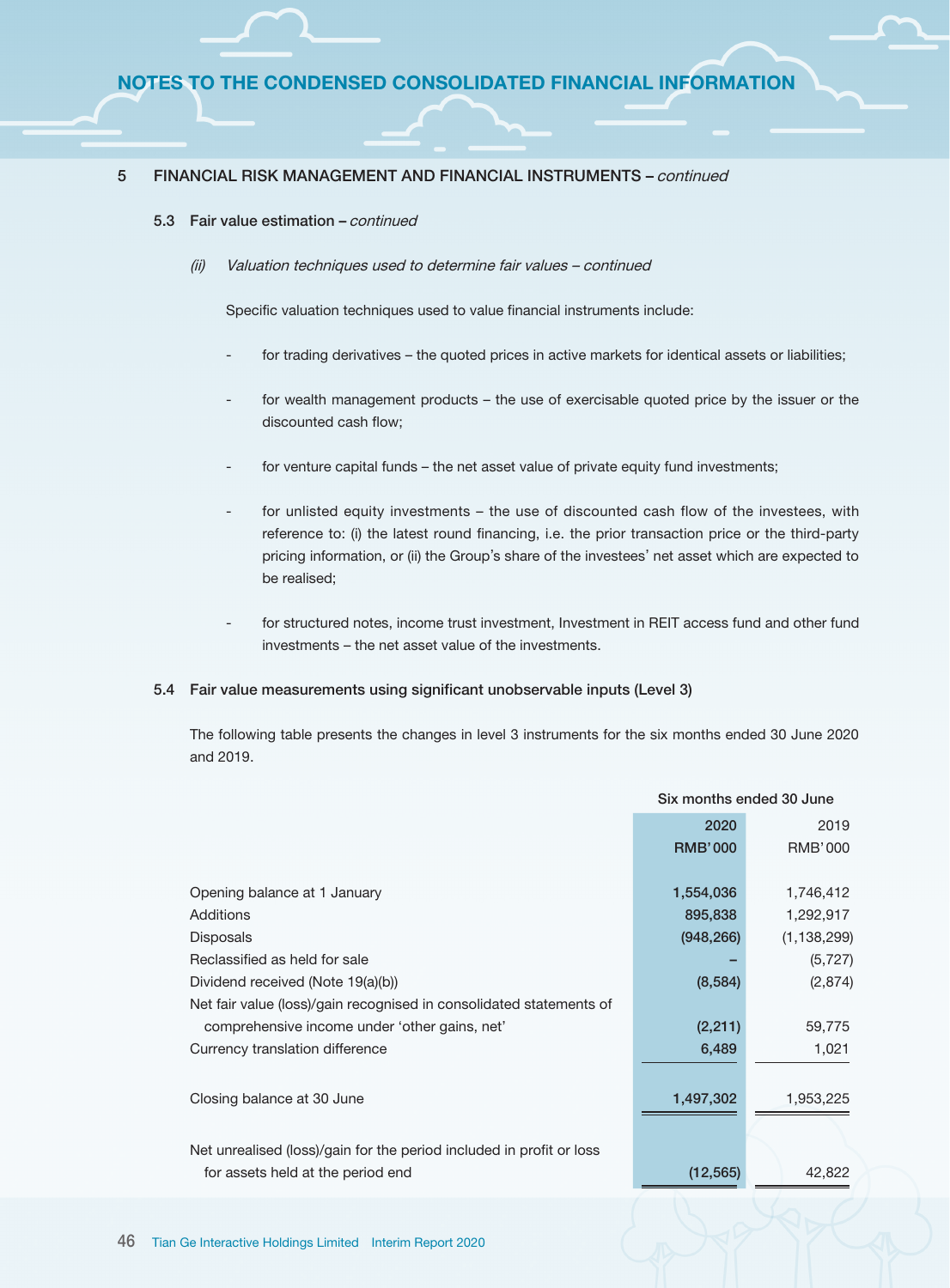#### 5.3 Fair value estimation - continued

(ii) Valuation techniques used to determine fair values – continued

Specific valuation techniques used to value financial instruments include:

- for trading derivatives the quoted prices in active markets for identical assets or liabilities;
- for wealth management products the use of exercisable quoted price by the issuer or the discounted cash flow;
- for venture capital funds the net asset value of private equity fund investments;
- for unlisted equity investments the use of discounted cash flow of the investees, with reference to: (i) the latest round financing, i.e. the prior transaction price or the third-party pricing information, or (ii) the Group's share of the investees' net asset which are expected to be realised;
- for structured notes, income trust investment, Investment in REIT access fund and other fund investments – the net asset value of the investments.

#### 5.4 Fair value measurements using significant unobservable inputs (Level 3)

The following table presents the changes in level 3 instruments for the six months ended 30 June 2020 and 2019.

Six months ended 30 June

|                                                                      | SIX MONTHS CHUCU SU JUNC |                |  |
|----------------------------------------------------------------------|--------------------------|----------------|--|
|                                                                      | 2020                     | 2019           |  |
|                                                                      | <b>RMB'000</b>           | <b>RMB'000</b> |  |
|                                                                      |                          |                |  |
| Opening balance at 1 January                                         | 1,554,036                | 1,746,412      |  |
| Additions                                                            | 895,838                  | 1,292,917      |  |
| <b>Disposals</b>                                                     | (948, 266)               | (1, 138, 299)  |  |
| Reclassified as held for sale                                        |                          | (5, 727)       |  |
| Dividend received (Note 19(a)(b))                                    | (8,584)                  | (2,874)        |  |
| Net fair value (loss)/gain recognised in consolidated statements of  |                          |                |  |
| comprehensive income under 'other gains, net'                        | (2, 211)                 | 59,775         |  |
| Currency translation difference                                      | 6,489                    | 1,021          |  |
|                                                                      |                          |                |  |
| Closing balance at 30 June                                           | 1,497,302                | 1,953,225      |  |
|                                                                      |                          |                |  |
| Net unrealised (loss)/gain for the period included in profit or loss |                          |                |  |
| for assets held at the period end                                    | (12, 565)                | 42,822         |  |
|                                                                      |                          |                |  |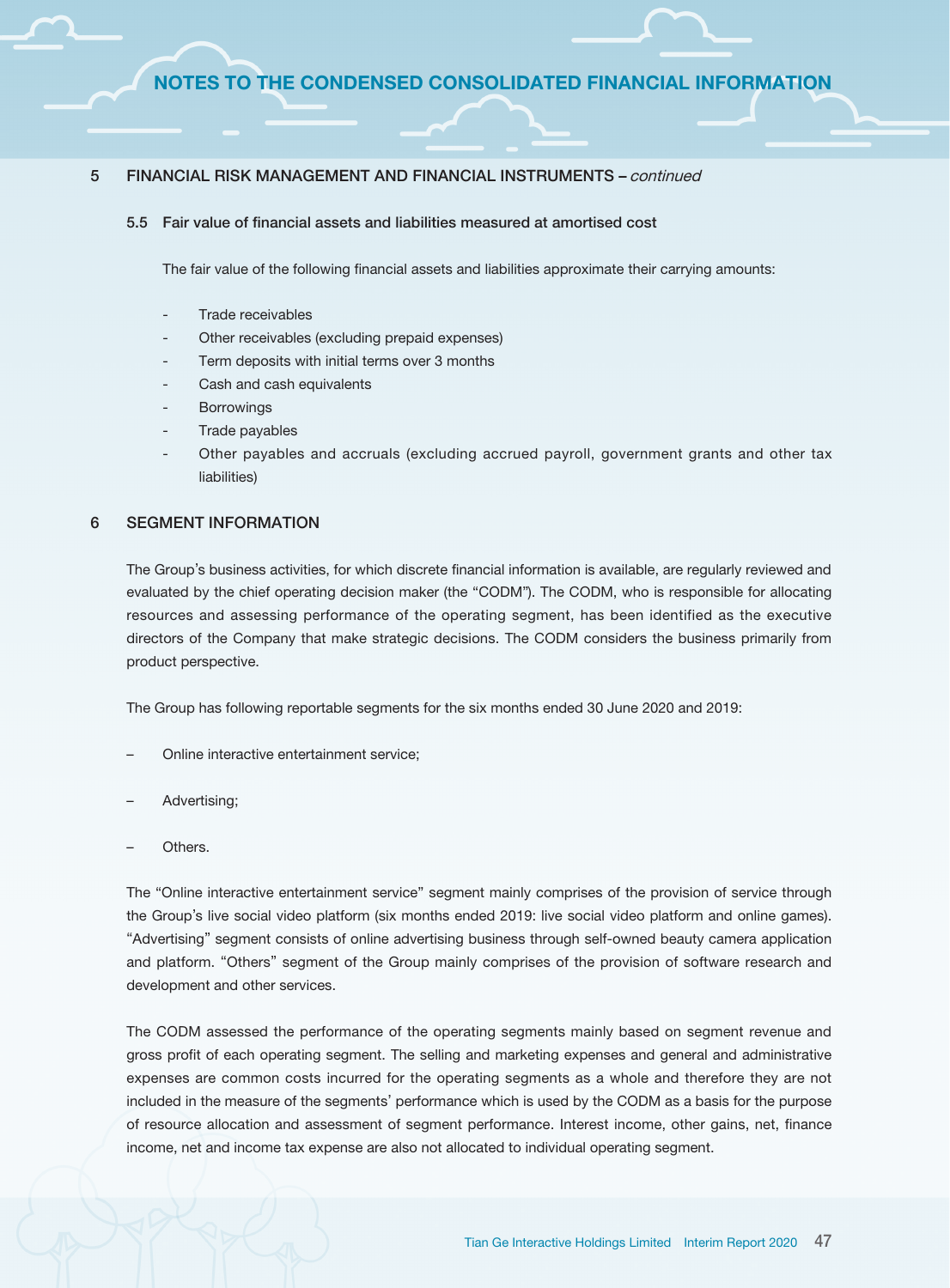#### 5.5 Fair value of financial assets and liabilities measured at amortised cost

The fair value of the following financial assets and liabilities approximate their carrying amounts:

- Trade receivables
- Other receivables (excluding prepaid expenses)
- Term deposits with initial terms over 3 months
- Cash and cash equivalents
- **Borrowings**
- Trade payables
- Other payables and accruals (excluding accrued payroll, government grants and other tax liabilities)

#### 6 SEGMENT INFORMATION

The Group's business activities, for which discrete financial information is available, are regularly reviewed and evaluated by the chief operating decision maker (the "CODM"). The CODM, who is responsible for allocating resources and assessing performance of the operating segment, has been identified as the executive directors of the Company that make strategic decisions. The CODM considers the business primarily from product perspective.

The Group has following reportable segments for the six months ended 30 June 2020 and 2019:

- Online interactive entertainment service;
- Advertising;
- Others.

The "Online interactive entertainment service" segment mainly comprises of the provision of service through the Group's live social video platform (six months ended 2019: live social video platform and online games). "Advertising" segment consists of online advertising business through self-owned beauty camera application and platform. "Others" segment of the Group mainly comprises of the provision of software research and development and other services.

The CODM assessed the performance of the operating segments mainly based on segment revenue and gross profit of each operating segment. The selling and marketing expenses and general and administrative expenses are common costs incurred for the operating segments as a whole and therefore they are not included in the measure of the segments' performance which is used by the CODM as a basis for the purpose of resource allocation and assessment of segment performance. Interest income, other gains, net, finance income, net and income tax expense are also not allocated to individual operating segment.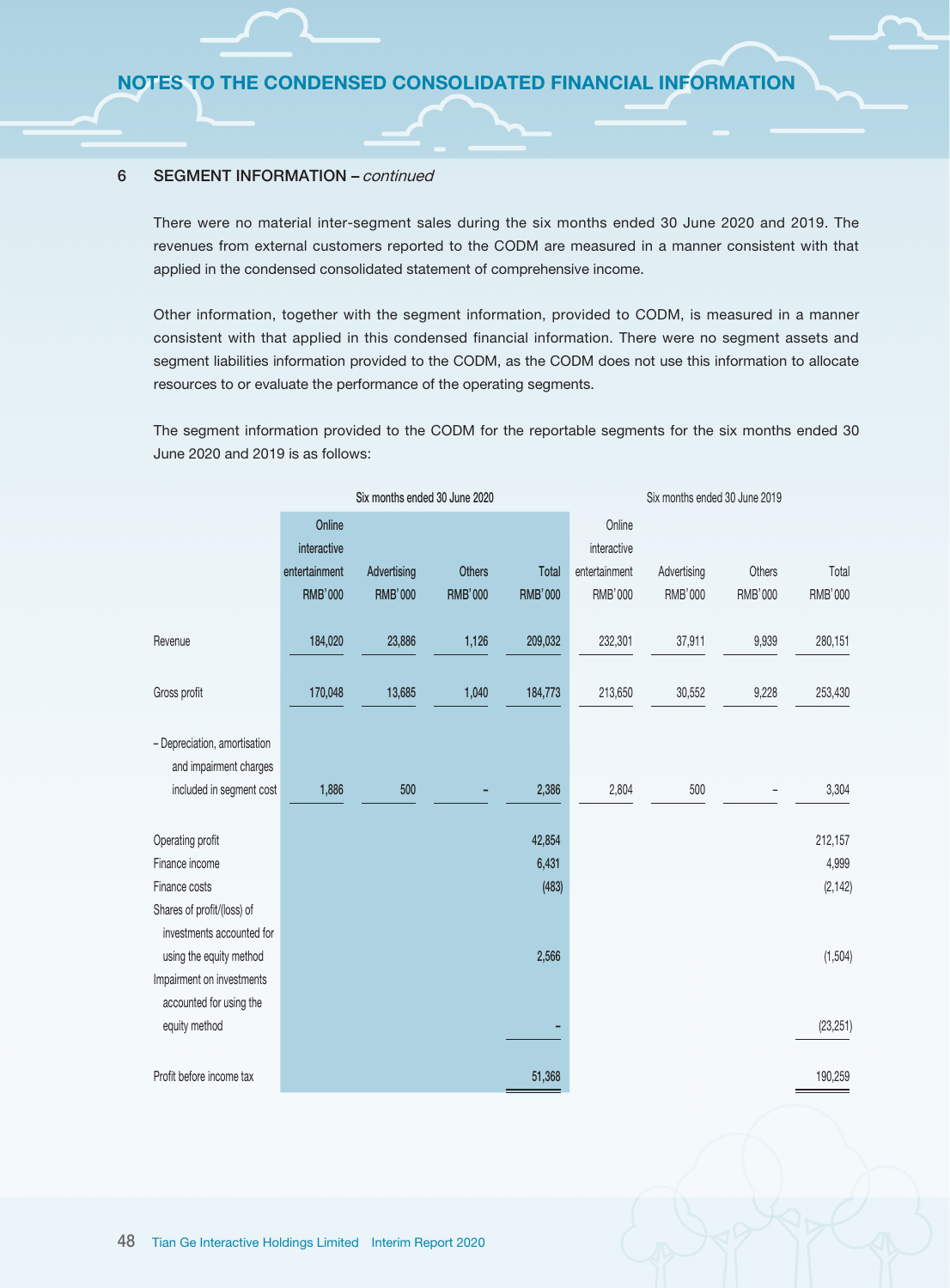#### 6 SEGMENT INFORMATION – continued

There were no material inter-segment sales during the six months ended 30 June 2020 and 2019. The revenues from external customers reported to the CODM are measured in a manner consistent with that applied in the condensed consolidated statement of comprehensive income.

Other information, together with the segment information, provided to CODM, is measured in a manner consistent with that applied in this condensed financial information. There were no segment assets and segment liabilities information provided to the CODM, as the CODM does not use this information to allocate resources to or evaluate the performance of the operating segments.

The segment information provided to the CODM for the reportable segments for the six months ended 30 June 2020 and 2019 is as follows:

|                                                         | Six months ended 30 June 2020 |                |                |                | Six months ended 30 June 2019 |             |                |           |
|---------------------------------------------------------|-------------------------------|----------------|----------------|----------------|-------------------------------|-------------|----------------|-----------|
|                                                         | Online<br>interactive         |                |                |                | Online<br>interactive         |             |                |           |
|                                                         | entertainment                 | Advertising    | <b>Others</b>  | Total          | entertainment                 | Advertising | Others         | Total     |
|                                                         | <b>RMB'000</b>                | <b>RMB'000</b> | <b>RMB'000</b> | <b>RMB'000</b> | RMB'000                       | RMB'000     | <b>RMB'000</b> | RMB'000   |
| Revenue                                                 | 184,020                       | 23,886         | 1,126          | 209,032        | 232,301                       | 37,911      | 9,939          | 280,151   |
| Gross profit                                            | 170,048                       | 13,685         | 1,040          | 184,773        | 213,650                       | 30,552      | 9,228          | 253,430   |
| - Depreciation, amortisation<br>and impairment charges  |                               |                |                |                |                               |             |                |           |
| included in segment cost                                | 1,886                         | 500            |                | 2,386          | 2,804                         | 500         |                | 3,304     |
| Operating profit                                        |                               |                |                | 42,854         |                               |             |                | 212,157   |
| Finance income                                          |                               |                |                | 6,431          |                               |             |                | 4,999     |
| Finance costs                                           |                               |                |                | (483)          |                               |             |                | (2, 142)  |
| Shares of profit/(loss) of<br>investments accounted for |                               |                |                |                |                               |             |                |           |
| using the equity method                                 |                               |                |                | 2,566          |                               |             |                | (1, 504)  |
| Impairment on investments                               |                               |                |                |                |                               |             |                |           |
| accounted for using the                                 |                               |                |                |                |                               |             |                |           |
| equity method                                           |                               |                |                |                |                               |             |                | (23, 251) |
| Profit before income tax                                |                               |                |                | 51,368         |                               |             |                | 190,259   |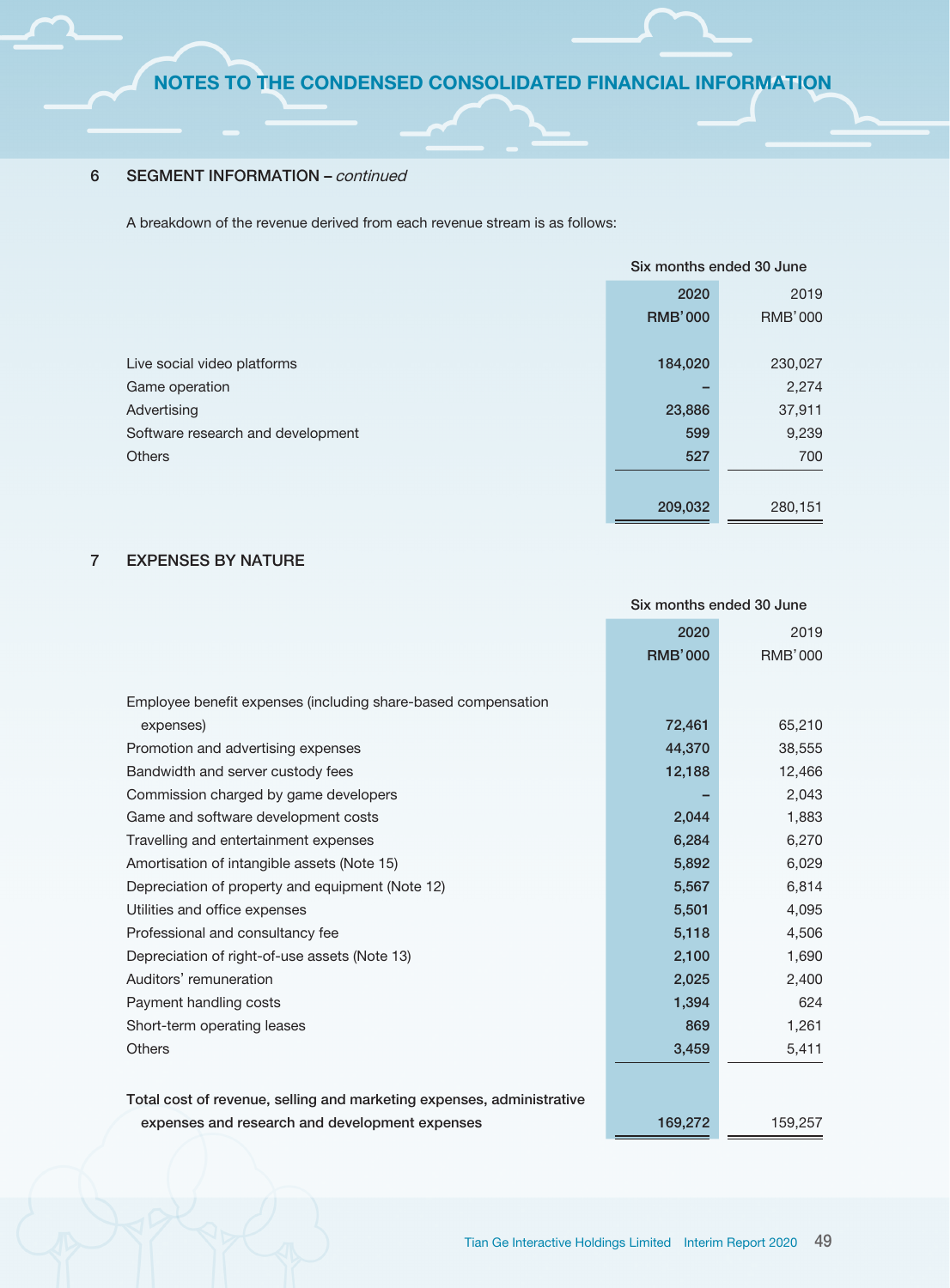### 6 SEGMENT INFORMATION – continued

A breakdown of the revenue derived from each revenue stream is as follows:

|                                   | Six months ended 30 June |                |  |
|-----------------------------------|--------------------------|----------------|--|
|                                   | 2020                     | 2019           |  |
|                                   | <b>RMB'000</b>           | <b>RMB'000</b> |  |
|                                   |                          |                |  |
| Live social video platforms       | 184,020                  | 230,027        |  |
| Game operation                    |                          | 2,274          |  |
| Advertising                       | 23,886                   | 37,911         |  |
| Software research and development | 599                      | 9,239          |  |
| <b>Others</b>                     | 527                      | 700            |  |
|                                   |                          |                |  |
|                                   | 209,032                  | 280,151        |  |

# 7 EXPENSES BY NATURE

|                                                                       |                | Six months ended 30 June |
|-----------------------------------------------------------------------|----------------|--------------------------|
|                                                                       | 2020           | 2019                     |
|                                                                       | <b>RMB'000</b> | <b>RMB'000</b>           |
|                                                                       |                |                          |
| Employee benefit expenses (including share-based compensation         |                |                          |
| expenses)                                                             | 72,461         | 65,210                   |
| Promotion and advertising expenses                                    | 44,370         | 38,555                   |
| Bandwidth and server custody fees                                     | 12,188         | 12,466                   |
| Commission charged by game developers                                 |                | 2,043                    |
| Game and software development costs                                   | 2,044          | 1,883                    |
| Travelling and entertainment expenses                                 | 6,284          | 6,270                    |
| Amortisation of intangible assets (Note 15)                           | 5,892          | 6,029                    |
| Depreciation of property and equipment (Note 12)                      | 5,567          | 6,814                    |
| Utilities and office expenses                                         | 5,501          | 4,095                    |
| Professional and consultancy fee                                      | 5,118          | 4,506                    |
| Depreciation of right-of-use assets (Note 13)                         | 2,100          | 1,690                    |
| Auditors' remuneration                                                | 2,025          | 2,400                    |
| Payment handling costs                                                | 1,394          | 624                      |
| Short-term operating leases                                           | 869            | 1,261                    |
| Others                                                                | 3,459          | 5,411                    |
|                                                                       |                |                          |
| Total cost of revenue, selling and marketing expenses, administrative |                |                          |
| expenses and research and development expenses                        | 169,272        | 159,257                  |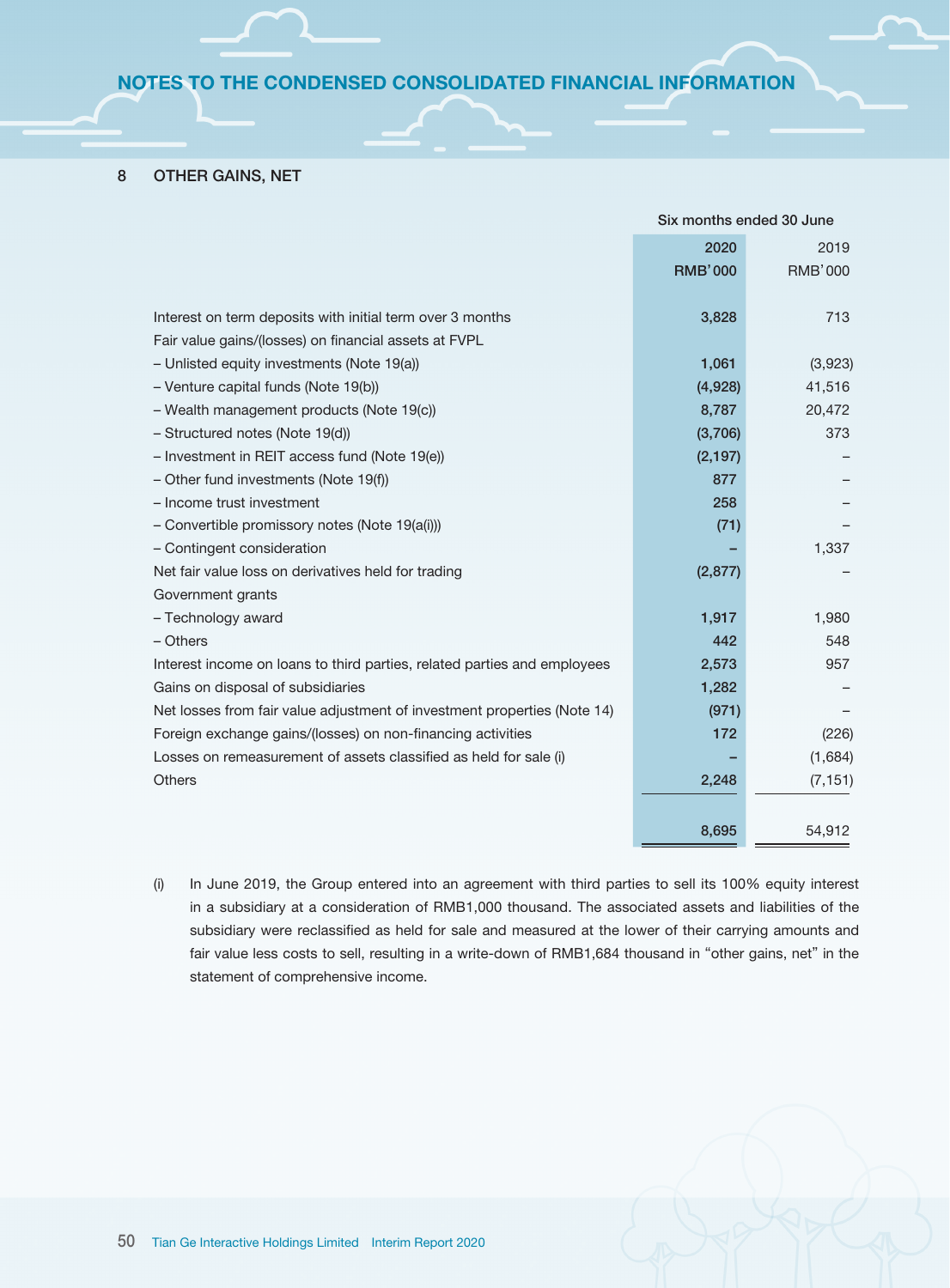#### 8 OTHER GAINS, NET

|                                                                          | Six months ended 30 June |                |
|--------------------------------------------------------------------------|--------------------------|----------------|
|                                                                          | 2020                     | 2019           |
|                                                                          | <b>RMB'000</b>           | <b>RMB'000</b> |
|                                                                          |                          |                |
| Interest on term deposits with initial term over 3 months                | 3,828                    | 713            |
| Fair value gains/(losses) on financial assets at FVPL                    |                          |                |
| - Unlisted equity investments (Note 19(a))                               | 1,061                    | (3,923)        |
| - Venture capital funds (Note 19(b))                                     | (4,928)                  | 41,516         |
| - Wealth management products (Note 19(c))                                | 8,787                    | 20,472         |
| - Structured notes (Note 19(d))                                          | (3,706)                  | 373            |
| - Investment in REIT access fund (Note 19(e))                            | (2, 197)                 |                |
| - Other fund investments (Note 19(f))                                    | 877                      |                |
| - Income trust investment                                                | 258                      |                |
| - Convertible promissory notes (Note 19(a(i)))                           | (71)                     |                |
| - Contingent consideration                                               |                          | 1,337          |
| Net fair value loss on derivatives held for trading                      | (2,877)                  |                |
| Government grants                                                        |                          |                |
| - Technology award                                                       | 1,917                    | 1,980          |
| $-$ Others                                                               | 442                      | 548            |
| Interest income on loans to third parties, related parties and employees | 2,573                    | 957            |
| Gains on disposal of subsidiaries                                        | 1,282                    |                |
| Net losses from fair value adjustment of investment properties (Note 14) | (971)                    |                |
| Foreign exchange gains/(losses) on non-financing activities              | 172                      | (226)          |
| Losses on remeasurement of assets classified as held for sale (i)        |                          | (1,684)        |
| <b>Others</b>                                                            | 2,248                    | (7, 151)       |
|                                                                          |                          |                |
|                                                                          | 8,695                    | 54,912         |

(i) In June 2019, the Group entered into an agreement with third parties to sell its 100% equity interest in a subsidiary at a consideration of RMB1,000 thousand. The associated assets and liabilities of the subsidiary were reclassified as held for sale and measured at the lower of their carrying amounts and fair value less costs to sell, resulting in a write-down of RMB1,684 thousand in "other gains, net" in the statement of comprehensive income.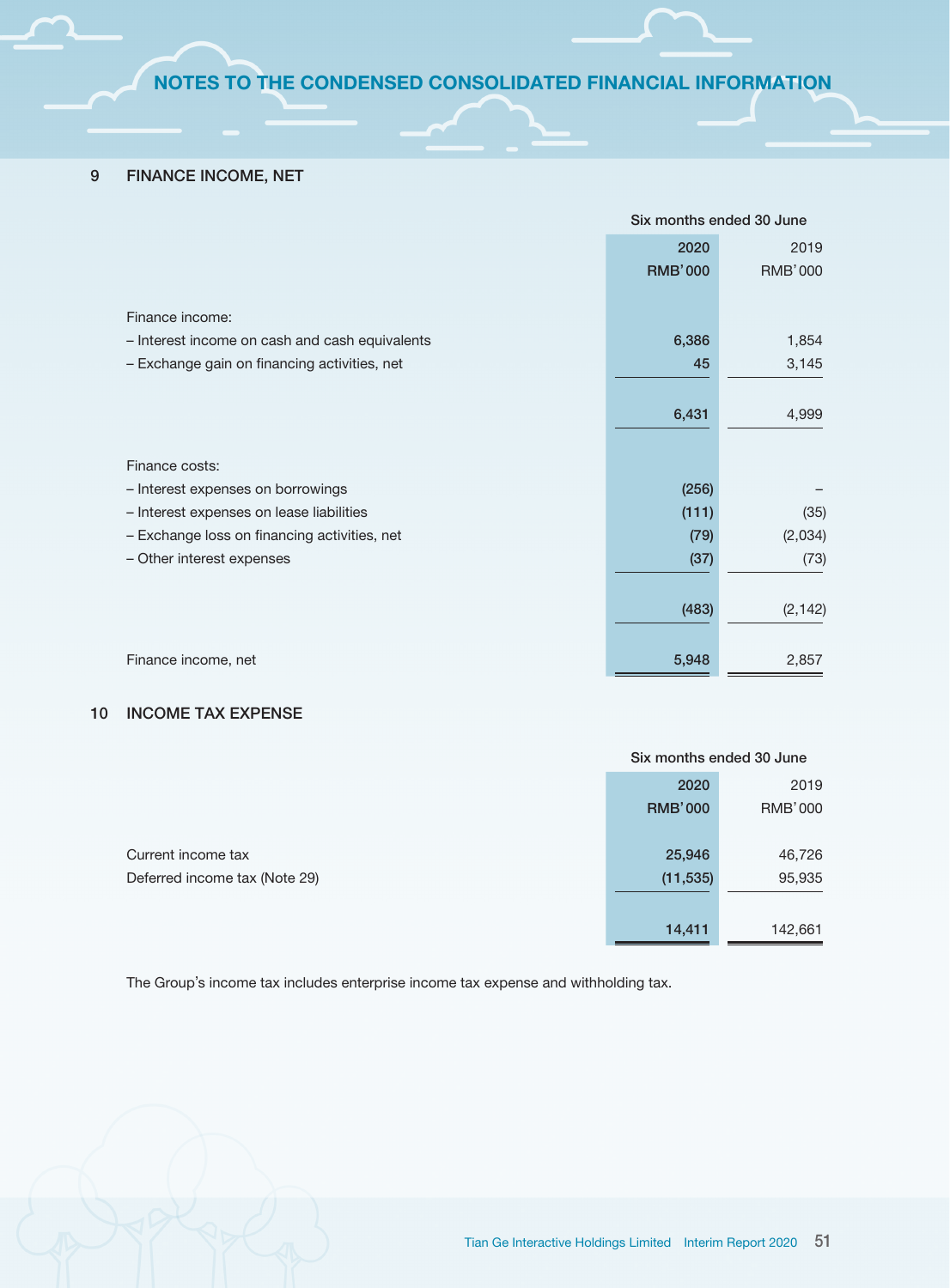## 9 FINANCE INCOME, NET

|                                                | Six months ended 30 June |                |
|------------------------------------------------|--------------------------|----------------|
|                                                | 2020                     | 2019           |
|                                                | <b>RMB'000</b>           | <b>RMB'000</b> |
|                                                |                          |                |
| Finance income:                                |                          |                |
| - Interest income on cash and cash equivalents | 6,386                    | 1,854          |
| - Exchange gain on financing activities, net   | 45                       | 3,145          |
|                                                |                          |                |
|                                                | 6,431                    | 4,999          |
|                                                |                          |                |
| Finance costs:                                 |                          |                |
| - Interest expenses on borrowings              | (256)                    |                |
| - Interest expenses on lease liabilities       | (111)                    | (35)           |
| - Exchange loss on financing activities, net   | (79)                     | (2,034)        |
| - Other interest expenses                      | (37)                     | (73)           |
|                                                |                          |                |
|                                                | (483)                    | (2, 142)       |
|                                                |                          |                |
| Finance income, net                            | 5,948                    | 2,857          |

#### 10 INCOME TAX EXPENSE

| 2020           | 2019           |
|----------------|----------------|
| <b>RMB'000</b> | <b>RMB'000</b> |
|                |                |
| 25,946         | 46,726         |
| (11, 535)      | 95,935         |
|                |                |
| 14,411         | 142,661        |
|                |                |

The Group's income tax includes enterprise income tax expense and withholding tax.

Six months ended 30 June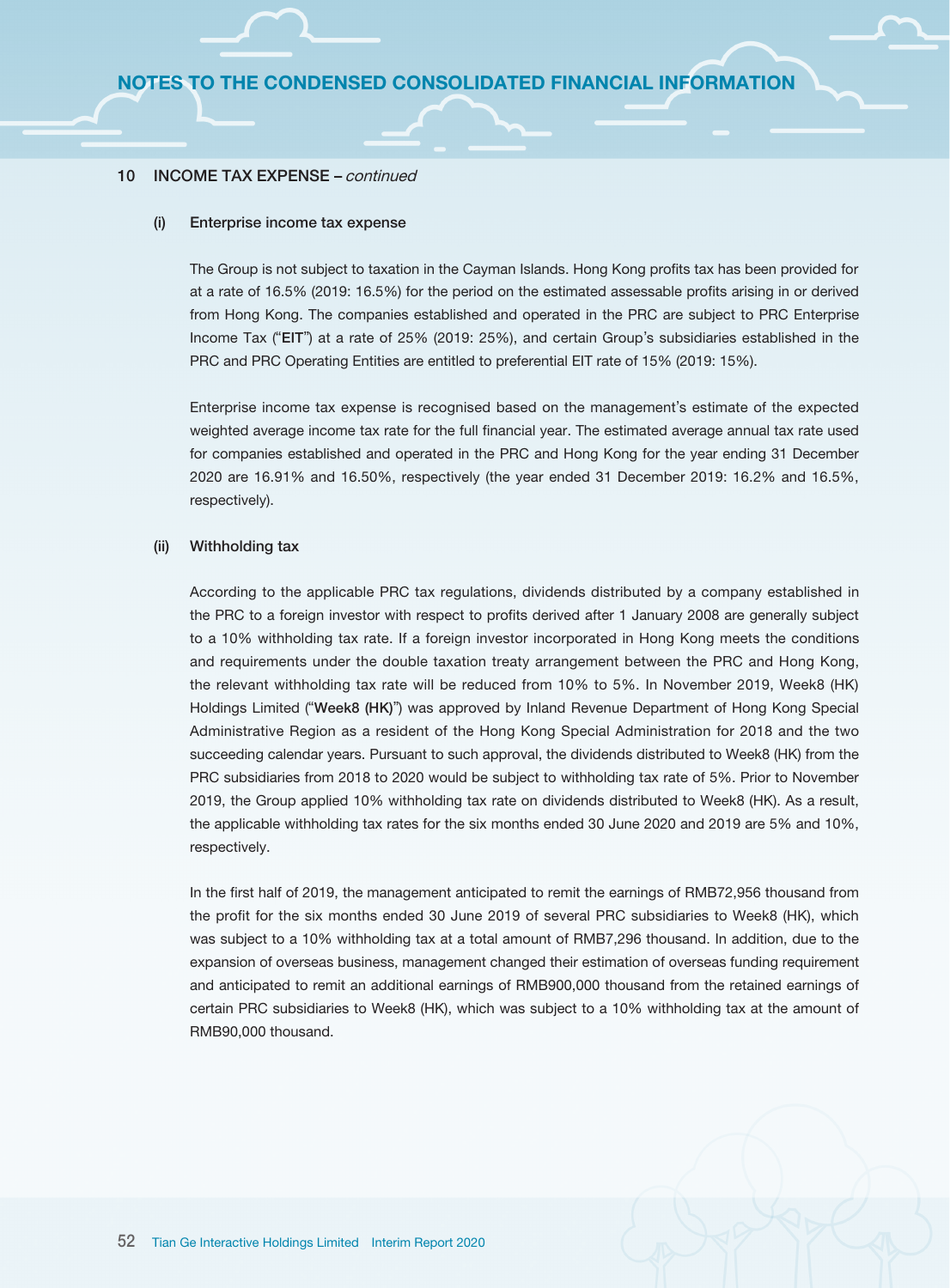#### 10 INCOME TAX EXPENSE – continued

#### (i) Enterprise income tax expense

The Group is not subject to taxation in the Cayman Islands. Hong Kong profits tax has been provided for at a rate of 16.5% (2019: 16.5%) for the period on the estimated assessable profits arising in or derived from Hong Kong. The companies established and operated in the PRC are subject to PRC Enterprise Income Tax ("EIT") at a rate of 25% (2019: 25%), and certain Group's subsidiaries established in the PRC and PRC Operating Entities are entitled to preferential EIT rate of 15% (2019: 15%).

Enterprise income tax expense is recognised based on the management's estimate of the expected weighted average income tax rate for the full financial year. The estimated average annual tax rate used for companies established and operated in the PRC and Hong Kong for the year ending 31 December 2020 are 16.91% and 16.50%, respectively (the year ended 31 December 2019: 16.2% and 16.5%, respectively).

#### (ii) Withholding tax

According to the applicable PRC tax regulations, dividends distributed by a company established in the PRC to a foreign investor with respect to profits derived after 1 January 2008 are generally subject to a 10% withholding tax rate. If a foreign investor incorporated in Hong Kong meets the conditions and requirements under the double taxation treaty arrangement between the PRC and Hong Kong, the relevant withholding tax rate will be reduced from 10% to 5%. In November 2019, Week8 (HK) Holdings Limited ("Week8 (HK)") was approved by Inland Revenue Department of Hong Kong Special Administrative Region as a resident of the Hong Kong Special Administration for 2018 and the two succeeding calendar years. Pursuant to such approval, the dividends distributed to Week8 (HK) from the PRC subsidiaries from 2018 to 2020 would be subject to withholding tax rate of 5%. Prior to November 2019, the Group applied 10% withholding tax rate on dividends distributed to Week8 (HK). As a result, the applicable withholding tax rates for the six months ended 30 June 2020 and 2019 are 5% and 10%, respectively.

In the first half of 2019, the management anticipated to remit the earnings of RMB72,956 thousand from the profit for the six months ended 30 June 2019 of several PRC subsidiaries to Week8 (HK), which was subject to a 10% withholding tax at a total amount of RMB7,296 thousand. In addition, due to the expansion of overseas business, management changed their estimation of overseas funding requirement and anticipated to remit an additional earnings of RMB900,000 thousand from the retained earnings of certain PRC subsidiaries to Week8 (HK), which was subject to a 10% withholding tax at the amount of RMB90,000 thousand.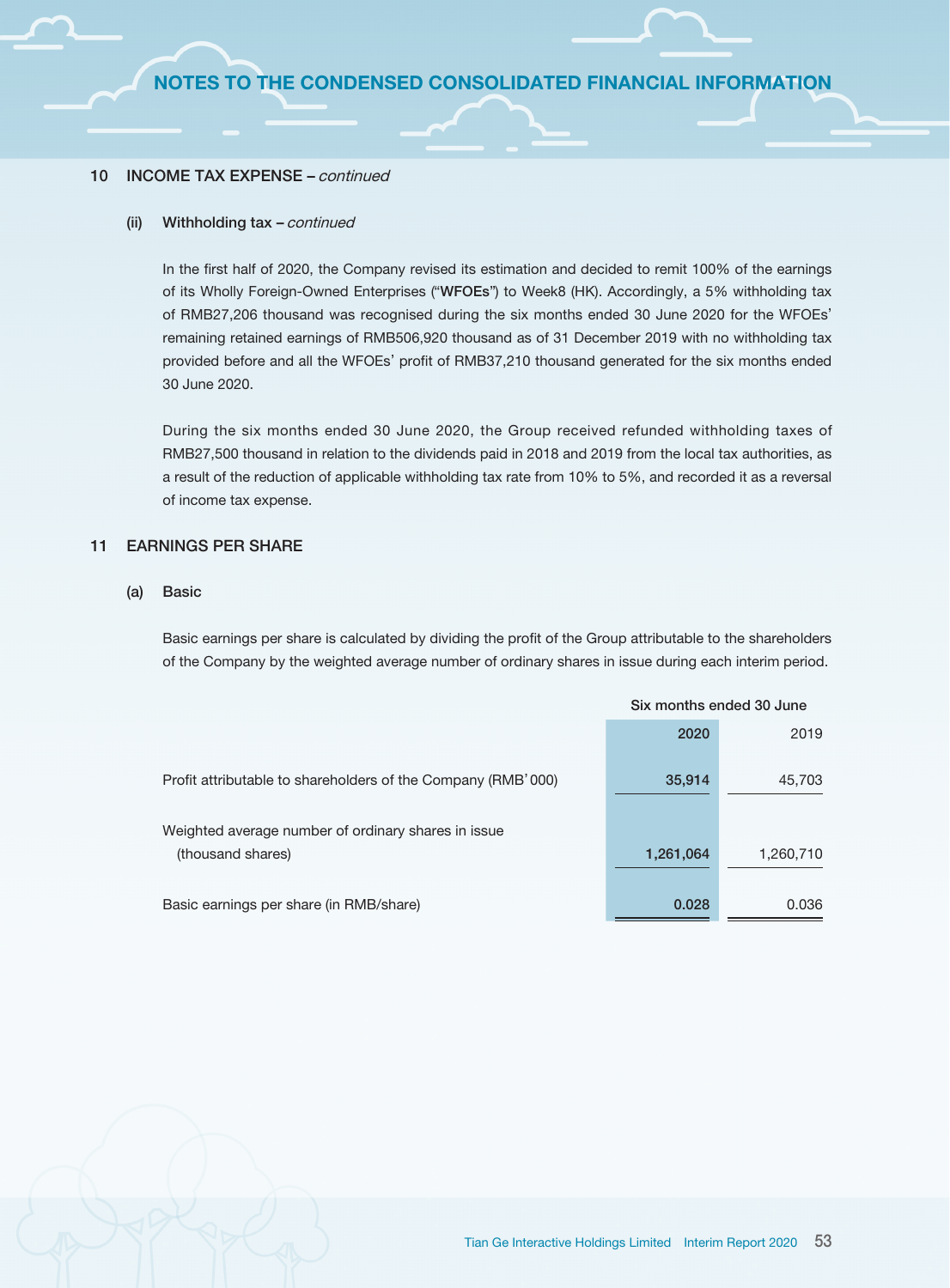#### 10 INCOME TAX EXPENSE – continued

#### (ii) Withholding tax – continued

In the first half of 2020, the Company revised its estimation and decided to remit 100% of the earnings of its Wholly Foreign-Owned Enterprises ("WFOEs") to Week8 (HK). Accordingly, a 5% withholding tax of RMB27,206 thousand was recognised during the six months ended 30 June 2020 for the WFOEs' remaining retained earnings of RMB506,920 thousand as of 31 December 2019 with no withholding tax provided before and all the WFOEs' profit of RMB37,210 thousand generated for the six months ended 30 June 2020.

During the six months ended 30 June 2020, the Group received refunded withholding taxes of RMB27,500 thousand in relation to the dividends paid in 2018 and 2019 from the local tax authorities, as a result of the reduction of applicable withholding tax rate from 10% to 5%, and recorded it as a reversal of income tax expense.

#### 11 EARNINGS PER SHARE

#### (a) Basic

Basic earnings per share is calculated by dividing the profit of the Group attributable to the shareholders of the Company by the weighted average number of ordinary shares in issue during each interim period.

|                                                              |           | Six months ended 30 June |
|--------------------------------------------------------------|-----------|--------------------------|
|                                                              | 2020      | 2019                     |
| Profit attributable to shareholders of the Company (RMB'000) | 35,914    | 45,703                   |
| Weighted average number of ordinary shares in issue          |           |                          |
| (thousand shares)                                            | 1,261,064 | 1,260,710                |
| Basic earnings per share (in RMB/share)                      | 0.028     | 0.036                    |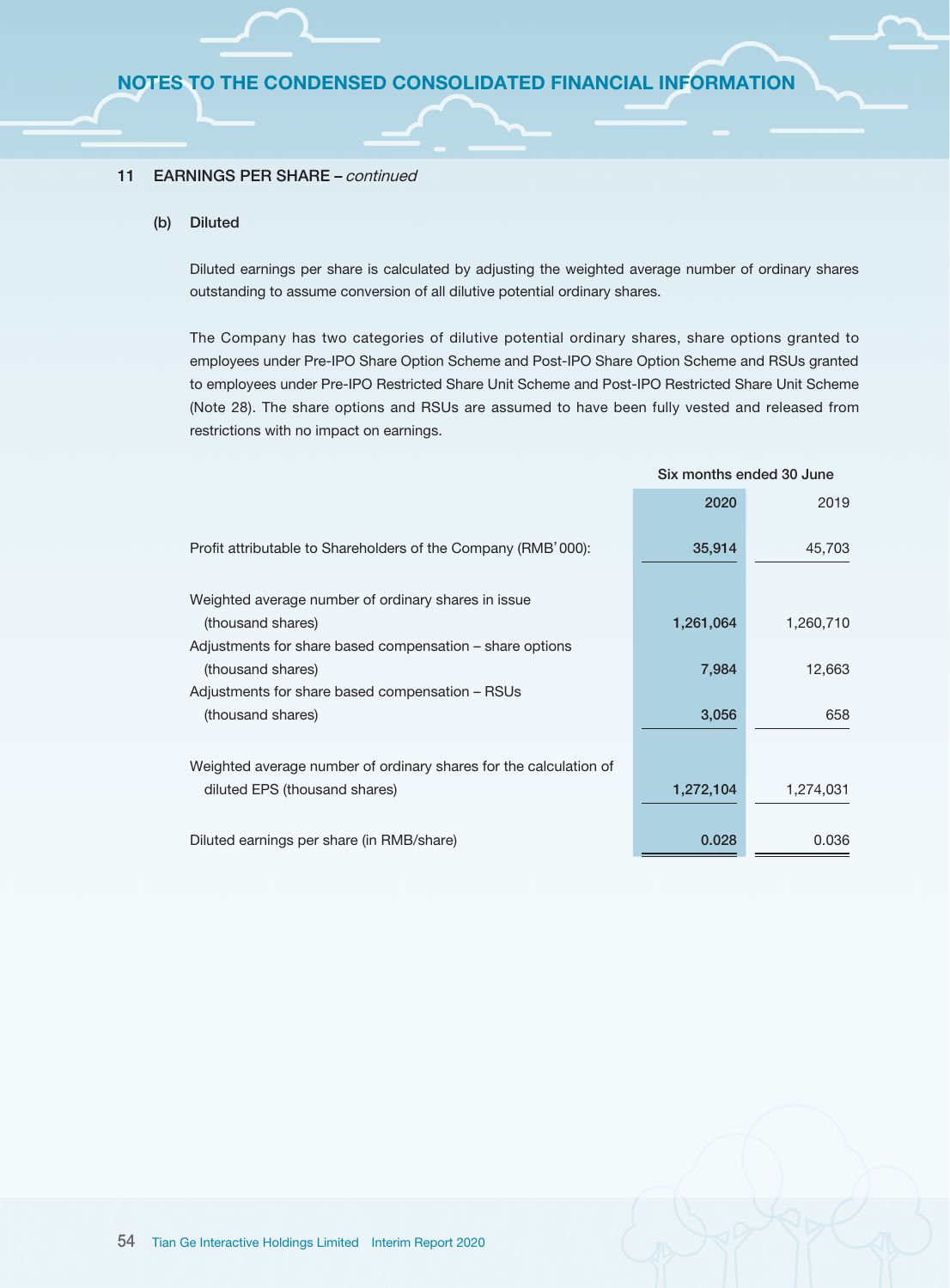#### 11 **EARNINGS PER SHARE – continued**

#### (b) Diluted

Diluted earnings per share is calculated by adjusting the weighted average number of ordinary shares outstanding to assume conversion of all dilutive potential ordinary shares.

The Company has two categories of dilutive potential ordinary shares, share options granted to employees under Pre-IPO Share Option Scheme and Post-IPO Share Option Scheme and RSUs granted to employees under Pre-IPO Restricted Share Unit Scheme and Post-IPO Restricted Share Unit Scheme (Note 28). The share options and RSUs are assumed to have been fully vested and released from restrictions with no impact on earnings.

Six months ended 30 June

|                                                                   | <u>SIA INUINIS CHUCU JU JUIC</u> |           |
|-------------------------------------------------------------------|----------------------------------|-----------|
|                                                                   | 2020                             | 2019      |
| Profit attributable to Shareholders of the Company (RMB'000):     | 35,914                           | 45,703    |
| Weighted average number of ordinary shares in issue               |                                  |           |
| (thousand shares)                                                 | 1,261,064                        | 1,260,710 |
| Adjustments for share based compensation – share options          |                                  |           |
| (thousand shares)                                                 | 7,984                            | 12,663    |
| Adjustments for share based compensation – RSUs                   |                                  |           |
| (thousand shares)                                                 | 3,056                            | 658       |
|                                                                   |                                  |           |
| Weighted average number of ordinary shares for the calculation of |                                  |           |
| diluted EPS (thousand shares)                                     | 1,272,104                        | 1,274,031 |
| Diluted earnings per share (in RMB/share)                         | 0.028                            | 0.036     |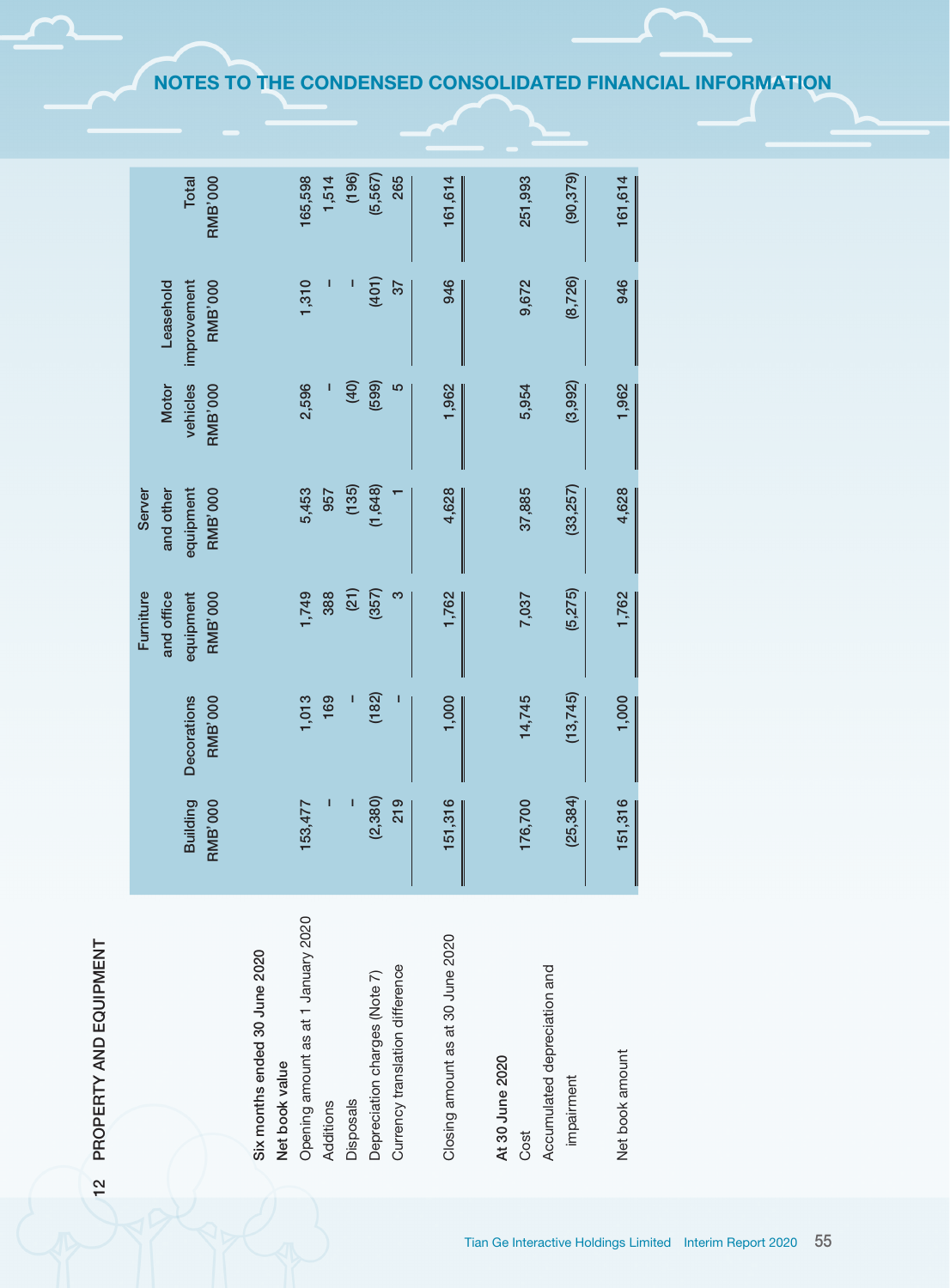# PROPERTY AND EQUIPMENT 12 PROPERTY AND EQUIPMENT  $12$

|                                     |                 |                    | Furniture      | <b>Server</b>  |                |                |                |
|-------------------------------------|-----------------|--------------------|----------------|----------------|----------------|----------------|----------------|
|                                     |                 |                    | and office     | and other      | <b>Motor</b>   | Leasehold      |                |
|                                     | <b>Building</b> | <b>Decorations</b> | equipment      | equipment      | vehicles       | improvement    | Total          |
|                                     | <b>RMB'000</b>  | <b>RMB'000</b>     | <b>RMB'000</b> | <b>RMB'000</b> | <b>RMB'000</b> | <b>RMB'000</b> | <b>RMB'000</b> |
| Six months ended 30 June 2020       |                 |                    |                |                |                |                |                |
| Net book value                      |                 |                    |                |                |                |                |                |
| Opening amount as at 1 January 2020 | 153,477         | 1,013              | 1,749          | 5,453          | 2,596          | 1,310          | 165,598        |
| Additions                           | I               | 169                | 388            | 957            |                | ı              | 1,514          |
| Disposals                           |                 | I                  | (21)           | (135)          | (40)           |                | (196)          |
| Depreciation charges (Note 7)       | (2, 380)        | (182)              | (357)          | (1,648)        | (599)          | (401)          | (5,567)        |
| Currency translation difference     | 219             |                    | ო              |                | 5              | 37             | 265            |
|                                     |                 |                    |                |                |                |                |                |
| Closing amount as at 30 June 2020   | 151,316         | 1,000              | 1,762          | 4,628          | 1,962          | 946            | 161,614        |
|                                     |                 |                    |                |                |                |                |                |
| At 30 June 2020                     |                 |                    |                |                |                |                |                |
| Cost                                | 176,700         | 14,745             | 7,037          | 37,885         | 5,954          | 9,672          | 251,993        |
| Accumulated depreciation and        |                 |                    |                |                |                |                |                |
| impairment                          | (25, 384)       | (13,745)           | (5,275)        | (33, 257)      | (3,992)        | (8, 726)       | (90, 379)      |
|                                     |                 |                    |                |                |                |                |                |
| Net book amount                     | 151,316         | 1,000              | 1,762          | 4,628          | 1,962          | 946            | 161,614        |

NOTES TO THE CONDENSED CONSOLIDATED FINANCIAL INFORMATION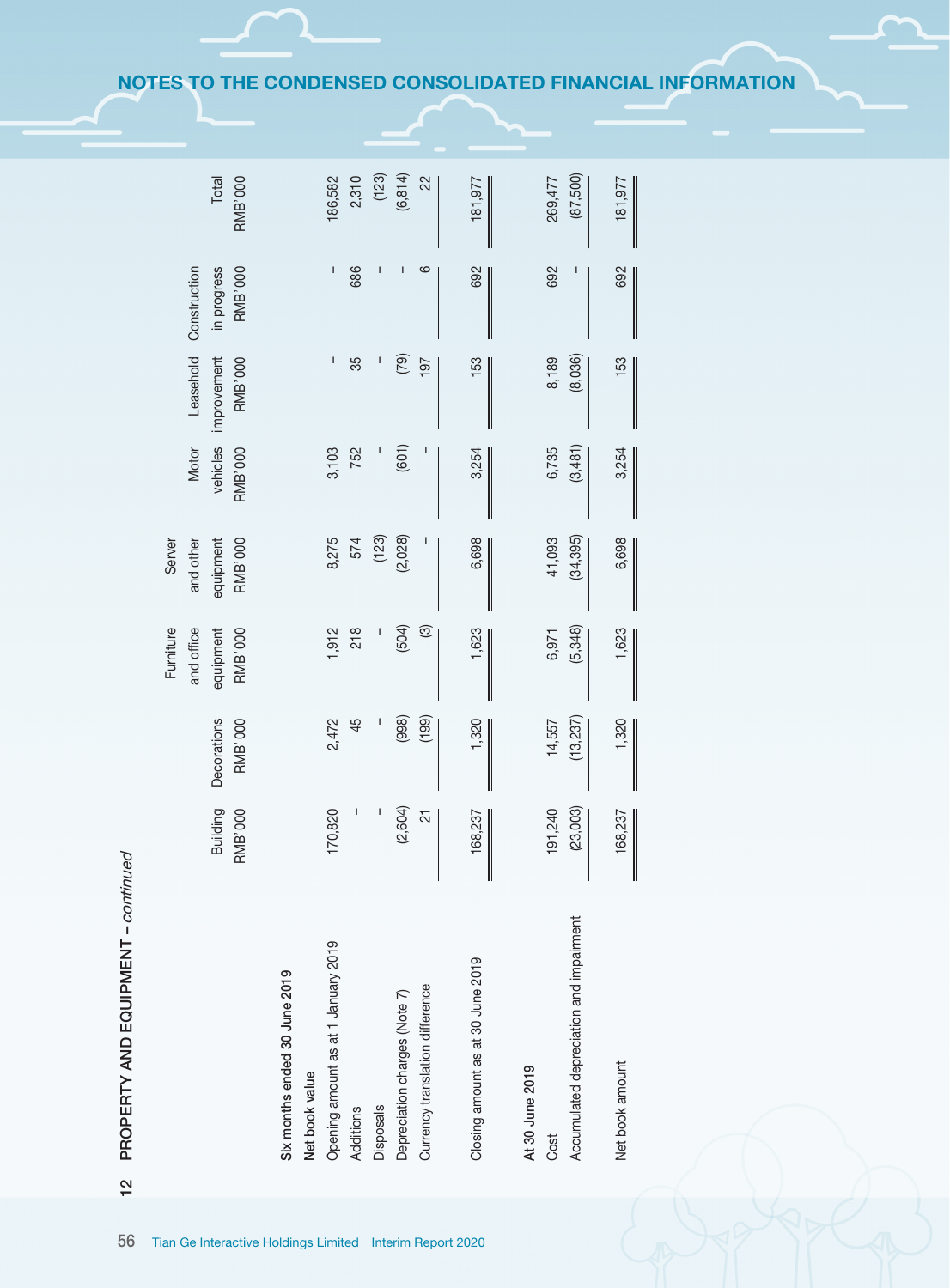| 12 PROPERTY AND EQUIPMENT - continued                              |                            |                               |                                                        |                                                    |                                     |                                            |                                                                                                                                                                                                                                                                                                                                                                                  |                         |
|--------------------------------------------------------------------|----------------------------|-------------------------------|--------------------------------------------------------|----------------------------------------------------|-------------------------------------|--------------------------------------------|----------------------------------------------------------------------------------------------------------------------------------------------------------------------------------------------------------------------------------------------------------------------------------------------------------------------------------------------------------------------------------|-------------------------|
|                                                                    | Building<br><b>RMB'000</b> | Decorations<br><b>RMB'000</b> | Furniture<br>and office<br><b>RMB'000</b><br>equipment | and other<br><b>RMB'000</b><br>equipment<br>Server | vehicles<br>Motor<br><b>RMB'000</b> | Leasehold<br><b>RMB'000</b><br>improvement | Construction<br>in progress<br><b>RMB'000</b>                                                                                                                                                                                                                                                                                                                                    | <b>RMB'000</b><br>Total |
| Six months ended 30 June 2019<br>Net book value                    |                            |                               |                                                        |                                                    |                                     |                                            |                                                                                                                                                                                                                                                                                                                                                                                  |                         |
| Opening amount as at 1 January 2019                                | 170,820                    | 2,472                         | 1,912                                                  | 8,275                                              | 3,103                               | $\mathbf I$                                | $\begin{array}{c} \rule{0pt}{2.5ex} \rule{0pt}{2.5ex} \rule{0pt}{2.5ex} \rule{0pt}{2.5ex} \rule{0pt}{2.5ex} \rule{0pt}{2.5ex} \rule{0pt}{2.5ex} \rule{0pt}{2.5ex} \rule{0pt}{2.5ex} \rule{0pt}{2.5ex} \rule{0pt}{2.5ex} \rule{0pt}{2.5ex} \rule{0pt}{2.5ex} \rule{0pt}{2.5ex} \rule{0pt}{2.5ex} \rule{0pt}{2.5ex} \rule{0pt}{2.5ex} \rule{0pt}{2.5ex} \rule{0pt}{2.5ex} \rule{0$ | 186,582                 |
| Additions                                                          | I                          | 45                            | 218                                                    | 574                                                | 752                                 | 35                                         | 686                                                                                                                                                                                                                                                                                                                                                                              | 2,310                   |
| <b>Disposals</b>                                                   |                            |                               |                                                        | (123)                                              |                                     | I                                          | I                                                                                                                                                                                                                                                                                                                                                                                | (123)                   |
| Depreciation charges (Note 7)                                      | (2,604)                    | (998)                         | (504)                                                  | (2,028)                                            | (601)                               | (52)                                       | $\mathbf I$                                                                                                                                                                                                                                                                                                                                                                      | (6, 814)                |
| Currency translation difference                                    | $\overline{2}$             | (199)                         | $\circledcirc$                                         |                                                    |                                     | 197                                        | ဖ                                                                                                                                                                                                                                                                                                                                                                                | 22                      |
| Closing amount as at 30 June 2019                                  | 168,237                    | 1,320                         | 1,623                                                  | 6,698                                              | 3,254                               | 153                                        | 692                                                                                                                                                                                                                                                                                                                                                                              | 181,977                 |
| Accumulated depreciation and impairment<br>At 30 June 2019<br>Cost | 191,240<br>(23, 003)       | (13, 237)<br>14,557           | (5,348)<br>6,971                                       | (34, 395)<br>41,093                                | 6,735<br>(3,481)                    | (8,036)<br>8,189                           | 692                                                                                                                                                                                                                                                                                                                                                                              | (87,500)<br>269,477     |
| Net book amount                                                    | 168,237                    | 1,320                         | 1,623                                                  | 6,698                                              | 3,254                               | 153                                        | 692                                                                                                                                                                                                                                                                                                                                                                              | 181,977                 |
|                                                                    |                            |                               |                                                        |                                                    |                                     |                                            |                                                                                                                                                                                                                                                                                                                                                                                  |                         |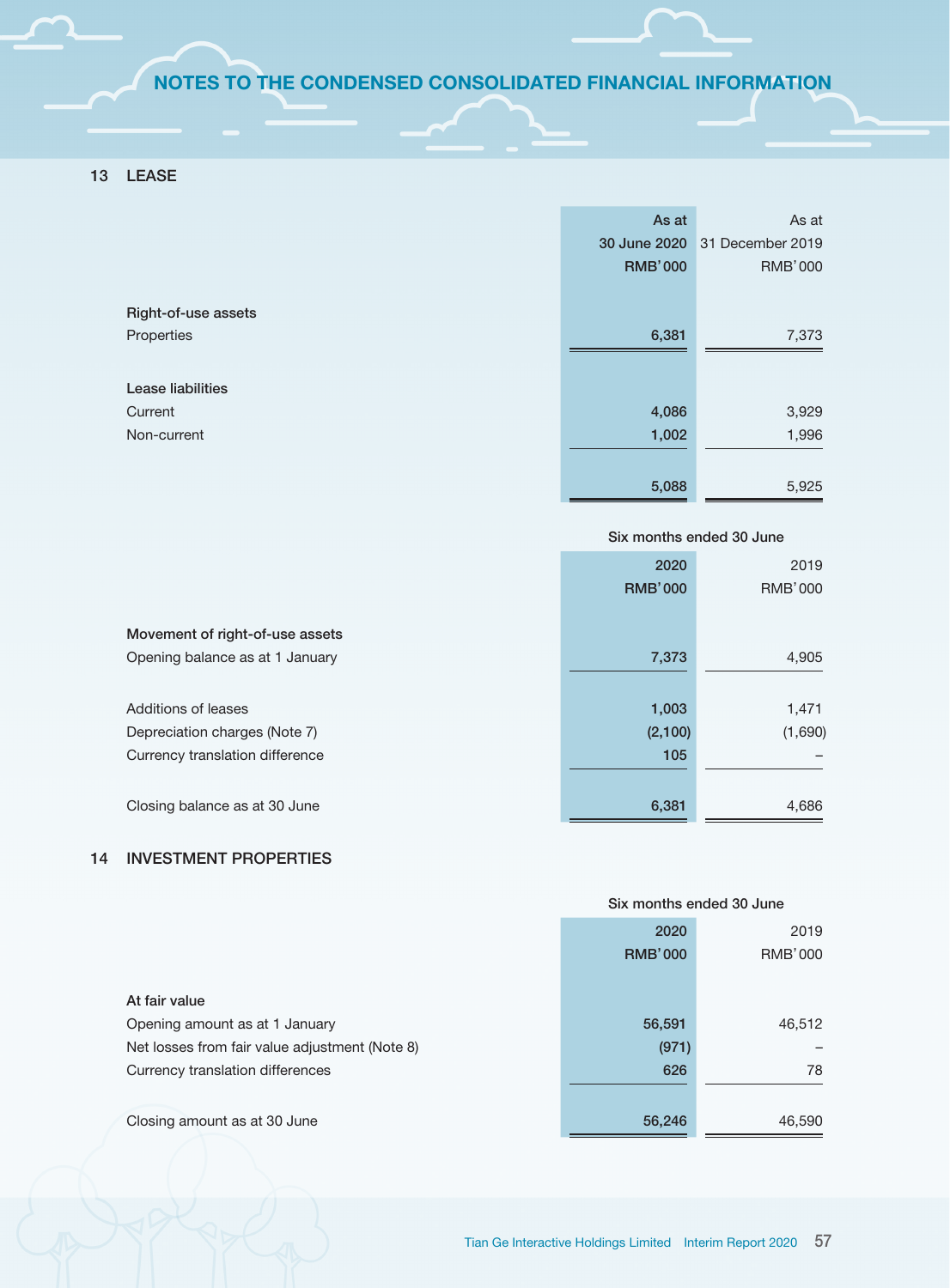# 13 LEASE

|                          | As at          | As at            |
|--------------------------|----------------|------------------|
|                          | 30 June 2020   | 31 December 2019 |
|                          | <b>RMB'000</b> | <b>RMB'000</b>   |
|                          |                |                  |
| Right-of-use assets      |                |                  |
| Properties               | 6,381          | 7,373            |
|                          |                |                  |
| <b>Lease liabilities</b> |                |                  |
| Current                  | 4,086          | 3,929            |
| Non-current              | 1,002          | 1,996            |
|                          |                |                  |
|                          | 5,088          | 5,925            |

|                                 |                | Six months ended 30 June |
|---------------------------------|----------------|--------------------------|
|                                 | 2020           | 2019                     |
|                                 | <b>RMB'000</b> | <b>RMB'000</b>           |
|                                 |                |                          |
| Movement of right-of-use assets |                |                          |
| Opening balance as at 1 January | 7,373          | 4,905                    |
|                                 |                |                          |
| Additions of leases             | 1,003          | 1,471                    |
| Depreciation charges (Note 7)   | (2,100)        | (1,690)                  |
| Currency translation difference | 105            |                          |
|                                 |                |                          |
| Closing balance as at 30 June   | 6,381          | 4,686                    |

# 14 INVESTMENT PROPERTIES

|                                                |                | Six months ended 30 June |
|------------------------------------------------|----------------|--------------------------|
|                                                | 2020           | 2019                     |
|                                                | <b>RMB'000</b> | <b>RMB'000</b>           |
| At fair value                                  |                |                          |
| Opening amount as at 1 January                 | 56,591         | 46,512                   |
| Net losses from fair value adjustment (Note 8) | (971)          |                          |
| Currency translation differences               | 626            | 78                       |
| Closing amount as at 30 June                   | 56,246         | 46,590                   |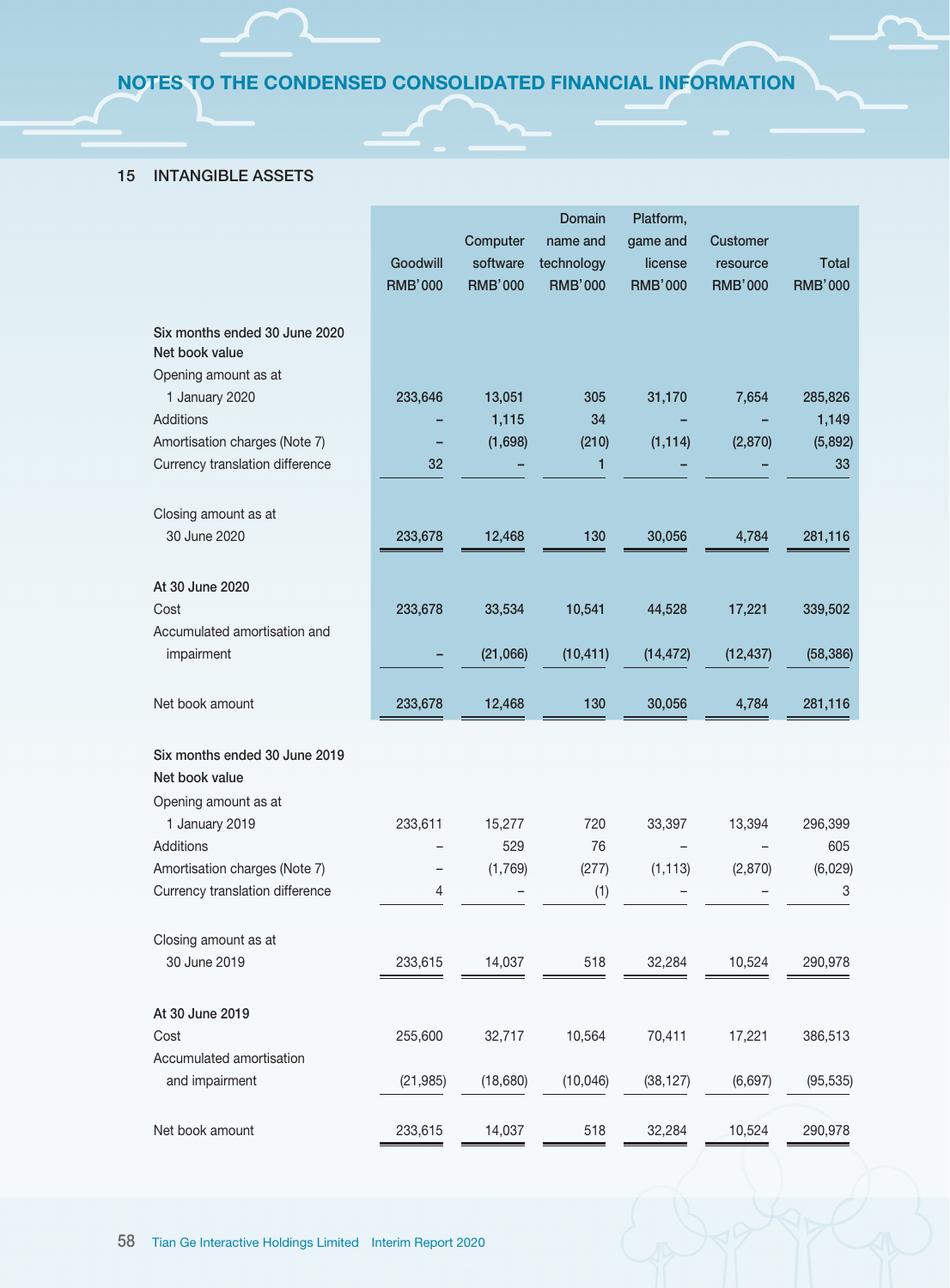# 15 INTANGIBLE ASSETS

|                                 |                |                | <b>Domain</b>  | Platform,      |                 |                |
|---------------------------------|----------------|----------------|----------------|----------------|-----------------|----------------|
|                                 |                | Computer       | name and       | game and       | <b>Customer</b> |                |
|                                 | Goodwill       | software       | technology     | license        | resource        | Total          |
|                                 | <b>RMB'000</b> | <b>RMB'000</b> | <b>RMB'000</b> | <b>RMB'000</b> | <b>RMB'000</b>  | <b>RMB'000</b> |
|                                 |                |                |                |                |                 |                |
| Six months ended 30 June 2020   |                |                |                |                |                 |                |
| Net book value                  |                |                |                |                |                 |                |
| Opening amount as at            |                |                |                |                |                 |                |
| 1 January 2020                  | 233,646        | 13,051         | 305            | 31,170         | 7,654           | 285,826        |
| Additions                       |                | 1,115          | 34             |                |                 | 1,149          |
| Amortisation charges (Note 7)   |                | (1,698)        | (210)          | (1, 114)       | (2,870)         | (5,892)        |
| Currency translation difference | 32             |                | 1              |                |                 | 33             |
|                                 |                |                |                |                |                 |                |
| Closing amount as at            |                |                |                |                |                 |                |
| 30 June 2020                    | 233,678        | 12,468         | 130            | 30,056         | 4,784           | 281,116        |
|                                 |                |                |                |                |                 |                |
| At 30 June 2020                 |                |                |                |                |                 |                |
| Cost                            | 233,678        | 33,534         | 10,541         | 44,528         | 17,221          | 339,502        |
| Accumulated amortisation and    |                |                |                |                |                 |                |
| impairment                      |                | (21,066)       | (10, 411)      | (14, 472)      | (12, 437)       | (58, 386)      |
|                                 |                |                |                |                |                 |                |
| Net book amount                 | 233,678        | 12,468         | 130            | 30,056         | 4,784           | 281,116        |
|                                 |                |                |                |                |                 |                |
| Six months ended 30 June 2019   |                |                |                |                |                 |                |
| Net book value                  |                |                |                |                |                 |                |
| Opening amount as at            |                |                |                |                |                 |                |
| 1 January 2019                  | 233,611        | 15,277         | 720            | 33,397         | 13,394          | 296,399        |
| Additions                       |                | 529            | 76             |                |                 | 605            |
| Amortisation charges (Note 7)   |                | (1,769)        | (277)          | (1, 113)       | (2,870)         | (6,029)        |
| Currency translation difference | 4              |                | (1)            |                |                 | 3              |
|                                 |                |                |                |                |                 |                |
| Closing amount as at            |                |                |                |                |                 |                |
| 30 June 2019                    | 233,615        | 14,037         | 518            | 32,284         | 10,524          | 290,978        |
|                                 |                |                |                |                |                 |                |
| At 30 June 2019                 |                |                |                |                |                 |                |
| Cost                            | 255,600        | 32,717         | 10,564         | 70,411         | 17,221          | 386,513        |
| Accumulated amortisation        |                |                |                |                |                 |                |
| and impairment                  | (21, 985)      | (18, 680)      | (10, 046)      | (38, 127)      | (6,697)         | (95, 535)      |
|                                 |                |                |                |                |                 |                |
|                                 |                |                |                |                |                 |                |
| Net book amount                 | 233,615        | 14,037         | 518            | 32,284         | 10,524          | 290,978        |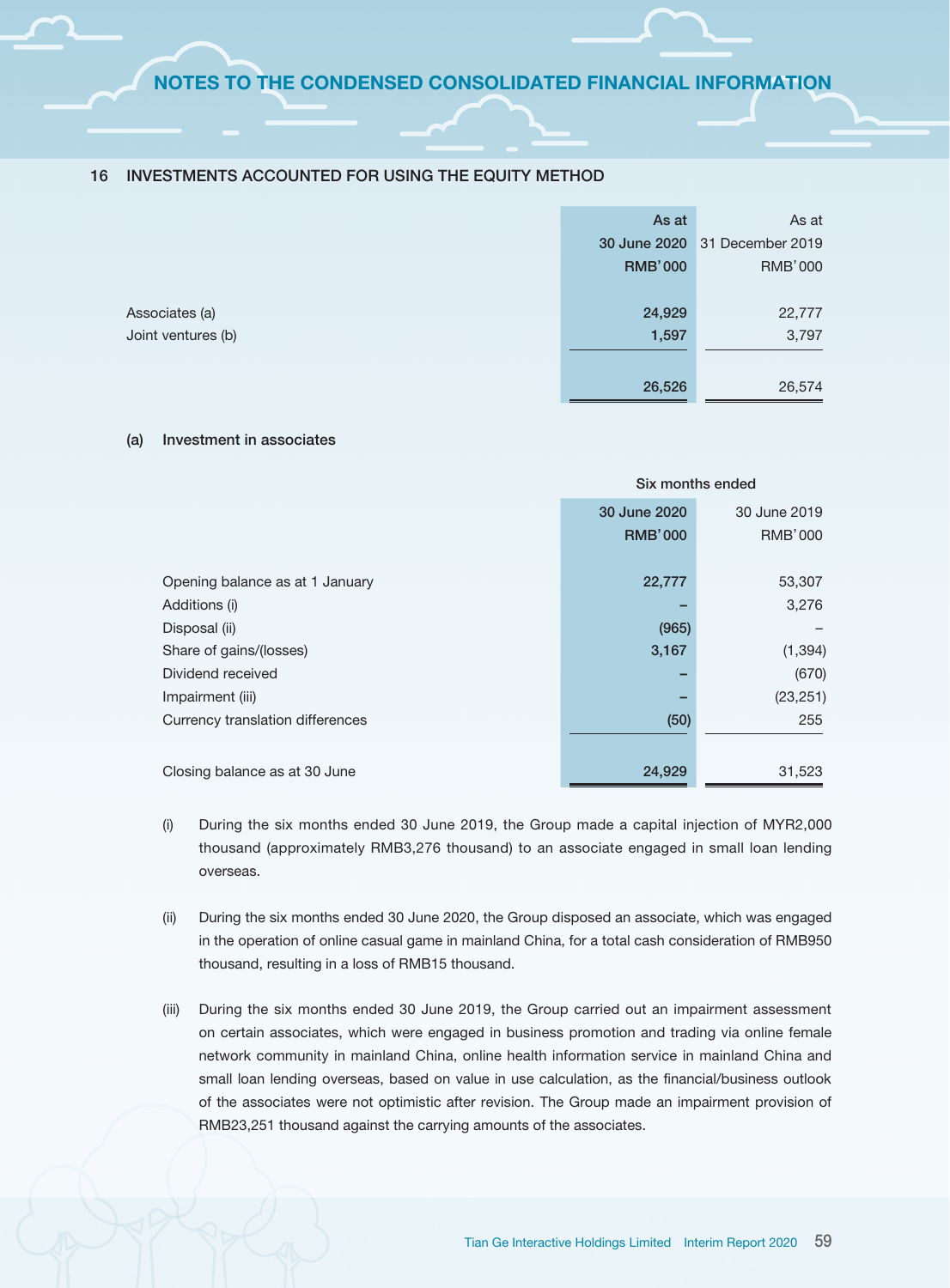#### 16 INVESTMENTS ACCOUNTED FOR USING THE EQUITY METHOD

|                    | As at          | As at                         |
|--------------------|----------------|-------------------------------|
|                    |                | 30 June 2020 31 December 2019 |
|                    | <b>RMB'000</b> | RMB'000                       |
|                    |                |                               |
| Associates (a)     | 24,929         | 22,777                        |
| Joint ventures (b) | 1,597          | 3,797                         |
|                    |                |                               |
|                    | 26,526         | 26,574                        |

#### (a) Investment in associates

|                                  | Six months ended |                |
|----------------------------------|------------------|----------------|
|                                  | 30 June 2020     | 30 June 2019   |
|                                  | <b>RMB'000</b>   | <b>RMB'000</b> |
| Opening balance as at 1 January  | 22,777           | 53,307         |
| Additions (i)                    |                  | 3,276          |
| Disposal (ii)                    | (965)            |                |
| Share of gains/(losses)          | 3,167            | (1, 394)       |
| Dividend received                |                  | (670)          |
| Impairment (iii)                 |                  | (23, 251)      |
| Currency translation differences | (50)             | 255            |
|                                  |                  |                |
| Closing balance as at 30 June    | 24,929           | 31,523         |

- (i) During the six months ended 30 June 2019, the Group made a capital injection of MYR2,000 thousand (approximately RMB3,276 thousand) to an associate engaged in small loan lending overseas.
- (ii) During the six months ended 30 June 2020, the Group disposed an associate, which was engaged in the operation of online casual game in mainland China, for a total cash consideration of RMB950 thousand, resulting in a loss of RMB15 thousand.
- (iii) During the six months ended 30 June 2019, the Group carried out an impairment assessment on certain associates, which were engaged in business promotion and trading via online female network community in mainland China, online health information service in mainland China and small loan lending overseas, based on value in use calculation, as the financial/business outlook of the associates were not optimistic after revision. The Group made an impairment provision of RMB23,251 thousand against the carrying amounts of the associates.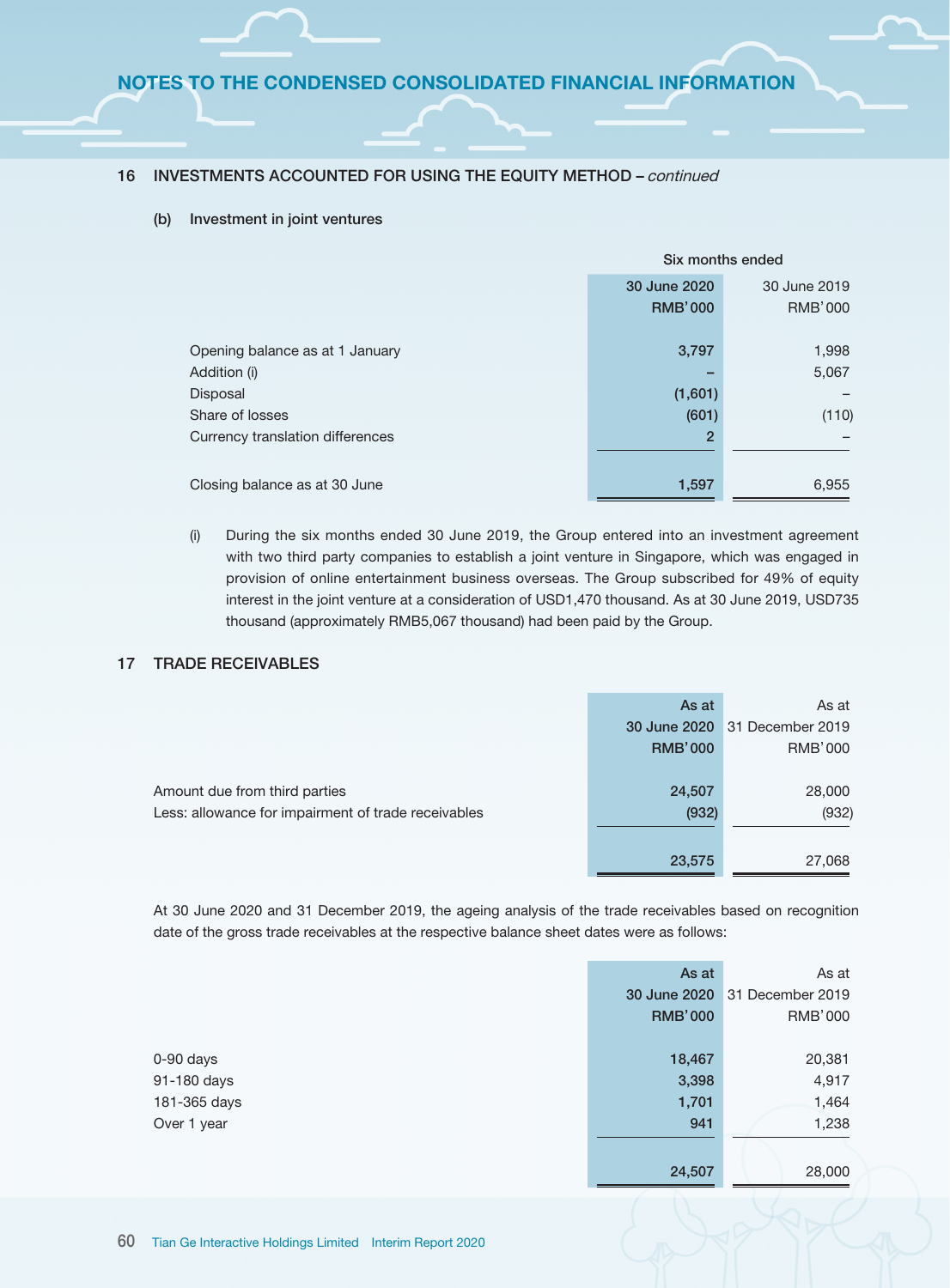#### 16 INVESTMENTS ACCOUNTED FOR USING THE EQUITY METHOD – continued

#### (b) Investment in joint ventures

|                                  | Six months ended |              |
|----------------------------------|------------------|--------------|
|                                  | 30 June 2020     | 30 June 2019 |
|                                  | <b>RMB'000</b>   | RMB'000      |
| Opening balance as at 1 January  | 3,797            | 1,998        |
| Addition (i)                     |                  | 5,067        |
| Disposal                         | (1,601)          |              |
| Share of losses                  | (601)            | (110)        |
| Currency translation differences | $\overline{2}$   |              |
| Closing balance as at 30 June    | 1,597            | 6,955        |

(i) During the six months ended 30 June 2019, the Group entered into an investment agreement with two third party companies to establish a joint venture in Singapore, which was engaged in provision of online entertainment business overseas. The Group subscribed for 49% of equity interest in the joint venture at a consideration of USD1,470 thousand. As at 30 June 2019, USD735 thousand (approximately RMB5,067 thousand) had been paid by the Group.

## 17 TRADE RECEIVABLES

|                                                                                      | As at<br>30 June 2020<br><b>RMB'000</b> | As at<br>31 December 2019<br><b>RMB'000</b> |
|--------------------------------------------------------------------------------------|-----------------------------------------|---------------------------------------------|
| Amount due from third parties<br>Less: allowance for impairment of trade receivables | 24,507<br>(932)                         | 28,000<br>(932)                             |
|                                                                                      | 23,575                                  | 27,068                                      |

At 30 June 2020 and 31 December 2019, the ageing analysis of the trade receivables based on recognition date of the gross trade receivables at the respective balance sheet dates were as follows:

|              | As at          | As at            |
|--------------|----------------|------------------|
|              | 30 June 2020   | 31 December 2019 |
|              | <b>RMB'000</b> | <b>RMB'000</b>   |
|              |                |                  |
| $0-90$ days  | 18,467         | 20,381           |
| 91-180 days  | 3,398          | 4,917            |
| 181-365 days | 1,701          | 1,464            |
| Over 1 year  | 941            | 1,238            |
|              |                |                  |
|              | 24,507         | 28,000           |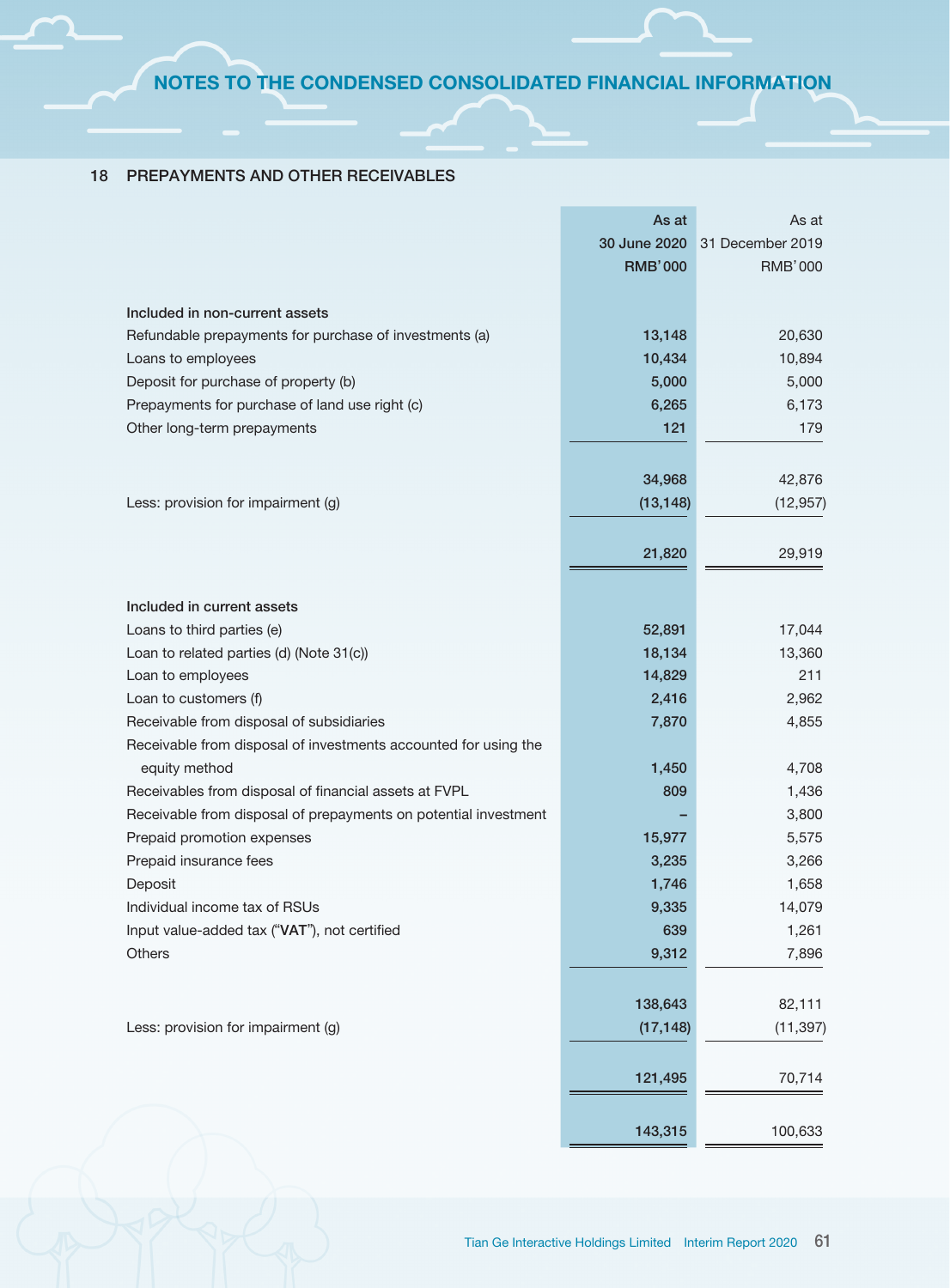## 18 PREPAYMENTS AND OTHER RECEIVABLES

|                                                                 | As at          | As at            |
|-----------------------------------------------------------------|----------------|------------------|
|                                                                 | 30 June 2020   | 31 December 2019 |
|                                                                 | <b>RMB'000</b> | <b>RMB'000</b>   |
|                                                                 |                |                  |
| Included in non-current assets                                  |                |                  |
| Refundable prepayments for purchase of investments (a)          | 13,148         | 20,630           |
| Loans to employees                                              | 10,434         | 10,894           |
| Deposit for purchase of property (b)                            | 5,000          | 5,000            |
| Prepayments for purchase of land use right (c)                  | 6,265          | 6,173            |
| Other long-term prepayments                                     | 121            | 179              |
|                                                                 |                |                  |
|                                                                 | 34,968         | 42,876           |
| Less: provision for impairment (g)                              | (13, 148)      | (12, 957)        |
|                                                                 |                |                  |
|                                                                 | 21,820         | 29,919           |
|                                                                 |                |                  |
|                                                                 |                |                  |
| Included in current assets                                      |                |                  |
| Loans to third parties (e)                                      | 52,891         | 17,044           |
| Loan to related parties (d) (Note 31(c))                        | 18,134         | 13,360           |
| Loan to employees                                               | 14,829         | 211              |
| Loan to customers (f)                                           | 2,416          | 2,962            |
| Receivable from disposal of subsidiaries                        | 7,870          | 4,855            |
| Receivable from disposal of investments accounted for using the |                |                  |
| equity method                                                   | 1,450          | 4,708            |
| Receivables from disposal of financial assets at FVPL           | 809            | 1,436            |
| Receivable from disposal of prepayments on potential investment |                | 3,800            |
| Prepaid promotion expenses                                      | 15,977         | 5,575            |
| Prepaid insurance fees                                          | 3,235          | 3,266            |
| Deposit                                                         | 1,746          | 1,658            |
| Individual income tax of RSUs                                   | 9,335          | 14,079           |
| Input value-added tax ("VAT"), not certified                    | 639            | 1,261            |
| Others                                                          | 9,312          | 7,896            |
|                                                                 |                |                  |
|                                                                 | 138,643        | 82,111           |
| Less: provision for impairment (g)                              | (17, 148)      | (11, 397)        |
|                                                                 |                |                  |
|                                                                 | 121,495        | 70,714           |
|                                                                 |                |                  |
|                                                                 | 143,315        | 100,633          |
|                                                                 |                |                  |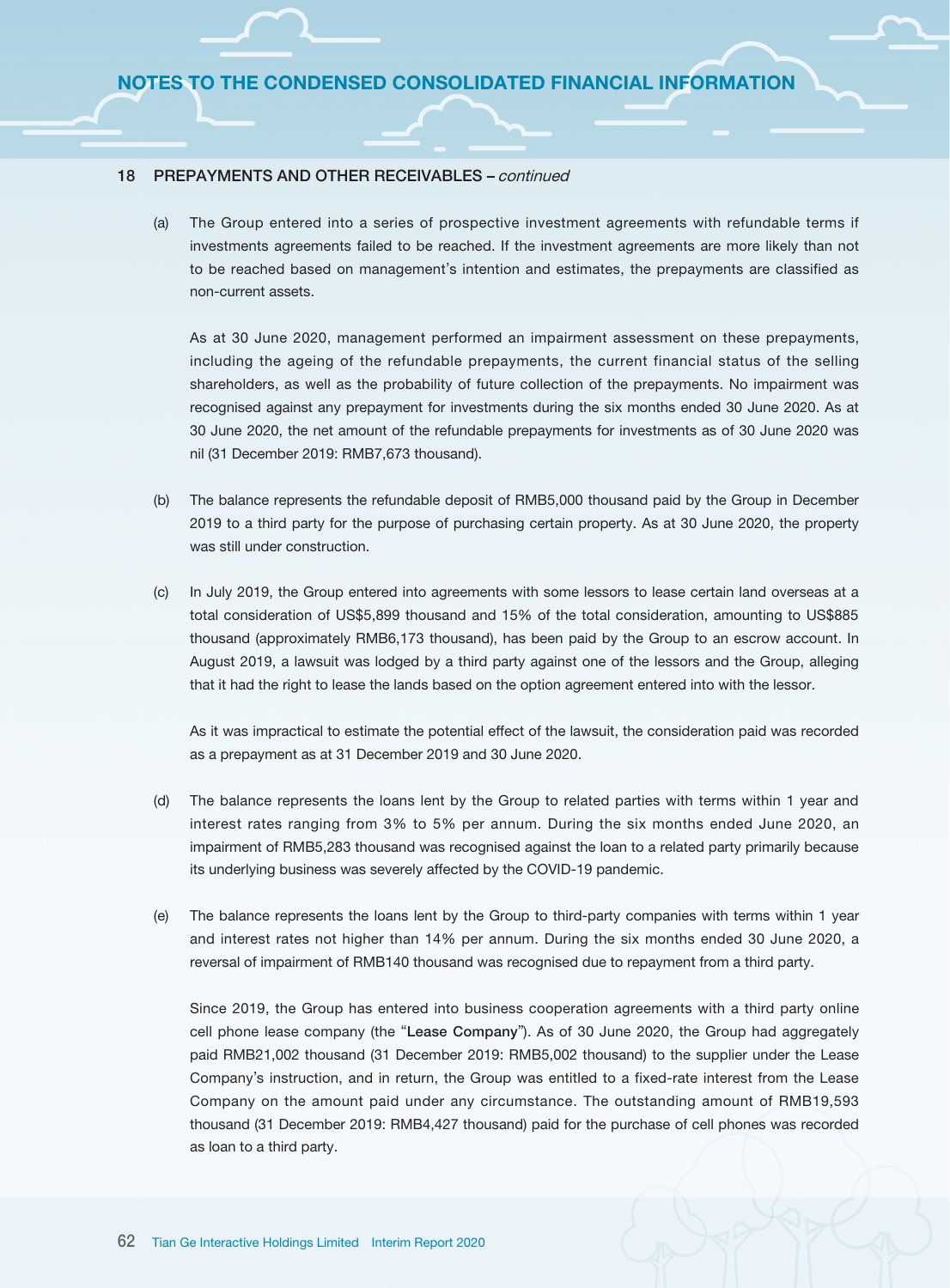#### 18 PREPAYMENTS AND OTHER RECEIVABLES – continued

(a) The Group entered into a series of prospective investment agreements with refundable terms if investments agreements failed to be reached. If the investment agreements are more likely than not to be reached based on management's intention and estimates, the prepayments are classified as non-current assets.

As at 30 June 2020, management performed an impairment assessment on these prepayments, including the ageing of the refundable prepayments, the current financial status of the selling shareholders, as well as the probability of future collection of the prepayments. No impairment was recognised against any prepayment for investments during the six months ended 30 June 2020. As at 30 June 2020, the net amount of the refundable prepayments for investments as of 30 June 2020 was nil (31 December 2019: RMB7,673 thousand).

- (b) The balance represents the refundable deposit of RMB5,000 thousand paid by the Group in December 2019 to a third party for the purpose of purchasing certain property. As at 30 June 2020, the property was still under construction.
- (c) In July 2019, the Group entered into agreements with some lessors to lease certain land overseas at a total consideration of US\$5,899 thousand and 15% of the total consideration, amounting to US\$885 thousand (approximately RMB6,173 thousand), has been paid by the Group to an escrow account. In August 2019, a lawsuit was lodged by a third party against one of the lessors and the Group, alleging that it had the right to lease the lands based on the option agreement entered into with the lessor.

As it was impractical to estimate the potential effect of the lawsuit, the consideration paid was recorded as a prepayment as at 31 December 2019 and 30 June 2020.

- (d) The balance represents the loans lent by the Group to related parties with terms within 1 year and interest rates ranging from 3% to 5% per annum. During the six months ended June 2020, an impairment of RMB5,283 thousand was recognised against the loan to a related party primarily because its underlying business was severely affected by the COVID-19 pandemic.
- (e) The balance represents the loans lent by the Group to third-party companies with terms within 1 year and interest rates not higher than 14% per annum. During the six months ended 30 June 2020, a reversal of impairment of RMB140 thousand was recognised due to repayment from a third party.

Since 2019, the Group has entered into business cooperation agreements with a third party online cell phone lease company (the "Lease Company"). As of 30 June 2020, the Group had aggregately paid RMB21,002 thousand (31 December 2019: RMB5,002 thousand) to the supplier under the Lease Company's instruction, and in return, the Group was entitled to a fixed-rate interest from the Lease Company on the amount paid under any circumstance. The outstanding amount of RMB19,593 thousand (31 December 2019: RMB4,427 thousand) paid for the purchase of cell phones was recorded as loan to a third party.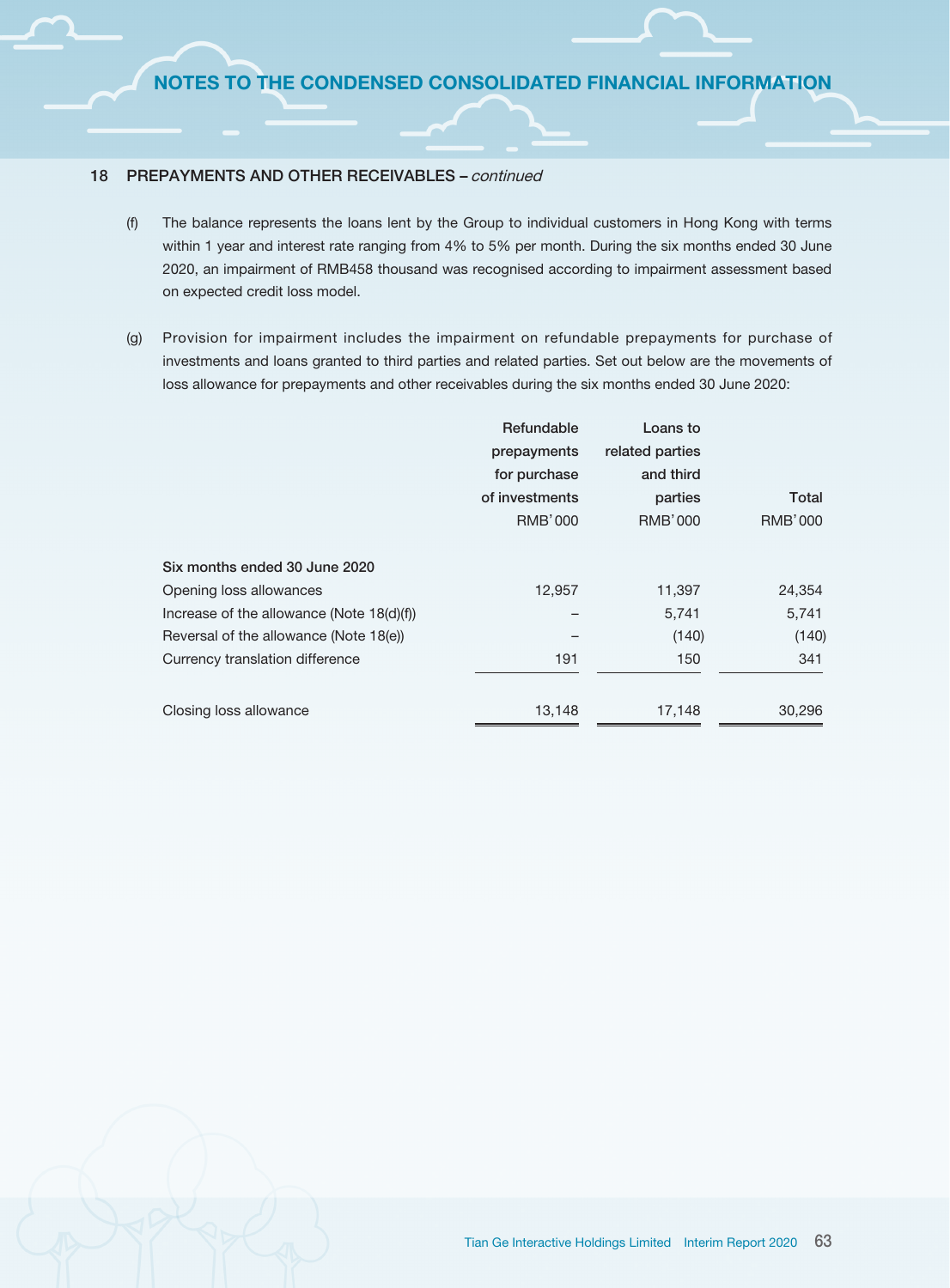#### 18 PREPAYMENTS AND OTHER RECEIVABLES – continued

- (f) The balance represents the loans lent by the Group to individual customers in Hong Kong with terms within 1 year and interest rate ranging from 4% to 5% per month. During the six months ended 30 June 2020, an impairment of RMB458 thousand was recognised according to impairment assessment based on expected credit loss model.
- (g) Provision for impairment includes the impairment on refundable prepayments for purchase of investments and loans granted to third parties and related parties. Set out below are the movements of loss allowance for prepayments and other receivables during the six months ended 30 June 2020:

|                                           | Refundable     | Loans to        |                |
|-------------------------------------------|----------------|-----------------|----------------|
|                                           | prepayments    | related parties |                |
|                                           | for purchase   | and third       |                |
|                                           | of investments | parties         | Total          |
|                                           | <b>RMB'000</b> | <b>RMB'000</b>  | <b>RMB'000</b> |
| Six months ended 30 June 2020             |                |                 |                |
| Opening loss allowances                   | 12,957         | 11,397          | 24,354         |
| Increase of the allowance (Note 18(d)(f)) |                | 5,741           | 5,741          |
| Reversal of the allowance (Note 18(e))    |                | (140)           | (140)          |
| Currency translation difference           | 191            | 150             | 341            |
|                                           |                |                 |                |
| Closing loss allowance                    | 13,148         | 17,148          | 30,296         |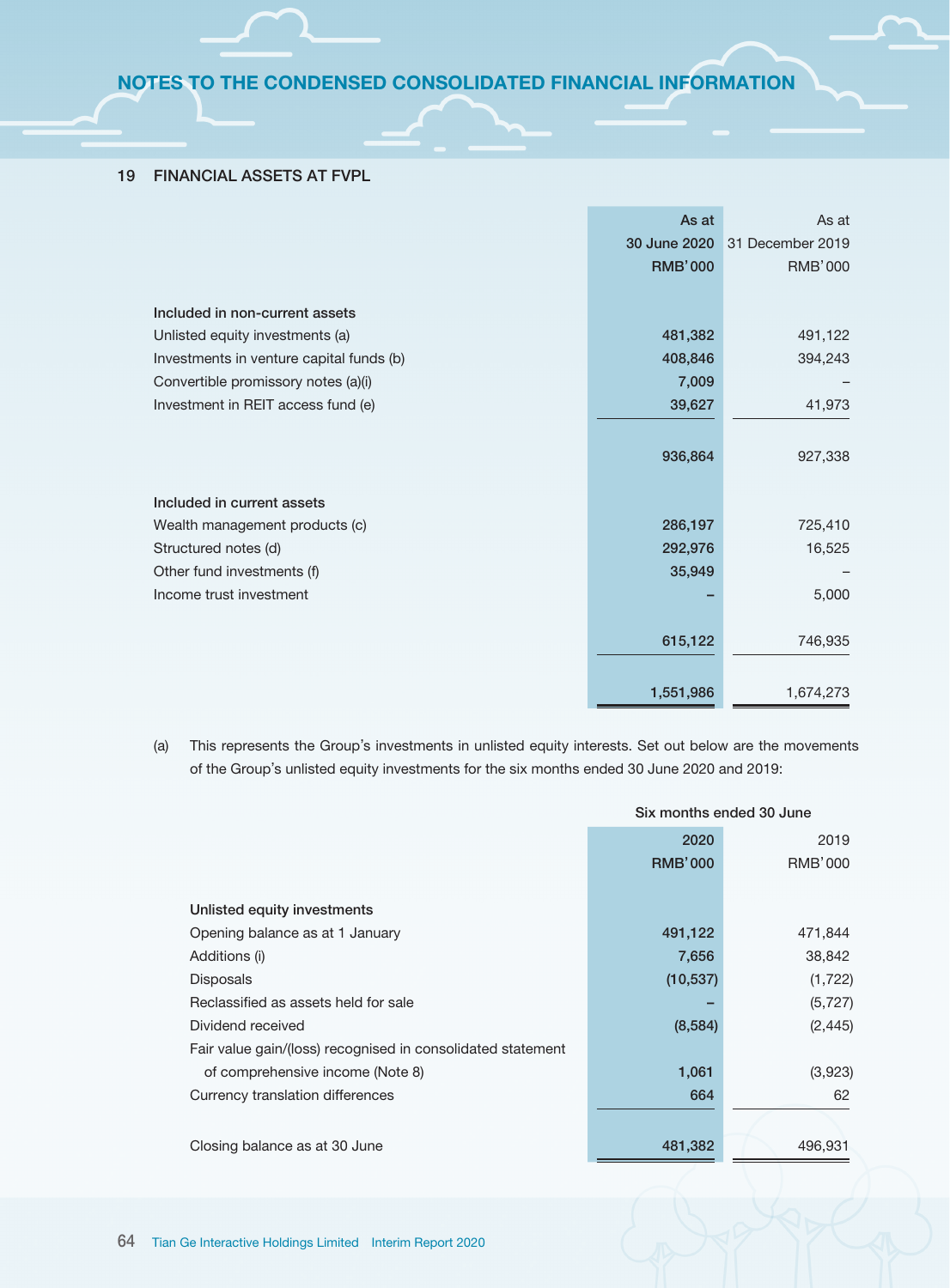# 19 FINANCIAL ASSETS AT FVPL

|                                          | As at          | As at            |
|------------------------------------------|----------------|------------------|
|                                          | 30 June 2020   | 31 December 2019 |
|                                          | <b>RMB'000</b> | <b>RMB'000</b>   |
|                                          |                |                  |
| Included in non-current assets           |                |                  |
| Unlisted equity investments (a)          | 481,382        | 491,122          |
| Investments in venture capital funds (b) | 408,846        | 394,243          |
| Convertible promissory notes (a)(i)      | 7,009          |                  |
| Investment in REIT access fund (e)       | 39,627         | 41,973           |
|                                          |                |                  |
|                                          | 936,864        | 927,338          |
|                                          |                |                  |
| Included in current assets               |                |                  |
| Wealth management products (c)           | 286,197        | 725,410          |
| Structured notes (d)                     | 292,976        | 16,525           |
| Other fund investments (f)               | 35,949         |                  |
| Income trust investment                  |                | 5,000            |
|                                          |                |                  |
|                                          | 615,122        | 746,935          |
|                                          |                |                  |
|                                          | 1,551,986      | 1,674,273        |

(a) This represents the Group's investments in unlisted equity interests. Set out below are the movements of the Group's unlisted equity investments for the six months ended 30 June 2020 and 2019:

|                                                             | Six months ended 30 June |                |
|-------------------------------------------------------------|--------------------------|----------------|
|                                                             | 2020                     | 2019           |
|                                                             | <b>RMB'000</b>           | <b>RMB'000</b> |
| Unlisted equity investments                                 |                          |                |
| Opening balance as at 1 January                             | 491,122                  | 471,844        |
| Additions (i)                                               | 7,656                    | 38,842         |
| <b>Disposals</b>                                            | (10, 537)                | (1, 722)       |
| Reclassified as assets held for sale                        |                          | (5, 727)       |
| Dividend received                                           | (8,584)                  | (2, 445)       |
| Fair value gain/(loss) recognised in consolidated statement |                          |                |
| of comprehensive income (Note 8)                            | 1,061                    | (3,923)        |
| Currency translation differences                            | 664                      | 62             |
|                                                             |                          |                |
| Closing balance as at 30 June                               | 481,382                  | 496,931        |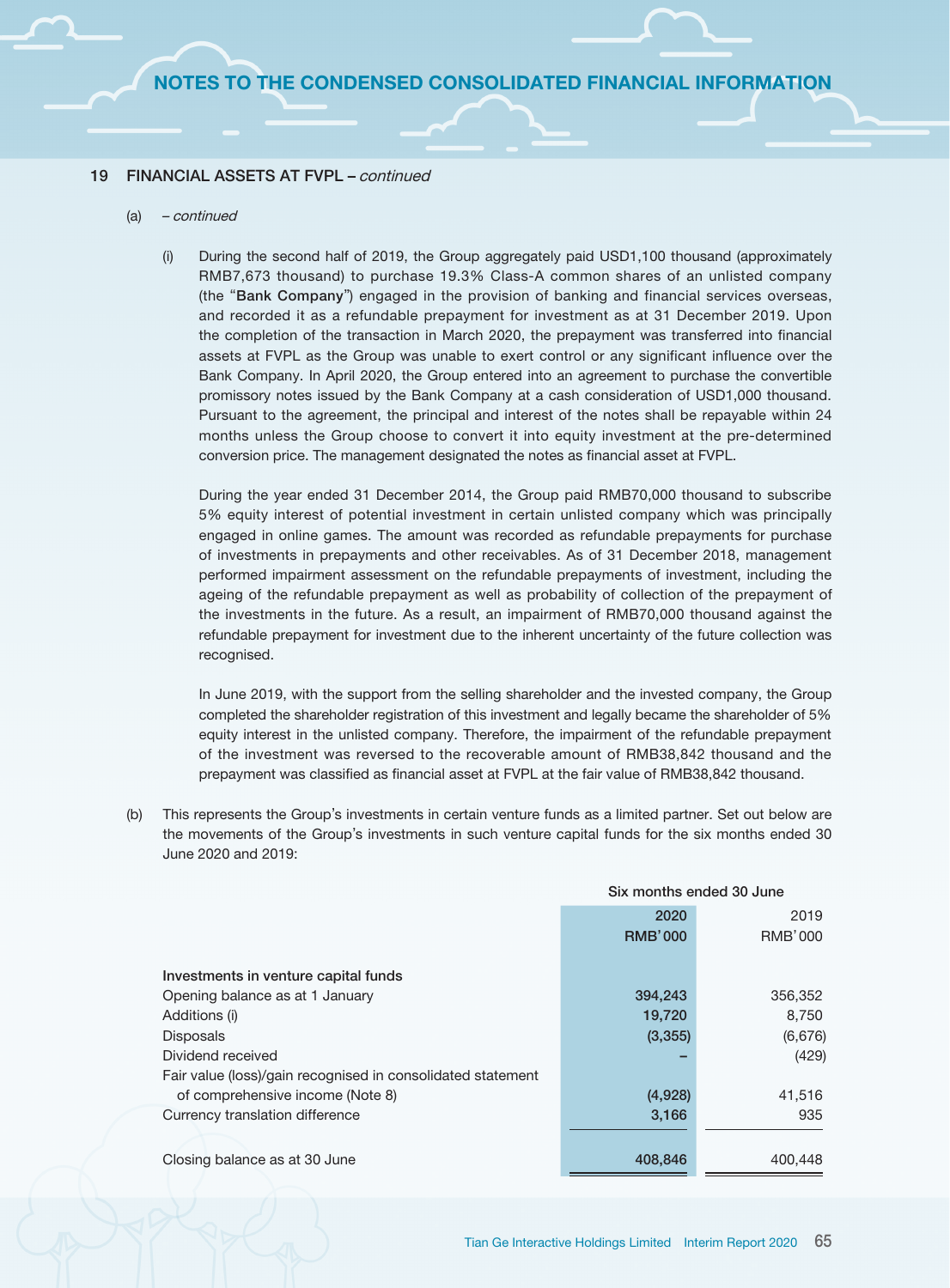#### 19 FINANCIAL ASSETS AT FVPL – continued

#### (a) – continued

(i) During the second half of 2019, the Group aggregately paid USD1,100 thousand (approximately RMB7,673 thousand) to purchase 19.3% Class-A common shares of an unlisted company (the "Bank Company") engaged in the provision of banking and financial services overseas, and recorded it as a refundable prepayment for investment as at 31 December 2019. Upon the completion of the transaction in March 2020, the prepayment was transferred into financial assets at FVPL as the Group was unable to exert control or any significant influence over the Bank Company. In April 2020, the Group entered into an agreement to purchase the convertible promissory notes issued by the Bank Company at a cash consideration of USD1,000 thousand. Pursuant to the agreement, the principal and interest of the notes shall be repayable within 24 months unless the Group choose to convert it into equity investment at the pre-determined conversion price. The management designated the notes as financial asset at FVPL.

During the year ended 31 December 2014, the Group paid RMB70,000 thousand to subscribe 5% equity interest of potential investment in certain unlisted company which was principally engaged in online games. The amount was recorded as refundable prepayments for purchase of investments in prepayments and other receivables. As of 31 December 2018, management performed impairment assessment on the refundable prepayments of investment, including the ageing of the refundable prepayment as well as probability of collection of the prepayment of the investments in the future. As a result, an impairment of RMB70,000 thousand against the refundable prepayment for investment due to the inherent uncertainty of the future collection was recognised.

In June 2019, with the support from the selling shareholder and the invested company, the Group completed the shareholder registration of this investment and legally became the shareholder of 5% equity interest in the unlisted company. Therefore, the impairment of the refundable prepayment of the investment was reversed to the recoverable amount of RMB38,842 thousand and the prepayment was classified as financial asset at FVPL at the fair value of RMB38,842 thousand.

(b) This represents the Group's investments in certain venture funds as a limited partner. Set out below are the movements of the Group's investments in such venture capital funds for the six months ended 30 June 2020 and 2019:

|                                                             | Six months ended 30 June |         |
|-------------------------------------------------------------|--------------------------|---------|
|                                                             | 2020                     | 2019    |
|                                                             | <b>RMB'000</b>           | RMB'000 |
| Investments in venture capital funds                        |                          |         |
| Opening balance as at 1 January                             | 394,243                  | 356,352 |
| Additions (i)                                               | 19,720                   | 8.750   |
| <b>Disposals</b>                                            | (3,355)                  | (6,676) |
| Dividend received                                           |                          | (429)   |
| Fair value (loss)/gain recognised in consolidated statement |                          |         |
| of comprehensive income (Note 8)                            | (4,928)                  | 41,516  |
| Currency translation difference                             | 3,166                    | 935     |
|                                                             |                          |         |
| Closing balance as at 30 June                               | 408,846                  | 400.448 |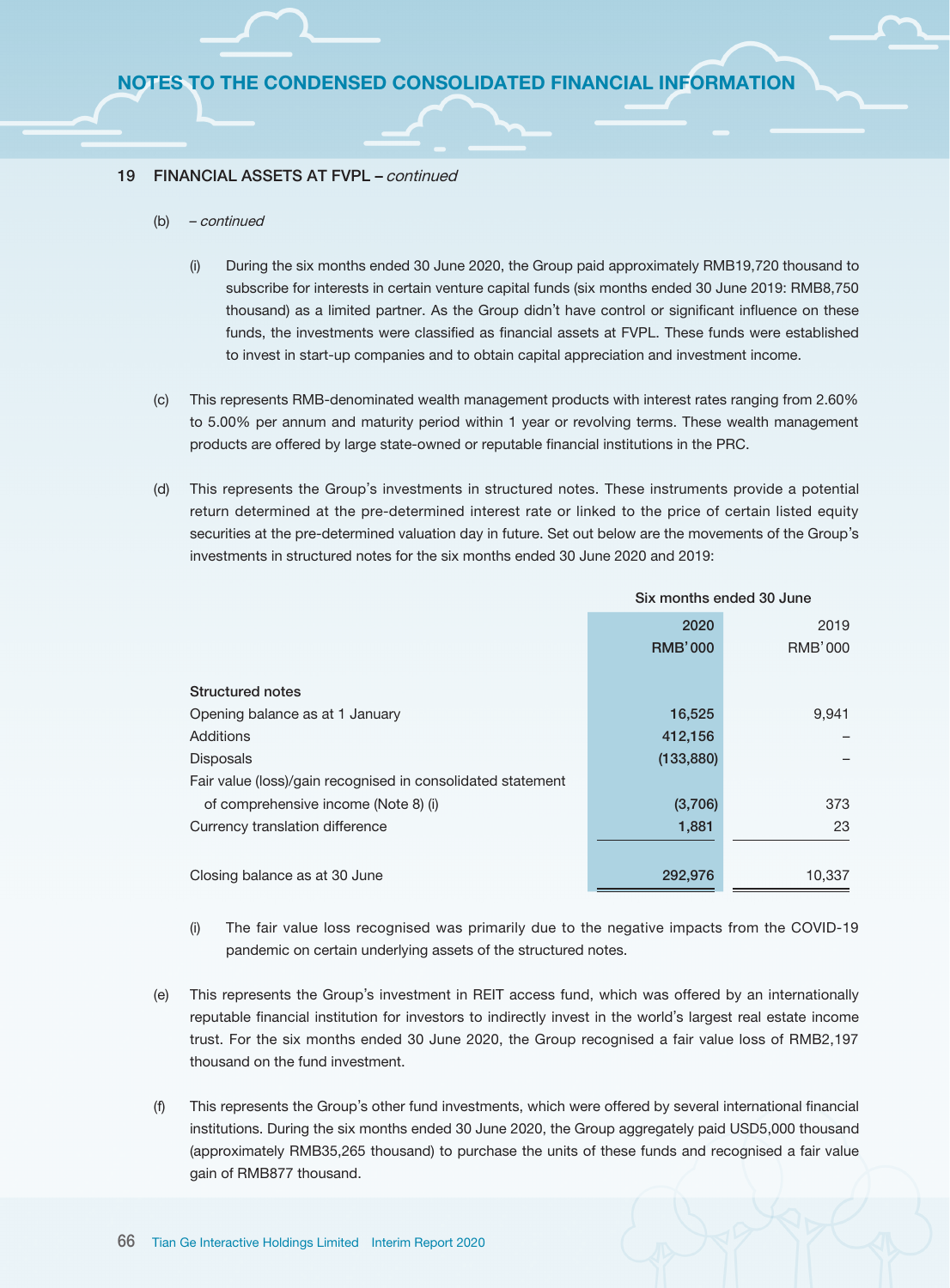#### 19 FINANCIAL ASSETS AT FVPL - continued

- (b) continued
	- (i) During the six months ended 30 June 2020, the Group paid approximately RMB19,720 thousand to subscribe for interests in certain venture capital funds (six months ended 30 June 2019: RMB8,750 thousand) as a limited partner. As the Group didn't have control or significant influence on these funds, the investments were classified as financial assets at FVPL. These funds were established to invest in start-up companies and to obtain capital appreciation and investment income.
- (c) This represents RMB-denominated wealth management products with interest rates ranging from 2.60% to 5.00% per annum and maturity period within 1 year or revolving terms. These wealth management products are offered by large state-owned or reputable financial institutions in the PRC.
- (d) This represents the Group's investments in structured notes. These instruments provide a potential return determined at the pre-determined interest rate or linked to the price of certain listed equity securities at the pre-determined valuation day in future. Set out below are the movements of the Group's investments in structured notes for the six months ended 30 June 2020 and 2019:

|                                                             | Six months ended 30 June |                |
|-------------------------------------------------------------|--------------------------|----------------|
|                                                             | 2020                     | 2019           |
|                                                             | <b>RMB'000</b>           | <b>RMB'000</b> |
|                                                             |                          |                |
| <b>Structured notes</b>                                     |                          |                |
| Opening balance as at 1 January                             | 16,525                   | 9,941          |
| Additions                                                   | 412,156                  |                |
| <b>Disposals</b>                                            | (133, 880)               |                |
| Fair value (loss)/gain recognised in consolidated statement |                          |                |
| of comprehensive income (Note 8) (i)                        | (3,706)                  | 373            |
| Currency translation difference                             | 1,881                    | 23             |
|                                                             |                          |                |
| Closing balance as at 30 June                               | 292,976                  | 10,337         |

- (i) The fair value loss recognised was primarily due to the negative impacts from the COVID-19 pandemic on certain underlying assets of the structured notes.
- (e) This represents the Group's investment in REIT access fund, which was offered by an internationally reputable financial institution for investors to indirectly invest in the world's largest real estate income trust. For the six months ended 30 June 2020, the Group recognised a fair value loss of RMB2,197 thousand on the fund investment.
- (f) This represents the Group's other fund investments, which were offered by several international financial institutions. During the six months ended 30 June 2020, the Group aggregately paid USD5,000 thousand (approximately RMB35,265 thousand) to purchase the units of these funds and recognised a fair value gain of RMB877 thousand.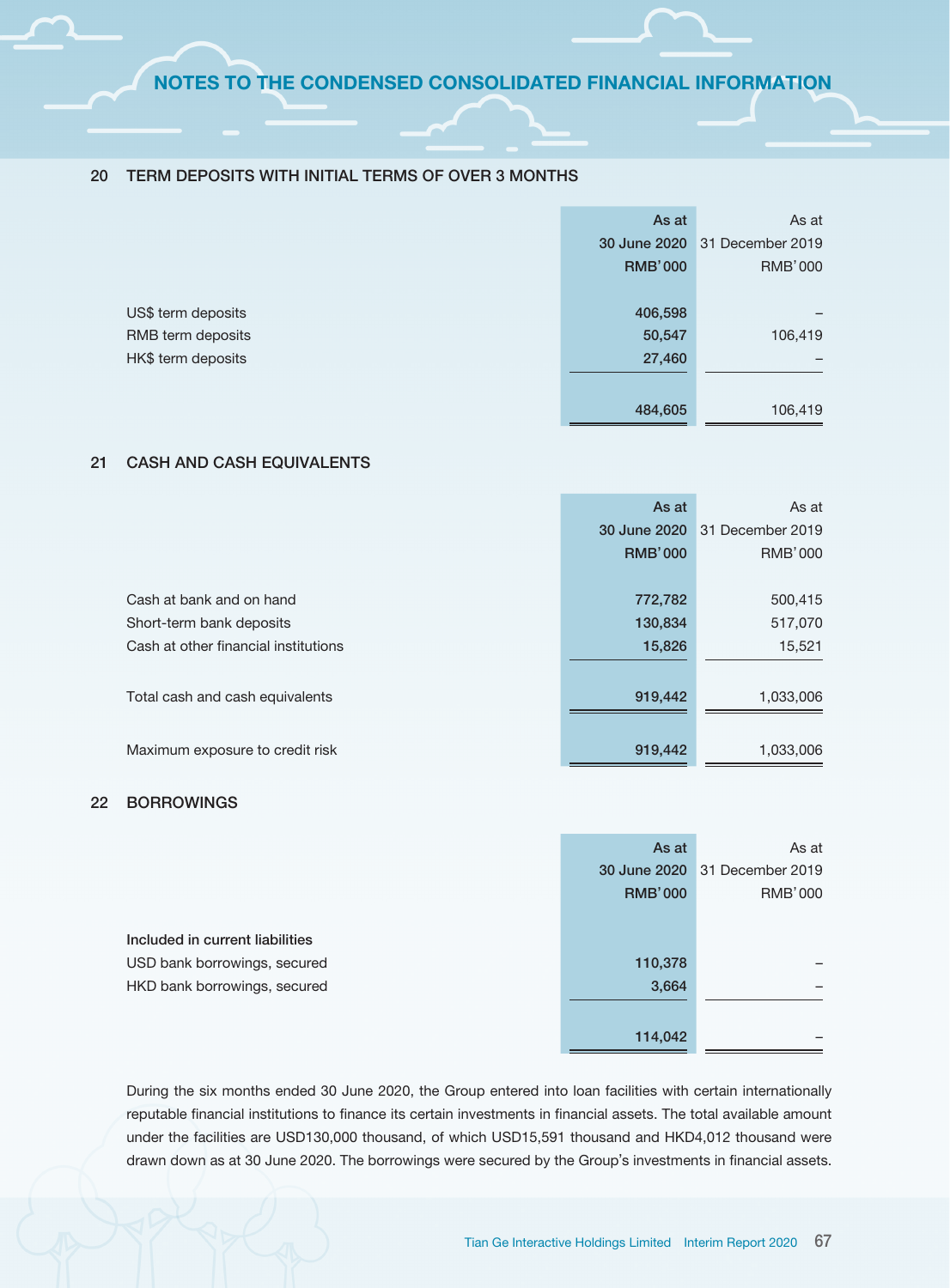#### 20 TERM DEPOSITS WITH INITIAL TERMS OF OVER 3 MONTHS

|                    | As at          | As at                         |
|--------------------|----------------|-------------------------------|
|                    |                | 30 June 2020 31 December 2019 |
|                    | <b>RMB'000</b> | <b>RMB'000</b>                |
|                    |                |                               |
| US\$ term deposits | 406,598        |                               |
| RMB term deposits  | 50,547         | 106,419                       |
| HK\$ term deposits | 27,460         |                               |
|                    |                |                               |
|                    | 484,605        | 106,419                       |

# 21 CASH AND CASH EQUIVALENTS

|                                      | As at          | As at            |
|--------------------------------------|----------------|------------------|
|                                      | 30 June 2020   | 31 December 2019 |
|                                      | <b>RMB'000</b> | <b>RMB'000</b>   |
|                                      |                |                  |
| Cash at bank and on hand             | 772,782        | 500,415          |
| Short-term bank deposits             | 130,834        | 517,070          |
| Cash at other financial institutions | 15,826         | 15,521           |
|                                      |                |                  |
| Total cash and cash equivalents      | 919,442        | 1,033,006        |
|                                      |                |                  |
| Maximum exposure to credit risk      | 919,442        | 1,033,006        |

## 22 BORROWINGS

|                                 | As at          | As at                         |
|---------------------------------|----------------|-------------------------------|
|                                 |                | 30 June 2020 31 December 2019 |
|                                 | <b>RMB'000</b> | <b>RMB'000</b>                |
|                                 |                |                               |
| Included in current liabilities |                |                               |
| USD bank borrowings, secured    | 110,378        |                               |
| HKD bank borrowings, secured    | 3,664          |                               |
|                                 |                |                               |
|                                 | 114,042        |                               |

During the six months ended 30 June 2020, the Group entered into loan facilities with certain internationally reputable financial institutions to finance its certain investments in financial assets. The total available amount under the facilities are USD130,000 thousand, of which USD15,591 thousand and HKD4,012 thousand were drawn down as at 30 June 2020. The borrowings were secured by the Group's investments in financial assets.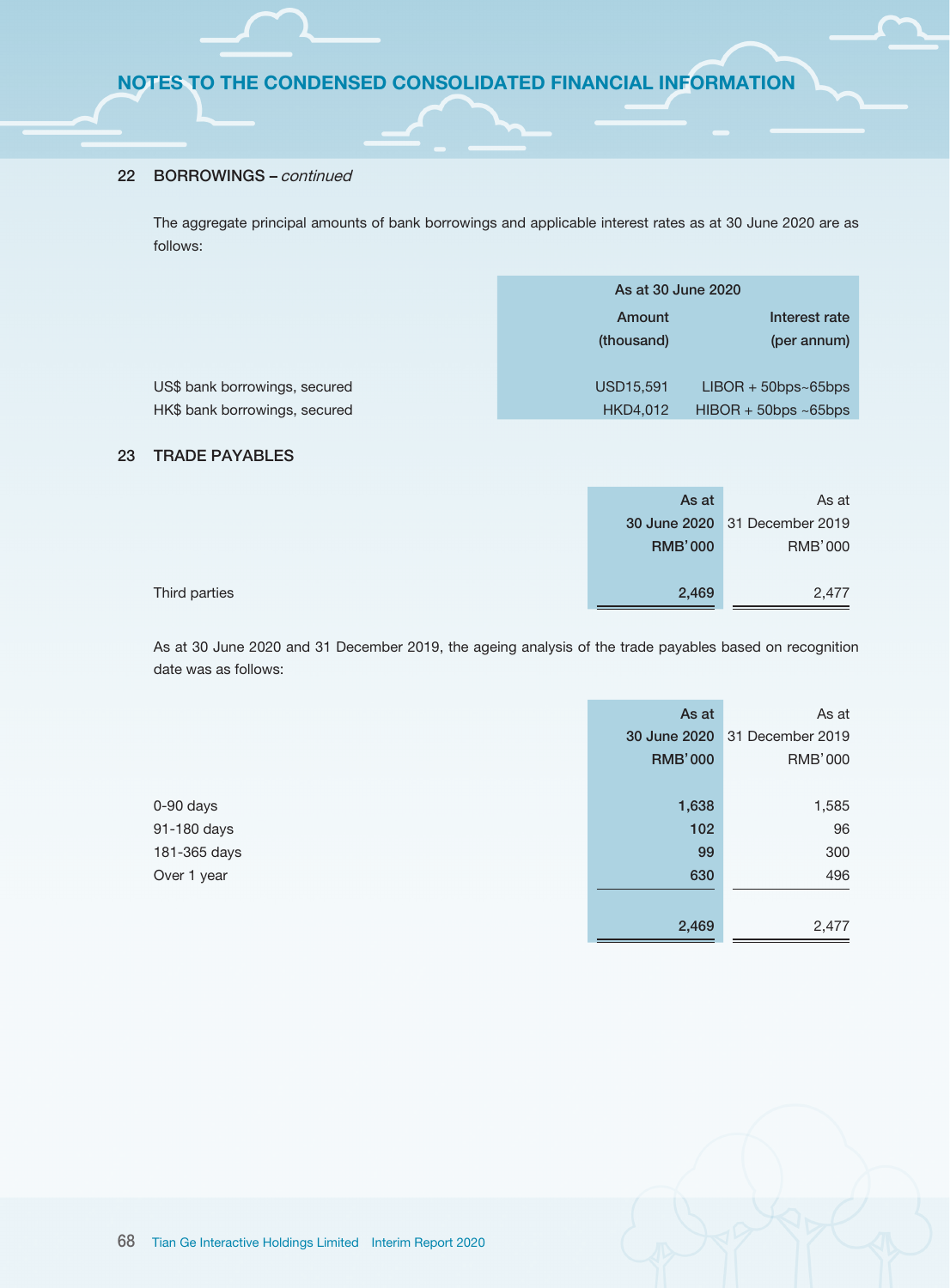### 22 BORROWINGS – continued

The aggregate principal amounts of bank borrowings and applicable interest rates as at 30 June 2020 are as follows:

|                               | As at 30 June 2020 |                         |  |
|-------------------------------|--------------------|-------------------------|--|
|                               | Amount             | Interest rate           |  |
|                               | (thousand)         | (per annum)             |  |
|                               |                    |                         |  |
| US\$ bank borrowings, secured | USD15,591          | $LIBOR + 50bps - 65bps$ |  |
| HK\$ bank borrowings, secured | HKD4,012           | $HIBOR + 50bps ~65bps$  |  |

#### 23 TRADE PAYABLES

|               | As at          | As at                         |
|---------------|----------------|-------------------------------|
|               |                | 30 June 2020 31 December 2019 |
|               | <b>RMB'000</b> | <b>RMB'000</b>                |
|               |                |                               |
| Third parties | 2,469          | 2,477                         |

As at 30 June 2020 and 31 December 2019, the ageing analysis of the trade payables based on recognition date was as follows:

|              | As at          | As at                         |
|--------------|----------------|-------------------------------|
|              |                | 30 June 2020 31 December 2019 |
|              | <b>RMB'000</b> | <b>RMB'000</b>                |
|              |                |                               |
| 0-90 days    | 1,638          | 1,585                         |
| 91-180 days  | 102            | 96                            |
| 181-365 days | 99             | 300                           |
| Over 1 year  | 630            | 496                           |
|              |                |                               |
|              | 2,469          | 2,477                         |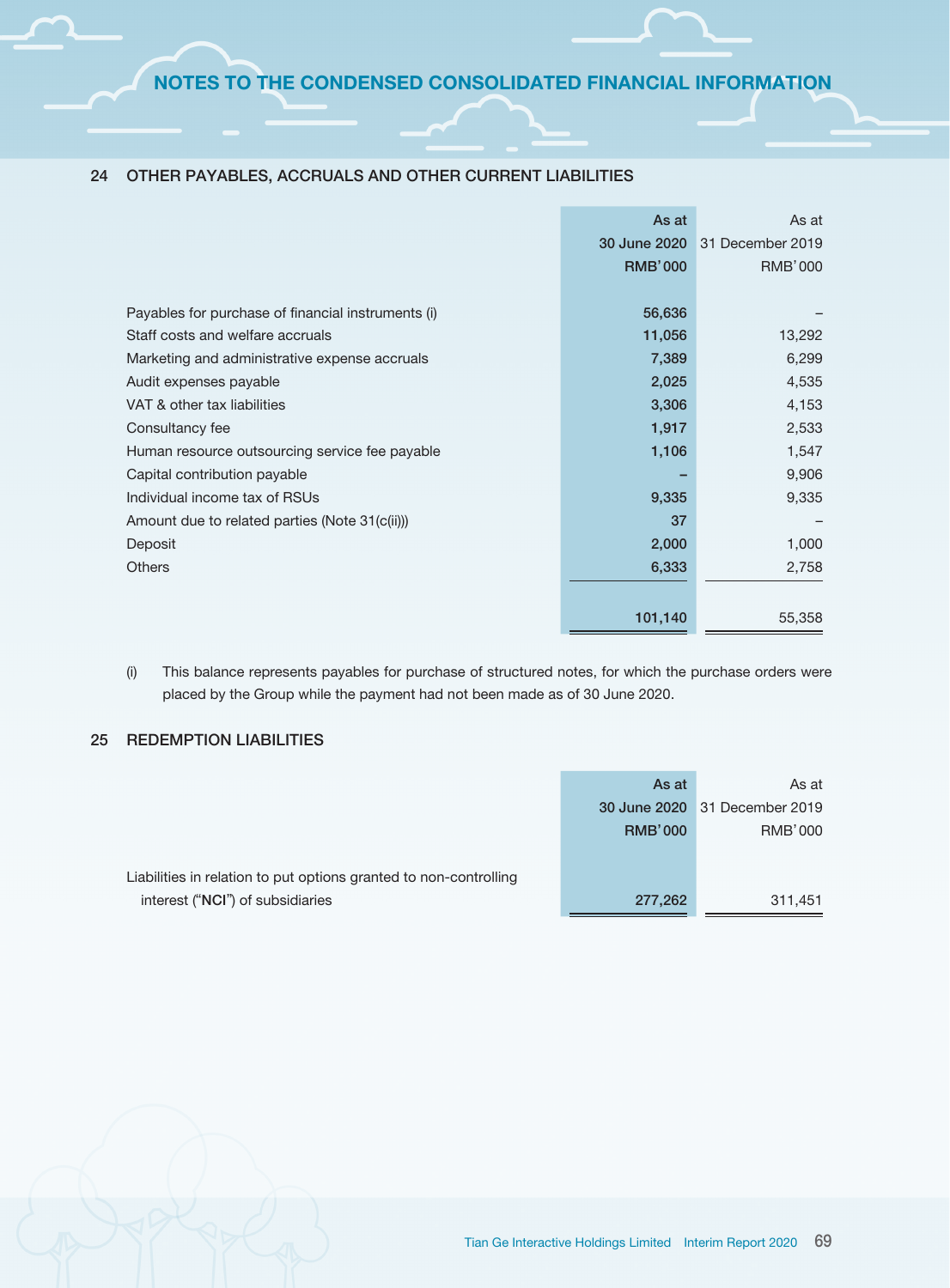|                                                    | As at          | As at            |
|----------------------------------------------------|----------------|------------------|
|                                                    | 30 June 2020   | 31 December 2019 |
|                                                    | <b>RMB'000</b> | <b>RMB'000</b>   |
|                                                    |                |                  |
| Payables for purchase of financial instruments (i) | 56,636         |                  |
| Staff costs and welfare accruals                   | 11,056         | 13,292           |
| Marketing and administrative expense accruals      | 7,389          | 6,299            |
| Audit expenses payable                             | 2,025          | 4,535            |
| VAT & other tax liabilities                        | 3,306          | 4,153            |
| Consultancy fee                                    | 1,917          | 2,533            |
| Human resource outsourcing service fee payable     | 1,106          | 1,547            |
| Capital contribution payable                       |                | 9,906            |
| Individual income tax of RSUs                      | 9,335          | 9,335            |
| Amount due to related parties (Note 31(c(ii)))     | 37             |                  |
| Deposit                                            | 2,000          | 1,000            |
| <b>Others</b>                                      | 6,333          | 2,758            |
|                                                    |                |                  |
|                                                    | 101,140        | 55,358           |

## 24 OTHER PAYABLES, ACCRUALS AND OTHER CURRENT LIABILITIES

(i) This balance represents payables for purchase of structured notes, for which the purchase orders were placed by the Group while the payment had not been made as of 30 June 2020.

## 25 REDEMPTION LIABILITIES

|                                                                   | As at          | As at                         |
|-------------------------------------------------------------------|----------------|-------------------------------|
|                                                                   |                | 30 June 2020 31 December 2019 |
|                                                                   | <b>RMB'000</b> | RMB'000                       |
| Liabilities in relation to put options granted to non-controlling |                |                               |
| interest ("NCI") of subsidiaries                                  | 277,262        | 311,451                       |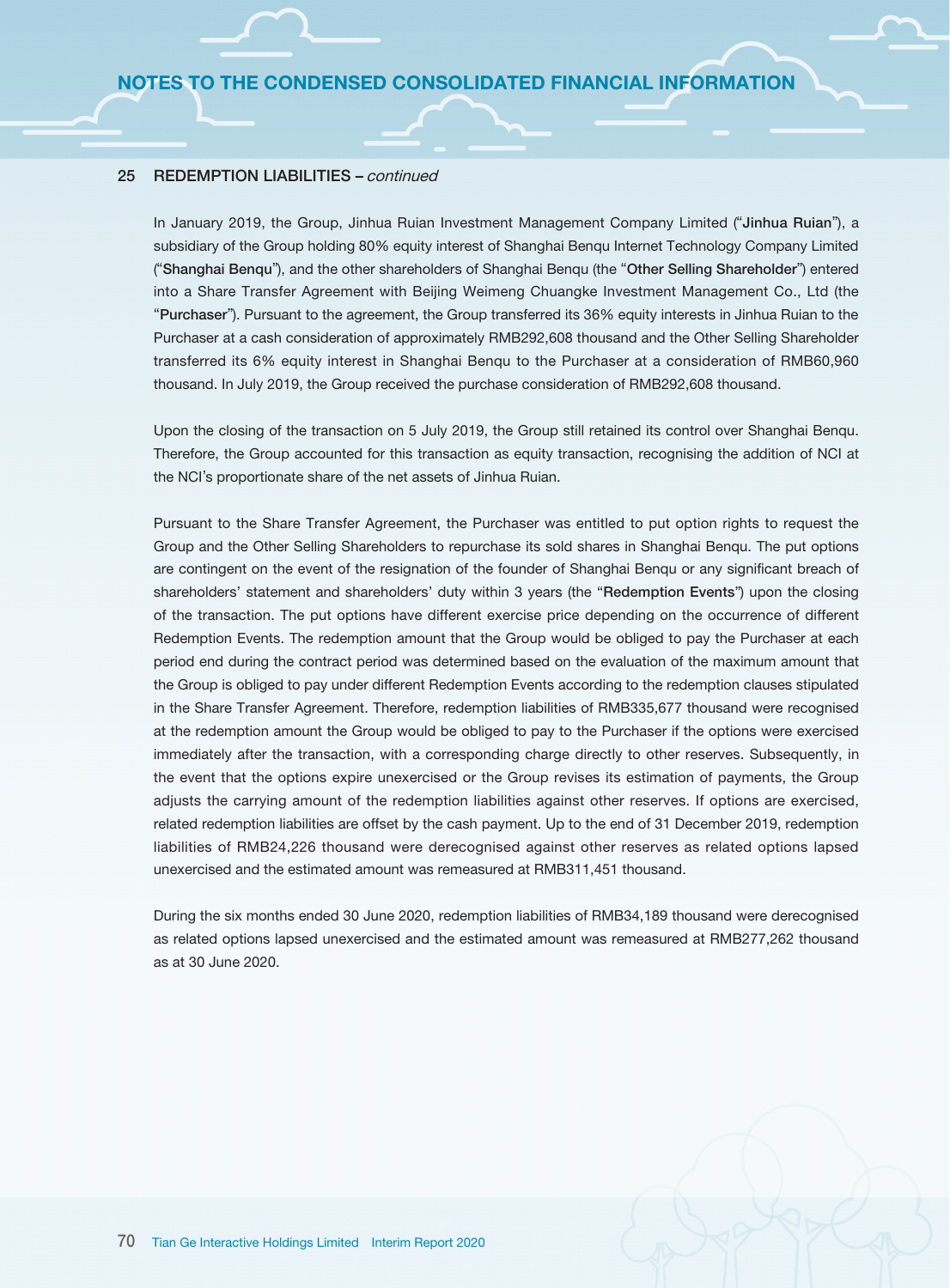#### 25 REDEMPTION LIABILITIES – continued

In January 2019, the Group, Jinhua Ruian Investment Management Company Limited ("Jinhua Ruian"), a subsidiary of the Group holding 80% equity interest of Shanghai Benqu Internet Technology Company Limited ("Shanghai Benqu"), and the other shareholders of Shanghai Benqu (the "Other Selling Shareholder") entered into a Share Transfer Agreement with Beijing Weimeng Chuangke Investment Management Co., Ltd (the "Purchaser"). Pursuant to the agreement, the Group transferred its 36% equity interests in Jinhua Ruian to the Purchaser at a cash consideration of approximately RMB292,608 thousand and the Other Selling Shareholder transferred its 6% equity interest in Shanghai Benqu to the Purchaser at a consideration of RMB60,960 thousand. In July 2019, the Group received the purchase consideration of RMB292,608 thousand.

Upon the closing of the transaction on 5 July 2019, the Group still retained its control over Shanghai Benqu. Therefore, the Group accounted for this transaction as equity transaction, recognising the addition of NCI at the NCI's proportionate share of the net assets of Jinhua Ruian.

Pursuant to the Share Transfer Agreement, the Purchaser was entitled to put option rights to request the Group and the Other Selling Shareholders to repurchase its sold shares in Shanghai Benqu. The put options are contingent on the event of the resignation of the founder of Shanghai Benqu or any significant breach of shareholders' statement and shareholders' duty within 3 years (the "Redemption Events") upon the closing of the transaction. The put options have different exercise price depending on the occurrence of different Redemption Events. The redemption amount that the Group would be obliged to pay the Purchaser at each period end during the contract period was determined based on the evaluation of the maximum amount that the Group is obliged to pay under different Redemption Events according to the redemption clauses stipulated in the Share Transfer Agreement. Therefore, redemption liabilities of RMB335,677 thousand were recognised at the redemption amount the Group would be obliged to pay to the Purchaser if the options were exercised immediately after the transaction, with a corresponding charge directly to other reserves. Subsequently, in the event that the options expire unexercised or the Group revises its estimation of payments, the Group adjusts the carrying amount of the redemption liabilities against other reserves. If options are exercised, related redemption liabilities are offset by the cash payment. Up to the end of 31 December 2019, redemption liabilities of RMB24,226 thousand were derecognised against other reserves as related options lapsed unexercised and the estimated amount was remeasured at RMB311,451 thousand.

During the six months ended 30 June 2020, redemption liabilities of RMB34,189 thousand were derecognised as related options lapsed unexercised and the estimated amount was remeasured at RMB277,262 thousand as at 30 June 2020.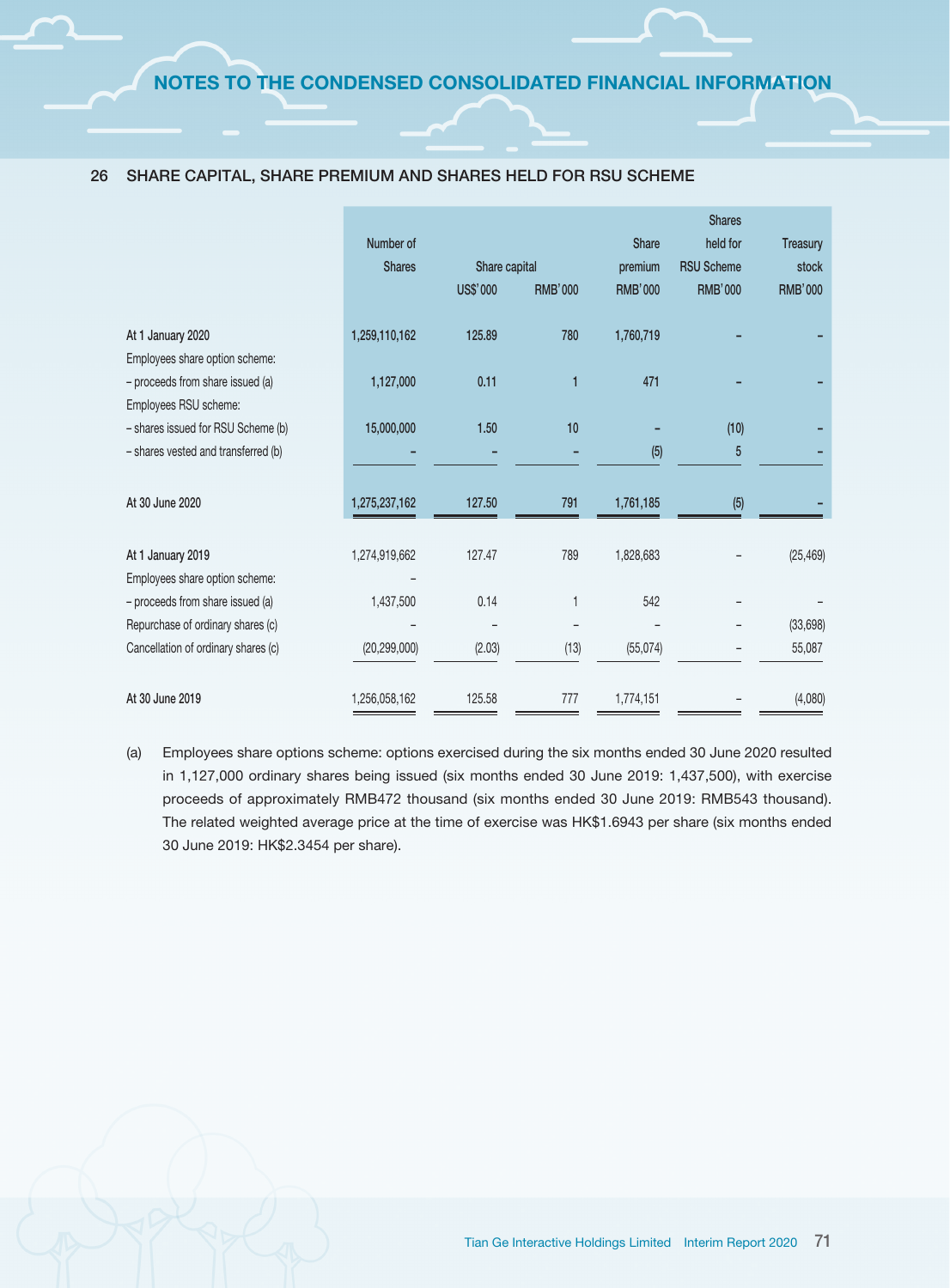|                                                             | Number of<br><b>Shares</b> | Share capital |                | <b>Share</b><br>premium | <b>Shares</b><br>held for<br><b>RSU Scheme</b> | <b>Treasury</b><br>stock |
|-------------------------------------------------------------|----------------------------|---------------|----------------|-------------------------|------------------------------------------------|--------------------------|
|                                                             |                            | US\$'000      | <b>RMB'000</b> | <b>RMB'000</b>          | <b>RMB'000</b>                                 | <b>RMB'000</b>           |
| At 1 January 2020                                           | 1,259,110,162              | 125.89        | 780            | 1,760,719               |                                                |                          |
| Employees share option scheme:                              |                            |               |                |                         |                                                |                          |
| - proceeds from share issued (a)                            | 1,127,000                  | 0.11          | 1              | 471                     |                                                |                          |
| Employees RSU scheme:<br>- shares issued for RSU Scheme (b) | 15,000,000                 | 1.50          | 10             |                         | (10)                                           |                          |
| - shares vested and transferred (b)                         |                            |               |                | (5)                     | 5                                              |                          |
| At 30 June 2020                                             | 1,275,237,162              | 127.50        | 791            | 1,761,185               | (5)                                            |                          |
| At 1 January 2019                                           | 1,274,919,662              | 127.47        | 789            | 1,828,683               |                                                | (25, 469)                |
| Employees share option scheme:                              |                            |               |                |                         |                                                |                          |
| - proceeds from share issued (a)                            | 1,437,500                  | 0.14          | 1              | 542                     |                                                |                          |
| Repurchase of ordinary shares (c)                           |                            |               |                |                         |                                                | (33, 698)                |
| Cancellation of ordinary shares (c)                         | (20, 299, 000)             | (2.03)        | (13)           | (55,074)                |                                                | 55,087                   |
| At 30 June 2019                                             | 1,256,058,162              | 125.58        | 777            | 1,774,151               |                                                | (4,080)                  |

#### 26 SHARE CAPITAL, SHARE PREMIUM AND SHARES HELD FOR RSU SCHEME

(a) Employees share options scheme: options exercised during the six months ended 30 June 2020 resulted in 1,127,000 ordinary shares being issued (six months ended 30 June 2019: 1,437,500), with exercise proceeds of approximately RMB472 thousand (six months ended 30 June 2019: RMB543 thousand). The related weighted average price at the time of exercise was HK\$1.6943 per share (six months ended 30 June 2019: HK\$2.3454 per share).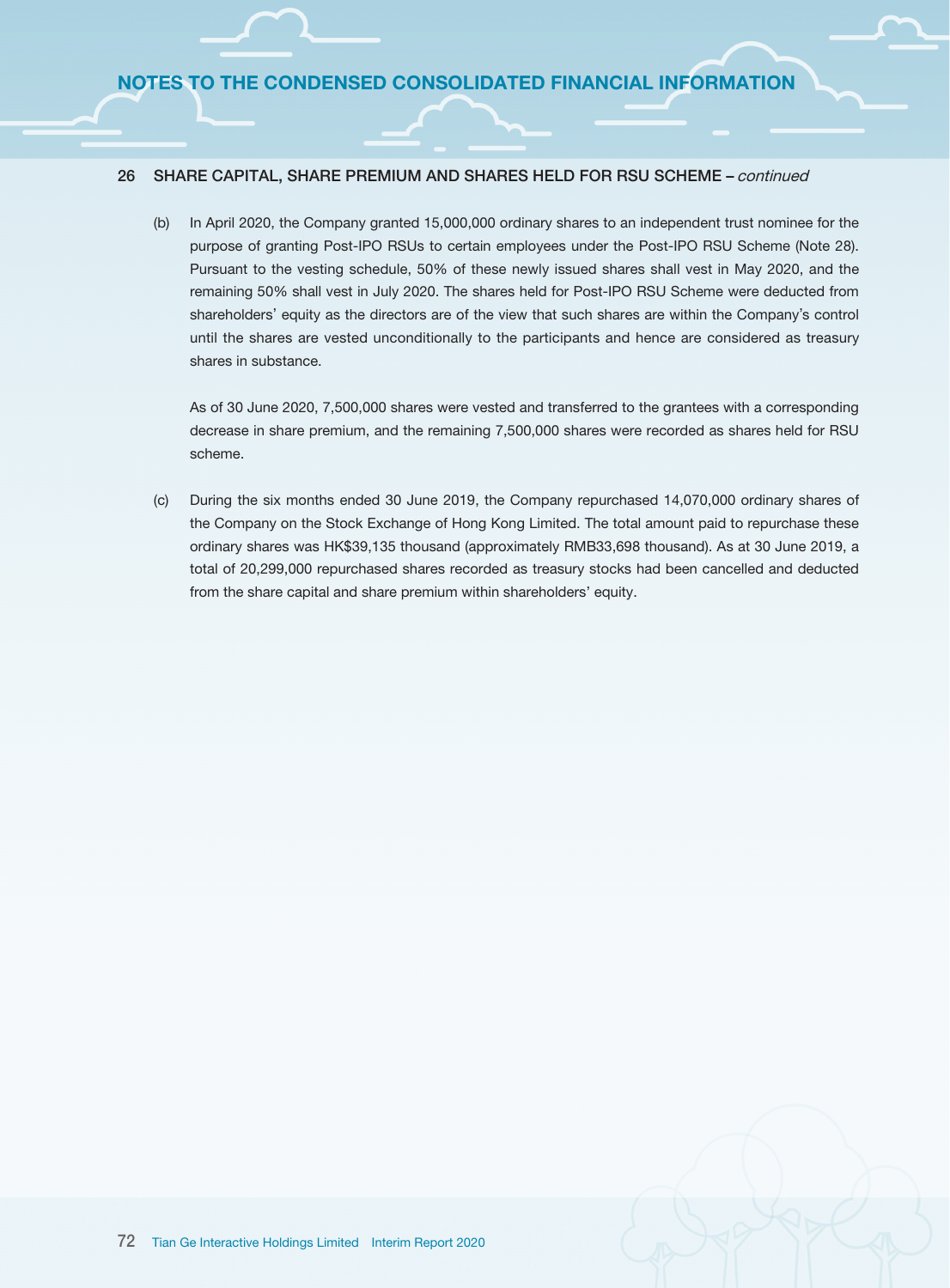### 26 SHARE CAPITAL, SHARE PREMIUM AND SHARES HELD FOR RSU SCHEME – continued

(b) In April 2020, the Company granted 15,000,000 ordinary shares to an independent trust nominee for the purpose of granting Post-IPO RSUs to certain employees under the Post-IPO RSU Scheme (Note 28). Pursuant to the vesting schedule, 50% of these newly issued shares shall vest in May 2020, and the remaining 50% shall vest in July 2020. The shares held for Post-IPO RSU Scheme were deducted from shareholders' equity as the directors are of the view that such shares are within the Company's control until the shares are vested unconditionally to the participants and hence are considered as treasury shares in substance.

As of 30 June 2020, 7,500,000 shares were vested and transferred to the grantees with a corresponding decrease in share premium, and the remaining 7,500,000 shares were recorded as shares held for RSU scheme.

(c) During the six months ended 30 June 2019, the Company repurchased 14,070,000 ordinary shares of the Company on the Stock Exchange of Hong Kong Limited. The total amount paid to repurchase these ordinary shares was HK\$39,135 thousand (approximately RMB33,698 thousand). As at 30 June 2019, a total of 20,299,000 repurchased shares recorded as treasury stocks had been cancelled and deducted from the share capital and share premium within shareholders' equity.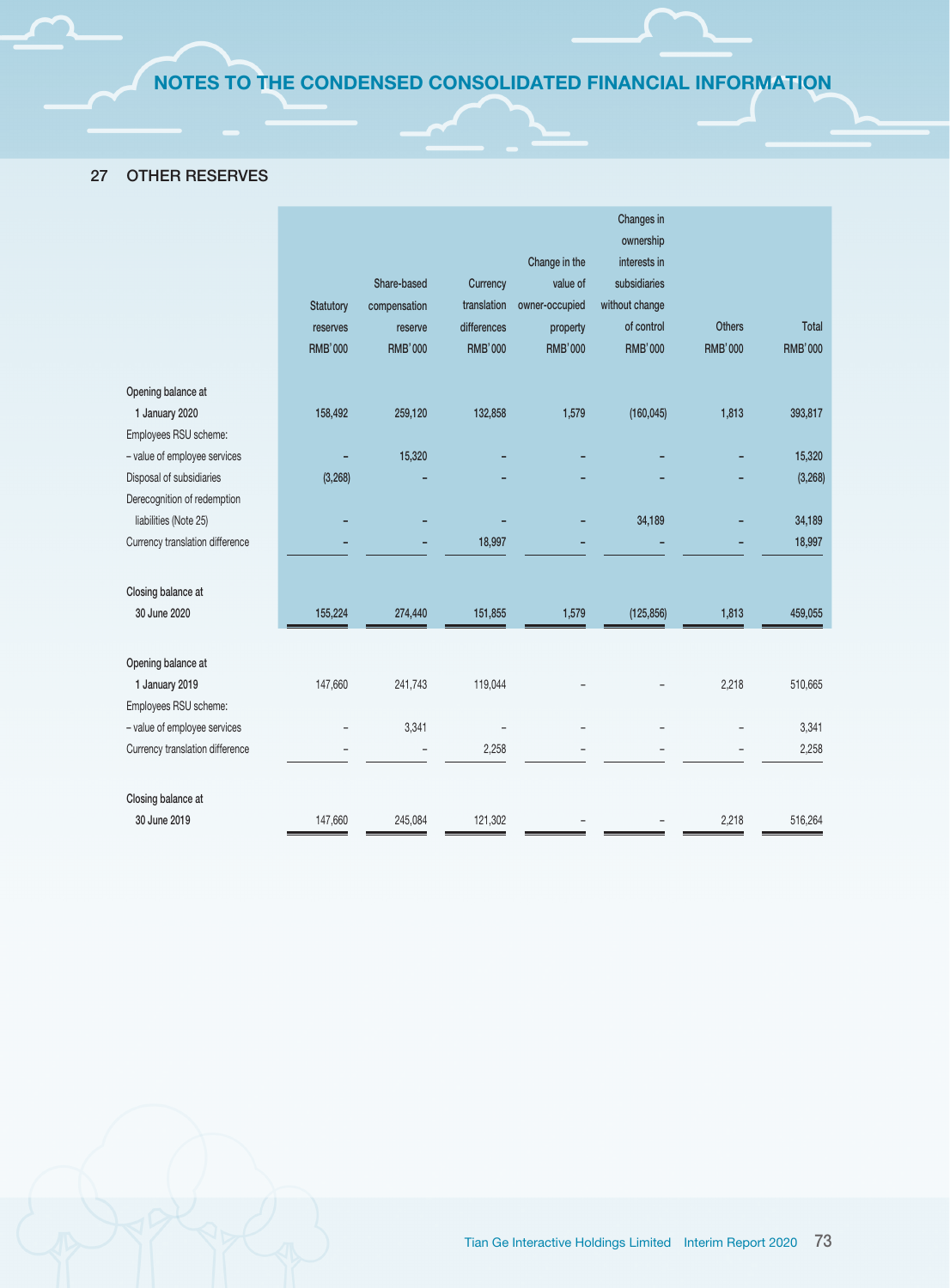# 27 OTHER RESERVES

|                                 |                  |                |                |                | Changes in     |                |                |
|---------------------------------|------------------|----------------|----------------|----------------|----------------|----------------|----------------|
|                                 |                  |                |                |                | ownership      |                |                |
|                                 |                  |                |                | Change in the  | interests in   |                |                |
|                                 |                  | Share-based    | Currency       | value of       | subsidiaries   |                |                |
|                                 | <b>Statutory</b> | compensation   | translation    | owner-occupied | without change |                |                |
|                                 | reserves         | reserve        | differences    | property       | of control     | <b>Others</b>  | Total          |
|                                 | <b>RMB'000</b>   | <b>RMB'000</b> | <b>RMB'000</b> | <b>RMB'000</b> | <b>RMB'000</b> | <b>RMB'000</b> | <b>RMB'000</b> |
| Opening balance at              |                  |                |                |                |                |                |                |
| 1 January 2020                  | 158,492          | 259,120        | 132,858        | 1,579          | (160, 045)     | 1,813          | 393,817        |
| Employees RSU scheme:           |                  |                |                |                |                |                |                |
| - value of employee services    |                  | 15,320         |                |                |                |                | 15,320         |
| Disposal of subsidiaries        | (3,268)          |                |                |                |                |                | (3,268)        |
| Derecognition of redemption     |                  |                |                |                |                |                |                |
| liabilities (Note 25)           |                  |                |                |                | 34,189         |                | 34,189         |
| Currency translation difference |                  |                | 18,997         |                |                |                | 18,997         |
| Closing balance at              |                  |                |                |                |                |                |                |
| 30 June 2020                    | 155,224          | 274,440        | 151,855        | 1,579          | (125, 856)     | 1,813          | 459,055        |
| Opening balance at              |                  |                |                |                |                |                |                |
| 1 January 2019                  | 147,660          | 241,743        | 119,044        |                |                | 2,218          | 510,665        |
| Employees RSU scheme:           |                  |                |                |                |                |                |                |
| - value of employee services    |                  | 3,341          |                |                |                |                | 3,341          |
| Currency translation difference |                  |                | 2,258          |                |                |                | 2,258          |
| Closing balance at              |                  |                |                |                |                |                |                |
| 30 June 2019                    | 147,660          | 245,084        | 121,302        |                |                | 2,218          | 516,264        |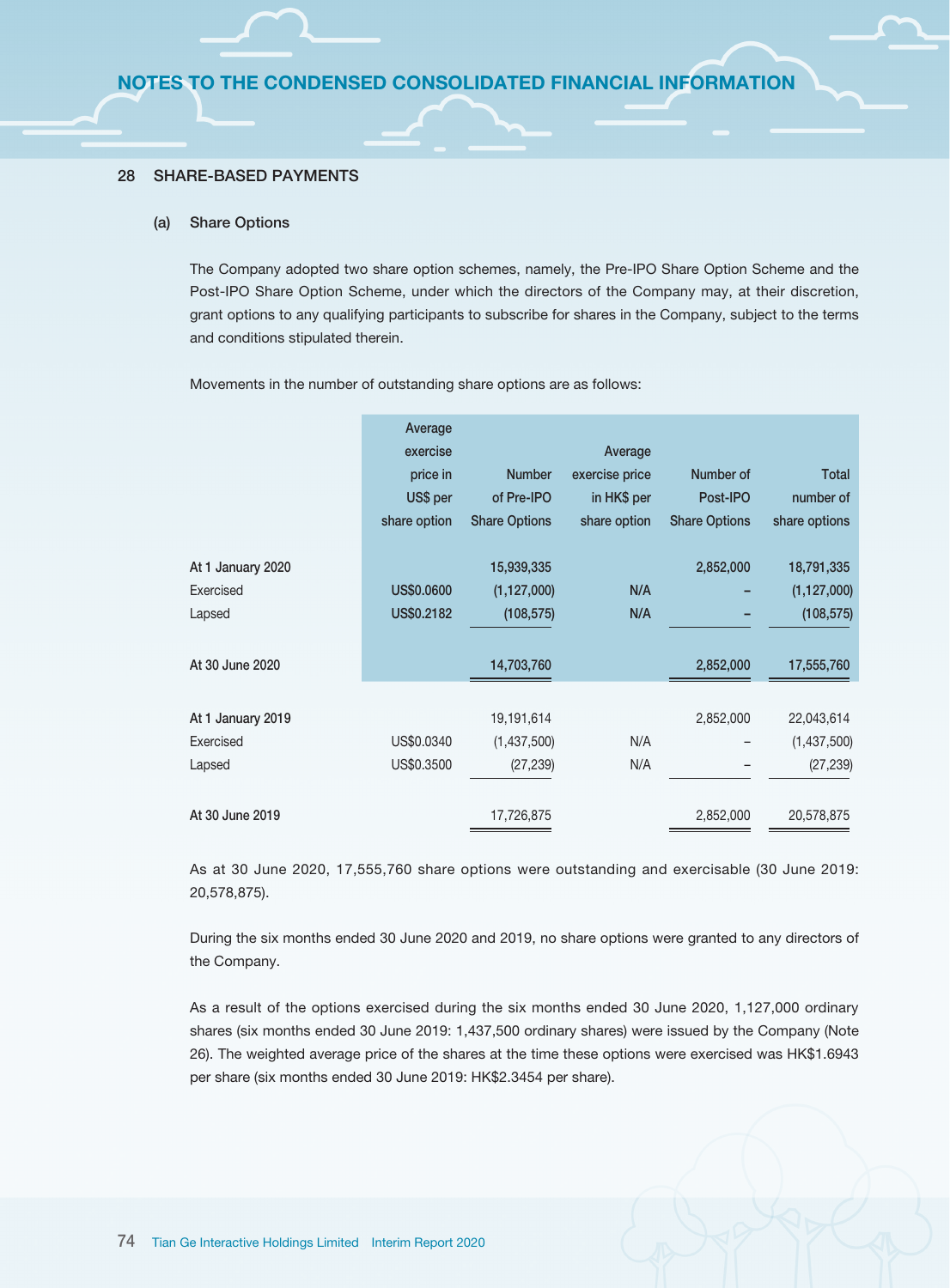#### 28 SHARE-BASED PAYMENTS

#### (a) Share Options

The Company adopted two share option schemes, namely, the Pre-IPO Share Option Scheme and the Post-IPO Share Option Scheme, under which the directors of the Company may, at their discretion, grant options to any qualifying participants to subscribe for shares in the Company, subject to the terms and conditions stipulated therein.

Movements in the number of outstanding share options are as follows:

|                   | Average<br>exercise<br>price in<br>US\$ per<br>share option | <b>Number</b><br>of Pre-IPO<br><b>Share Options</b> | Average<br>exercise price<br>in HK\$ per<br>share option | Number of<br>Post-IPO<br><b>Share Options</b> | <b>Total</b><br>number of<br>share options |
|-------------------|-------------------------------------------------------------|-----------------------------------------------------|----------------------------------------------------------|-----------------------------------------------|--------------------------------------------|
| At 1 January 2020 |                                                             | 15,939,335                                          |                                                          | 2,852,000                                     | 18,791,335                                 |
| Exercised         | US\$0.0600                                                  | (1, 127, 000)                                       | N/A                                                      |                                               | (1, 127, 000)                              |
| Lapsed            | US\$0.2182                                                  | (108, 575)                                          | N/A                                                      |                                               | (108, 575)                                 |
| At 30 June 2020   |                                                             | 14,703,760                                          |                                                          | 2,852,000                                     | 17,555,760                                 |
| At 1 January 2019 |                                                             | 19,191,614                                          |                                                          | 2,852,000                                     | 22,043,614                                 |
| Exercised         | US\$0.0340                                                  | (1,437,500)                                         | N/A                                                      |                                               | (1,437,500)                                |
| Lapsed            | US\$0.3500                                                  | (27, 239)                                           | N/A                                                      |                                               | (27, 239)                                  |
| At 30 June 2019   |                                                             | 17,726,875                                          |                                                          | 2,852,000                                     | 20,578,875                                 |

As at 30 June 2020, 17,555,760 share options were outstanding and exercisable (30 June 2019: 20,578,875).

During the six months ended 30 June 2020 and 2019, no share options were granted to any directors of the Company.

As a result of the options exercised during the six months ended 30 June 2020, 1,127,000 ordinary shares (six months ended 30 June 2019: 1,437,500 ordinary shares) were issued by the Company (Note 26). The weighted average price of the shares at the time these options were exercised was HK\$1.6943 per share (six months ended 30 June 2019: HK\$2.3454 per share).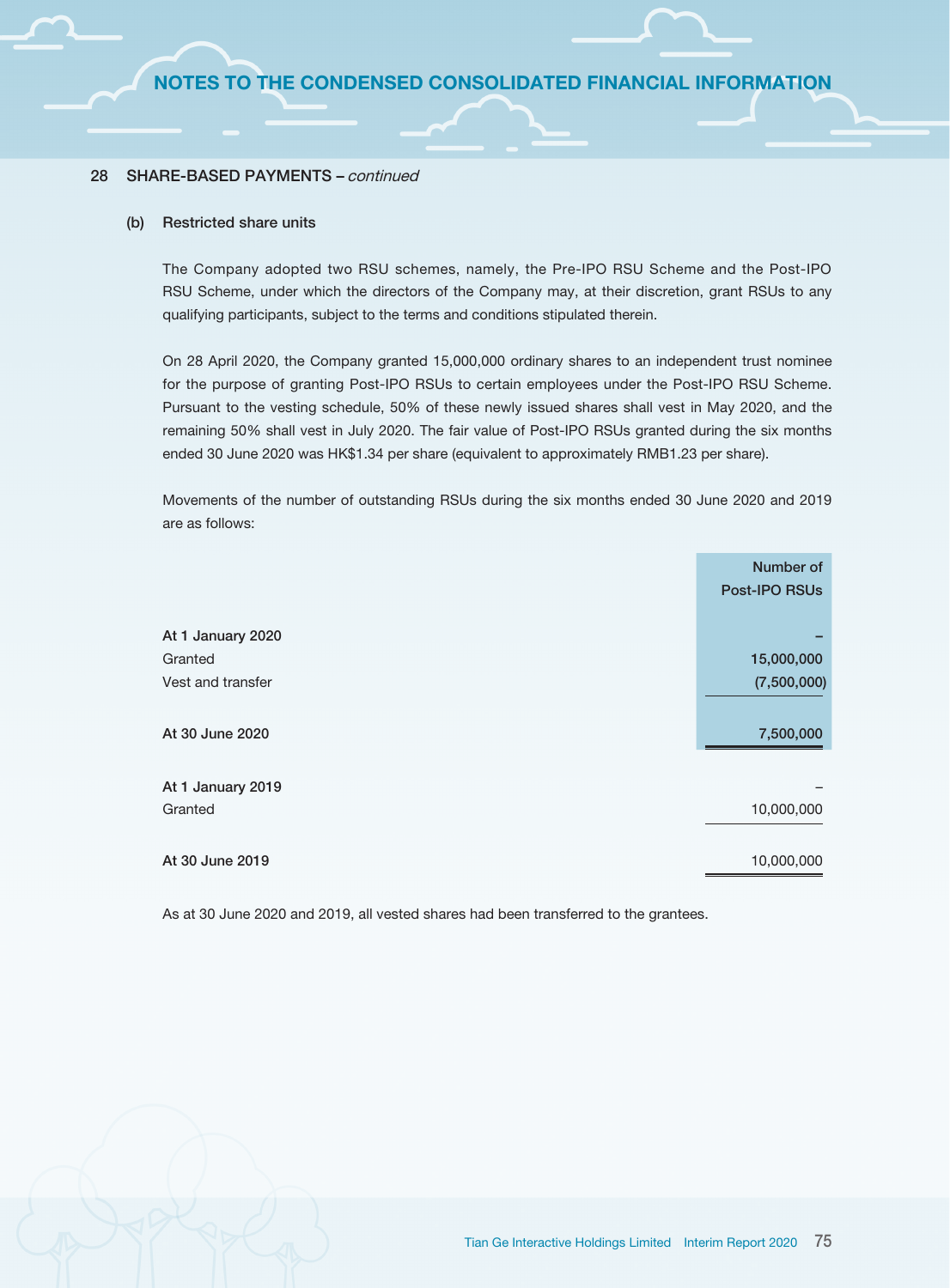#### 28 SHARE-BASED PAYMENTS – continued

#### (b) Restricted share units

The Company adopted two RSU schemes, namely, the Pre-IPO RSU Scheme and the Post-IPO RSU Scheme, under which the directors of the Company may, at their discretion, grant RSUs to any qualifying participants, subject to the terms and conditions stipulated therein.

On 28 April 2020, the Company granted 15,000,000 ordinary shares to an independent trust nominee for the purpose of granting Post-IPO RSUs to certain employees under the Post-IPO RSU Scheme. Pursuant to the vesting schedule, 50% of these newly issued shares shall vest in May 2020, and the remaining 50% shall vest in July 2020. The fair value of Post-IPO RSUs granted during the six months ended 30 June 2020 was HK\$1.34 per share (equivalent to approximately RMB1.23 per share).

Movements of the number of outstanding RSUs during the six months ended 30 June 2020 and 2019 are as follows:

|                   | Number of<br>Post-IPO RSUs |
|-------------------|----------------------------|
|                   |                            |
| At 1 January 2020 |                            |
| Granted           | 15,000,000                 |
| Vest and transfer | (7,500,000)                |
|                   |                            |
| At 30 June 2020   | 7,500,000                  |
|                   |                            |
| At 1 January 2019 |                            |
| Granted           | 10,000,000                 |
|                   |                            |
| At 30 June 2019   | 10,000,000                 |

As at 30 June 2020 and 2019, all vested shares had been transferred to the grantees.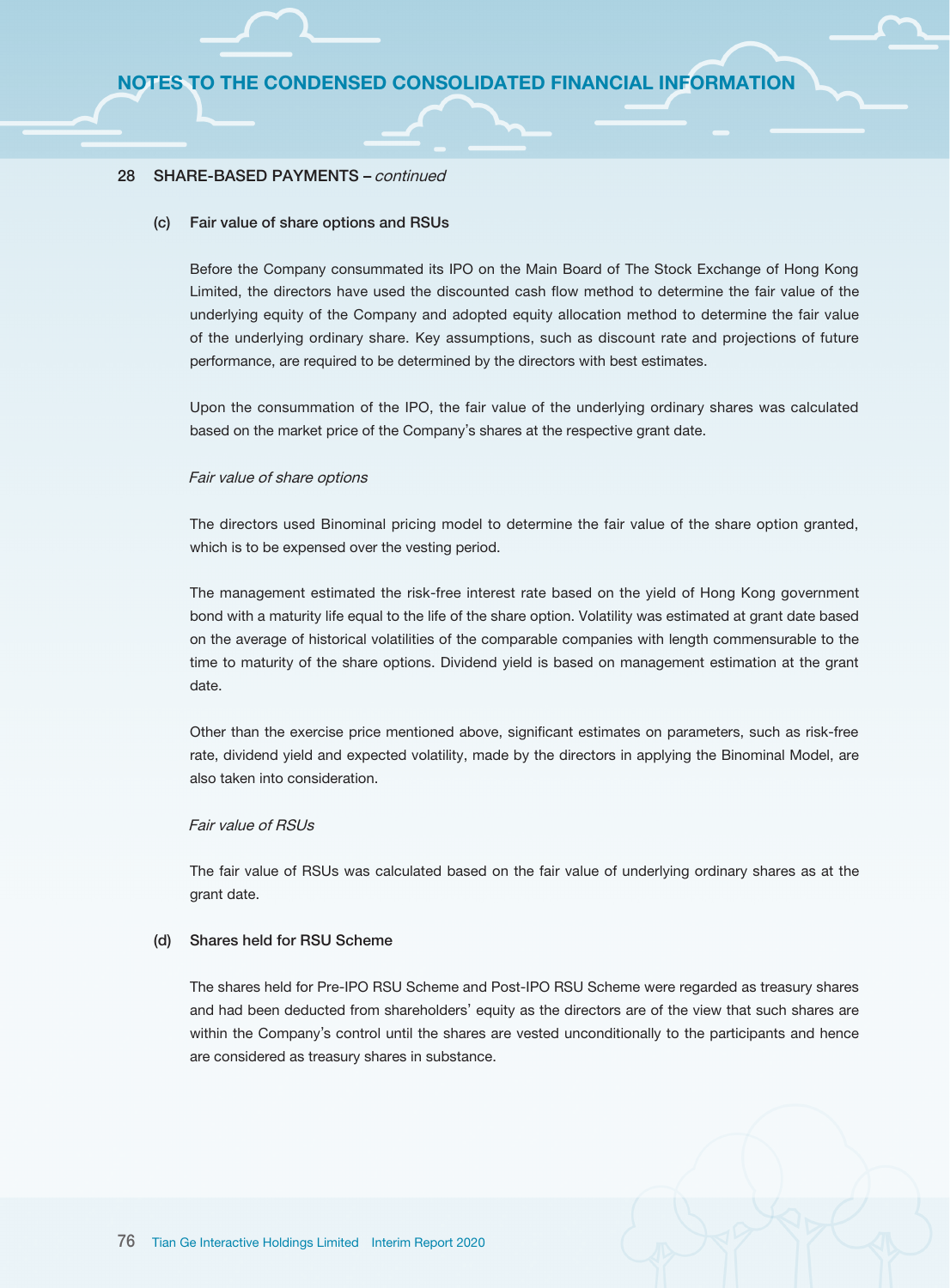### 28 SHARE-BASED PAYMENTS – continued

#### (c) Fair value of share options and RSUs

Before the Company consummated its IPO on the Main Board of The Stock Exchange of Hong Kong Limited, the directors have used the discounted cash flow method to determine the fair value of the underlying equity of the Company and adopted equity allocation method to determine the fair value of the underlying ordinary share. Key assumptions, such as discount rate and projections of future performance, are required to be determined by the directors with best estimates.

Upon the consummation of the IPO, the fair value of the underlying ordinary shares was calculated based on the market price of the Company's shares at the respective grant date.

#### Fair value of share options

The directors used Binominal pricing model to determine the fair value of the share option granted, which is to be expensed over the vesting period.

The management estimated the risk-free interest rate based on the yield of Hong Kong government bond with a maturity life equal to the life of the share option. Volatility was estimated at grant date based on the average of historical volatilities of the comparable companies with length commensurable to the time to maturity of the share options. Dividend yield is based on management estimation at the grant date.

Other than the exercise price mentioned above, significant estimates on parameters, such as risk-free rate, dividend yield and expected volatility, made by the directors in applying the Binominal Model, are also taken into consideration.

### Fair value of RSUs

The fair value of RSUs was calculated based on the fair value of underlying ordinary shares as at the grant date.

#### (d) Shares held for RSU Scheme

The shares held for Pre-IPO RSU Scheme and Post-IPO RSU Scheme were regarded as treasury shares and had been deducted from shareholders' equity as the directors are of the view that such shares are within the Company's control until the shares are vested unconditionally to the participants and hence are considered as treasury shares in substance.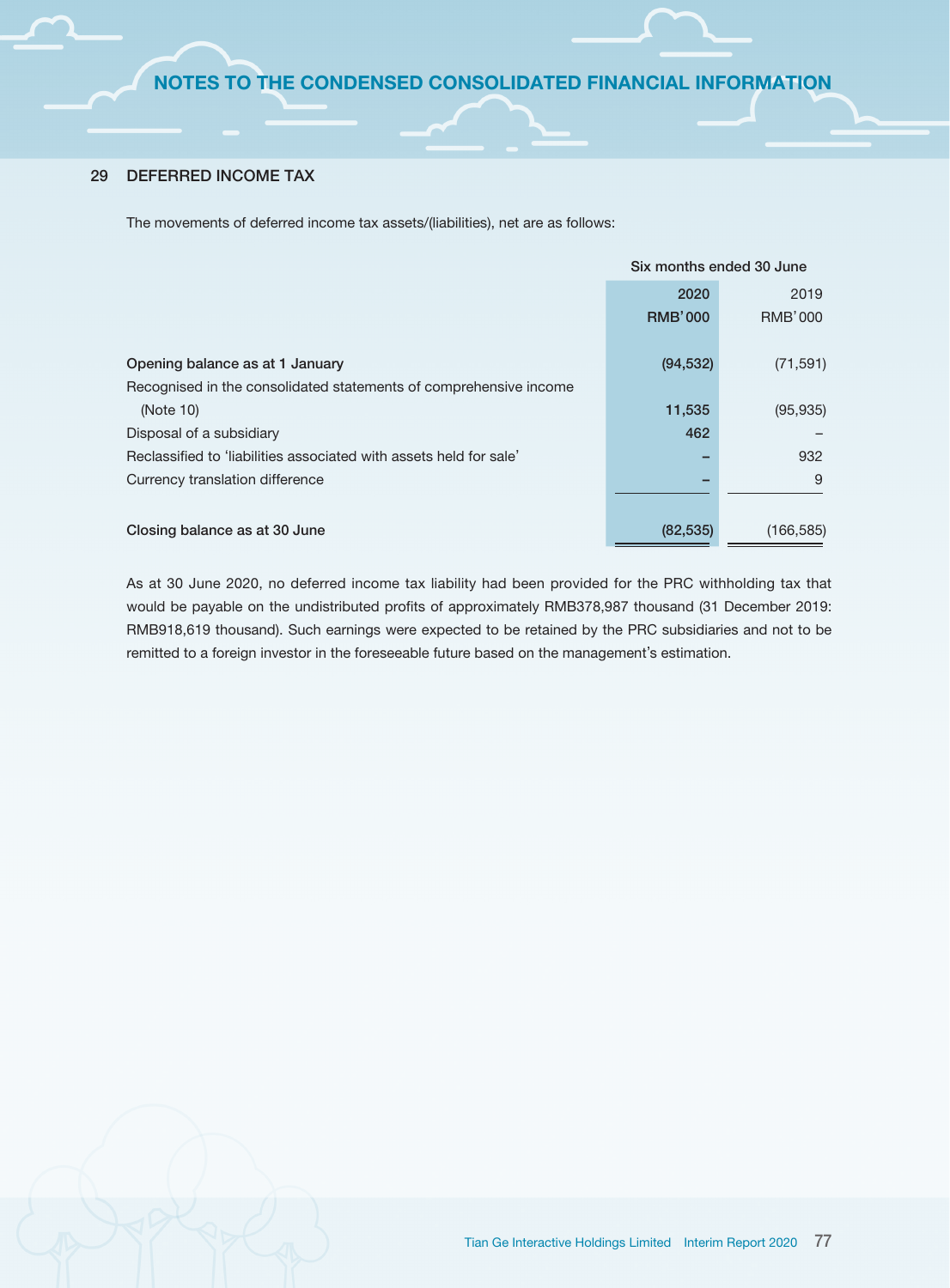# 29 DEFERRED INCOME TAX

The movements of deferred income tax assets/(liabilities), net are as follows:

|                                                                    | Six months ended 30 June |                |
|--------------------------------------------------------------------|--------------------------|----------------|
|                                                                    | 2020                     | 2019           |
|                                                                    | <b>RMB'000</b>           | <b>RMB'000</b> |
|                                                                    |                          |                |
| Opening balance as at 1 January                                    | (94, 532)                | (71, 591)      |
| Recognised in the consolidated statements of comprehensive income  |                          |                |
| (Note 10)                                                          | 11,535                   | (95, 935)      |
| Disposal of a subsidiary                                           | 462                      |                |
| Reclassified to 'liabilities associated with assets held for sale' |                          | 932            |
| Currency translation difference                                    |                          | 9              |
|                                                                    |                          |                |
| Closing balance as at 30 June                                      | (82, 535)                | (166, 585)     |

As at 30 June 2020, no deferred income tax liability had been provided for the PRC withholding tax that would be payable on the undistributed profits of approximately RMB378,987 thousand (31 December 2019: RMB918,619 thousand). Such earnings were expected to be retained by the PRC subsidiaries and not to be remitted to a foreign investor in the foreseeable future based on the management's estimation.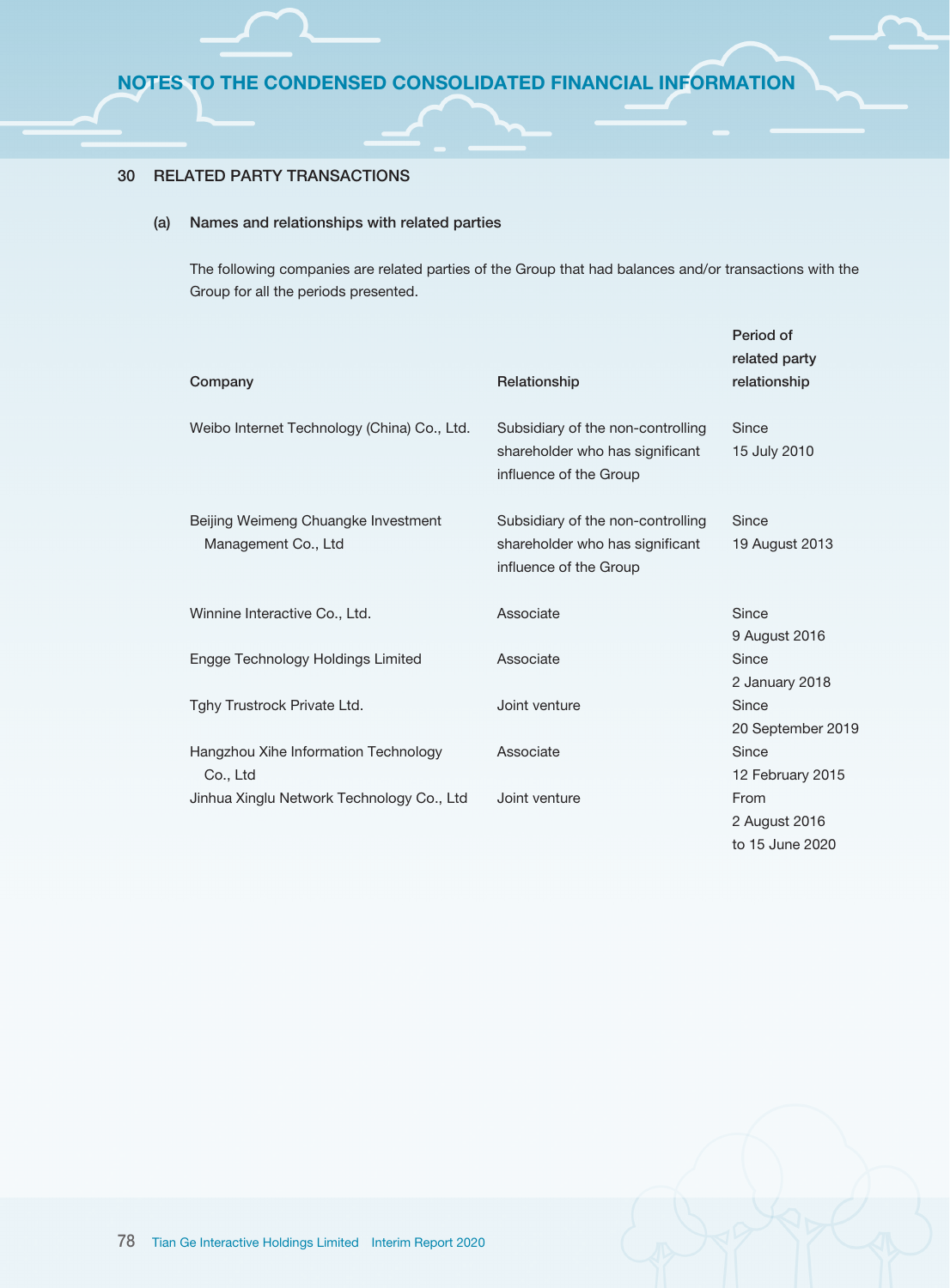# 30 RELATED PARTY TRANSACTIONS

### (a) Names and relationships with related parties

The following companies are related parties of the Group that had balances and/or transactions with the Group for all the periods presented.

| Company                                                    | Relationship                                                                                   | Period of<br>related party<br>relationship |
|------------------------------------------------------------|------------------------------------------------------------------------------------------------|--------------------------------------------|
| Weibo Internet Technology (China) Co., Ltd.                | Subsidiary of the non-controlling<br>shareholder who has significant<br>influence of the Group | Since<br>15 July 2010                      |
| Beijing Weimeng Chuangke Investment<br>Management Co., Ltd | Subsidiary of the non-controlling<br>shareholder who has significant<br>influence of the Group | Since<br>19 August 2013                    |
| Winnine Interactive Co., Ltd.                              | Associate                                                                                      | Since<br>9 August 2016                     |
| Engge Technology Holdings Limited                          | Associate                                                                                      | Since<br>2 January 2018                    |
| Tghy Trustrock Private Ltd.                                | Joint venture                                                                                  | Since<br>20 September 2019                 |
| Hangzhou Xihe Information Technology<br>Co., Ltd           | Associate                                                                                      | Since<br>12 February 2015                  |
| Jinhua Xinglu Network Technology Co., Ltd                  | Joint venture                                                                                  | From<br>2 August 2016<br>to 15 June 2020   |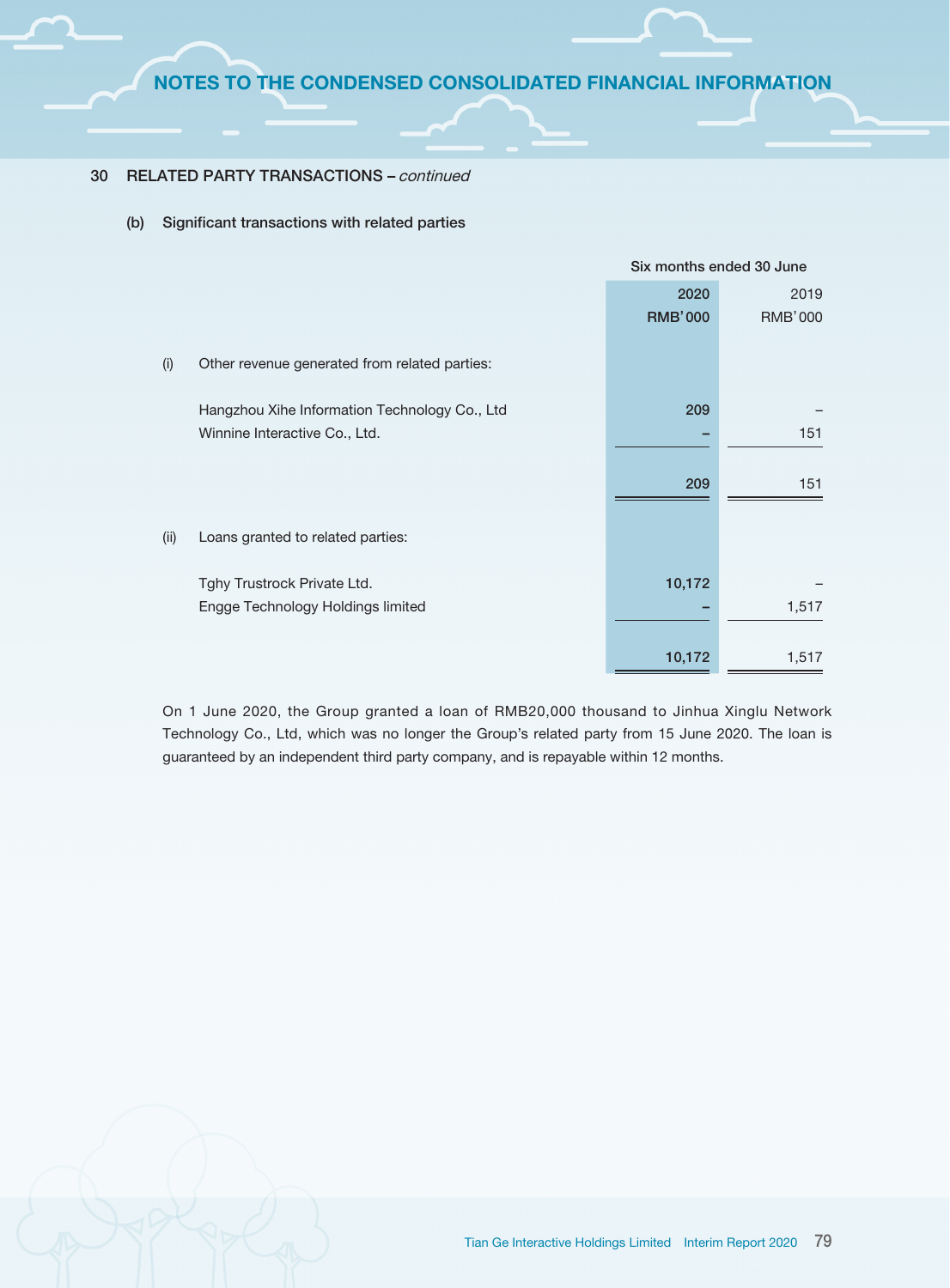### 30 RELATED PARTY TRANSACTIONS – continued

(b) Significant transactions with related parties

|      |                                               | Six months ended 30 June |                |  |
|------|-----------------------------------------------|--------------------------|----------------|--|
|      |                                               | 2020                     | 2019           |  |
|      |                                               | <b>RMB'000</b>           | <b>RMB'000</b> |  |
|      |                                               |                          |                |  |
| (i)  | Other revenue generated from related parties: |                          |                |  |
|      |                                               |                          |                |  |
|      | Hangzhou Xihe Information Technology Co., Ltd | 209                      |                |  |
|      | Winnine Interactive Co., Ltd.                 |                          | 151            |  |
|      |                                               |                          |                |  |
|      |                                               | 209                      | 151            |  |
|      |                                               |                          |                |  |
| (ii) | Loans granted to related parties:             |                          |                |  |
|      |                                               |                          |                |  |
|      | Tghy Trustrock Private Ltd.                   | 10,172                   |                |  |
|      | Engge Technology Holdings limited             |                          | 1,517          |  |
|      |                                               |                          |                |  |
|      |                                               | 10,172                   | 1,517          |  |
|      |                                               |                          |                |  |

On 1 June 2020, the Group granted a loan of RMB20,000 thousand to Jinhua Xinglu Network Technology Co., Ltd, which was no longer the Group's related party from 15 June 2020. The loan is guaranteed by an independent third party company, and is repayable within 12 months.